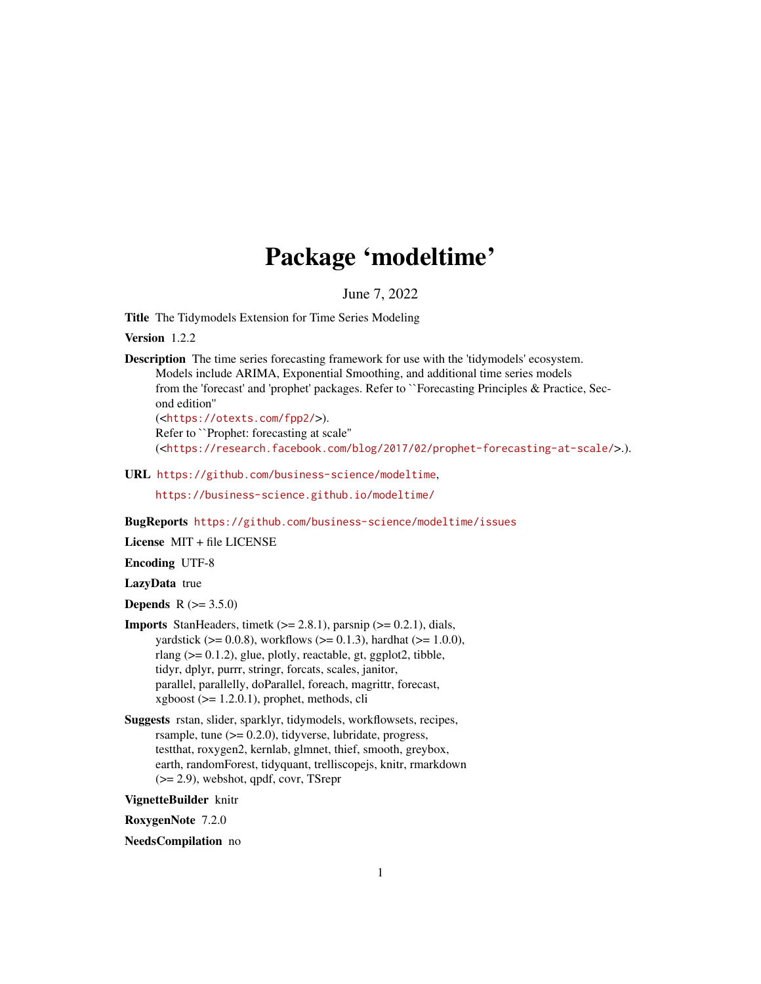# Package 'modeltime'

June 7, 2022

<span id="page-0-0"></span>Title The Tidymodels Extension for Time Series Modeling

Version 1.2.2

Description The time series forecasting framework for use with the 'tidymodels' ecosystem. Models include ARIMA, Exponential Smoothing, and additional time series models from the 'forecast' and 'prophet' packages. Refer to ``Forecasting Principles & Practice, Second edition''

(<<https://otexts.com/fpp2/>>). Refer to ``Prophet: forecasting at scale'' (<<https://research.facebook.com/blog/2017/02/prophet-forecasting-at-scale/>>.).

URL <https://github.com/business-science/modeltime>,

<https://business-science.github.io/modeltime/>

BugReports <https://github.com/business-science/modeltime/issues>

License MIT + file LICENSE

Encoding UTF-8

LazyData true

**Depends**  $R (= 3.5.0)$ 

- **Imports** StanHeaders, timetk  $(>= 2.8.1)$ , parsnip  $(>= 0.2.1)$ , dials, yardstick ( $> = 0.0.8$ ), workflows ( $> = 0.1.3$ ), hardhat ( $> = 1.0.0$ ), rlang (>= 0.1.2), glue, plotly, reactable, gt, ggplot2, tibble, tidyr, dplyr, purrr, stringr, forcats, scales, janitor, parallel, parallelly, doParallel, foreach, magrittr, forecast,  $x\text{gboost}$  ( $>= 1.2.0.1$ ), prophet, methods, cli
- Suggests rstan, slider, sparklyr, tidymodels, workflowsets, recipes, rsample, tune  $(>= 0.2.0)$ , tidyverse, lubridate, progress, testthat, roxygen2, kernlab, glmnet, thief, smooth, greybox, earth, randomForest, tidyquant, trelliscopejs, knitr, rmarkdown (>= 2.9), webshot, qpdf, covr, TSrepr

VignetteBuilder knitr

RoxygenNote 7.2.0

NeedsCompilation no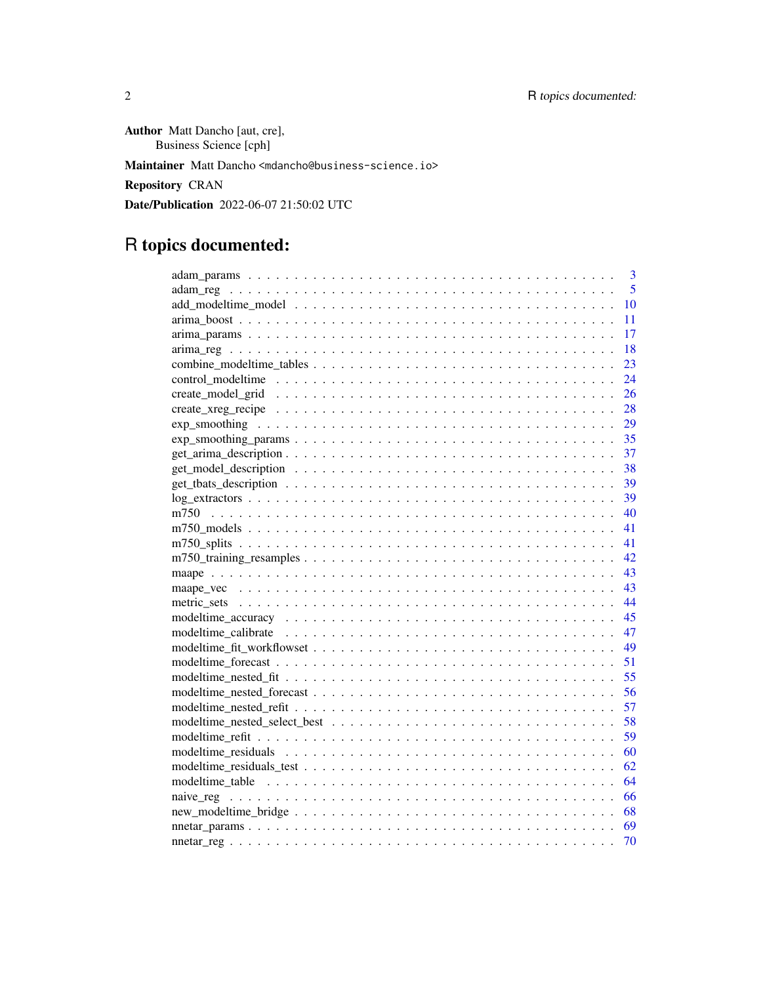Author Matt Dancho [aut, cre], Business Science [cph] Maintainer Matt Dancho <mdancho@business-science.io> Repository CRAN Date/Publication 2022-06-07 21:50:02 UTC

# R topics documented:

| 3<br>5 |
|--------|
|        |
| 10     |
| 11     |
| 17     |
| 18     |
| 23     |
| 24     |
| 26     |
| 28     |
| 29     |
| 35     |
| 37     |
| 38     |
| 39     |
| 39     |
| 40     |
| 41     |
| 41     |
| 42     |
| 43     |
| 43     |
| 44     |
| 45     |
| 47     |
| 49     |
| 51     |
| 55     |
| 56     |
| 57     |
| 58     |
| 59     |
| 60     |
| 62     |
| 64     |
|        |
| 66     |
| 68     |
| 69     |
| 70     |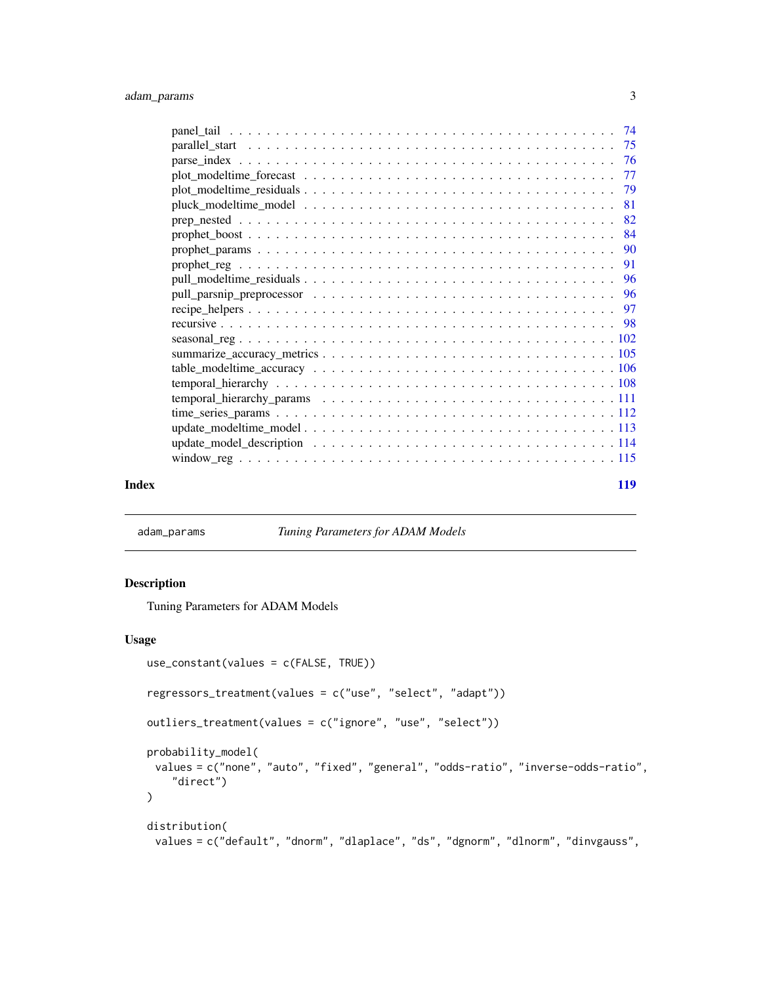<span id="page-2-0"></span>

| Index | 119 |
|-------|-----|

adam\_params *Tuning Parameters for ADAM Models*

# Description

Tuning Parameters for ADAM Models

# Usage

```
use_constant(values = c(FALSE, TRUE))
regressors_treatment(values = c("use", "select", "adapt"))
outliers_treatment(values = c("ignore", "use", "select"))
probability_model(
 values = c("none", "auto", "fixed", "general", "odds-ratio", "inverse-odds-ratio",
    "direct")
\lambdadistribution(
```
values = c("default", "dnorm", "dlaplace", "ds", "dgnorm", "dlnorm", "dinvgauss",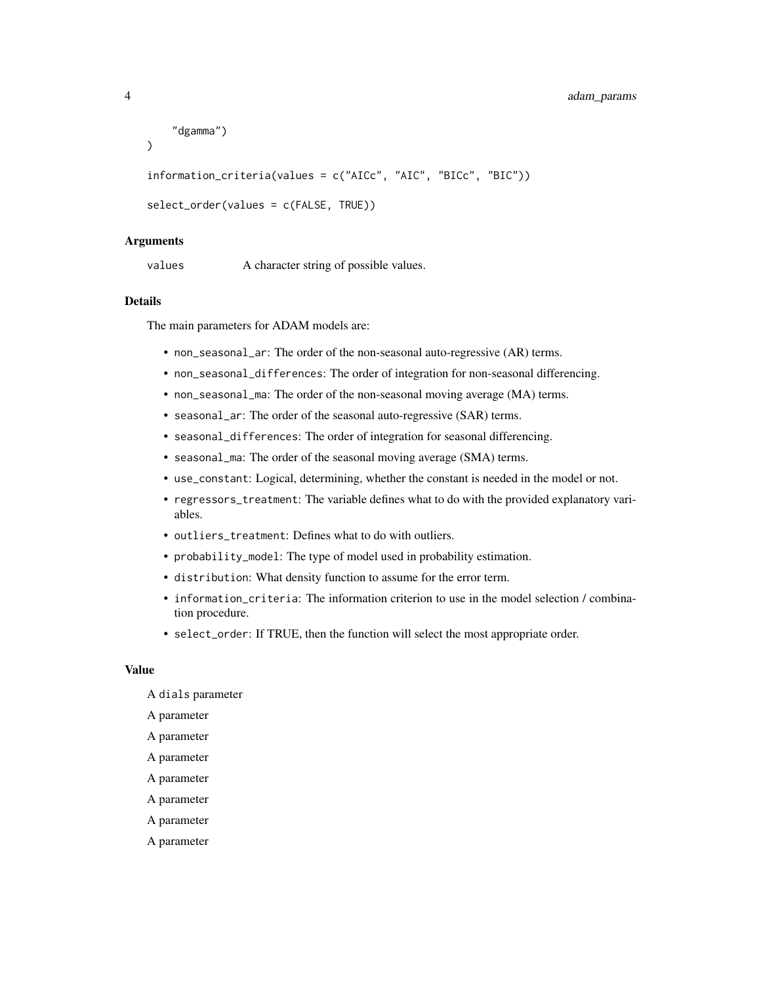```
"dgamma")
```
)

information\_criteria(values = c("AICc", "AIC", "BICc", "BIC"))

```
select_order(values = c(FALSE, TRUE))
```
#### Arguments

values A character string of possible values.

## Details

The main parameters for ADAM models are:

- non\_seasonal\_ar: The order of the non-seasonal auto-regressive (AR) terms.
- non\_seasonal\_differences: The order of integration for non-seasonal differencing.
- non\_seasonal\_ma: The order of the non-seasonal moving average (MA) terms.
- seasonal\_ar: The order of the seasonal auto-regressive (SAR) terms.
- seasonal\_differences: The order of integration for seasonal differencing.
- seasonal\_ma: The order of the seasonal moving average (SMA) terms.
- use\_constant: Logical, determining, whether the constant is needed in the model or not.
- regressors\_treatment: The variable defines what to do with the provided explanatory variables.
- outliers treatment: Defines what to do with outliers.
- probability\_model: The type of model used in probability estimation.
- distribution: What density function to assume for the error term.
- information\_criteria: The information criterion to use in the model selection / combination procedure.
- select\_order: If TRUE, then the function will select the most appropriate order.

#### Value

- A dials parameter
- A parameter
- A parameter
- A parameter
- A parameter
- A parameter
- A parameter
- A parameter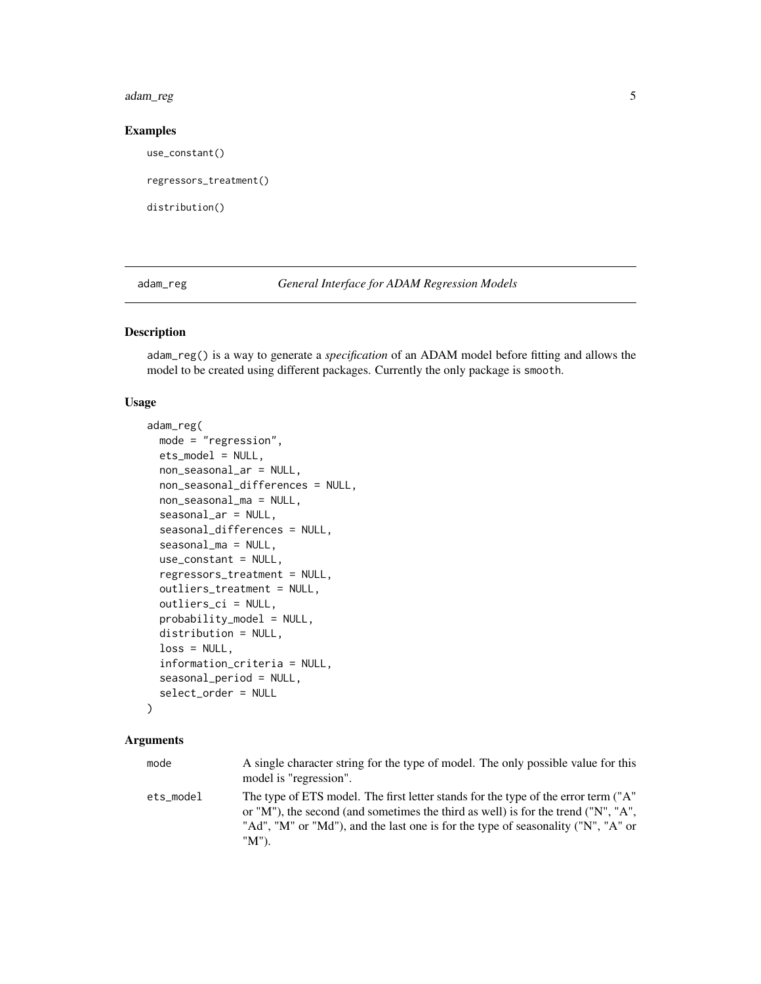#### <span id="page-4-0"></span>adam\_reg 5

#### Examples

use\_constant()

regressors\_treatment()

distribution()

adam\_reg *General Interface for ADAM Regression Models*

# Description

adam\_reg() is a way to generate a *specification* of an ADAM model before fitting and allows the model to be created using different packages. Currently the only package is smooth.

#### Usage

```
adam_reg(
 mode = "regression",
  ets_model = NULL,non_seasonal_ar = NULL,
  non_seasonal_differences = NULL,
  non_seasonal_ma = NULL,
  seasonal_ar = NULL,
  seasonal_differences = NULL,
  seasonal_ma = NULL,
  use_constant = NULL,
  regressors_treatment = NULL,
  outliers_treatment = NULL,
  outliers_ci = NULL,
  probability_model = NULL,
  distribution = NULL,
  loss = NULL,information_criteria = NULL,
  seasonal_period = NULL,
  select_order = NULL
)
```
#### Arguments

mode A single character string for the type of model. The only possible value for this model is "regression". ets\_model The type of ETS model. The first letter stands for the type of the error term ("A" or "M"), the second (and sometimes the third as well) is for the trend ("N", "A", "Ad", "M" or "Md"), and the last one is for the type of seasonality ("N", "A" or "M").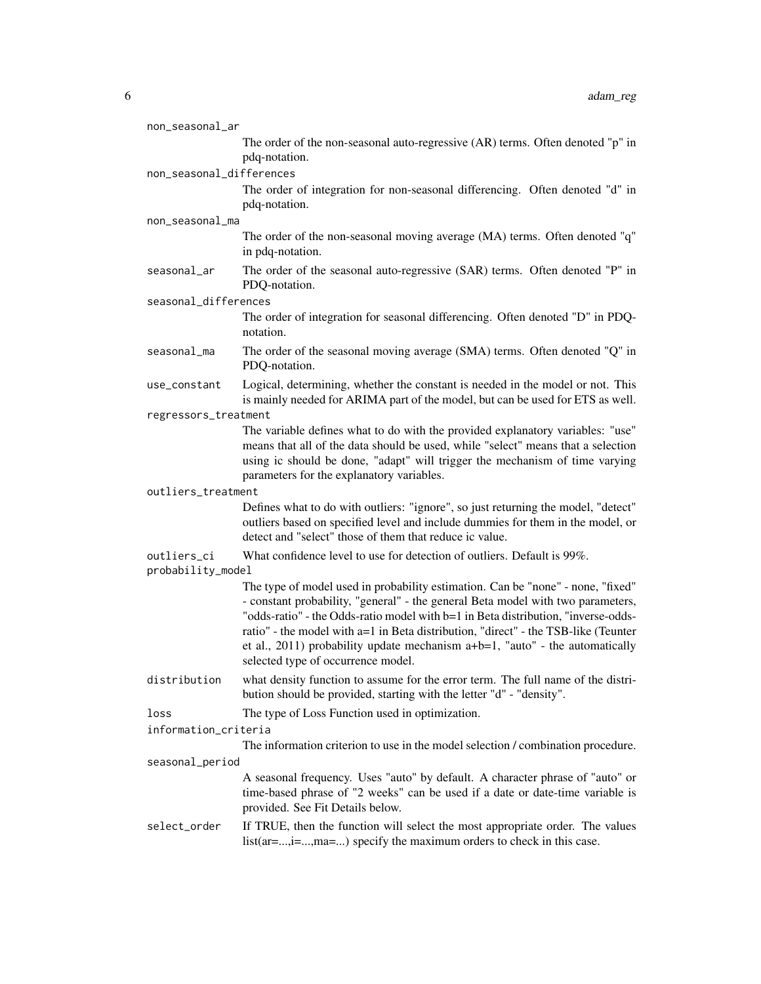| non_seasonal_ar                  |                                                                                                                                                                                                                                                                                                                                                                                                                                                                        |
|----------------------------------|------------------------------------------------------------------------------------------------------------------------------------------------------------------------------------------------------------------------------------------------------------------------------------------------------------------------------------------------------------------------------------------------------------------------------------------------------------------------|
|                                  | The order of the non-seasonal auto-regressive (AR) terms. Often denoted "p" in                                                                                                                                                                                                                                                                                                                                                                                         |
|                                  | pdq-notation.                                                                                                                                                                                                                                                                                                                                                                                                                                                          |
| non_seasonal_differences         |                                                                                                                                                                                                                                                                                                                                                                                                                                                                        |
|                                  | The order of integration for non-seasonal differencing. Often denoted "d" in<br>pdq-notation.                                                                                                                                                                                                                                                                                                                                                                          |
| non_seasonal_ma                  |                                                                                                                                                                                                                                                                                                                                                                                                                                                                        |
|                                  | The order of the non-seasonal moving average (MA) terms. Often denoted "q"<br>in pdq-notation.                                                                                                                                                                                                                                                                                                                                                                         |
| seasonal_ar                      | The order of the seasonal auto-regressive (SAR) terms. Often denoted "P" in<br>PDQ-notation.                                                                                                                                                                                                                                                                                                                                                                           |
| seasonal_differences             |                                                                                                                                                                                                                                                                                                                                                                                                                                                                        |
|                                  | The order of integration for seasonal differencing. Often denoted "D" in PDQ-<br>notation.                                                                                                                                                                                                                                                                                                                                                                             |
| seasonal_ma                      | The order of the seasonal moving average (SMA) terms. Often denoted "Q" in<br>PDQ-notation.                                                                                                                                                                                                                                                                                                                                                                            |
| use_constant                     | Logical, determining, whether the constant is needed in the model or not. This<br>is mainly needed for ARIMA part of the model, but can be used for ETS as well.                                                                                                                                                                                                                                                                                                       |
| regressors_treatment             |                                                                                                                                                                                                                                                                                                                                                                                                                                                                        |
|                                  | The variable defines what to do with the provided explanatory variables: "use"<br>means that all of the data should be used, while "select" means that a selection<br>using ic should be done, "adapt" will trigger the mechanism of time varying<br>parameters for the explanatory variables.                                                                                                                                                                         |
| outliers_treatment               |                                                                                                                                                                                                                                                                                                                                                                                                                                                                        |
|                                  | Defines what to do with outliers: "ignore", so just returning the model, "detect"<br>outliers based on specified level and include dummies for them in the model, or<br>detect and "select" those of them that reduce ic value.                                                                                                                                                                                                                                        |
| outliers_ci<br>probability_model | What confidence level to use for detection of outliers. Default is 99%.                                                                                                                                                                                                                                                                                                                                                                                                |
|                                  | The type of model used in probability estimation. Can be "none" - none, "fixed"<br>- constant probability, "general" - the general Beta model with two parameters,<br>"odds-ratio" - the Odds-ratio model with b=1 in Beta distribution, "inverse-odds-<br>ratio" - the model with a=1 in Beta distribution, "direct" - the TSB-like (Teunter<br>et al., 2011) probability update mechanism $a+b=1$ , "auto" - the automatically<br>selected type of occurrence model. |
| distribution                     | what density function to assume for the error term. The full name of the distri-<br>bution should be provided, starting with the letter "d" - "density".                                                                                                                                                                                                                                                                                                               |
| loss                             | The type of Loss Function used in optimization.                                                                                                                                                                                                                                                                                                                                                                                                                        |
| information_criteria             |                                                                                                                                                                                                                                                                                                                                                                                                                                                                        |
| seasonal_period                  | The information criterion to use in the model selection / combination procedure.                                                                                                                                                                                                                                                                                                                                                                                       |
|                                  | A seasonal frequency. Uses "auto" by default. A character phrase of "auto" or                                                                                                                                                                                                                                                                                                                                                                                          |
|                                  | time-based phrase of "2 weeks" can be used if a date or date-time variable is<br>provided. See Fit Details below.                                                                                                                                                                                                                                                                                                                                                      |
| select_order                     | If TRUE, then the function will select the most appropriate order. The values<br>list(ar=,i=,ma=) specify the maximum orders to check in this case.                                                                                                                                                                                                                                                                                                                    |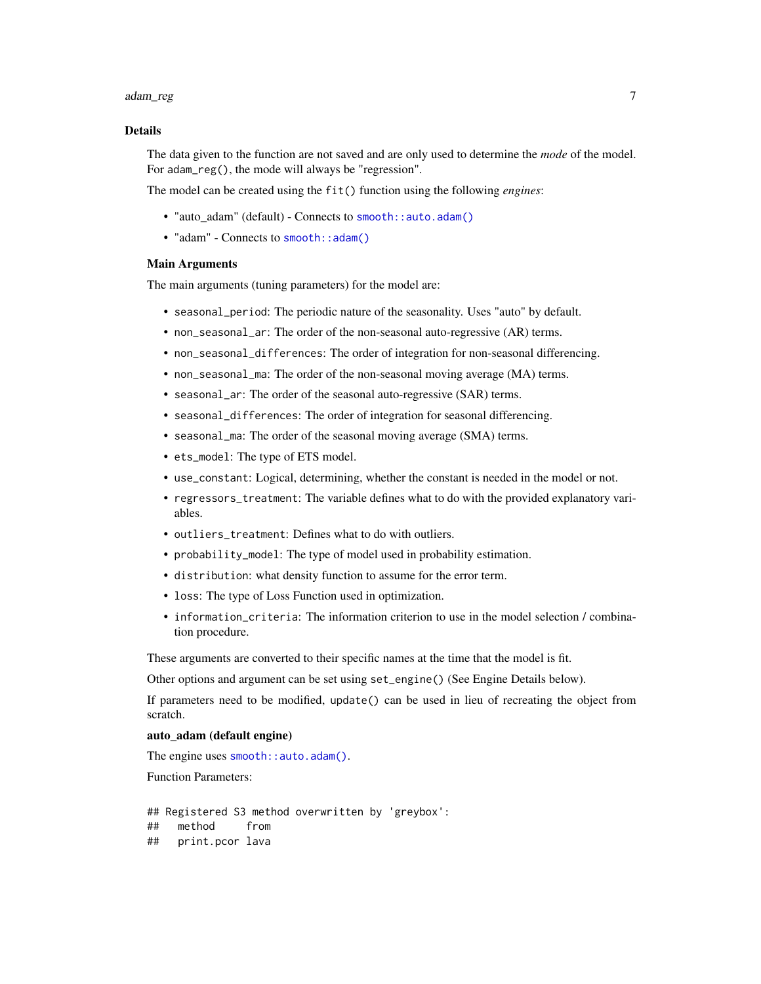#### adam\_reg 7 and 2012 1 and 2012 1 and 2012 1 and 2012 1 and 2012 1 and 2012 1 and 2012 1 and 2012 1 and 2012 1 and 2012 1 and 2012 1 and 2012 1 and 2012 1 and 2012 1 and 2012 1 and 2012 1 and 2012 1 and 2012 1 and 2012 1 an

#### Details

The data given to the function are not saved and are only used to determine the *mode* of the model. For adam\_reg(), the mode will always be "regression".

The model can be created using the fit() function using the following *engines*:

- "auto\_adam" (default) Connects to [smooth::auto.adam\(\)](#page-0-0)
- "adam" Connects to [smooth::adam\(\)](#page-0-0)

#### Main Arguments

The main arguments (tuning parameters) for the model are:

- seasonal\_period: The periodic nature of the seasonality. Uses "auto" by default.
- non\_seasonal\_ar: The order of the non-seasonal auto-regressive (AR) terms.
- non\_seasonal\_differences: The order of integration for non-seasonal differencing.
- non\_seasonal\_ma: The order of the non-seasonal moving average (MA) terms.
- seasonal\_ar: The order of the seasonal auto-regressive (SAR) terms.
- seasonal\_differences: The order of integration for seasonal differencing.
- seasonal\_ma: The order of the seasonal moving average (SMA) terms.
- ets\_model: The type of ETS model.
- use\_constant: Logical, determining, whether the constant is needed in the model or not.
- regressors\_treatment: The variable defines what to do with the provided explanatory variables.
- outliers\_treatment: Defines what to do with outliers.
- probability\_model: The type of model used in probability estimation.
- distribution: what density function to assume for the error term.
- loss: The type of Loss Function used in optimization.
- information\_criteria: The information criterion to use in the model selection / combination procedure.

These arguments are converted to their specific names at the time that the model is fit.

Other options and argument can be set using set\_engine() (See Engine Details below).

If parameters need to be modified, update() can be used in lieu of recreating the object from scratch.

### auto\_adam (default engine)

The engine uses [smooth::auto.adam\(\)](#page-0-0).

Function Parameters:

## Registered S3 method overwritten by 'greybox': ## method from ## print.pcor lava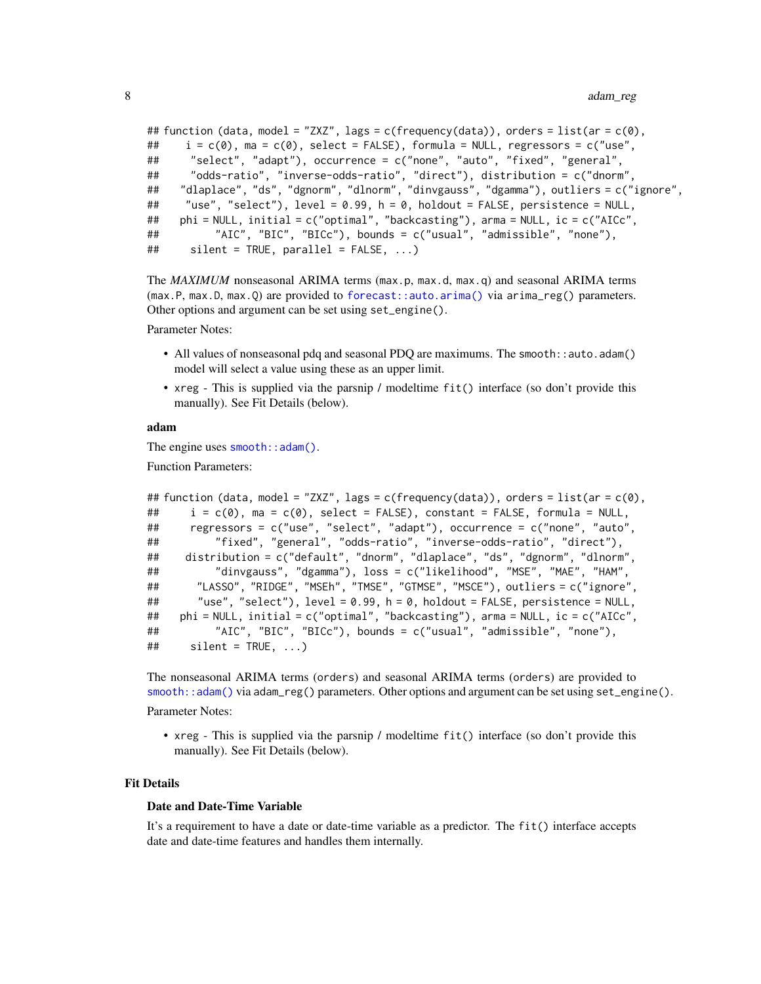```
## function (data, model = "ZXZ", lags = c(frequency(data)), orders = list(ar = c(\emptyset),
## i = c(\emptyset), ma = c(\emptyset), select = FALSE), formula = NULL, regressors = c("use",## "select", "adapt"), occurrence = c("none", "auto", "fixed", "general",
## "odds-ratio", "inverse-odds-ratio", "direct"), distribution = c("dnorm",
## "dlaplace", "ds", "dgnorm", "dlnorm", "dinvgauss", "dgamma"), outliers = c("ignore",
## "use", "select"), level = 0.99, h = 0, holdout = FALSE, persistence = NULL,
## phi = NULL, initial = c("optimal", "backcasting"), arma = NULL, ic = c("AICc",
## "AIC", "BIC", "BICc"), bounds = c("usual", "admissible", "none"),
## silent = TRUE, parallel = FALSE, ...)
```
The *MAXIMUM* nonseasonal ARIMA terms (max.p, max.d, max.q) and seasonal ARIMA terms (max.P, max.D, max.Q) are provided to [forecast::auto.arima\(\)](#page-0-0) via arima\_reg() parameters. Other options and argument can be set using set\_engine().

Parameter Notes:

- All values of nonseasonal pdq and seasonal PDQ are maximums. The smooth::auto.adam() model will select a value using these as an upper limit.
- xreg This is supplied via the parsnip / modeltime fit() interface (so don't provide this manually). See Fit Details (below).

#### adam

The engine uses [smooth::adam\(\)](#page-0-0).

Function Parameters:

```
## function (data, model = "ZXZ", lags = c(frequency(data)), orders = list(ar = c(\emptyset),
## i = c(0), ma = c(0), select = FALSE), constant = FALSE, formula = NULL,
## regressors = c("use", "select", "adapt"), occurrence = c("none", "auto",
## "fixed", "general", "odds-ratio", "inverse-odds-ratio", "direct"),
## distribution = c("default", "dnorm", "dlaplace", "ds", "dgnorm", "dlnorm",
## "dinvgauss", "dgamma"), loss = c("likelihood", "MSE", "MAE", "HAM",
## "LASSO", "RIDGE", "MSEh", "TMSE", "GTMSE", "MSCE"), outliers = c("ignore",
## "use", "select"), level = 0.99, h = 0, holdout = FALSE, persistence = NULL,
## phi = NULL, initial = c("optimal", "backcasting"), arma = NULL, ic = c("AICc",
## "AIC", "BIC", "BICc"), bounds = c("usual", "admissible", "none"),
\# silent = TRUE, \ldots)
```
The nonseasonal ARIMA terms (orders) and seasonal ARIMA terms (orders) are provided to  $smooth::adam()$  via adam\_reg() parameters. Other options and argument can be set using  $set\_engine()$ . Parameter Notes:

• xreg - This is supplied via the parsnip / modeltime fit() interface (so don't provide this manually). See Fit Details (below).

#### Fit Details

#### Date and Date-Time Variable

It's a requirement to have a date or date-time variable as a predictor. The fit() interface accepts date and date-time features and handles them internally.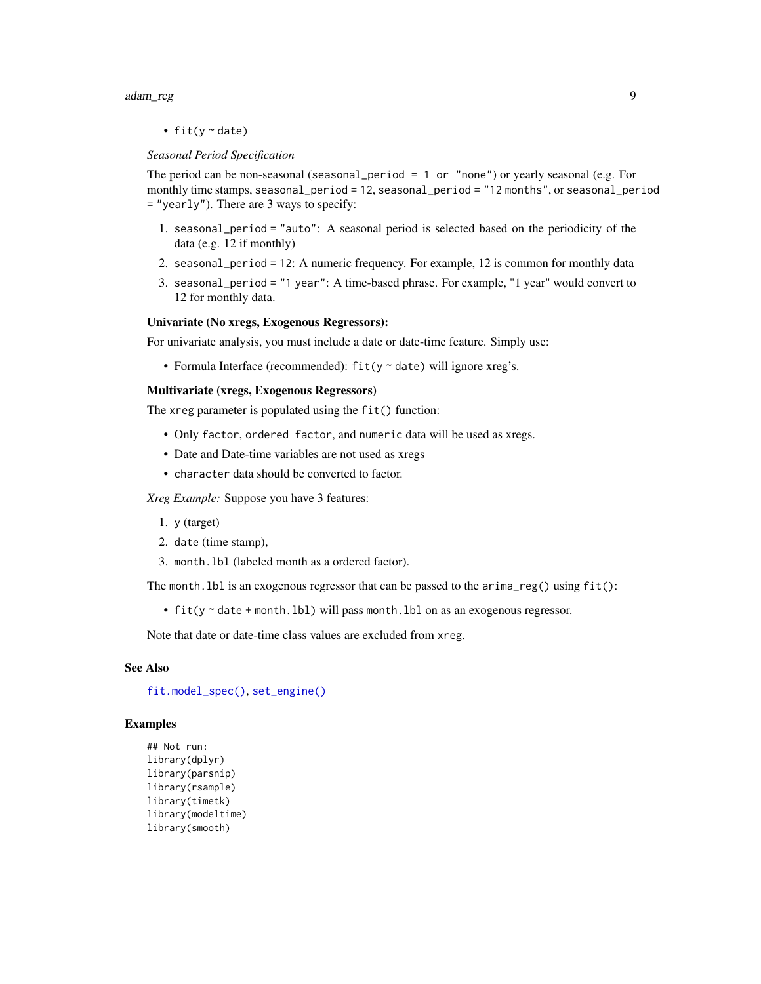#### adam\_reg 9

• fit( $y \sim$  date)

#### *Seasonal Period Specification*

The period can be non-seasonal (seasonal\_period = 1 or "none") or yearly seasonal (e.g. For monthly time stamps, seasonal\_period = 12, seasonal\_period = "12 months", or seasonal\_period = "yearly"). There are 3 ways to specify:

- 1. seasonal\_period = "auto": A seasonal period is selected based on the periodicity of the data (e.g. 12 if monthly)
- 2. seasonal\_period = 12: A numeric frequency. For example, 12 is common for monthly data
- 3. seasonal\_period = "1 year": A time-based phrase. For example, "1 year" would convert to 12 for monthly data.

#### Univariate (No xregs, Exogenous Regressors):

For univariate analysis, you must include a date or date-time feature. Simply use:

• Formula Interface (recommended):  $fit(y \sim date)$  will ignore xreg's.

# Multivariate (xregs, Exogenous Regressors)

The xreg parameter is populated using the fit() function:

- Only factor, ordered factor, and numeric data will be used as xregs.
- Date and Date-time variables are not used as xregs
- character data should be converted to factor.

*Xreg Example:* Suppose you have 3 features:

- 1. y (target)
- 2. date (time stamp),
- 3. month.lbl (labeled month as a ordered factor).

The month. lbl is an exogenous regressor that can be passed to the  $\arrows$  arima\_reg() using  $fit()$ :

• fit(y ~ date + month.lbl) will pass month.lbl on as an exogenous regressor.

Note that date or date-time class values are excluded from xreg.

#### See Also

[fit.model\\_spec\(\)](#page-0-0), [set\\_engine\(\)](#page-0-0)

#### Examples

```
## Not run:
library(dplyr)
library(parsnip)
library(rsample)
library(timetk)
library(modeltime)
library(smooth)
```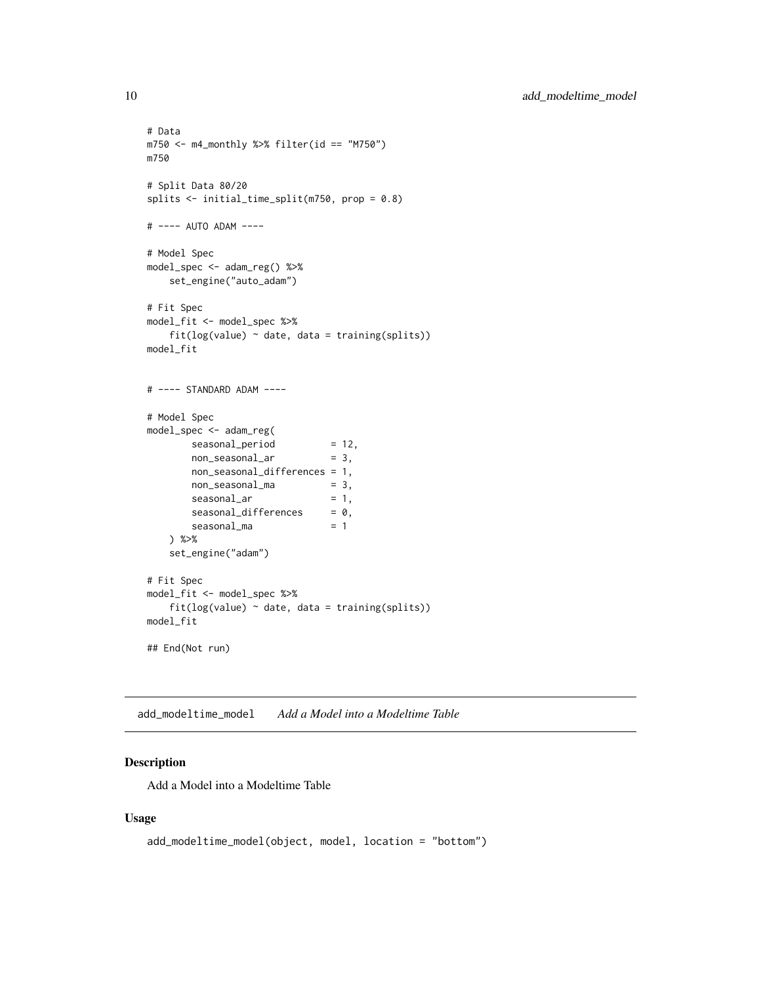```
# Data
m750 <- m4_monthly %>% filter(id == "M750")
m750
# Split Data 80/20
splits <- initial_time_split(m750, prop = 0.8)
# ---- AUTO ADAM ----
# Model Spec
model_spec <- adam_reg() %>%
    set_engine("auto_adam")
# Fit Spec
model_fit <- model_spec %>%
    fit(log(value) ~<i>date</i>, data = training(splits))model_fit
# ---- STANDARD ADAM ----
# Model Spec
model_spec <- adam_reg(
       seasonal_period = 12,<br>non seasonal_ar = 3,
       non_seasonal_ar = 3,
       non_seasonal_differences = 1,
       non_seasonal_ma = 3,
       seasonal_ar = 1,
       seasonal_differences = 0,
       seasonal_m = 1) %>%
    set_engine("adam")
# Fit Spec
model_fit <- model_spec %>%
    fit(log(value) ~<sub>o</sub> date, data = training(splits))model_fit
## End(Not run)
```
<span id="page-9-1"></span>add\_modeltime\_model *Add a Model into a Modeltime Table*

# Description

Add a Model into a Modeltime Table

#### Usage

```
add_modeltime_model(object, model, location = "bottom")
```
<span id="page-9-0"></span>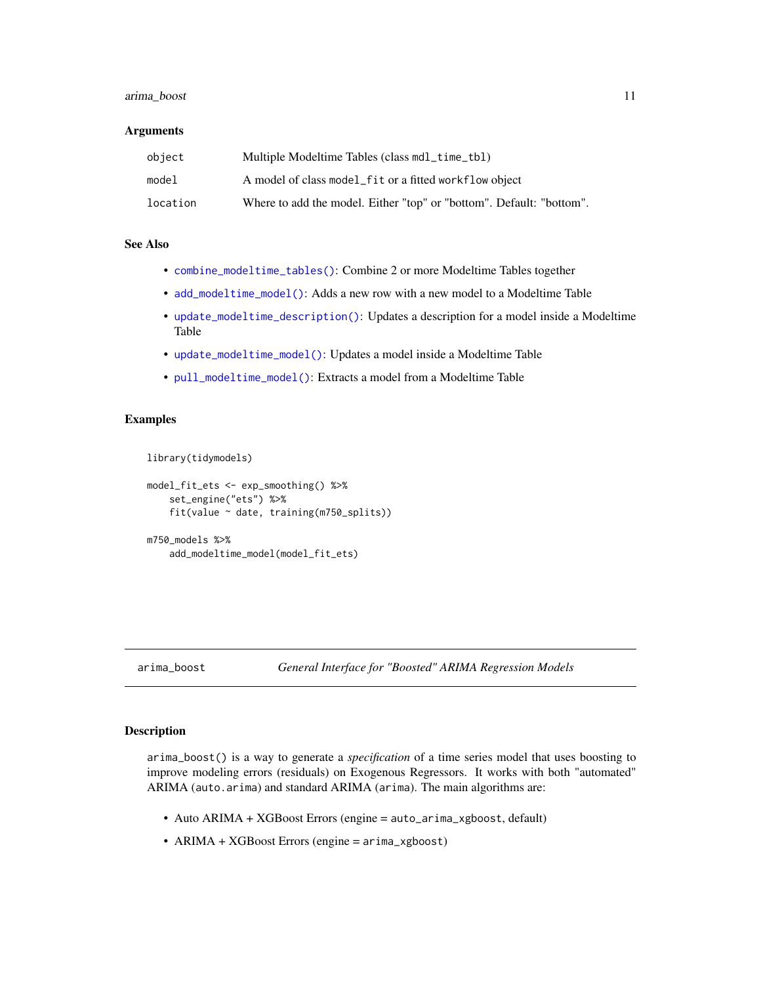# <span id="page-10-0"></span>arima\_boost 11

#### **Arguments**

| object   | Multiple Modeltime Tables (class mdl_time_tbl)                       |
|----------|----------------------------------------------------------------------|
| model    | A model of class model fit or a fitted workflow object               |
| location | Where to add the model. Either "top" or "bottom". Default: "bottom". |

# See Also

- [combine\\_modeltime\\_tables\(\)](#page-22-1): Combine 2 or more Modeltime Tables together
- [add\\_modeltime\\_model\(\)](#page-9-1): Adds a new row with a new model to a Modeltime Table
- [update\\_modeltime\\_description\(\)](#page-113-1): Updates a description for a model inside a Modeltime Table
- [update\\_modeltime\\_model\(\)](#page-112-1): Updates a model inside a Modeltime Table
- [pull\\_modeltime\\_model\(\)](#page-80-1): Extracts a model from a Modeltime Table

#### Examples

library(tidymodels)

```
model_fit_ets <- exp_smoothing() %>%
    set_engine("ets") %>%
    fit(value ~ date, training(m750_splits))
```

```
m750_models %>%
    add_modeltime_model(model_fit_ets)
```
# arima\_boost *General Interface for "Boosted" ARIMA Regression Models*

# **Description**

arima\_boost() is a way to generate a *specification* of a time series model that uses boosting to improve modeling errors (residuals) on Exogenous Regressors. It works with both "automated" ARIMA (auto.arima) and standard ARIMA (arima). The main algorithms are:

- Auto ARIMA + XGBoost Errors (engine = auto\_arima\_xgboost, default)
- ARIMA + XGBoost Errors (engine = arima\_xgboost)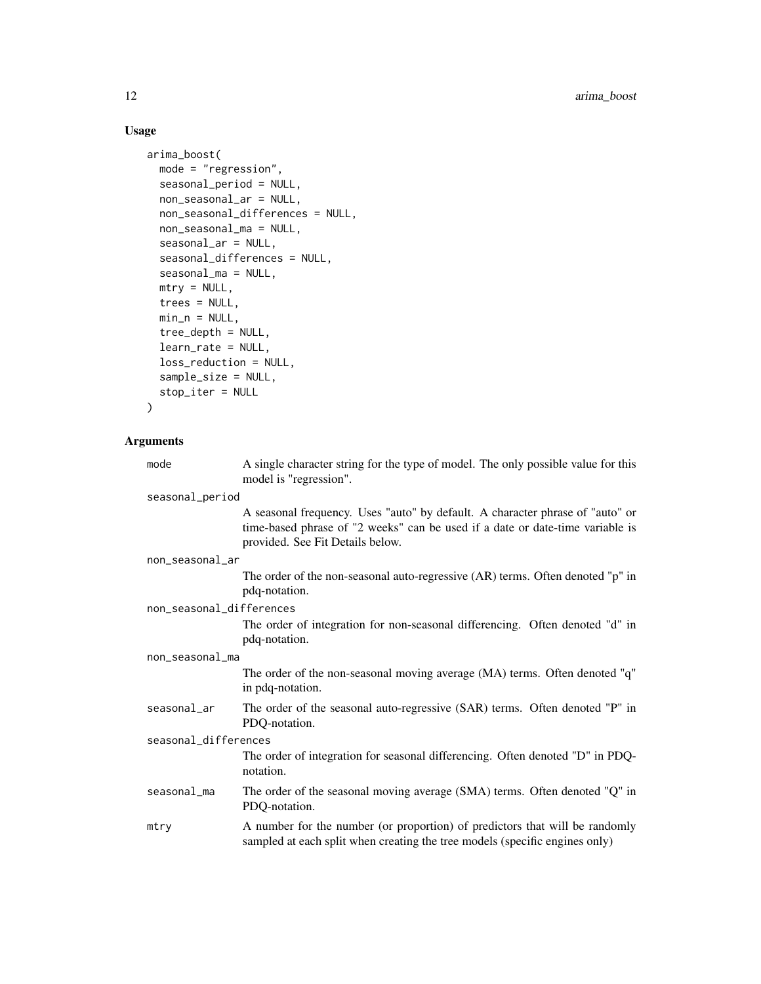# Usage

```
arima_boost(
 mode = "regression",
  seasonal_period = NULL,
 non_seasonal_ar = NULL,
 non_seasonal_differences = NULL,
 non_seasonal_ma = NULL,
  seasonal_ar = NULL,
  seasonal_differences = NULL,
  seasonal_ma = NULL,
 mtry = NULL,trees = NULL,
 min_n = NULL,tree_depth = NULL,
 learn_rate = NULL,
  loss_reduction = NULL,
 sample_size = NULL,
  stop_iter = NULL
```

```
\mathcal{L}
```
# Arguments

| mode                     | A single character string for the type of model. The only possible value for this<br>model is "regression".                                                                                        |  |
|--------------------------|----------------------------------------------------------------------------------------------------------------------------------------------------------------------------------------------------|--|
| seasonal_period          |                                                                                                                                                                                                    |  |
|                          | A seasonal frequency. Uses "auto" by default. A character phrase of "auto" or<br>time-based phrase of "2 weeks" can be used if a date or date-time variable is<br>provided. See Fit Details below. |  |
| non_seasonal_ar          |                                                                                                                                                                                                    |  |
|                          | The order of the non-seasonal auto-regressive $(AR)$ terms. Often denoted "p" in<br>pdq-notation.                                                                                                  |  |
| non_seasonal_differences |                                                                                                                                                                                                    |  |
|                          | The order of integration for non-seasonal differencing. Often denoted "d" in<br>pdq-notation.                                                                                                      |  |
| non_seasonal_ma          |                                                                                                                                                                                                    |  |
|                          | The order of the non-seasonal moving average (MA) terms. Often denoted "q"<br>in pdq-notation.                                                                                                     |  |
| seasonal_ar              | The order of the seasonal auto-regressive (SAR) terms. Often denoted "P" in<br>PDQ-notation.                                                                                                       |  |
| seasonal_differences     |                                                                                                                                                                                                    |  |
|                          | The order of integration for seasonal differencing. Often denoted "D" in PDQ-<br>notation.                                                                                                         |  |
| seasonal_ma              | The order of the seasonal moving average (SMA) terms. Often denoted "Q" in<br>PDQ-notation.                                                                                                        |  |
| mtry                     | A number for the number (or proportion) of predictors that will be randomly<br>sampled at each split when creating the tree models (specific engines only)                                         |  |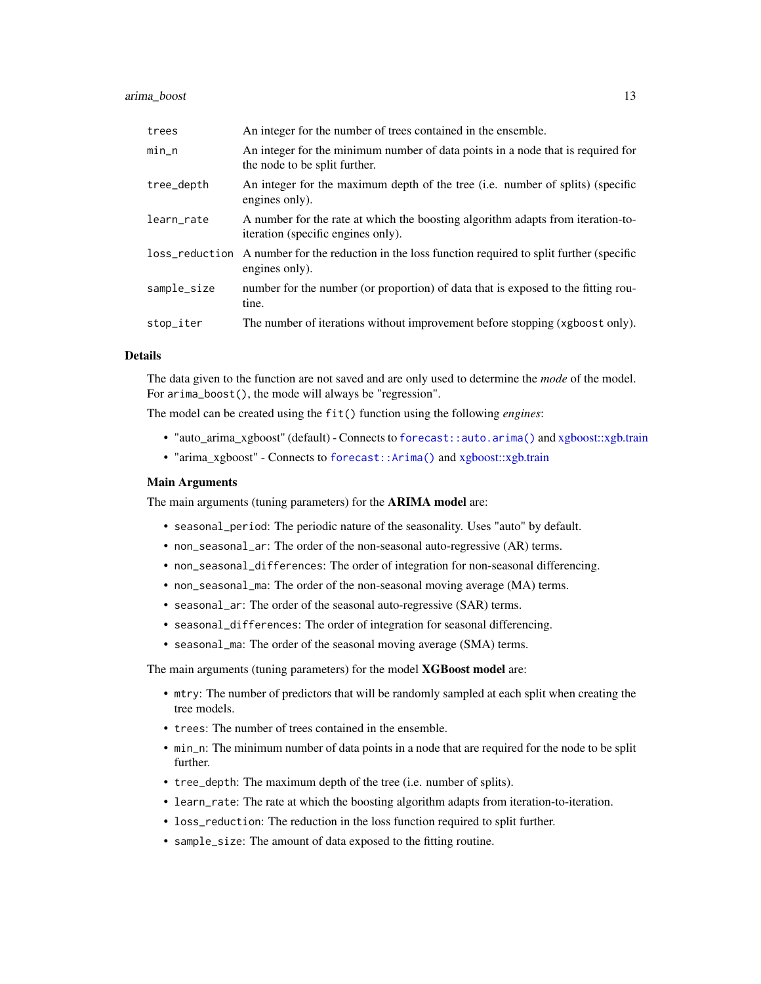#### arima\_boost 13

| trees       | An integer for the number of trees contained in the ensemble.                                                         |
|-------------|-----------------------------------------------------------------------------------------------------------------------|
| $min_n$     | An integer for the minimum number of data points in a node that is required for<br>the node to be split further.      |
| tree_depth  | An integer for the maximum depth of the tree (i.e. number of splits) (specific<br>engines only).                      |
| learn_rate  | A number for the rate at which the boosting algorithm adapts from iteration-to-<br>iteration (specific engines only). |
|             | loss_reduction A number for the reduction in the loss function required to split further (specific<br>engines only).  |
| sample_size | number for the number (or proportion) of data that is exposed to the fitting rou-<br>tine.                            |
| stop_iter   | The number of iterations without improvement before stopping (xgboost only).                                          |

# Details

The data given to the function are not saved and are only used to determine the *mode* of the model. For arima\_boost(), the mode will always be "regression".

The model can be created using the fit() function using the following *engines*:

- "auto\_arima\_xgboost" (default) Connects to [forecast::auto.arima\(\)](#page-0-0) and [xgboost::xgb.train](#page-0-0)
- "arima\_xgboost" Connects to [forecast::Arima\(\)](#page-0-0) and [xgboost::xgb.train](#page-0-0)

#### Main Arguments

The main arguments (tuning parameters) for the **ARIMA model** are:

- seasonal\_period: The periodic nature of the seasonality. Uses "auto" by default.
- non\_seasonal\_ar: The order of the non-seasonal auto-regressive (AR) terms.
- non\_seasonal\_differences: The order of integration for non-seasonal differencing.
- non\_seasonal\_ma: The order of the non-seasonal moving average (MA) terms.
- seasonal\_ar: The order of the seasonal auto-regressive (SAR) terms.
- seasonal\_differences: The order of integration for seasonal differencing.
- seasonal\_ma: The order of the seasonal moving average (SMA) terms.

The main arguments (tuning parameters) for the model XGBoost model are:

- mtry: The number of predictors that will be randomly sampled at each split when creating the tree models.
- trees: The number of trees contained in the ensemble.
- min\_n: The minimum number of data points in a node that are required for the node to be split further.
- tree\_depth: The maximum depth of the tree (i.e. number of splits).
- learn\_rate: The rate at which the boosting algorithm adapts from iteration-to-iteration.
- loss\_reduction: The reduction in the loss function required to split further.
- sample\_size: The amount of data exposed to the fitting routine.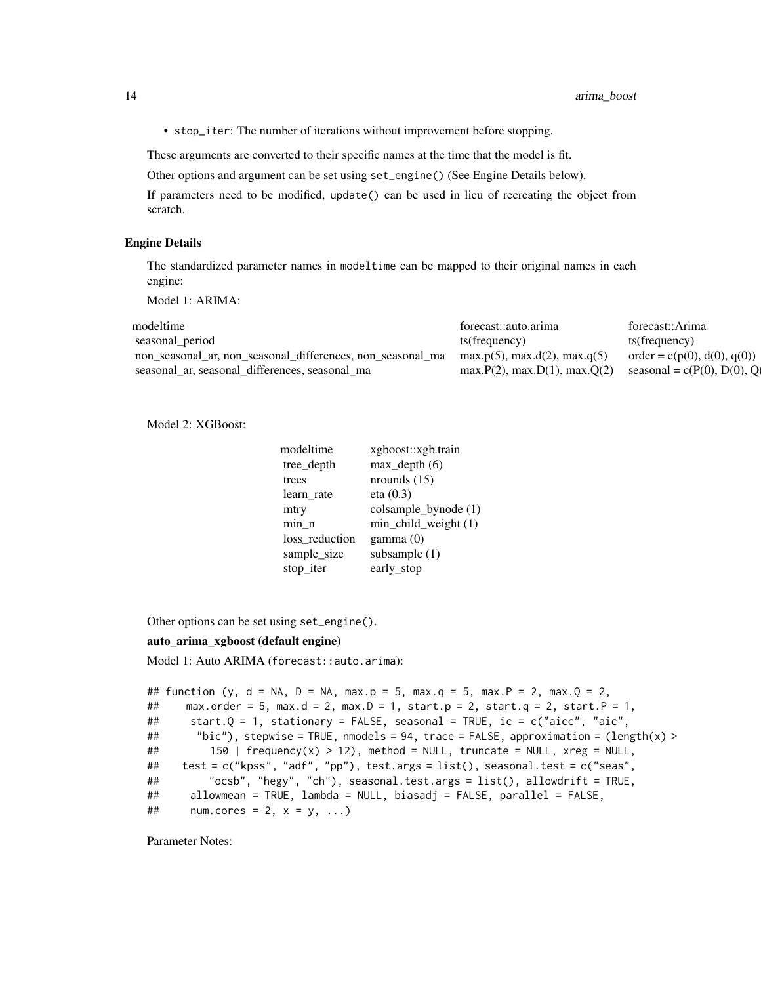• stop\_iter: The number of iterations without improvement before stopping.

These arguments are converted to their specific names at the time that the model is fit.

Other options and argument can be set using set\_engine() (See Engine Details below).

If parameters need to be modified, update() can be used in lieu of recreating the object from scratch.

#### Engine Details

The standardized parameter names in modeltime can be mapped to their original names in each engine:

Model 1: ARIMA:

| modeltime                                                                                       | forecast::auto.arima                 | forecast::Arima               |
|-------------------------------------------------------------------------------------------------|--------------------------------------|-------------------------------|
| seasonal period                                                                                 | ts(frequency)                        | ts(frequency)                 |
| non_seasonal_ar, non_seasonal_differences, non_seasonal_ma $max.p(5)$ , $max.d(2)$ , $max.q(5)$ |                                      | $order = c(p(0), d(0), q(0))$ |
| seasonal ar seasonal differences, seasonal ma                                                   | $max.P(2)$ , $max.D(1)$ , $max.Q(2)$ | seasonal = $c(P(0), D(0), Q$  |

Model 2: XGBoost:

| modeltime      | xgboost::xgb.train   |
|----------------|----------------------|
| tree_depth     | $max$ _depth $(6)$   |
| trees          | nrounds $(15)$       |
| learn rate     | eta(0.3)             |
| mtry           | colsample_bynode (1) |
| min n          | min_child_weight (1) |
| loss reduction | gamma(0)             |
| sample_size    | subsample $(1)$      |
| stop_iter      | early_stop           |

Other options can be set using set\_engine().

#### auto\_arima\_xgboost (default engine)

Model 1: Auto ARIMA (forecast::auto.arima):

```
## function (y, d = NA, D = NA, max.p = 5, max.q = 5, max.P = 2, max.Q = 2,
## max.order = 5, max.d = 2, max.D = 1, start.p = 2, start.q = 2, start.P = 1,
## start.Q = 1, stationary = FALSE, seasonal = TRUE, ic = c("aicc", "aic",
## "bic"), stepwise = TRUE, nmodels = 94, trace = FALSE, approximation = (length(x) >
## 150 | frequency(x) > 12), method = NULL, truncate = NULL, xreg = NULL,
## test = c("kpss", "adf", "pp"), test.args = list(), seasonal.test = c("seas",
## "ocsb", "hegy", "ch"), seasonal.test.args = list(), allowdrift = TRUE,
## allowmean = TRUE, lambda = NULL, biasadj = FALSE, parallel = FALSE,
\# num.cores = 2, x = y, ...)
```
Parameter Notes: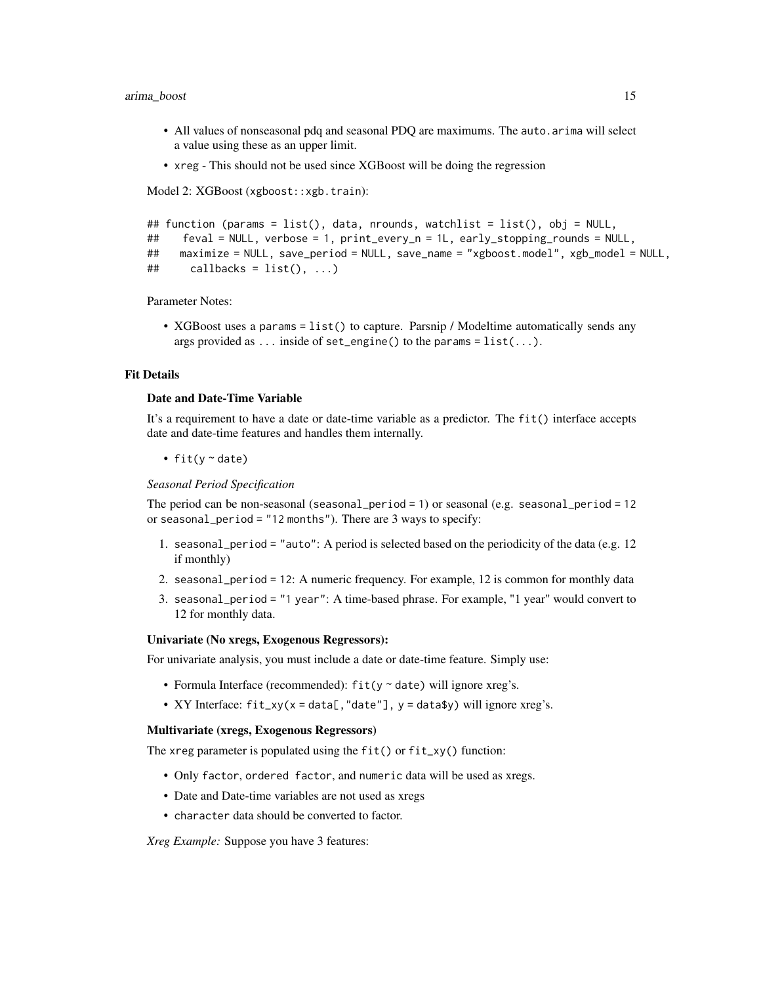#### arima\_boost 15

- All values of nonseasonal pdq and seasonal PDQ are maximums. The auto.arima will select a value using these as an upper limit.
- xreg This should not be used since XGBoost will be doing the regression

Model 2: XGBoost (xgboost::xgb.train):

```
## function (params = list(), data, nrounds, watchlist = list(), obj = NULL,
## feval = NULL, verbose = 1, print_every_n = 1L, early_stopping_rounds = NULL,
## maximize = NULL, save_period = NULL, save_name = "xgboost.model", xgb_model = NULL,
\# callbacks = list(), ...)
```
Parameter Notes:

• XGBoost uses a params = list() to capture. Parsnip / Modeltime automatically sends any args provided as ... inside of set\_engine() to the params =  $list(...)$ .

# Fit Details

# Date and Date-Time Variable

It's a requirement to have a date or date-time variable as a predictor. The fit() interface accepts date and date-time features and handles them internally.

• fit( $y \sim$  date)

*Seasonal Period Specification*

The period can be non-seasonal (seasonal\_period = 1) or seasonal (e.g. seasonal\_period = 12 or seasonal\_period = "12 months"). There are 3 ways to specify:

- 1. seasonal period = "auto": A period is selected based on the periodicity of the data (e.g.  $12$ ) if monthly)
- 2. seasonal\_period = 12: A numeric frequency. For example, 12 is common for monthly data
- 3. seasonal\_period = "1 year": A time-based phrase. For example, "1 year" would convert to 12 for monthly data.

#### Univariate (No xregs, Exogenous Regressors):

For univariate analysis, you must include a date or date-time feature. Simply use:

- Formula Interface (recommended):  $fit(y \sim date)$  will ignore xreg's.
- XY Interface:  $fit_xy(x = data[, "date"], y = data*y)$  will ignore xreg's.

#### Multivariate (xregs, Exogenous Regressors)

The xreg parameter is populated using the fit() or fit\_xy() function:

- Only factor, ordered factor, and numeric data will be used as xregs.
- Date and Date-time variables are not used as xregs
- character data should be converted to factor.

*Xreg Example:* Suppose you have 3 features: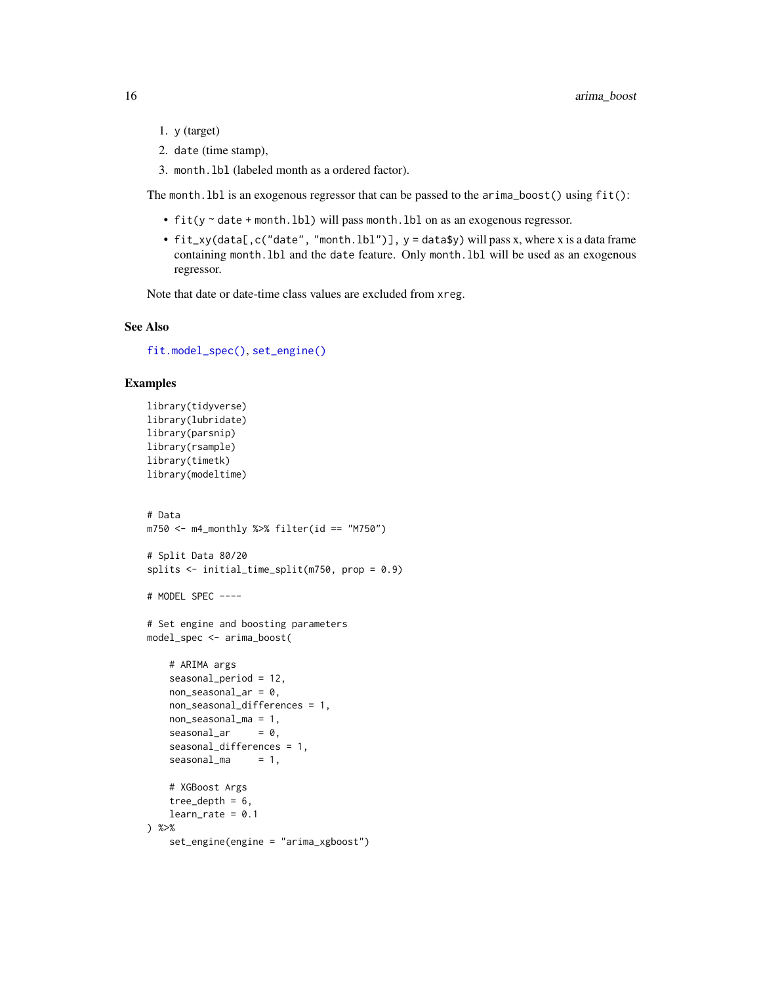- 1. y (target)
- 2. date (time stamp),
- 3. month.lbl (labeled month as a ordered factor).

The month.lbl is an exogenous regressor that can be passed to the arima\_boost() using fit():

- fit(y ~ date + month.lbl) will pass month.lbl on as an exogenous regressor.
- fit\_xy(data[,c("date", "month.lbl")], y = data\$y) will pass x, where x is a data frame containing month.lbl and the date feature. Only month.lbl will be used as an exogenous regressor.

Note that date or date-time class values are excluded from xreg.

# See Also

[fit.model\\_spec\(\)](#page-0-0), [set\\_engine\(\)](#page-0-0)

#### Examples

```
library(tidyverse)
library(lubridate)
library(parsnip)
library(rsample)
library(timetk)
library(modeltime)
# Data
m750 \leq m4 monthly %>% filter(id == "M750")
# Split Data 80/20
splits <- initial_time_split(m750, prop = 0.9)
# MODEL SPEC ----
# Set engine and boosting parameters
model_spec <- arima_boost(
   # ARIMA args
   seasonal_period = 12,
   non\_seasonal\_ar = 0,
   non_seasonal_differences = 1,
   non_seasonal_ma = 1,
   seasonal_ar = 0,
    seasonal_differences = 1,
    seasonal_m = 1,
    # XGBoost Args
    tree_depth = 6,
   learn_rate = 0.1) %>%
    set_engine(engine = "arima_xgboost")
```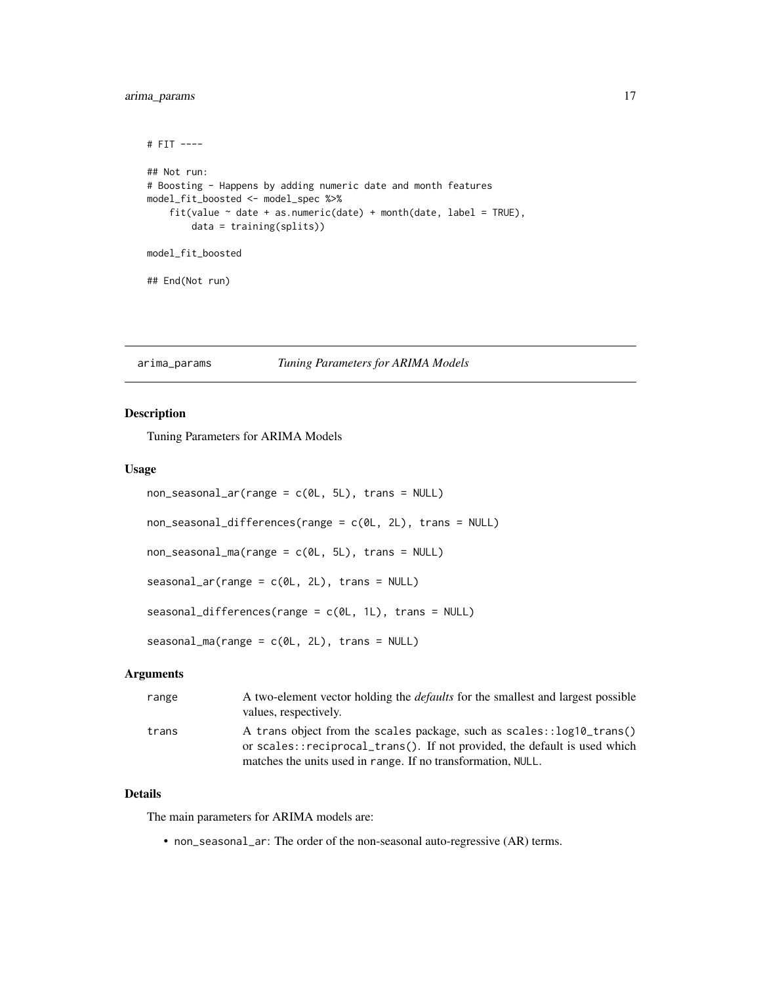# <span id="page-16-0"></span>arima\_params 17

```
# FIT ----
## Not run:
# Boosting - Happens by adding numeric date and month features
model_fit_boosted <- model_spec %>%
    fit(value \sim date + as.numeric(date) + month(date, label = TRUE),
        data = training(splits))
model_fit_boosted
## End(Not run)
```
#### arima\_params *Tuning Parameters for ARIMA Models*

#### Description

Tuning Parameters for ARIMA Models

## Usage

```
non\_seasonal\_ar(range = c(0L, 5L), trans = NULL)non_seasonal_differences(range = c(0L, 2L), trans = NULL)
non\_seasonal_ma(range = c(0L, 5L), trans = NULL)seasonal_ar(range = c(0L, 2L), trans = NULL)
seasonal_differences(range = c(0L, 1L), trans = NULL)
seasonal_ma(range = c(0L, 2L), trans = NULL)
```
### Arguments

| range | A two-element vector holding the <i>defaults</i> for the smallest and largest possible<br>values, respectively.                                                                                                    |
|-------|--------------------------------------------------------------------------------------------------------------------------------------------------------------------------------------------------------------------|
| trans | A trans object from the scales package, such as scales::log10_trans()<br>or scales::reciprocal_trans(). If not provided, the default is used which<br>matches the units used in range. If no transformation, NULL. |

# Details

The main parameters for ARIMA models are:

• non\_seasonal\_ar: The order of the non-seasonal auto-regressive (AR) terms.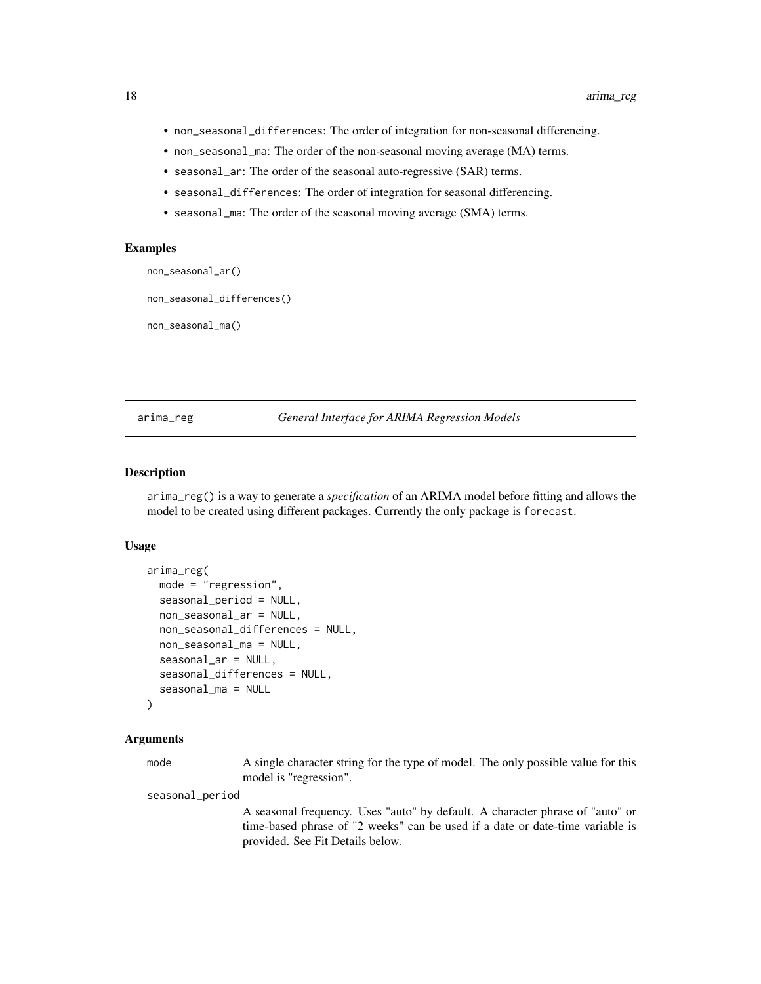- <span id="page-17-0"></span>• non\_seasonal\_differences: The order of integration for non-seasonal differencing.
- non\_seasonal\_ma: The order of the non-seasonal moving average (MA) terms.
- seasonal\_ar: The order of the seasonal auto-regressive (SAR) terms.
- seasonal\_differences: The order of integration for seasonal differencing.
- seasonal\_ma: The order of the seasonal moving average (SMA) terms.

#### Examples

```
non_seasonal_ar()
```

```
non_seasonal_differences()
```
non\_seasonal\_ma()

# arima\_reg *General Interface for ARIMA Regression Models*

#### Description

arima\_reg() is a way to generate a *specification* of an ARIMA model before fitting and allows the model to be created using different packages. Currently the only package is forecast.

#### Usage

```
arima_reg(
 mode = "regression",
  seasonal_period = NULL,
  non_seasonal_ar = NULL,
  non_seasonal_differences = NULL,
  non_seasonal_ma = NULL,
  seasonal_ar = NULL,
  seasonal_differences = NULL,
  seasonal_ma = NULL
)
```
#### Arguments

mode A single character string for the type of model. The only possible value for this model is "regression".

seasonal\_period

A seasonal frequency. Uses "auto" by default. A character phrase of "auto" or time-based phrase of "2 weeks" can be used if a date or date-time variable is provided. See Fit Details below.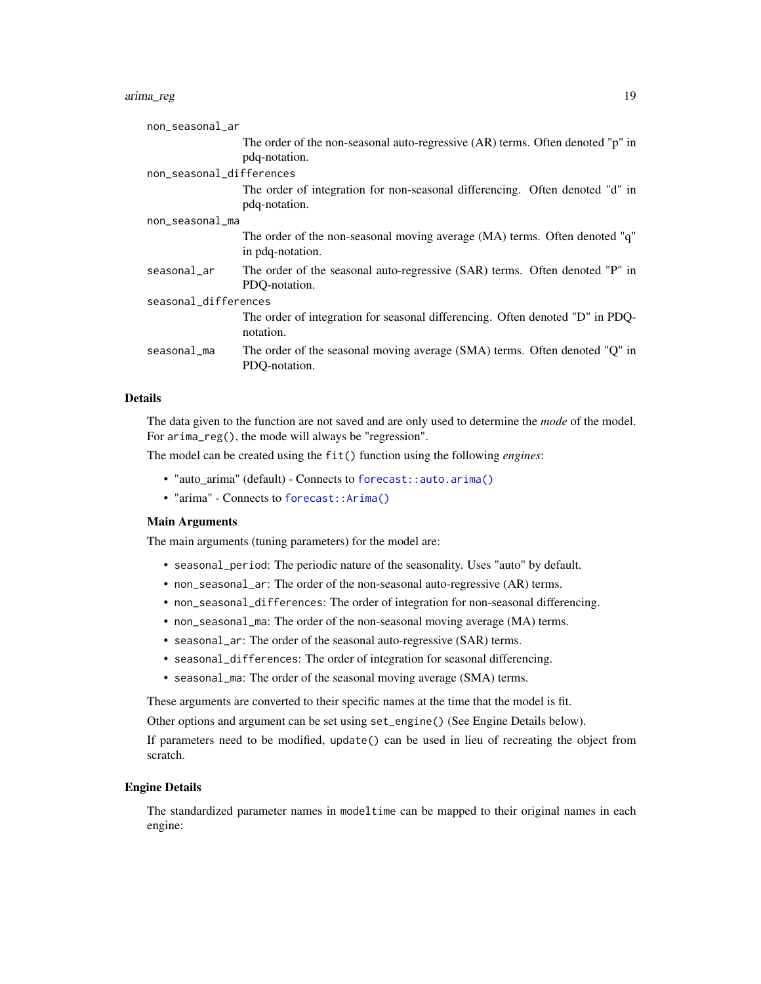# arima\_reg 19

| non_seasonal_ar          |                                                                                                 |
|--------------------------|-------------------------------------------------------------------------------------------------|
|                          | The order of the non-seasonal auto-regressive (AR) terms. Often denoted "p" in<br>pdq-notation. |
| non_seasonal_differences |                                                                                                 |
|                          | The order of integration for non-seasonal differencing. Often denoted "d" in<br>pdq-notation.   |
| non_seasonal_ma          |                                                                                                 |
|                          | The order of the non-seasonal moving average (MA) terms. Often denoted "q"<br>in pdq-notation.  |
| seasonal_ar              | The order of the seasonal auto-regressive (SAR) terms. Often denoted "P" in<br>PDO-notation.    |
| seasonal_differences     |                                                                                                 |
|                          | The order of integration for seasonal differencing. Often denoted "D" in PDQ-<br>notation.      |
| seasonal_ma              | The order of the seasonal moving average (SMA) terms. Often denoted "Q" in<br>PDO-notation.     |
|                          |                                                                                                 |

# Details

The data given to the function are not saved and are only used to determine the *mode* of the model. For arima\_reg(), the mode will always be "regression".

The model can be created using the fit() function using the following *engines*:

- "auto\_arima" (default) Connects to [forecast::auto.arima\(\)](#page-0-0)
- "arima" Connects to [forecast::Arima\(\)](#page-0-0)

#### Main Arguments

The main arguments (tuning parameters) for the model are:

- seasonal\_period: The periodic nature of the seasonality. Uses "auto" by default.
- non\_seasonal\_ar: The order of the non-seasonal auto-regressive (AR) terms.
- non\_seasonal\_differences: The order of integration for non-seasonal differencing.
- non\_seasonal\_ma: The order of the non-seasonal moving average (MA) terms.
- seasonal\_ar: The order of the seasonal auto-regressive (SAR) terms.
- seasonal\_differences: The order of integration for seasonal differencing.
- seasonal\_ma: The order of the seasonal moving average (SMA) terms.

These arguments are converted to their specific names at the time that the model is fit.

Other options and argument can be set using set\_engine() (See Engine Details below).

If parameters need to be modified, update() can be used in lieu of recreating the object from scratch.

#### Engine Details

The standardized parameter names in modeltime can be mapped to their original names in each engine: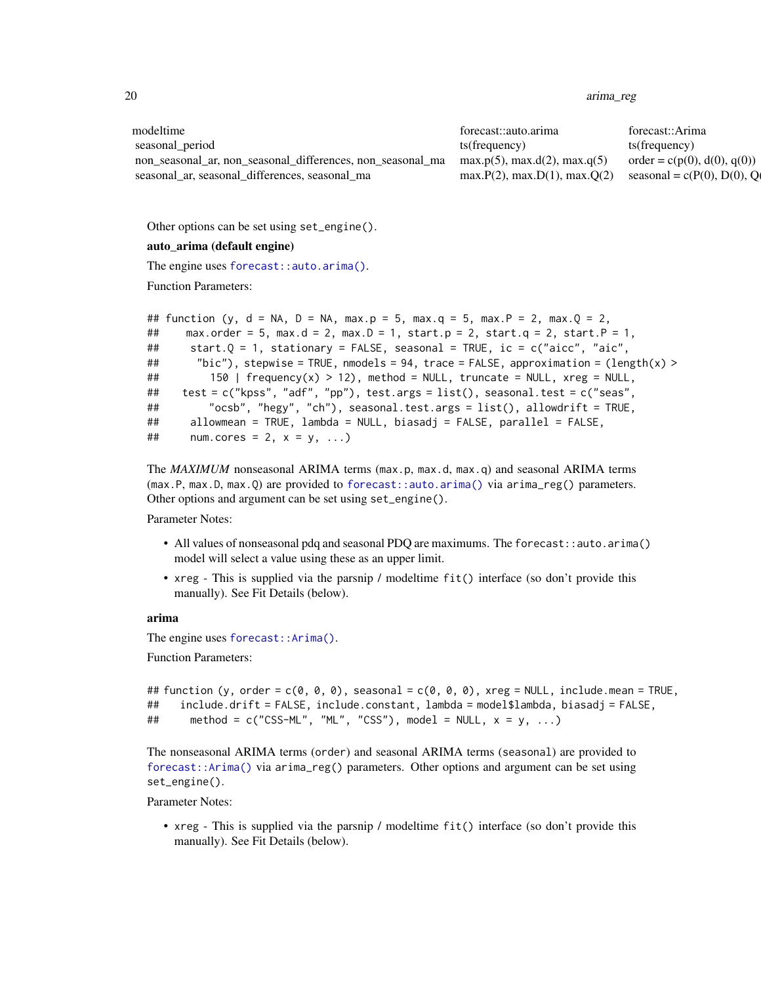20 arima\_reg

| modeltime                                                  | forecast::auto.arima                 | forecast::Arima                  |
|------------------------------------------------------------|--------------------------------------|----------------------------------|
| seasonal period                                            | ts(frequency)                        | ts(frequency)                    |
| non seasonal ar, non seasonal differences, non seasonal ma | max.p(5), max.d(2), max.q(5)         | $order = c(p(0), d(0), q(0))$    |
| seasonal ar, seasonal differences, seasonal ma             | $max.P(2)$ , $max.D(1)$ , $max.O(2)$ | seasonal = $c(P(0), D(0), Q(0))$ |

Other options can be set using set\_engine().

#### auto\_arima (default engine)

The engine uses [forecast::auto.arima\(\)](#page-0-0).

Function Parameters:

```
## function (y, d = NA, D = NA, max.p = 5, max.q = 5, max.P = 2, max.Q = 2,
## max.order = 5, max.d = 2, max.D = 1, start.p = 2, start.q = 2, start.P = 1,
## start.Q = 1, stationary = FALSE, seasonal = TRUE, ic = c("aicc", "aic",
## "bic"), stepwise = TRUE, nmodels = 94, trace = FALSE, approximation = (length(x) >
## 150 | frequency(x) > 12), method = NULL, truncate = NULL, xreg = NULL,
## test = c("kpss", "adf", "pp"), test.args = list(), seasonal.test = c("seas",
## "ocsb", "hegy", "ch"), seasonal.test.args = list(), allowdrift = TRUE,
## allowmean = TRUE, lambda = NULL, biasadj = FALSE, parallel = FALSE,
\# num.cores = 2, x = y, ...)
```
The *MAXIMUM* nonseasonal ARIMA terms (max.p, max.d, max.q) and seasonal ARIMA terms (max.P, max.D, max.Q) are provided to [forecast::auto.arima\(\)](#page-0-0) via arima\_reg() parameters. Other options and argument can be set using set\_engine().

Parameter Notes:

- All values of nonseasonal pdq and seasonal PDQ are maximums. The forecast::auto.arima() model will select a value using these as an upper limit.
- xreg This is supplied via the parsnip / modeltime fit() interface (so don't provide this manually). See Fit Details (below).

#### arima

The engine uses [forecast::Arima\(\)](#page-0-0).

Function Parameters:

```
## function (y, order = c(\emptyset, \emptyset, \emptyset), seasonal = c(\emptyset, \emptyset, \emptyset), xreg = NULL, include.mean = TRUE,
## include.drift = FALSE, include.constant, lambda = model$lambda, biasadj = FALSE,
\# method = c("CSS-ML", "ML", "CSS"), model = NULL, x = y, ...
```
The nonseasonal ARIMA terms (order) and seasonal ARIMA terms (seasonal) are provided to [forecast::Arima\(\)](#page-0-0) via arima\_reg() parameters. Other options and argument can be set using set\_engine().

Parameter Notes:

• xreg - This is supplied via the parsnip / modeltime fit() interface (so don't provide this manually). See Fit Details (below).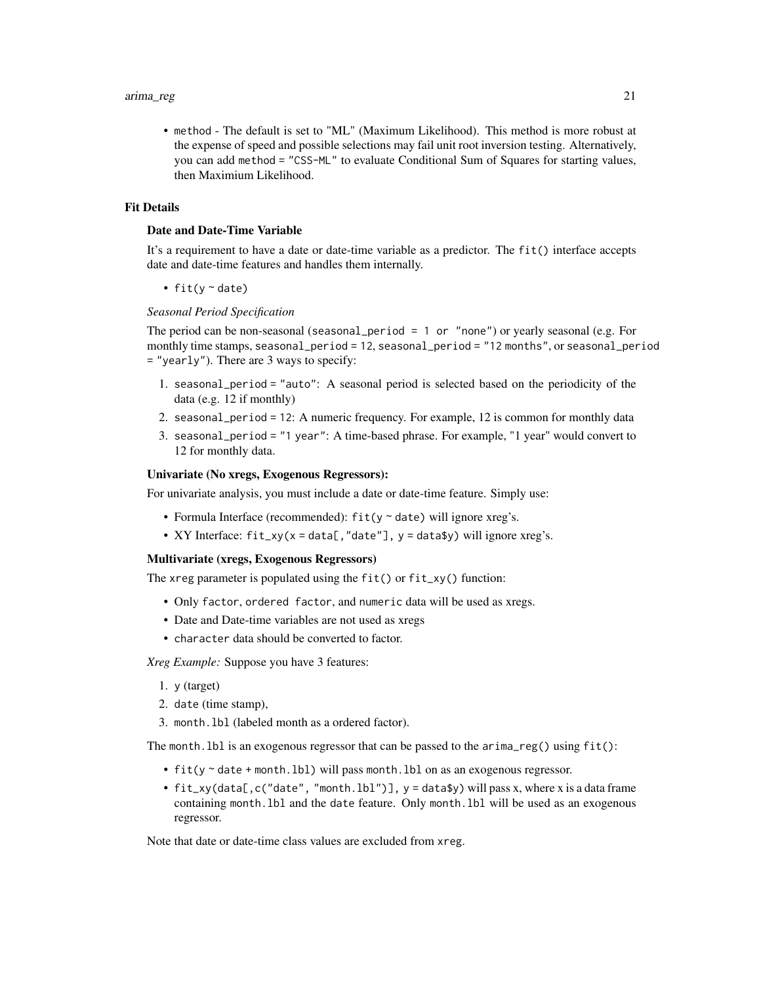• method - The default is set to "ML" (Maximum Likelihood). This method is more robust at the expense of speed and possible selections may fail unit root inversion testing. Alternatively, you can add method = "CSS-ML" to evaluate Conditional Sum of Squares for starting values, then Maximium Likelihood.

#### Fit Details

#### Date and Date-Time Variable

It's a requirement to have a date or date-time variable as a predictor. The fit() interface accepts date and date-time features and handles them internally.

• fit( $y \sim$  date)

#### *Seasonal Period Specification*

The period can be non-seasonal (seasonal\_period = 1 or "none") or yearly seasonal (e.g. For monthly time stamps, seasonal\_period = 12, seasonal\_period = "12 months", or seasonal\_period = "yearly"). There are 3 ways to specify:

- 1. seasonal\_period = "auto": A seasonal period is selected based on the periodicity of the data (e.g. 12 if monthly)
- 2. seasonal\_period = 12: A numeric frequency. For example, 12 is common for monthly data
- 3. seasonal\_period = "1 year": A time-based phrase. For example, "1 year" would convert to 12 for monthly data.

#### Univariate (No xregs, Exogenous Regressors):

For univariate analysis, you must include a date or date-time feature. Simply use:

- Formula Interface (recommended):  $fit(y \sim date)$  will ignore xreg's.
- XY Interface:  $fit\_xy(x = data[, "date"]$ ,  $y = data*y)$  will ignore xreg's.

#### Multivariate (xregs, Exogenous Regressors)

The xreg parameter is populated using the fit() or fit\_xy() function:

- Only factor, ordered factor, and numeric data will be used as xregs.
- Date and Date-time variables are not used as xregs
- character data should be converted to factor.

*Xreg Example:* Suppose you have 3 features:

- 1. y (target)
- 2. date (time stamp),
- 3. month.lbl (labeled month as a ordered factor).

The month. 1b1 is an exogenous regressor that can be passed to the  $\arrows$  arima\_reg() using  $fit()$ :

- fit(y ~ date + month.lbl) will pass month.lbl on as an exogenous regressor.
- fit\_xy(data[,c("date", "month.lbl")],  $y =$  data\$y) will pass x, where x is a data frame containing month.lbl and the date feature. Only month.lbl will be used as an exogenous regressor.

Note that date or date-time class values are excluded from xreg.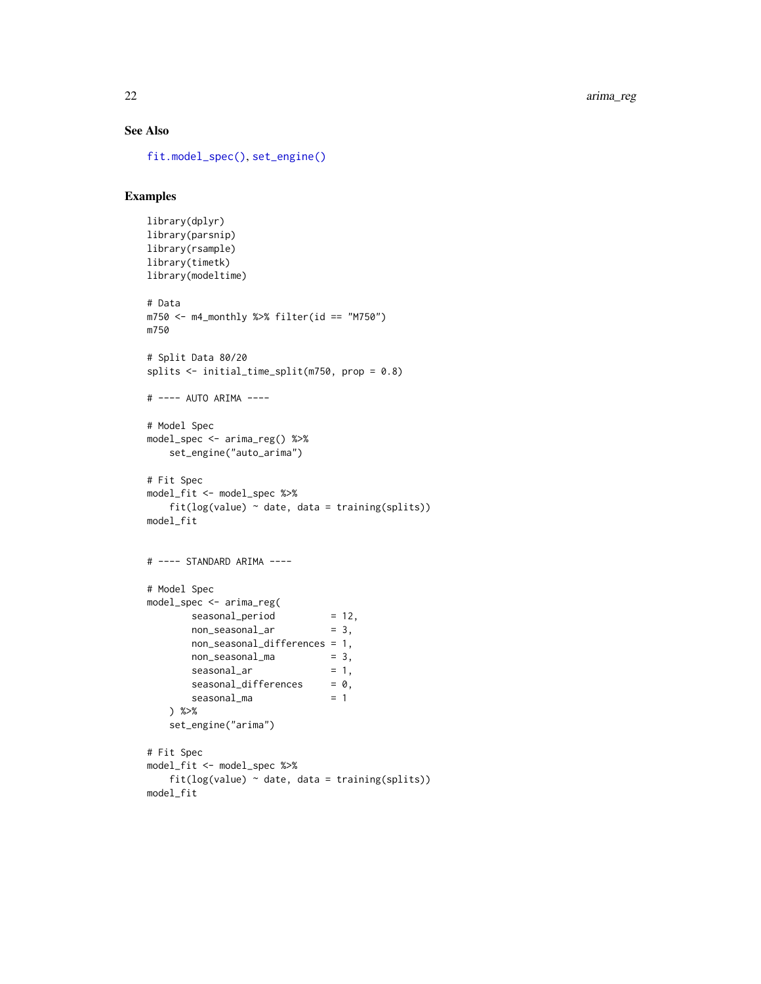# See Also

[fit.model\\_spec\(\)](#page-0-0), [set\\_engine\(\)](#page-0-0)

#### Examples

```
library(dplyr)
library(parsnip)
library(rsample)
library(timetk)
library(modeltime)
# Data
m750 <- m4_monthly %>% filter(id == "M750")
m750
# Split Data 80/20
splits <- initial_time_split(m750, prop = 0.8)
# ---- AUTO ARIMA ----
# Model Spec
model_spec <- arima_reg() %>%
    set_engine("auto_arima")
# Fit Spec
model_fit <- model_spec %>%
    fit(log(value) ~<sub>o</sub> date, data = training(splits))model_fit
# ---- STANDARD ARIMA ----
# Model Spec
model_spec <- arima_reg(
       seasonal_period = 12,<br>
non_seasonal_ar = 3,
       non_seasonal_ar = 3,
       non_seasonal_differences = 1,
       non\_seasonal_m = 3,seasonal_ar = 1,
       seasonal\_difference = 0,
        seasonal_m = 1) %>%
    set_engine("arima")
# Fit Spec
model_fit <- model_spec %>%
    fit(log(value) ~<sub>o</sub> date, data = training(splits))model_fit
```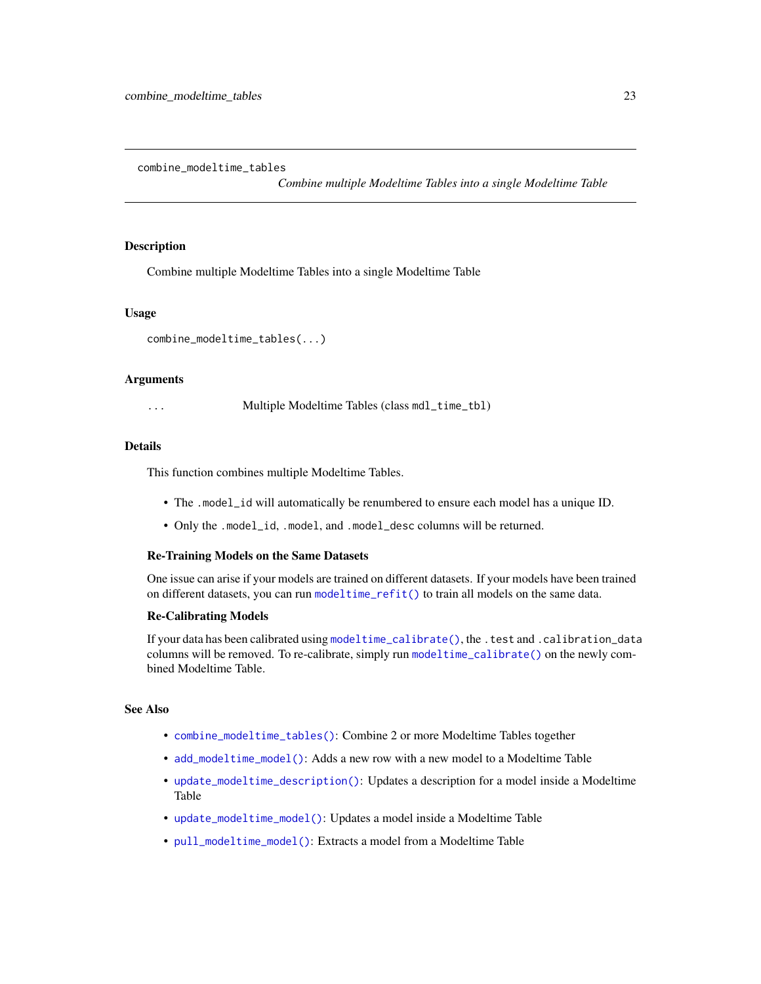<span id="page-22-1"></span><span id="page-22-0"></span>combine\_modeltime\_tables

*Combine multiple Modeltime Tables into a single Modeltime Table*

#### Description

Combine multiple Modeltime Tables into a single Modeltime Table

#### Usage

```
combine_modeltime_tables(...)
```
#### Arguments

... Multiple Modeltime Tables (class mdl\_time\_tbl)

### Details

This function combines multiple Modeltime Tables.

- The .model\_id will automatically be renumbered to ensure each model has a unique ID.
- Only the .model\_id, .model, and .model\_desc columns will be returned.

#### Re-Training Models on the Same Datasets

One issue can arise if your models are trained on different datasets. If your models have been trained on different datasets, you can run [modeltime\\_refit\(\)](#page-58-1) to train all models on the same data.

#### Re-Calibrating Models

If your data has been calibrated using [modeltime\\_calibrate\(\)](#page-46-1), the .test and .calibration\_data columns will be removed. To re-calibrate, simply run [modeltime\\_calibrate\(\)](#page-46-1) on the newly combined Modeltime Table.

# See Also

- [combine\\_modeltime\\_tables\(\)](#page-22-1): Combine 2 or more Modeltime Tables together
- [add\\_modeltime\\_model\(\)](#page-9-1): Adds a new row with a new model to a Modeltime Table
- [update\\_modeltime\\_description\(\)](#page-113-1): Updates a description for a model inside a Modeltime Table
- [update\\_modeltime\\_model\(\)](#page-112-1): Updates a model inside a Modeltime Table
- [pull\\_modeltime\\_model\(\)](#page-80-1): Extracts a model from a Modeltime Table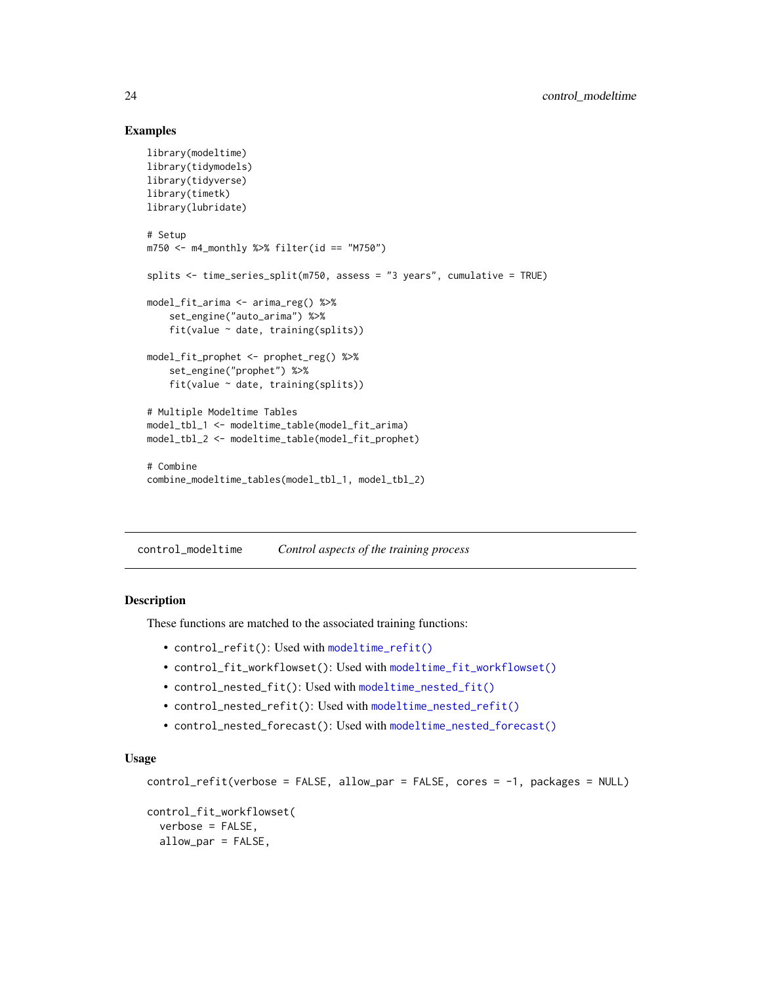# Examples

```
library(modeltime)
library(tidymodels)
library(tidyverse)
library(timetk)
library(lubridate)
# Setup
m750 <- m4_monthly %>% filter(id == "M750")
splits <- time_series_split(m750, assess = "3 years", cumulative = TRUE)
model_fit_arima <- arima_reg() %>%
    set_engine("auto_arima") %>%
   fit(value ~ date, training(splits))
model_fit_prophet <- prophet_reg() %>%
    set_engine("prophet") %>%
    fit(value ~ date, training(splits))
# Multiple Modeltime Tables
model_tbl_1 <- modeltime_table(model_fit_arima)
model_tbl_2 <- modeltime_table(model_fit_prophet)
# Combine
combine_modeltime_tables(model_tbl_1, model_tbl_2)
```
control\_modeltime *Control aspects of the training process*

#### Description

These functions are matched to the associated training functions:

- control\_refit(): Used with [modeltime\\_refit\(\)](#page-58-1)
- control\_fit\_workflowset(): Used with [modeltime\\_fit\\_workflowset\(\)](#page-48-1)
- control\_nested\_fit(): Used with [modeltime\\_nested\\_fit\(\)](#page-54-1)
- control\_nested\_refit(): Used with [modeltime\\_nested\\_refit\(\)](#page-56-1)
- control\_nested\_forecast(): Used with [modeltime\\_nested\\_forecast\(\)](#page-55-1)

#### Usage

```
control_refit(verbose = FALSE, allow_par = FALSE, cores = -1, packages = NULL)
control_fit_workflowset(
  verbose = FALSE,
  allow_par = FALSE,
```
<span id="page-23-0"></span>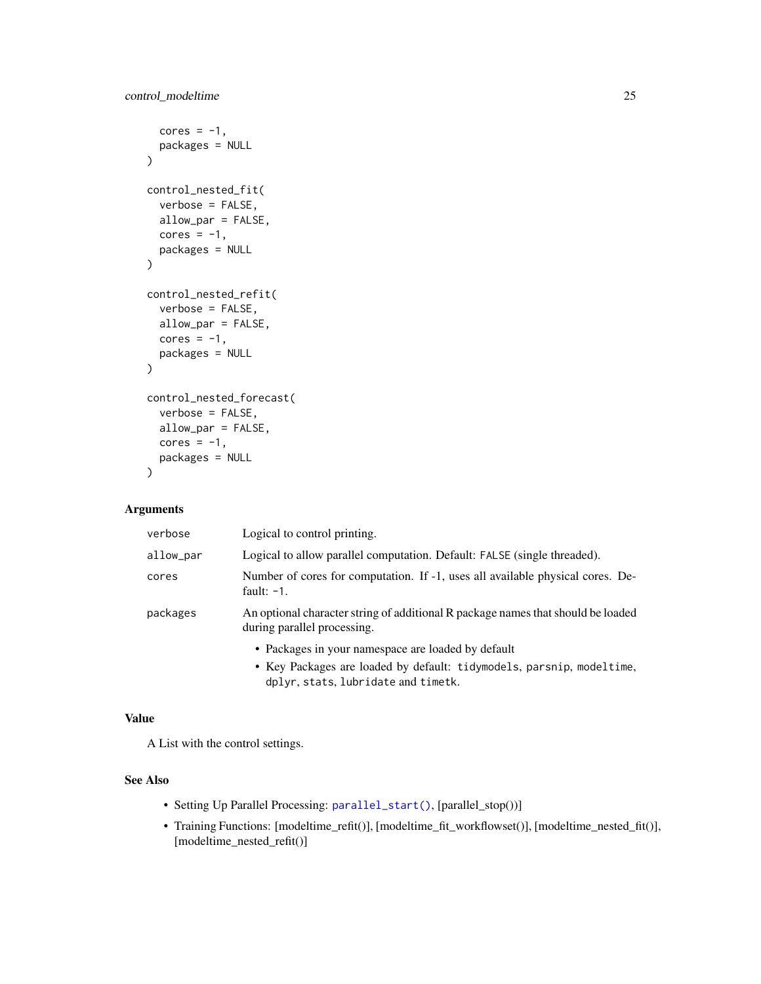```
cores = -1,
 packages = NULL
\lambdacontrol_nested_fit(
  verbose = FALSE,
 allow_par = FALSE,
 cores = -1,
 packages = NULL
)
control_nested_refit(
  verbose = FALSE,
 allow_par = FALSE,
 cores = -1,
 packages = NULL
\mathcal{L}control_nested_forecast(
  verbose = FALSE,
 allow_par = FALSE,
 cores = -1,
 packages = NULL
)
```
# Arguments

| verbose   | Logical to control printing.                                                                                    |
|-----------|-----------------------------------------------------------------------------------------------------------------|
| allow_par | Logical to allow parallel computation. Default: FALSE (single threaded).                                        |
| cores     | Number of cores for computation. If -1, uses all available physical cores. De-<br>fault: $-1$ .                 |
| packages  | An optional character string of additional R package names that should be loaded<br>during parallel processing. |
|           | • Packages in your namespace are loaded by default                                                              |
|           | • Key Packages are loaded by default: tidymodels, parsnip, modeltime,<br>dplyr, stats, lubridate and timetk.    |

# Value

A List with the control settings.

# See Also

- Setting Up Parallel Processing: [parallel\\_start\(\)](#page-74-1), [parallel\_stop())]
- Training Functions: [modeltime\_refit()], [modeltime\_fit\_workflowset()], [modeltime\_nested\_fit()], [modeltime\_nested\_refit()]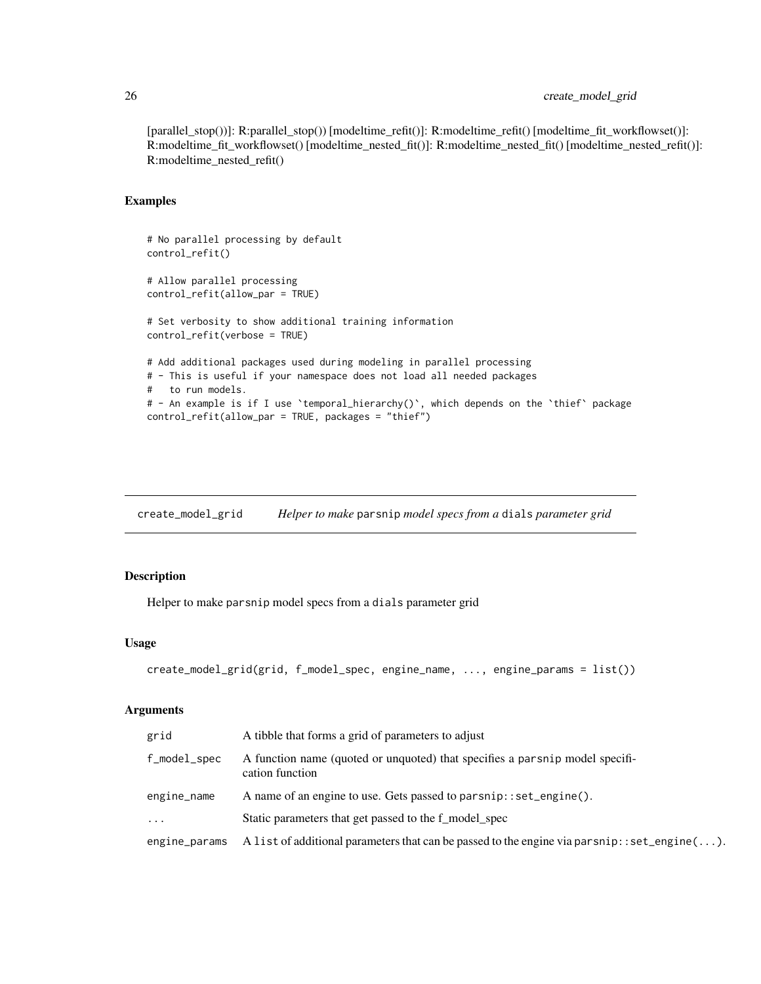# <span id="page-25-0"></span>26 create\_model\_grid

[parallel\_stop())]: R:parallel\_stop()) [modeltime\_refit()]: R:modeltime\_refit() [modeltime\_fit\_workflowset()]: R:modeltime\_fit\_workflowset() [modeltime\_nested\_fit()]: R:modeltime\_nested\_fit() [modeltime\_nested\_refit()]: R:modeltime\_nested\_refit()

# Examples

```
# No parallel processing by default
control_refit()
# Allow parallel processing
control_refit(allow_par = TRUE)
# Set verbosity to show additional training information
control_refit(verbose = TRUE)
# Add additional packages used during modeling in parallel processing
# - This is useful if your namespace does not load all needed packages
# to run models.
# - An example is if I use `temporal_hierarchy()`, which depends on the `thief` package
control_refit(allow_par = TRUE, packages = "thief")
```
create\_model\_grid *Helper to make* parsnip *model specs from a* dials *parameter grid*

#### Description

Helper to make parsnip model specs from a dials parameter grid

#### Usage

```
create_model_grid(grid, f_model_spec, engine_name, ..., engine_params = list())
```
# Arguments

| grid          | A tibble that forms a grid of parameters to adjust                                                      |
|---------------|---------------------------------------------------------------------------------------------------------|
| f_model_spec  | A function name (quoted or unquoted) that specifies a parsnip model specifi-<br>cation function         |
| engine_name   | A name of an engine to use. Gets passed to parsnip::set_engine().                                       |
| $\ddots$      | Static parameters that get passed to the f_model_spec                                                   |
| engine_params | A list of additional parameters that can be passed to the engine via parsnip: : set_engine $(\ldots)$ . |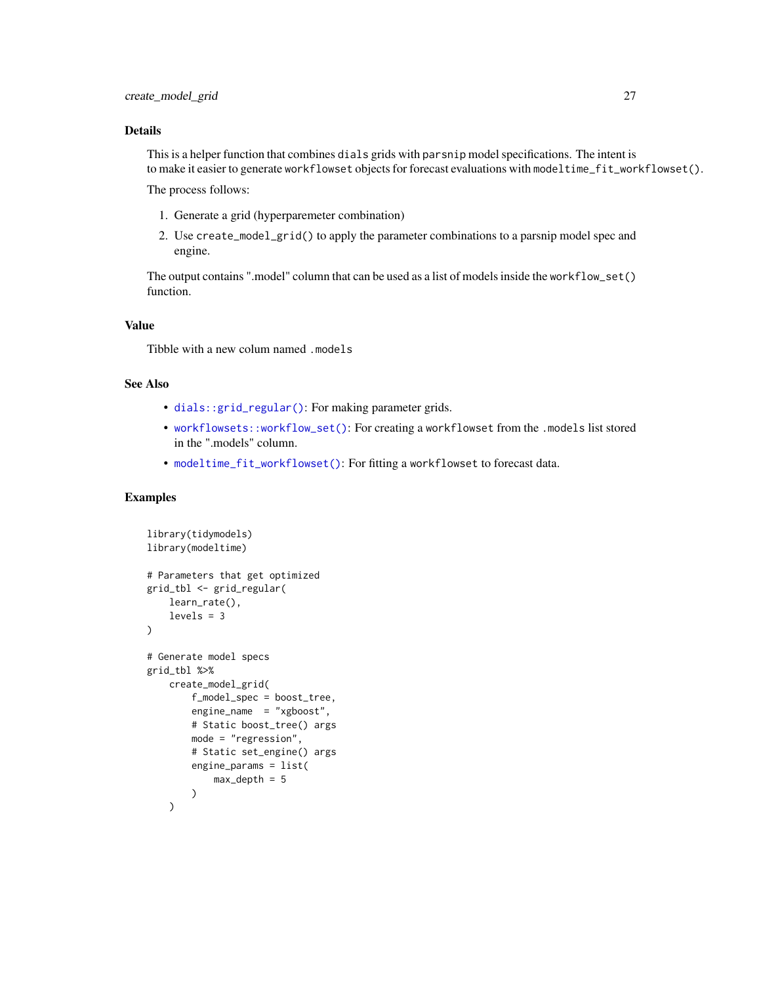# Details

This is a helper function that combines dials grids with parsnip model specifications. The intent is to make it easier to generate workflowset objects for forecast evaluations with modeltime\_fit\_workflowset().

The process follows:

- 1. Generate a grid (hyperparemeter combination)
- 2. Use create\_model\_grid() to apply the parameter combinations to a parsnip model spec and engine.

The output contains ".model" column that can be used as a list of models inside the workflow\_set() function.

# Value

Tibble with a new colum named .models

### See Also

- [dials::grid\\_regular\(\)](#page-0-0): For making parameter grids.
- [workflowsets::workflow\\_set\(\)](#page-0-0): For creating a workflowset from the .models list stored in the ".models" column.
- [modeltime\\_fit\\_workflowset\(\)](#page-48-1): For fitting a workflowset to forecast data.

# Examples

```
library(tidymodels)
library(modeltime)
# Parameters that get optimized
grid_tbl <- grid_regular(
   learn_rate(),
   levels = 3
)
# Generate model specs
grid_tbl %>%
   create_model_grid(
       f_model_spec = boost_tree,
        engine_name = "xgboost",
        # Static boost_tree() args
        mode = "regression",
        # Static set_engine() args
        engine_params = list(
            max\_depth = 5\lambda\mathcal{L}
```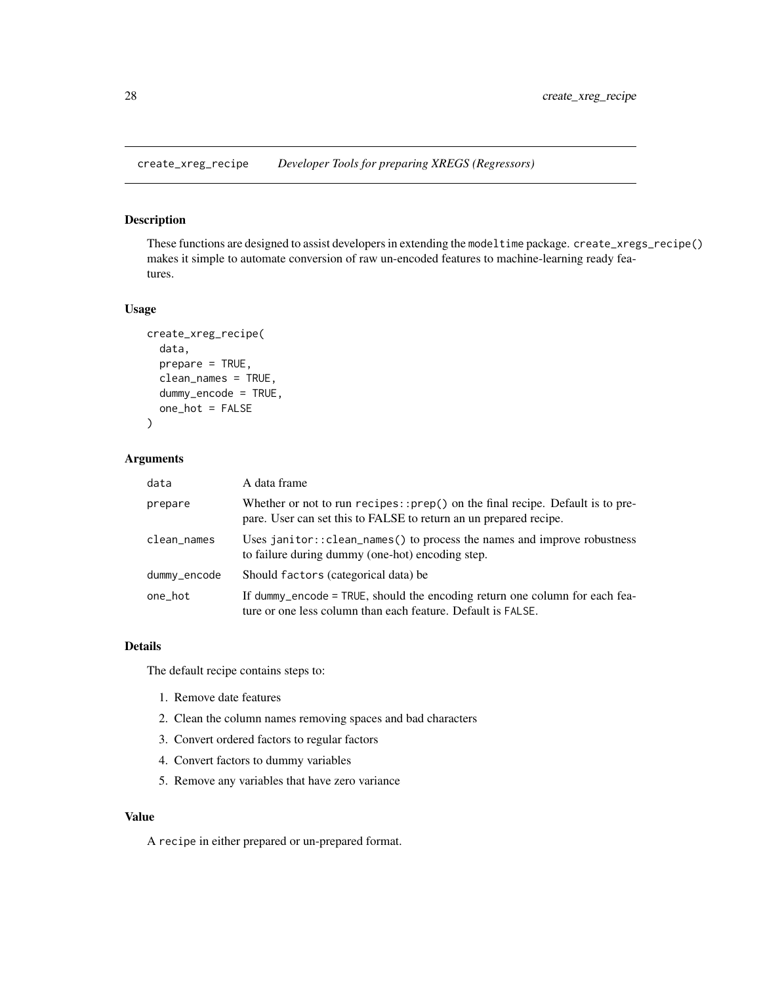<span id="page-27-0"></span>create\_xreg\_recipe *Developer Tools for preparing XREGS (Regressors)*

# Description

These functions are designed to assist developers in extending the modeltime package. create\_xregs\_recipe() makes it simple to automate conversion of raw un-encoded features to machine-learning ready features.

## Usage

```
create_xreg_recipe(
  data,
  prepare = TRUE,
 clean_names = TRUE,
  dummy_encode = TRUE,
  one_hot = FALSE
\lambda
```
# Arguments

| data         | A data frame                                                                                                                                          |
|--------------|-------------------------------------------------------------------------------------------------------------------------------------------------------|
| prepare      | Whether or not to run recipes:: $prep()$ on the final recipe. Default is to pre-<br>pare. User can set this to FALSE to return an un prepared recipe. |
| clean_names  | Uses janitor:: $clean_names()$ to process the names and improve robustness<br>to failure during dummy (one-hot) encoding step.                        |
| dummy_encode | Should factors (categorical data) be                                                                                                                  |
| one hot      | If dummy encode = TRUE, should the encoding return one column for each fea-<br>ture or one less column than each feature. Default is FALSE.           |

#### Details

The default recipe contains steps to:

- 1. Remove date features
- 2. Clean the column names removing spaces and bad characters
- 3. Convert ordered factors to regular factors
- 4. Convert factors to dummy variables
- 5. Remove any variables that have zero variance

#### Value

A recipe in either prepared or un-prepared format.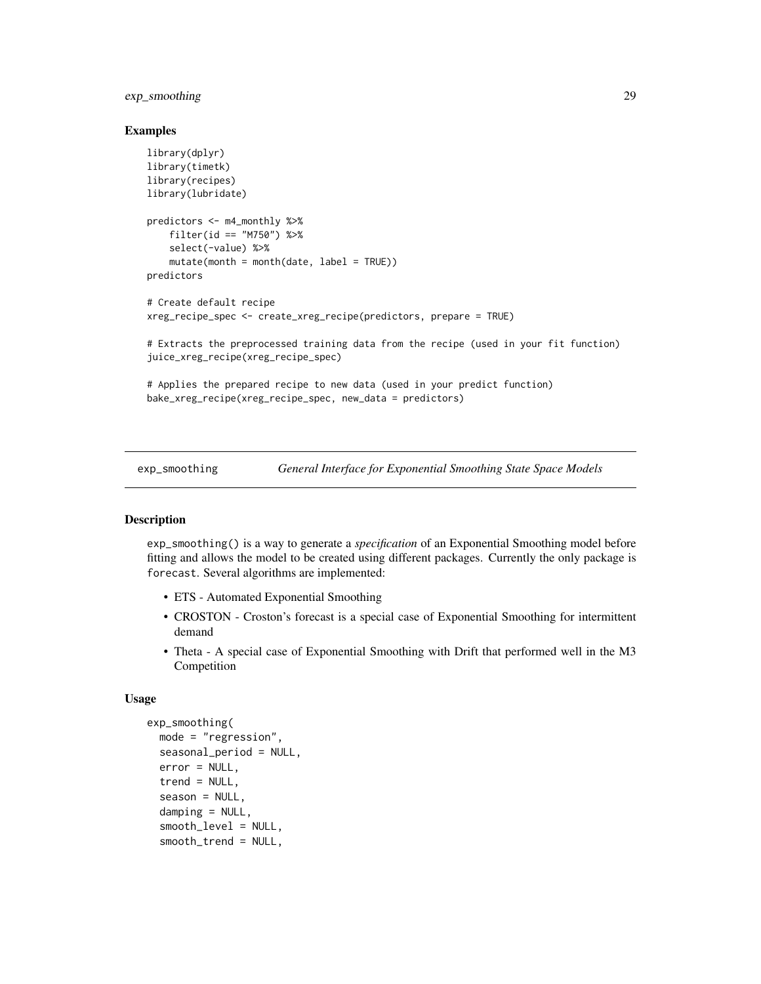# <span id="page-28-0"></span>exp\_smoothing 29

#### Examples

```
library(dplyr)
library(timetk)
library(recipes)
library(lubridate)
predictors <- m4_monthly %>%
    filter(id == "M750") %>%
    select(-value) %>%
    mutate(month = month(data, label = TRUE))predictors
# Create default recipe
xreg_recipe_spec <- create_xreg_recipe(predictors, prepare = TRUE)
# Extracts the preprocessed training data from the recipe (used in your fit function)
juice_xreg_recipe(xreg_recipe_spec)
# Applies the prepared recipe to new data (used in your predict function)
bake_xreg_recipe(xreg_recipe_spec, new_data = predictors)
```
exp\_smoothing *General Interface for Exponential Smoothing State Space Models*

# Description

exp\_smoothing() is a way to generate a *specification* of an Exponential Smoothing model before fitting and allows the model to be created using different packages. Currently the only package is forecast. Several algorithms are implemented:

- ETS Automated Exponential Smoothing
- CROSTON Croston's forecast is a special case of Exponential Smoothing for intermittent demand
- Theta A special case of Exponential Smoothing with Drift that performed well in the M3 Competition

#### Usage

```
exp_smoothing(
  mode = "regression",
  seasonal_period = NULL,
  error = NULL,
  trend = NULL,season = NULL,
  damping = NULL,
  smooth_level = NULL,
  smooth_trend = NULL,
```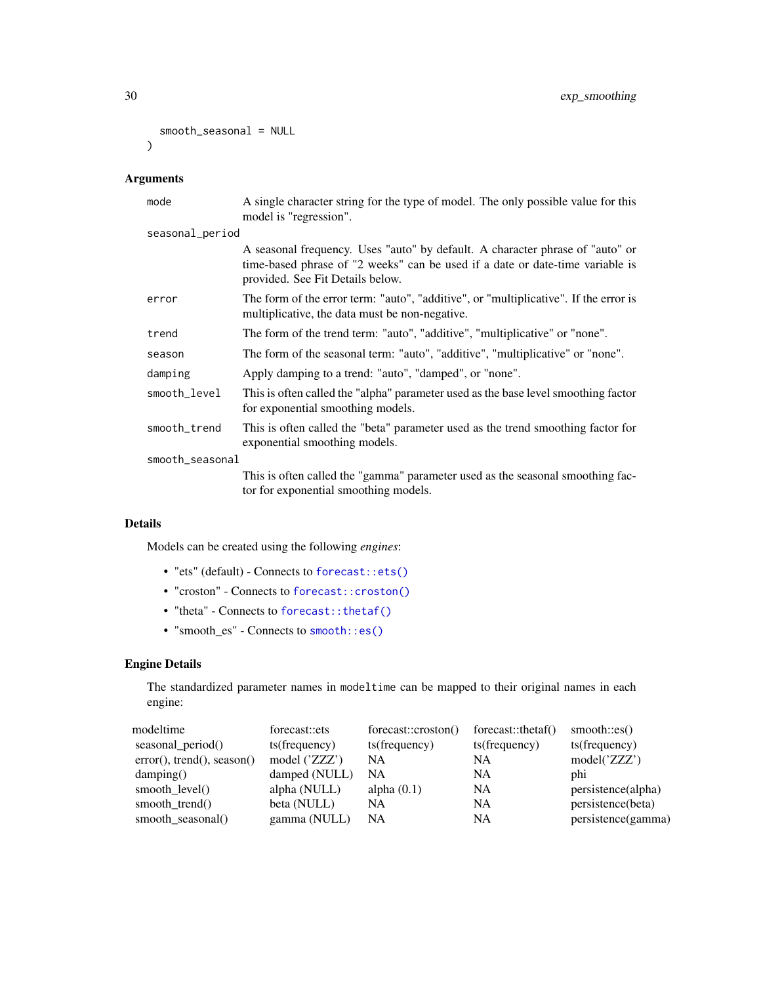```
smooth_seasonal = NULL
\mathcal{L}
```
# Arguments

| mode            | A single character string for the type of model. The only possible value for this<br>model is "regression".                                                                                        |
|-----------------|----------------------------------------------------------------------------------------------------------------------------------------------------------------------------------------------------|
| seasonal_period |                                                                                                                                                                                                    |
|                 | A seasonal frequency. Uses "auto" by default. A character phrase of "auto" or<br>time-based phrase of "2 weeks" can be used if a date or date-time variable is<br>provided. See Fit Details below. |
| error           | The form of the error term: "auto", "additive", or "multiplicative". If the error is<br>multiplicative, the data must be non-negative.                                                             |
| trend           | The form of the trend term: "auto", "additive", "multiplicative" or "none".                                                                                                                        |
| season          | The form of the seasonal term: "auto", "additive", "multiplicative" or "none".                                                                                                                     |
| damping         | Apply damping to a trend: "auto", "damped", or "none".                                                                                                                                             |
| smooth_level    | This is often called the "alpha" parameter used as the base level smoothing factor<br>for exponential smoothing models.                                                                            |
| smooth_trend    | This is often called the "beta" parameter used as the trend smoothing factor for<br>exponential smoothing models.                                                                                  |
| smooth_seasonal |                                                                                                                                                                                                    |
|                 | This is often called the "gamma" parameter used as the seasonal smoothing fac-<br>tor for exponential smoothing models.                                                                            |

# Details

Models can be created using the following *engines*:

- "ets" (default) Connects to [forecast::ets\(\)](#page-0-0)
- "croston" Connects to [forecast::croston\(\)](#page-0-0)
- "theta" Connects to [forecast::thetaf\(\)](#page-0-0)
- "smooth\_es" Connects to [smooth::es\(\)](#page-0-0)

# Engine Details

The standardized parameter names in modeltime can be mapped to their original names in each engine:

| modeltime                  | forecast::ets   | forecast::croston() | forecast::thetaf() | smooth::es()       |
|----------------------------|-----------------|---------------------|--------------------|--------------------|
| seasonal_period()          | ts(frequency)   | ts(frequency)       | ts(frequency)      | ts(frequency)      |
| error(), trend(), season() | model $('ZZZ')$ | NA                  | <b>NA</b>          | model('ZZZ')       |
| damping()                  | damped (NULL)   | NA.                 | <b>NA</b>          | phi                |
| smooth_level()             | alpha (NULL)    | alpha $(0.1)$       | <b>NA</b>          | persistence(alpha) |
| smooth trend()             | beta (NULL)     | NA                  | <b>NA</b>          | persistence(beta)  |
| smooth seasonal()          | gamma (NULL)    | NA                  | <b>NA</b>          | persistence(gamma) |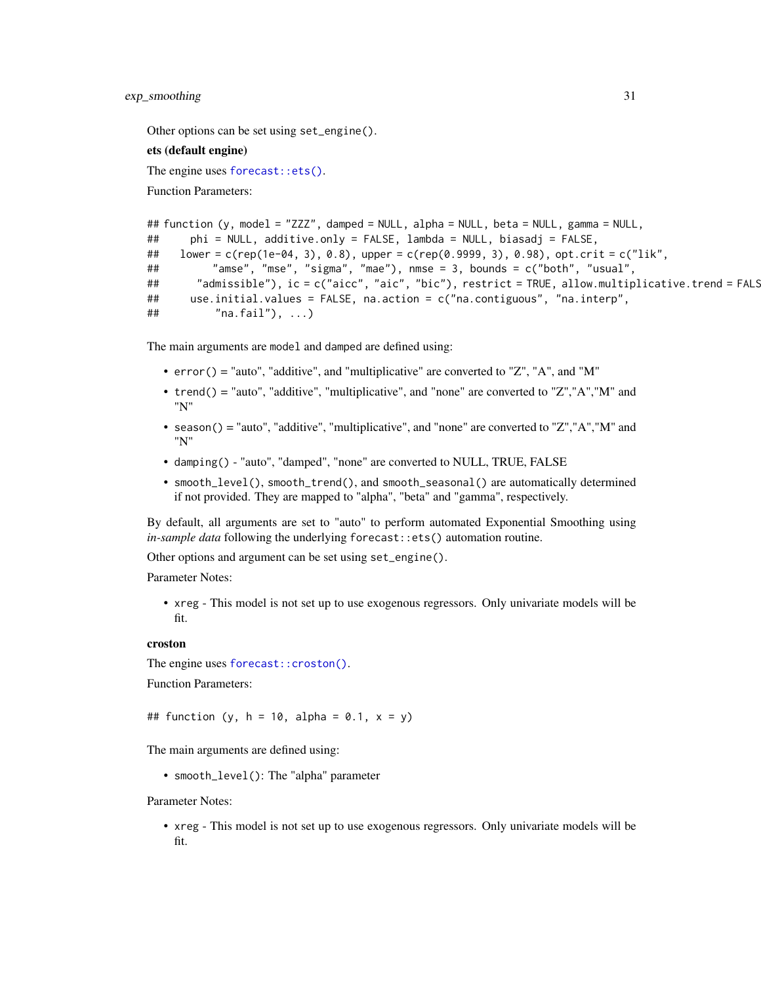#### exp\_smoothing 31

Other options can be set using set\_engine().

#### ets (default engine)

The engine uses [forecast::ets\(\)](#page-0-0).

Function Parameters:

```
## function (y, model = "ZZZ", damped = NULL, alpha = NULL, beta = NULL, gamma = NULL,
## phi = NULL, additive.only = FALSE, lambda = NULL, biasadj = FALSE,
## lower = c(rep(1e-04, 3), 0.8), upper = c(rep(0.9999, 3), 0.98), opt.crit = c("lik",
## "amse", "mse", "sigma", "mae"), nmse = 3, bounds = c("both", "usual",
## "admissible"), ic = c("aicc", "aic", "bic"), restrict = TRUE, allow.multiplicative.trend = FALS
## use.initial.values = FALSE, na.action = c("na.contiguous", "na.interp",
\# \# \qquad \qquad \qquad \qquad \qquad \qquad \qquad \qquad \qquad \qquad \qquad \qquad \qquad \qquad \qquad \qquad \qquad \qquad \qquad \qquad \qquad \qquad \qquad \qquad \qquad \qquad \qquad \qquad \qquad \qquad \qquad \qquad \qquad \qquad \qquad
```
The main arguments are model and damped are defined using:

- error() = "auto", "additive", and "multiplicative" are converted to "Z", "A", and "M"
- trend() = "auto", "additive", "multiplicative", and "none" are converted to "Z","A","M" and "N"
- season() = "auto", "additive", "multiplicative", and "none" are converted to "Z","A","M" and "N"
- damping() "auto", "damped", "none" are converted to NULL, TRUE, FALSE
- smooth\_level(), smooth\_trend(), and smooth\_seasonal() are automatically determined if not provided. They are mapped to "alpha", "beta" and "gamma", respectively.

By default, all arguments are set to "auto" to perform automated Exponential Smoothing using *in-sample data* following the underlying forecast::ets() automation routine.

Other options and argument can be set using set\_engine().

Parameter Notes:

• xreg - This model is not set up to use exogenous regressors. Only univariate models will be fit.

### croston

The engine uses [forecast::croston\(\)](#page-0-0).

Function Parameters:

## function (y, h = 10, alpha = 0.1,  $x = y$ )

The main arguments are defined using:

• smooth\_level(): The "alpha" parameter

Parameter Notes:

• xreg - This model is not set up to use exogenous regressors. Only univariate models will be fit.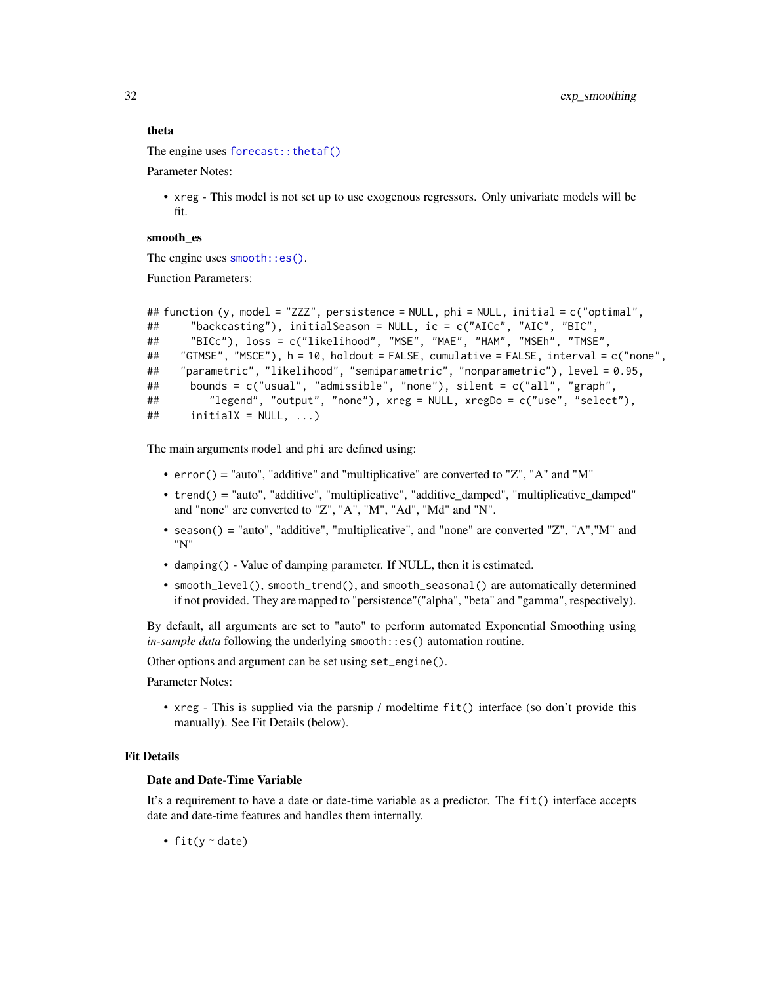#### theta

The engine uses [forecast::thetaf\(\)](#page-0-0)

Parameter Notes:

• xreg - This model is not set up to use exogenous regressors. Only univariate models will be fit.

# smooth\_es

The engine uses [smooth::es\(\)](#page-0-0).

Function Parameters:

```
## function (y, model = "ZZZ", persistence = NULL, phi = NULL, initial = c("optimal",
## "backcasting"), initialSeason = NULL, ic = c("AICc", "AIC", "BIC",
## "BICc"), loss = c("likelihood", "MSE", "MAE", "HAM", "MSEh", "TMSE",
## "GTMSE", "MSCE"), h = 10, holdout = FALSE, cumulative = FALSE, interval = c("none",
## "parametric", "likelihood", "semiparametric", "nonparametric"), level = 0.95,
## bounds = c("usual", "admissible", "none"), silent = c("all", "graph",
## "legend", "output", "none"), xreg = NULL, xregDo = c("use", "select"),
\# initialX = NULL, ...)
```
The main arguments model and phi are defined using:

- error() = "auto", "additive" and "multiplicative" are converted to "Z", "A" and "M"
- trend() = "auto", "additive", "multiplicative", "additive\_damped", "multiplicative\_damped" and "none" are converted to "Z", "A", "M", "Ad", "Md" and "N".
- season() = "auto", "additive", "multiplicative", and "none" are converted "Z", "A","M" and "N"
- damping() Value of damping parameter. If NULL, then it is estimated.
- smooth\_level(), smooth\_trend(), and smooth\_seasonal() are automatically determined if not provided. They are mapped to "persistence"("alpha", "beta" and "gamma", respectively).

By default, all arguments are set to "auto" to perform automated Exponential Smoothing using *in-sample data* following the underlying smooth::es() automation routine.

Other options and argument can be set using set\_engine().

Parameter Notes:

• xreg - This is supplied via the parsnip / modeltime fit() interface (so don't provide this manually). See Fit Details (below).

#### Fit Details

#### Date and Date-Time Variable

It's a requirement to have a date or date-time variable as a predictor. The fit() interface accepts date and date-time features and handles them internally.

• fit( $y \sim$  date)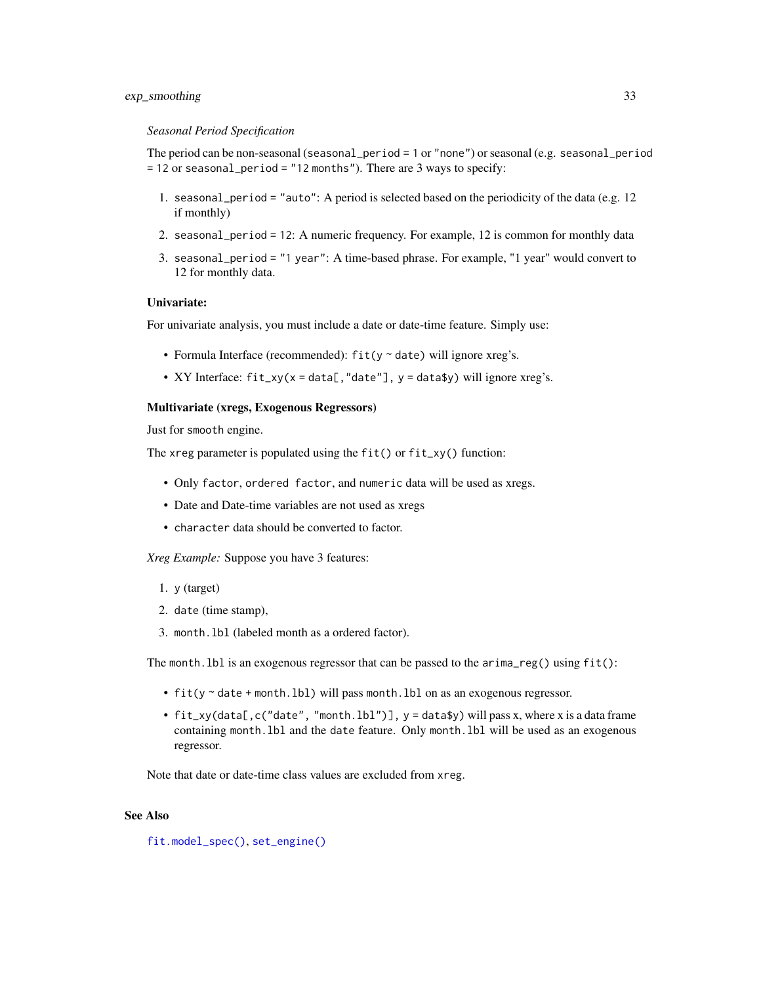# exp\_smoothing 33

#### *Seasonal Period Specification*

The period can be non-seasonal (seasonal\_period = 1 or "none") or seasonal (e.g. seasonal\_period  $= 12$  or seasonal period = "12 months"). There are 3 ways to specify:

- 1. seasonal\_period = "auto": A period is selected based on the periodicity of the data (e.g. 12 if monthly)
- 2. seasonal\_period = 12: A numeric frequency. For example, 12 is common for monthly data
- 3. seasonal\_period = "1 year": A time-based phrase. For example, "1 year" would convert to 12 for monthly data.

# Univariate:

For univariate analysis, you must include a date or date-time feature. Simply use:

- Formula Interface (recommended): fit(y ~ date) will ignore xreg's.
- XY Interface: fit\_xy(x = data[,"date"], y = data\$y) will ignore xreg's.

#### Multivariate (xregs, Exogenous Regressors)

Just for smooth engine.

The xreg parameter is populated using the  $fit()$  or  $fit_xy()$  function:

- Only factor, ordered factor, and numeric data will be used as xregs.
- Date and Date-time variables are not used as xregs
- character data should be converted to factor.

*Xreg Example:* Suppose you have 3 features:

- 1. y (target)
- 2. date (time stamp),
- 3. month.lbl (labeled month as a ordered factor).

The month.lbl is an exogenous regressor that can be passed to the arima\_reg() using fit():

- fit(y ~ date + month.lbl) will pass month.lbl on as an exogenous regressor.
- fit\_xy(data[,c("date", "month.lbl")], y = data\$y) will pass x, where x is a data frame containing month.lbl and the date feature. Only month.lbl will be used as an exogenous regressor.

Note that date or date-time class values are excluded from xreg.

# See Also

[fit.model\\_spec\(\)](#page-0-0), [set\\_engine\(\)](#page-0-0)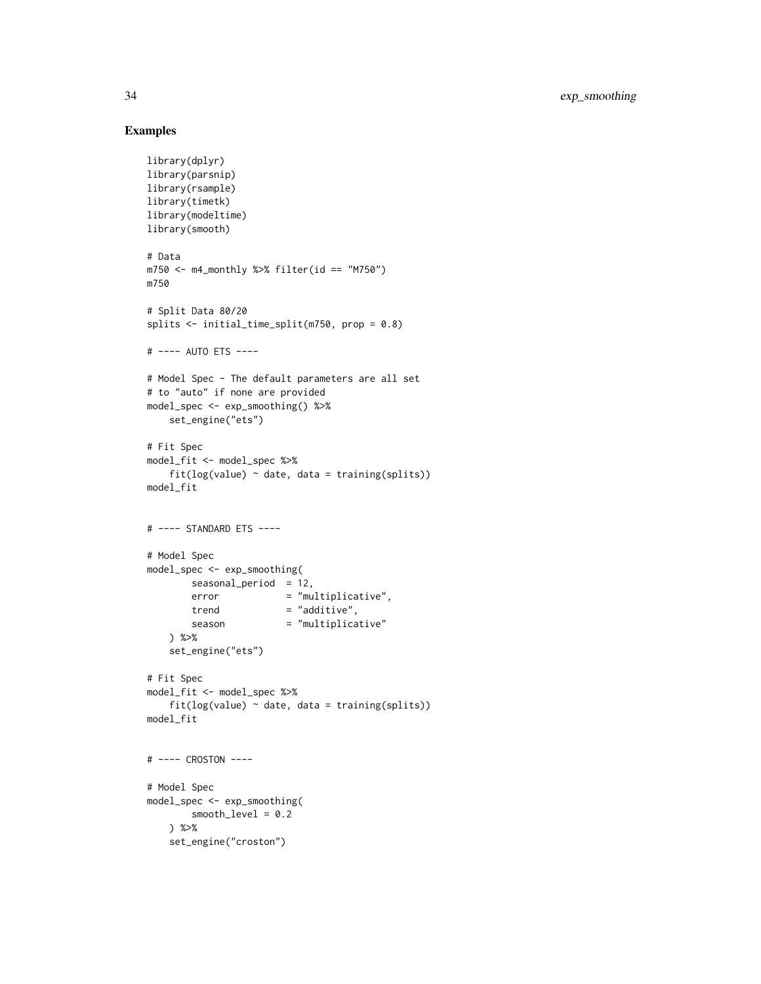# Examples

```
library(dplyr)
library(parsnip)
library(rsample)
library(timetk)
library(modeltime)
library(smooth)
# Data
m750 \leq m4 monthly %>% filter(id == "M750")
m750
# Split Data 80/20
splits <- initial_time_split(m750, prop = 0.8)
# ---- AUTO ETS ----
# Model Spec - The default parameters are all set
# to "auto" if none are provided
model_spec <- exp_smoothing() %>%
    set_engine("ets")
# Fit Spec
model_fit <- model_spec %>%
    fit(log(value) ~<sub>o</sub> date, data = training(splits))model_fit
# ---- STANDARD ETS ----
# Model Spec
model_spec <- exp_smoothing(
        seasonal_period = 12,
        error = "multiplicative",
        trend = "additive",season = "multiplicative"
    ) %>%
    set_engine("ets")
# Fit Spec
model_fit <- model_spec %>%
    fit(log(value) ~<sub>o</sub> date, data = training(splits))model_fit
# ---- CROSTON ----
# Model Spec
model_spec <- exp_smoothing(
        smooth_level = 0.2
    ) %>%
    set_engine("croston")
```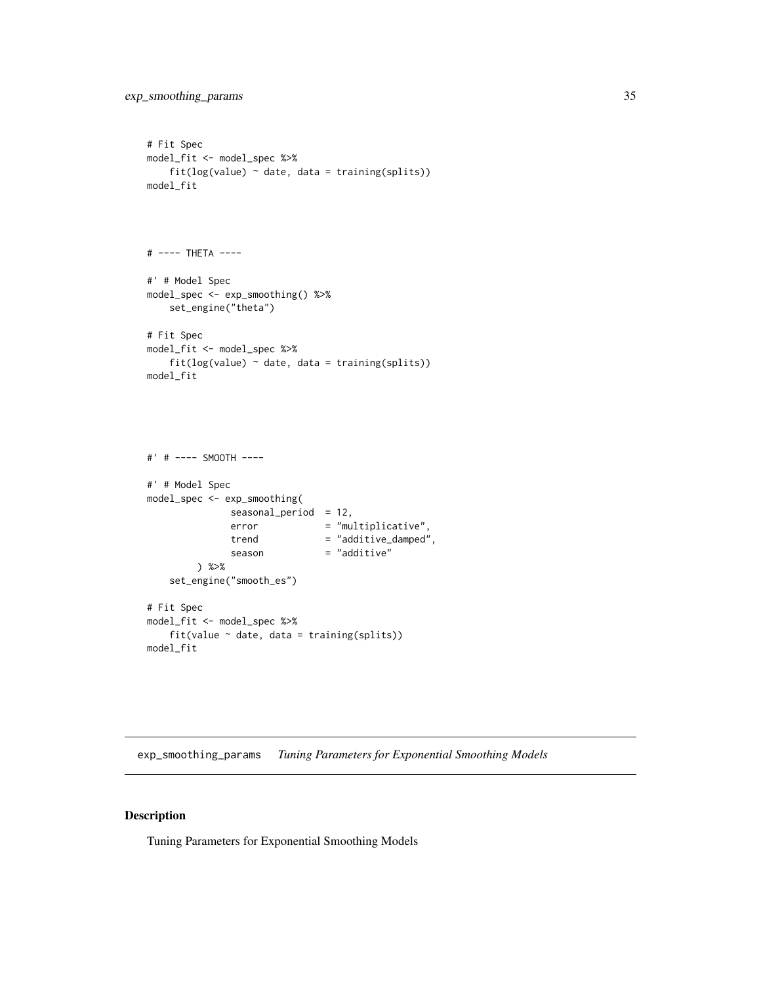```
# Fit Spec
model_fit <- model_spec %>%
    fit(log(value) ~<sub>o</sub> date, data = training(splits))model_fit
# ---- THETA ----
#' # Model Spec
model_spec <- exp_smoothing() %>%
    set_engine("theta")
# Fit Spec
model_fit <- model_spec %>%
    fit(log(value) ~ date, data = training(splits))
model_fit
#' # ---- SMOOTH ----
```

```
#' # Model Spec
model_spec <- exp_smoothing(
             seasonal_period = 12,
             error = "multiplicative",
             trend = "additive_damped",
             season = "additive"
       ) %>%
   set_engine("smooth_es")
# Fit Spec
model_fit <- model_spec %>%
   fit(value ~ date, data = training(splits))
model_fit
```
exp\_smoothing\_params *Tuning Parameters for Exponential Smoothing Models*

# Description

Tuning Parameters for Exponential Smoothing Models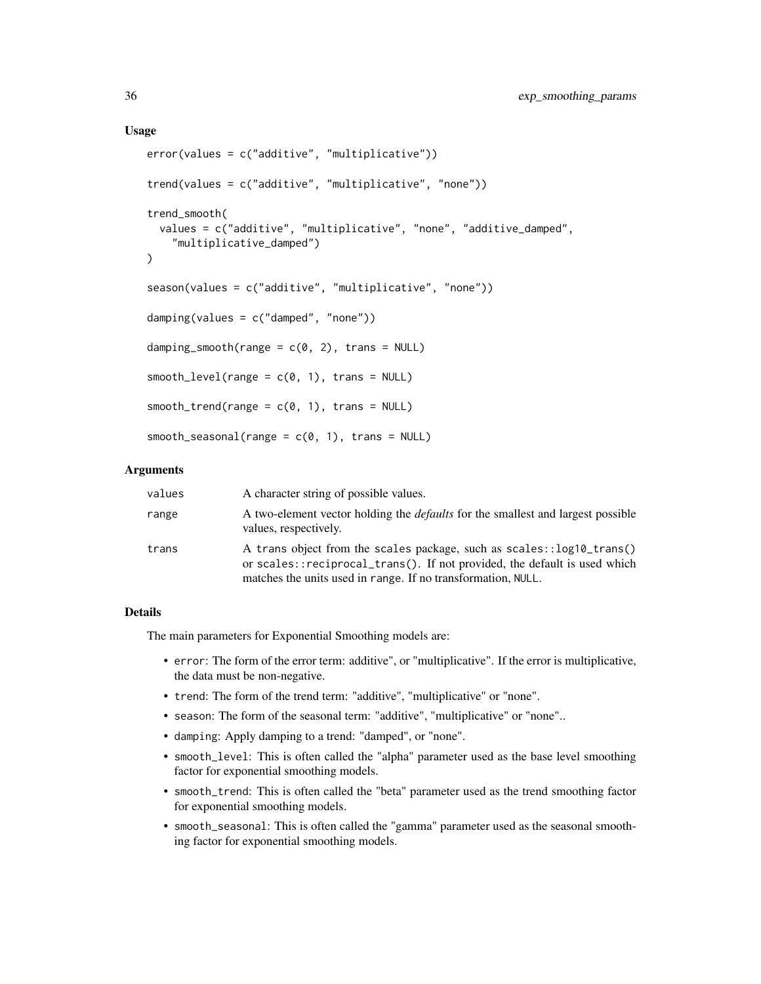### Usage

```
error(values = c("additive", "multiplicative"))
trend(values = c("additive", "multiplicative", "none"))
trend_smooth(
  values = c("additive", "multiplicative", "none", "additive_damped",
    "multiplicative_damped")
\lambdaseason(values = c("additive", "multiplicative", "none"))
damping(values = c("damped", "none"))
damping_smooth(range = c(0, 2), trans = NULL)
smooth\_level(range = c(0, 1), trans = NULL)smooth\_trend(range = c(0, 1), trans = NULL)smooth\_seasonal(range = c(0, 1), trans = NULL)
```
# Arguments

| values | A character string of possible values.                                                                                                                                                                             |
|--------|--------------------------------------------------------------------------------------------------------------------------------------------------------------------------------------------------------------------|
| range  | A two-element vector holding the <i>defaults</i> for the smallest and largest possible<br>values, respectively.                                                                                                    |
| trans  | A trans object from the scales package, such as scales::log10_trans()<br>or scales::reciprocal_trans(). If not provided, the default is used which<br>matches the units used in range. If no transformation, NULL. |

# Details

The main parameters for Exponential Smoothing models are:

- error: The form of the error term: additive", or "multiplicative". If the error is multiplicative, the data must be non-negative.
- trend: The form of the trend term: "additive", "multiplicative" or "none".
- season: The form of the seasonal term: "additive", "multiplicative" or "none"..
- damping: Apply damping to a trend: "damped", or "none".
- smooth\_level: This is often called the "alpha" parameter used as the base level smoothing factor for exponential smoothing models.
- smooth\_trend: This is often called the "beta" parameter used as the trend smoothing factor for exponential smoothing models.
- smooth\_seasonal: This is often called the "gamma" parameter used as the seasonal smoothing factor for exponential smoothing models.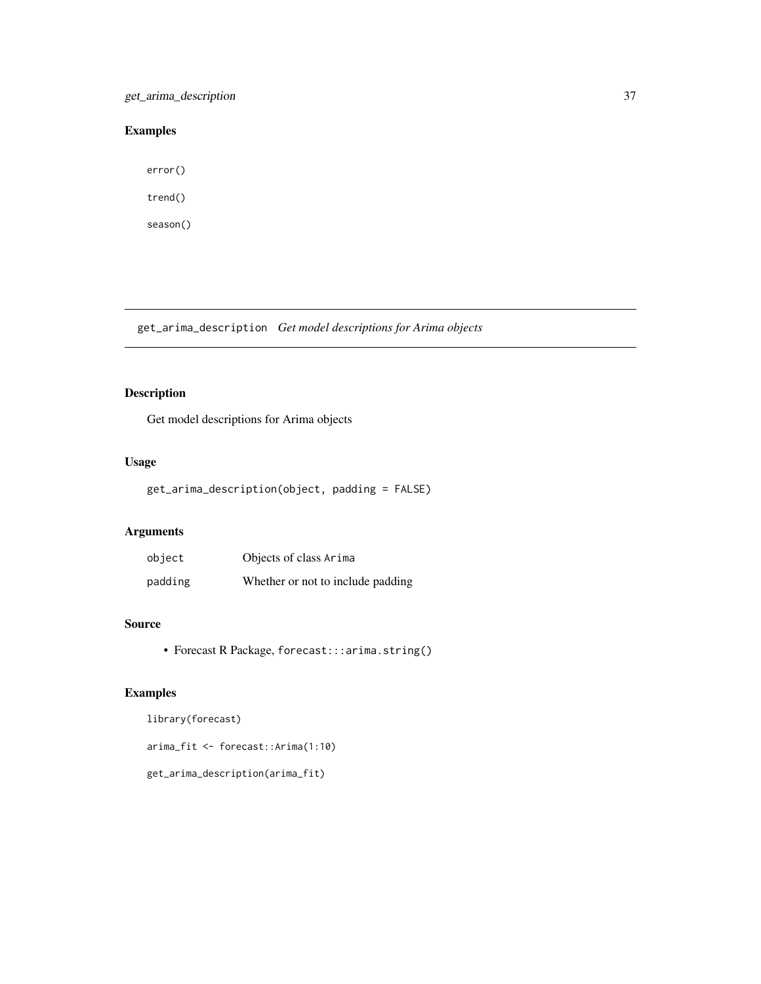get\_arima\_description 37

# Examples

error()

trend()

season()

get\_arima\_description *Get model descriptions for Arima objects*

# Description

Get model descriptions for Arima objects

# Usage

get\_arima\_description(object, padding = FALSE)

# Arguments

| object  | Objects of class Arima            |
|---------|-----------------------------------|
| padding | Whether or not to include padding |

# Source

• Forecast R Package, forecast:::arima.string()

# Examples

library(forecast)

arima\_fit <- forecast::Arima(1:10)

get\_arima\_description(arima\_fit)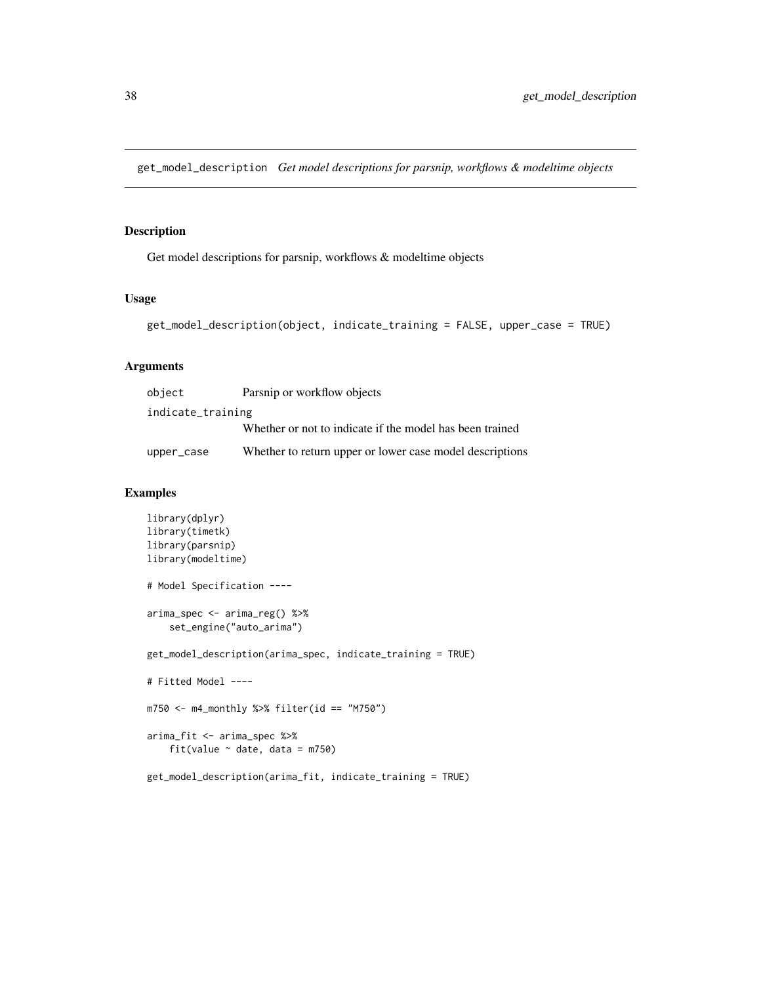get\_model\_description *Get model descriptions for parsnip, workflows & modeltime objects*

# Description

Get model descriptions for parsnip, workflows & modeltime objects

#### Usage

```
get_model_description(object, indicate_training = FALSE, upper_case = TRUE)
```
# Arguments

| object            | Parsnip or workflow objects                              |  |  |
|-------------------|----------------------------------------------------------|--|--|
| indicate_training |                                                          |  |  |
|                   | Whether or not to indicate if the model has been trained |  |  |
| upper_case        | Whether to return upper or lower case model descriptions |  |  |

```
library(dplyr)
library(timetk)
library(parsnip)
library(modeltime)
# Model Specification ----
arima_spec <- arima_reg() %>%
    set_engine("auto_arima")
get_model_description(arima_spec, indicate_training = TRUE)
# Fitted Model ----
m750 <- m4_monthly %>% filter(id == "M750")
arima_fit <- arima_spec %>%
    fit(value \sim date, data = m750)
get_model_description(arima_fit, indicate_training = TRUE)
```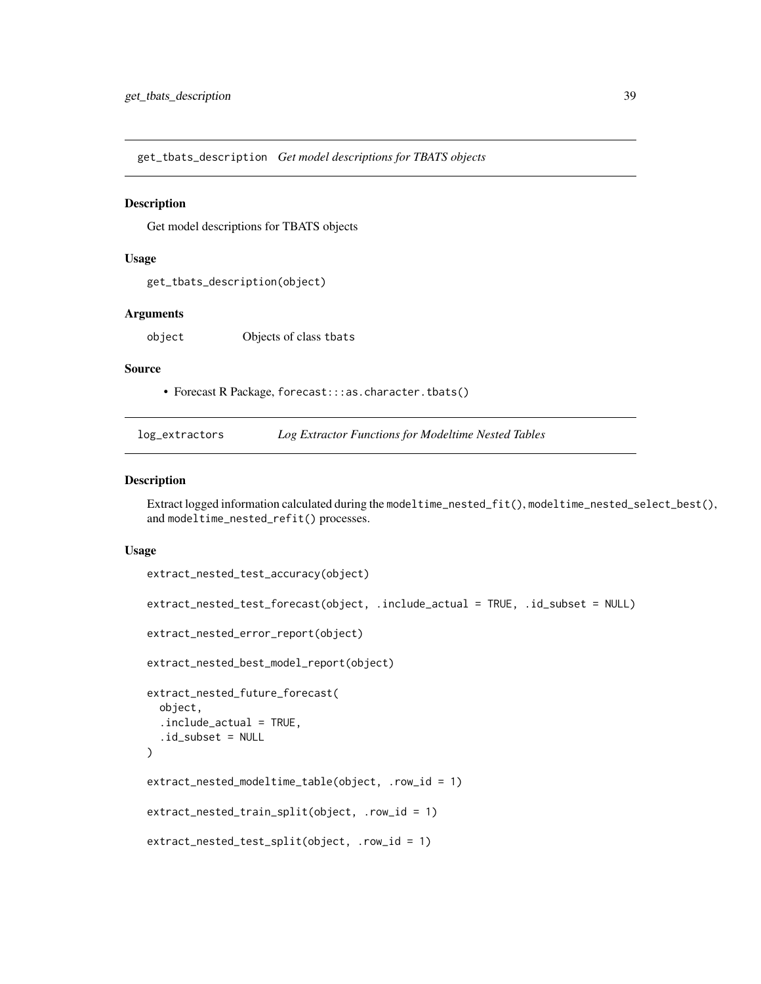get\_tbats\_description *Get model descriptions for TBATS objects*

## **Description**

Get model descriptions for TBATS objects

#### Usage

```
get_tbats_description(object)
```
#### Arguments

object Objects of class tbats

## Source

• Forecast R Package, forecast:::as.character.tbats()

| log_extractors |  | Log Extractor Functions for Modeltime Nested Tables |  |
|----------------|--|-----------------------------------------------------|--|
|----------------|--|-----------------------------------------------------|--|

## <span id="page-38-0"></span>Description

Extract logged information calculated during the modeltime\_nested\_fit(), modeltime\_nested\_select\_best(), and modeltime\_nested\_refit() processes.

#### Usage

```
extract_nested_test_accuracy(object)
extract_nested_test_forecast(object, .include_actual = TRUE, .id_subset = NULL)
extract_nested_error_report(object)
extract_nested_best_model_report(object)
extract_nested_future_forecast(
  object,
  .include_actual = TRUE,
  .id\_subset = NULL\mathcal{L}extract_nested_modeltime_table(object, .row_id = 1)
extract_nested_train_split(object, .row_id = 1)
extract_nested_test_split(object, .row_id = 1)
```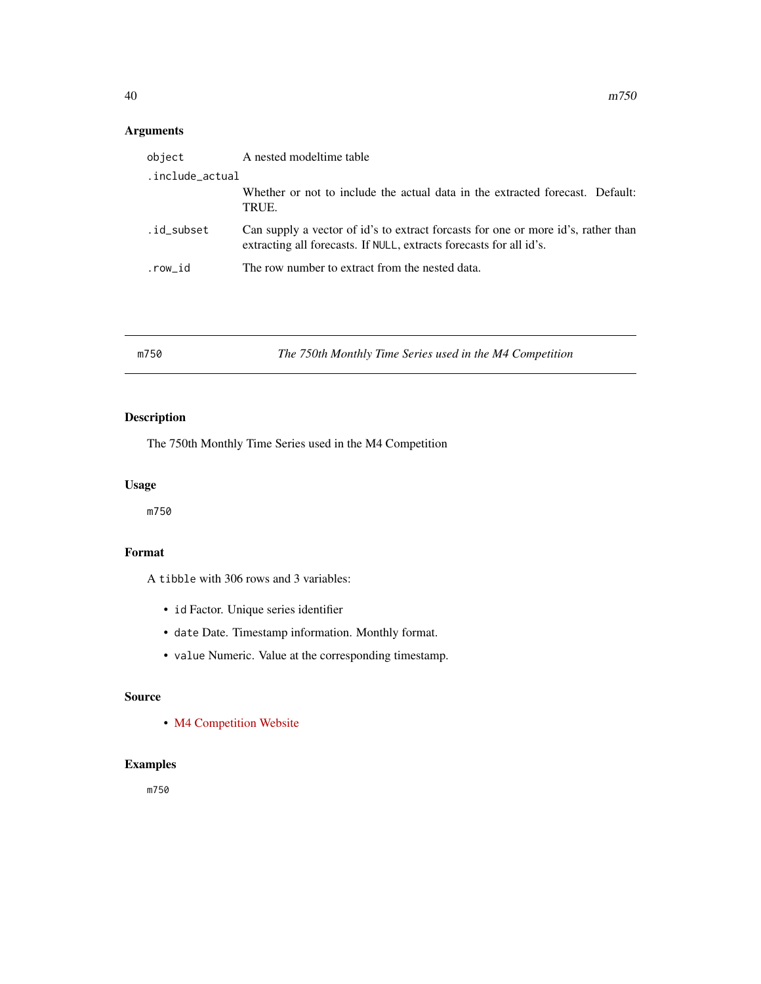# Arguments

| object          | A nested model time table                                                                                                                                |
|-----------------|----------------------------------------------------------------------------------------------------------------------------------------------------------|
| .include_actual |                                                                                                                                                          |
|                 | Whether or not to include the actual data in the extracted forecast. Default:<br>TRUE.                                                                   |
| .id subset      | Can supply a vector of id's to extract forcasts for one or more id's, rather than<br>extracting all forecasts. If NULL, extracts forecasts for all id's. |
| .row id         | The row number to extract from the nested data.                                                                                                          |

| The 750th Monthly Time Series used in the M4 Competition<br>m750 |
|------------------------------------------------------------------|
|------------------------------------------------------------------|

# Description

The 750th Monthly Time Series used in the M4 Competition

# Usage

m750

# Format

A tibble with 306 rows and 3 variables:

- id Factor. Unique series identifier
- date Date. Timestamp information. Monthly format.
- value Numeric. Value at the corresponding timestamp.

# Source

• [M4 Competition Website](https://mofc.unic.ac.cy/m4/)

# Examples

m750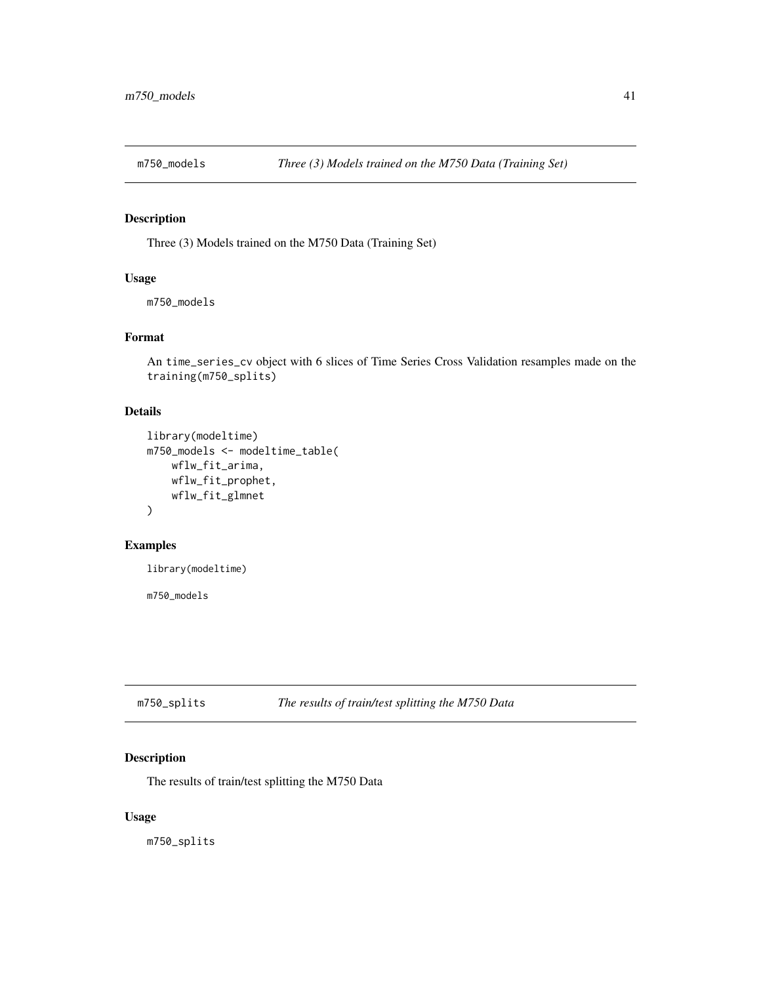# Description

Three (3) Models trained on the M750 Data (Training Set)

#### Usage

m750\_models

# Format

An time\_series\_cv object with 6 slices of Time Series Cross Validation resamples made on the training(m750\_splits)

## Details

```
library(modeltime)
m750_models <- modeltime_table(
   wflw_fit_arima,
   wflw_fit_prophet,
   wflw_fit_glmnet
)
```
# Examples

library(modeltime)

m750\_models

m750\_splits *The results of train/test splitting the M750 Data*

# Description

The results of train/test splitting the M750 Data

## Usage

m750\_splits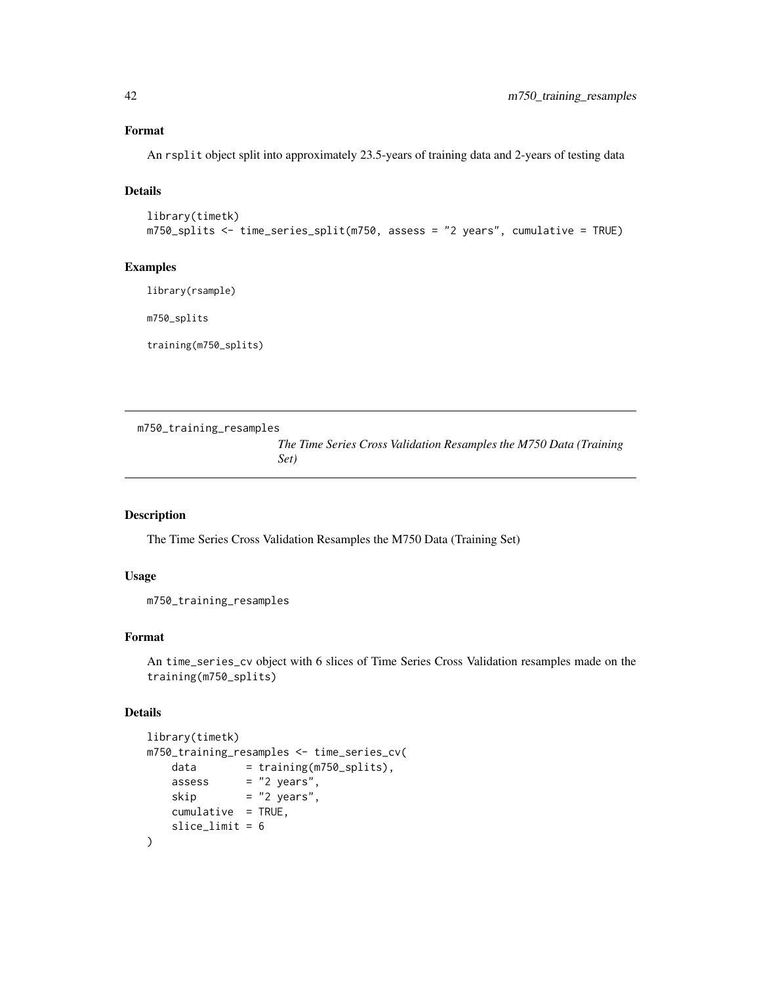# Format

An rsplit object split into approximately 23.5-years of training data and 2-years of testing data

# Details

```
library(timetk)
m750_splits <- time_series_split(m750, assess = "2 years", cumulative = TRUE)
```
## Examples

library(rsample)

m750\_splits

training(m750\_splits)

```
m750_training_resamples
```
*The Time Series Cross Validation Resamples the M750 Data (Training Set)*

#### Description

The Time Series Cross Validation Resamples the M750 Data (Training Set)

#### Usage

m750\_training\_resamples

# Format

An time\_series\_cv object with 6 slices of Time Series Cross Validation resamples made on the training(m750\_splits)

## Details

```
library(timetk)
m750_training_resamples <- time_series_cv(
   data = training(m750_splits),
   assess = "2 years",skip = "2 years",
   cumulative = TRUE,
   slice_limit = 6
)
```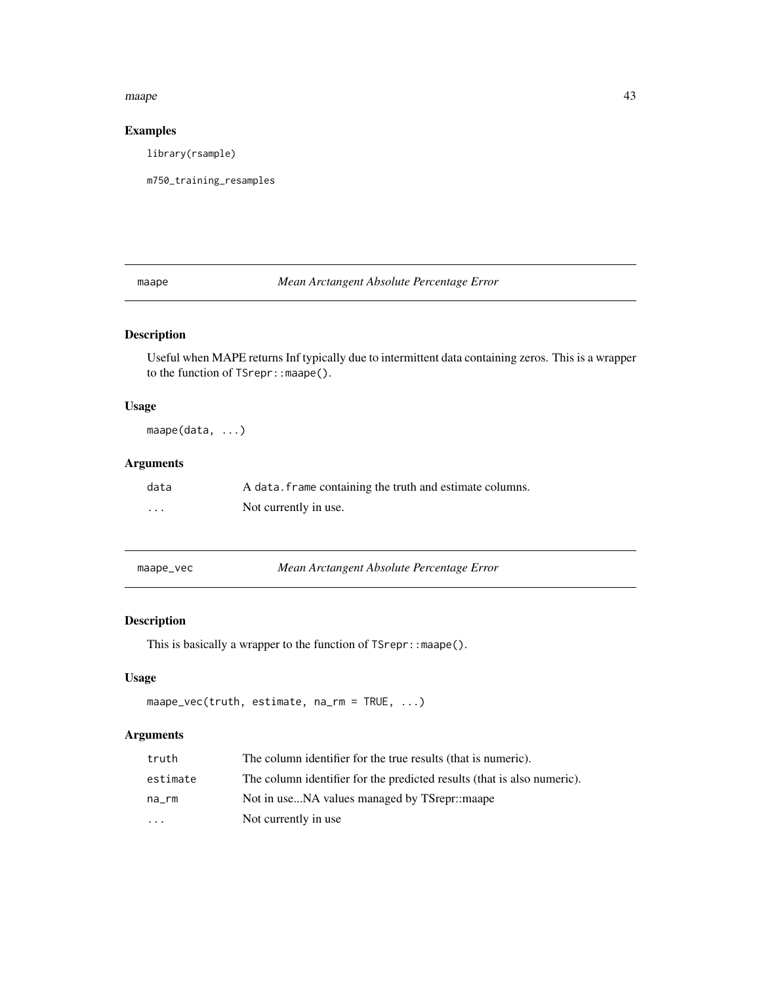#### maape aan aan die 13de eeu n.C. In 1918 het 1918 was die 1918 n.C. 1920 was die 1918 n.C. 1920 was die 1918 n.C. 19<br>Gebeure

# Examples

library(rsample)

m750\_training\_resamples

<span id="page-42-0"></span>maape *Mean Arctangent Absolute Percentage Error*

# Description

Useful when MAPE returns Inf typically due to intermittent data containing zeros. This is a wrapper to the function of TSrepr:: maape().

# Usage

maape(data, ...)

# Arguments

| data | A data. Frame containing the truth and estimate columns. |
|------|----------------------------------------------------------|
| .    | Not currently in use.                                    |

maape\_vec *Mean Arctangent Absolute Percentage Error*

# Description

This is basically a wrapper to the function of TSrepr:: maape().

# Usage

```
maape_vec(truth, estimate, na_rm = TRUE, ...)
```
# Arguments

| truth     | The column identifier for the true results (that is numeric).           |
|-----------|-------------------------------------------------------------------------|
| estimate  | The column identifier for the predicted results (that is also numeric). |
| na rm     | Not in useNA values managed by TSrepr::maape                            |
| $\ddotsc$ | Not currently in use                                                    |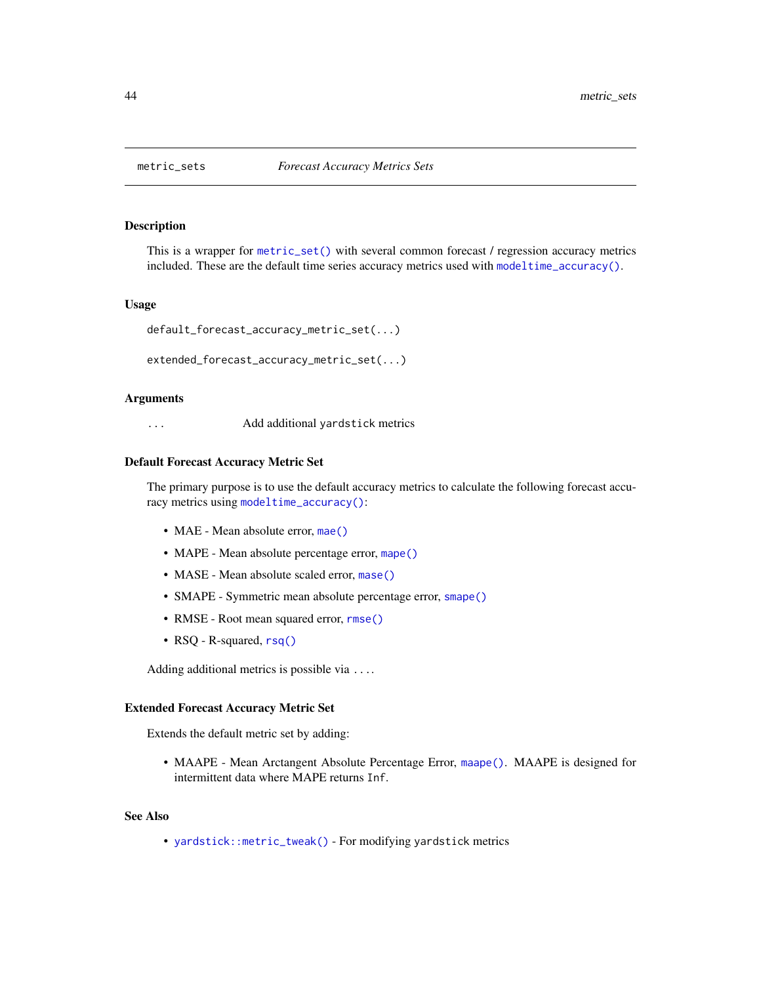#### <span id="page-43-0"></span>Description

This is a wrapper for [metric\\_set\(\)](#page-0-0) with several common forecast / regression accuracy metrics included. These are the default time series accuracy metrics used with [modeltime\\_accuracy\(\)](#page-44-0).

#### Usage

```
default_forecast_accuracy_metric_set(...)
```

```
extended_forecast_accuracy_metric_set(...)
```
#### Arguments

... Add additional yardstick metrics

#### Default Forecast Accuracy Metric Set

The primary purpose is to use the default accuracy metrics to calculate the following forecast accuracy metrics using [modeltime\\_accuracy\(\)](#page-44-0):

- MAE Mean absolute error, [mae\(\)](#page-0-0)
- MAPE Mean absolute percentage error, [mape\(\)](#page-0-0)
- MASE Mean absolute scaled error, [mase\(\)](#page-0-0)
- SMAPE Symmetric mean absolute percentage error, [smape\(\)](#page-0-0)
- RMSE Root mean squared error, [rmse\(\)](#page-0-0)
- RSQ R-squared, [rsq\(\)](#page-0-0)

Adding additional metrics is possible via ....

#### Extended Forecast Accuracy Metric Set

Extends the default metric set by adding:

• MAAPE - Mean Arctangent Absolute Percentage Error, [maape\(\)](#page-42-0). MAAPE is designed for intermittent data where MAPE returns Inf.

## See Also

• [yardstick::metric\\_tweak\(\)](#page-0-0) - For modifying yardstick metrics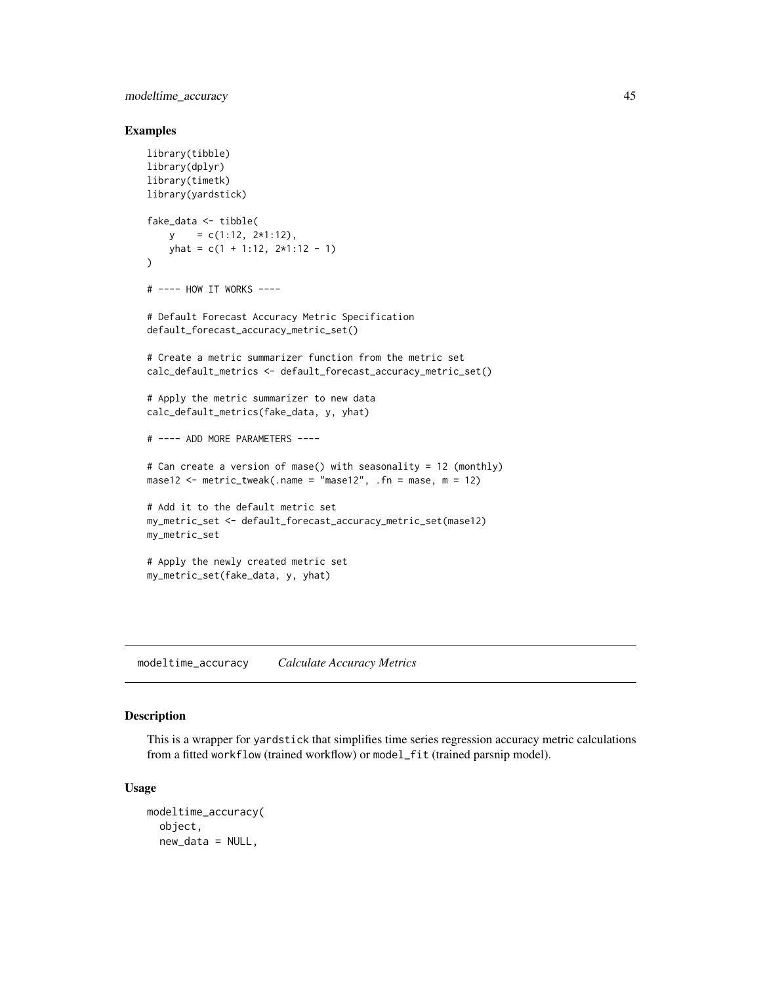modeltime\_accuracy 45

## Examples

```
library(tibble)
library(dplyr)
library(timetk)
library(yardstick)
fake_data <- tibble(
   y = c(1:12, 2*1:12),
   yhat = c(1 + 1:12, 2*1:12 - 1))
# ---- HOW IT WORKS ----
# Default Forecast Accuracy Metric Specification
default_forecast_accuracy_metric_set()
# Create a metric summarizer function from the metric set
calc_default_metrics <- default_forecast_accuracy_metric_set()
# Apply the metric summarizer to new data
calc_default_metrics(fake_data, y, yhat)
# ---- ADD MORE PARAMETERS ----
# Can create a version of mase() with seasonality = 12 (monthly)
mase12 \le metric_tweak(.name = "mase12", .fn = mase, m = 12)
# Add it to the default metric set
my_metric_set <- default_forecast_accuracy_metric_set(mase12)
my_metric_set
# Apply the newly created metric set
my_metric_set(fake_data, y, yhat)
```
<span id="page-44-0"></span>modeltime\_accuracy *Calculate Accuracy Metrics*

# Description

This is a wrapper for yardstick that simplifies time series regression accuracy metric calculations from a fitted workflow (trained workflow) or model\_fit (trained parsnip model).

#### Usage

```
modeltime_accuracy(
 object,
 new_data = NULL,
```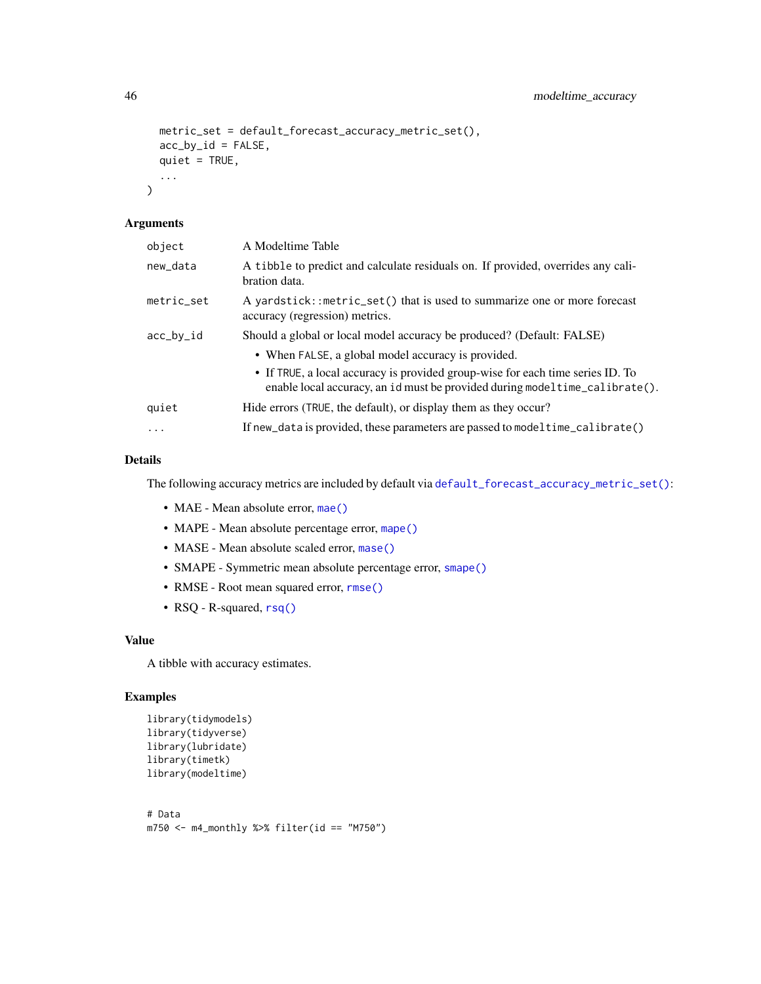```
metric_set = default_forecast_accuracy_metric_set(),
acc_by_id = FALSE,quiet = TRUE,
...
```
# Arguments

 $\mathcal{L}$ 

| object     | A Modeltime Table                                                                                                                                                                                                    |
|------------|----------------------------------------------------------------------------------------------------------------------------------------------------------------------------------------------------------------------|
| new_data   | A tibble to predict and calculate residuals on. If provided, overrides any cali-<br>bration data.                                                                                                                    |
| metric_set | A yardstick::metric_set() that is used to summarize one or more forecast<br>accuracy (regression) metrics.                                                                                                           |
| acc_by_id  | Should a global or local model accuracy be produced? (Default: FALSE)                                                                                                                                                |
|            | • When FALSE, a global model accuracy is provided.<br>• If TRUE, a local accuracy is provided group-wise for each time series ID. To<br>enable local accuracy, an id must be provided during model time_calibrate(). |
| quiet      | Hide errors (TRUE, the default), or display them as they occur?                                                                                                                                                      |
| $\cdots$   | If new_data is provided, these parameters are passed to modeltime_calibrate()                                                                                                                                        |

# Details

The following accuracy metrics are included by default via [default\\_forecast\\_accuracy\\_metric\\_set\(\)](#page-43-0):

- MAE Mean absolute error, [mae\(\)](#page-0-0)
- MAPE Mean absolute percentage error, [mape\(\)](#page-0-0)
- MASE Mean absolute scaled error, [mase\(\)](#page-0-0)
- SMAPE Symmetric mean absolute percentage error, [smape\(\)](#page-0-0)
- RMSE Root mean squared error, [rmse\(\)](#page-0-0)
- RSQ R-squared, [rsq\(\)](#page-0-0)

## Value

A tibble with accuracy estimates.

```
library(tidymodels)
library(tidyverse)
library(lubridate)
library(timetk)
library(modeltime)
```

```
# Data
m750 < - m4_monthly %>% filter(id == "M750")
```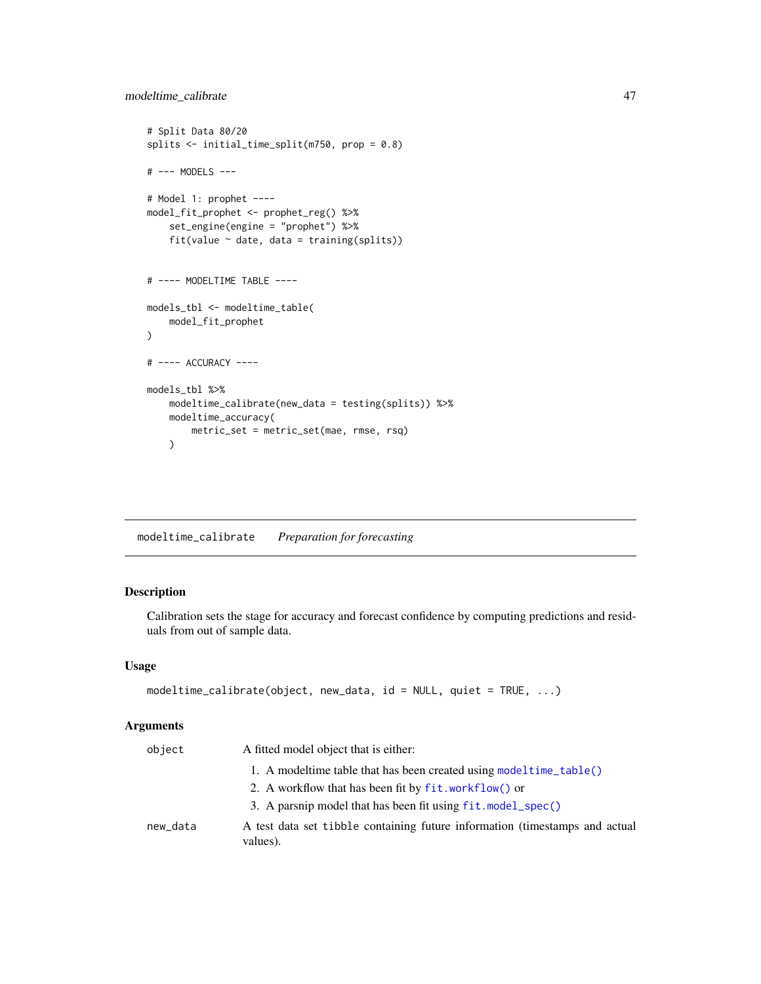```
# Split Data 80/20
splits <- initial_time_split(m750, prop = 0.8)
# --- MODELS ---
# Model 1: prophet ----
model_fit_prophet <- prophet_reg() %>%
    set_engine(engine = "prophet") %>%
   fit(value \sim date, data = training(splits))
# ---- MODELTIME TABLE ----
models_tbl <- modeltime_table(
   model_fit_prophet
)
# ---- ACCURACY ----
models_tbl %>%
   modeltime_calibrate(new_data = testing(splits)) %>%
   modeltime_accuracy(
       metric_set = metric_set(mae, rmse, rsq)
   )
```
<span id="page-46-0"></span>modeltime\_calibrate *Preparation for forecasting*

# Description

Calibration sets the stage for accuracy and forecast confidence by computing predictions and residuals from out of sample data.

#### Usage

```
modeltime_calibrate(object, new_data, id = NULL, quiet = TRUE, ...)
```
## Arguments

| object   | A fitted model object that is either:                                                   |
|----------|-----------------------------------------------------------------------------------------|
|          | 1. A modeltime table that has been created using model time $table()$                   |
|          | 2. A workflow that has been fit by fit. workflow() or                                   |
|          | 3. A parsnip model that has been fit using fit. model_spec()                            |
| new_data | A test data set tibble containing future information (timestamps and actual<br>values). |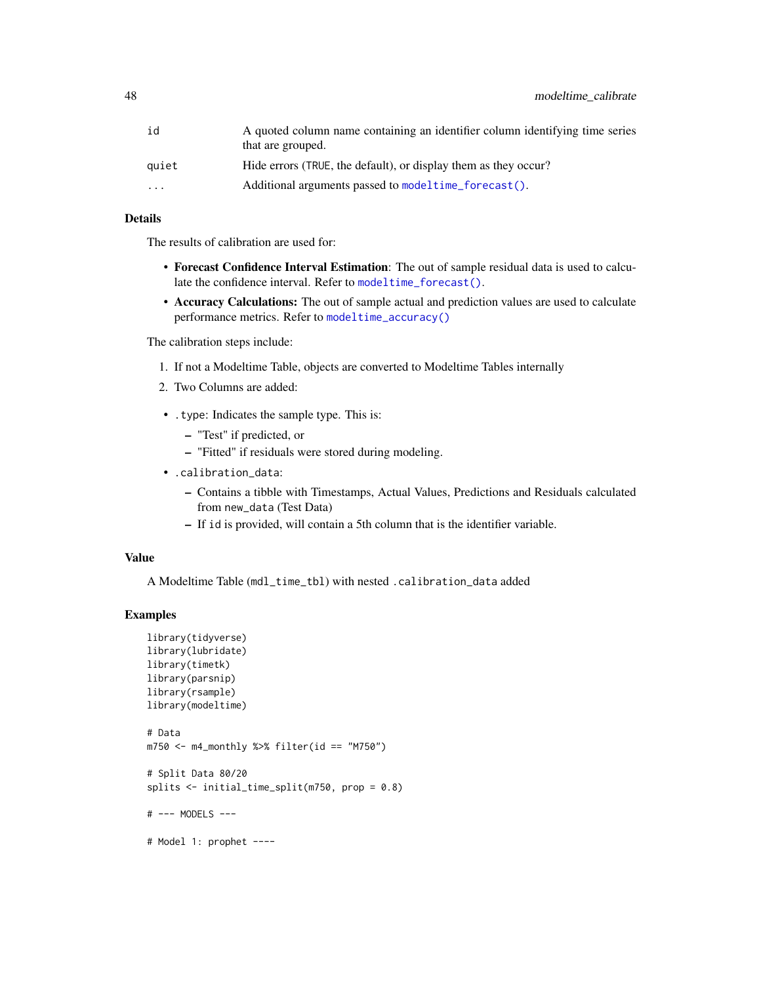| id        | A quoted column name containing an identifier column identifying time series<br>that are grouped. |
|-----------|---------------------------------------------------------------------------------------------------|
| auiet     | Hide errors (TRUE, the default), or display them as they occur?                                   |
| $\ddotsc$ | Additional arguments passed to modeltime forecast().                                              |
|           |                                                                                                   |

# Details

The results of calibration are used for:

- Forecast Confidence Interval Estimation: The out of sample residual data is used to calculate the confidence interval. Refer to [modeltime\\_forecast\(\)](#page-50-0).
- Accuracy Calculations: The out of sample actual and prediction values are used to calculate performance metrics. Refer to [modeltime\\_accuracy\(\)](#page-44-0)

The calibration steps include:

- 1. If not a Modeltime Table, objects are converted to Modeltime Tables internally
- 2. Two Columns are added:
- .type: Indicates the sample type. This is:
	- "Test" if predicted, or
	- "Fitted" if residuals were stored during modeling.
- .calibration\_data:
	- Contains a tibble with Timestamps, Actual Values, Predictions and Residuals calculated from new\_data (Test Data)
	- If id is provided, will contain a 5th column that is the identifier variable.

# Value

A Modeltime Table (mdl\_time\_tbl) with nested .calibration\_data added

```
library(tidyverse)
library(lubridate)
library(timetk)
library(parsnip)
library(rsample)
library(modeltime)
# Data
m750 <- m4_monthly %>% filter(id == "M750")
# Split Data 80/20
splits <- initial_time_split(m750, prop = 0.8)
# --- MODELS ---
# Model 1: prophet ----
```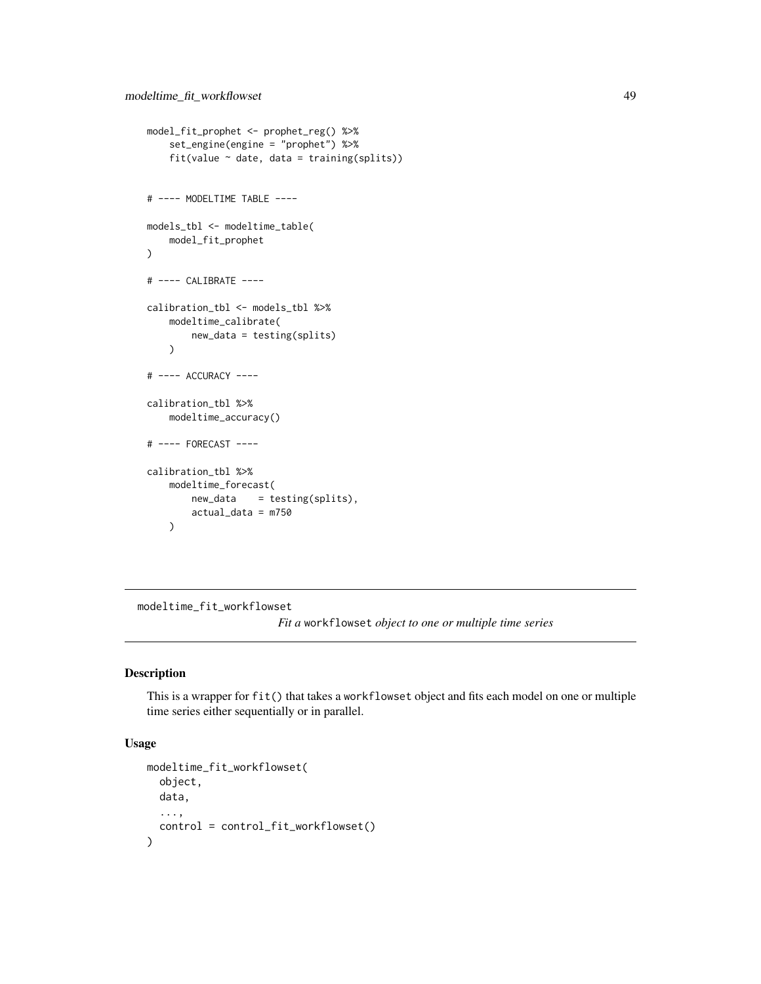```
model_fit_prophet <- prophet_reg() %>%
    set_engine(engine = "prophet") %>%
    fit(value \sim date, data = training(splits))
# ---- MODELTIME TABLE ----
models_tbl <- modeltime_table(
   model_fit_prophet
\lambda# ---- CALIBRATE ----
calibration_tbl <- models_tbl %>%
    modeltime_calibrate(
        new_data = testing(splits)
    \lambda# ---- ACCURACY ----
calibration_tbl %>%
   modeltime_accuracy()
# ---- FORECAST ----
calibration_tbl %>%
   modeltime_forecast(
       new_data = testing(splits),
        actual_data = m750
   )
```
modeltime\_fit\_workflowset

*Fit a* workflowset *object to one or multiple time series*

## Description

This is a wrapper for fit() that takes a workflowset object and fits each model on one or multiple time series either sequentially or in parallel.

# Usage

```
modeltime_fit_workflowset(
 object,
 data,
  ...,
  control = control_fit_workflowset()
)
```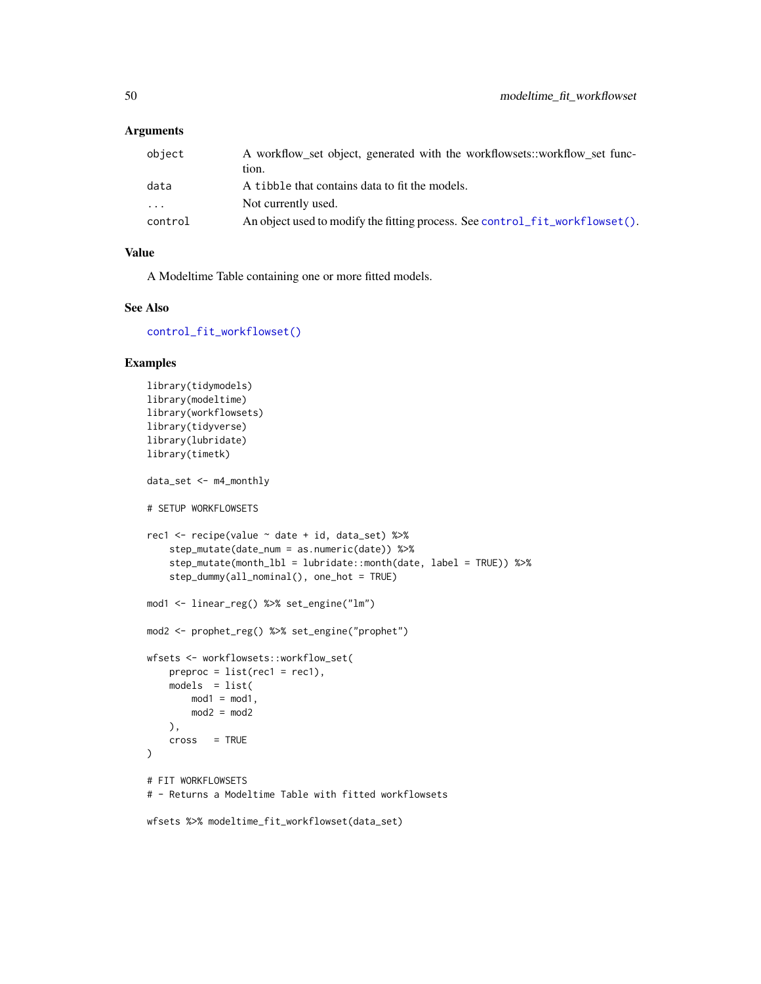## Arguments

| A workflow_set object, generated with the workflowsets::workflow_set func-   |
|------------------------------------------------------------------------------|
| tion.                                                                        |
| A tibble that contains data to fit the models.                               |
| Not currently used.                                                          |
| An object used to modify the fitting process. See control fit workflowset(). |
|                                                                              |

# Value

A Modeltime Table containing one or more fitted models.

## See Also

[control\\_fit\\_workflowset\(\)](#page-23-0)

```
library(tidymodels)
library(modeltime)
library(workflowsets)
library(tidyverse)
library(lubridate)
library(timetk)
data_set <- m4_monthly
# SETUP WORKFLOWSETS
rec1 <- recipe(value ~ date + id, data_set) %>%
    step_mutate(date_num = as.numeric(date)) %>%
    step_mutate(month_lbl = lubridate::month(date, label = TRUE)) %>%
    step_dummy(all_nominal(), one_hot = TRUE)
mod1 <- linear_reg() %>% set_engine("lm")
mod2 <- prophet_reg() %>% set_engine("prophet")
wfsets <- workflowsets::workflow_set(
   preproc = list(rec1 = rec1),models = list(mod1 = mod1,
       mod2 = mod2),
    cross = TRUE
\mathcal{L}# FIT WORKFLOWSETS
# - Returns a Modeltime Table with fitted workflowsets
wfsets %>% modeltime_fit_workflowset(data_set)
```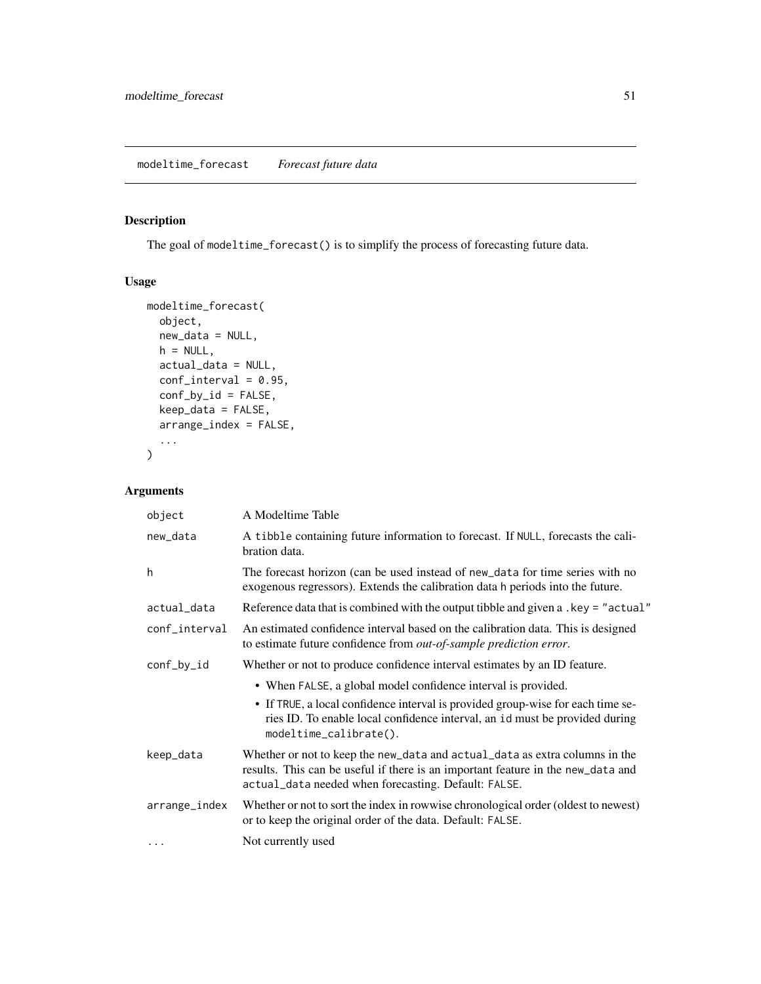# <span id="page-50-0"></span>Description

The goal of modeltime\_forecast() is to simplify the process of forecasting future data.

# Usage

```
modeltime_forecast(
 object,
 new_data = NULL,
 h = NULL,
 actual_data = NULL,
 conf_interval = 0.95,
 conf_by_id = FALSE,
 keep_data = FALSE,
 arrange_index = FALSE,
  ...
)
```
# Arguments

| object        | A Modeltime Table                                                                                                                                                                                                                                         |
|---------------|-----------------------------------------------------------------------------------------------------------------------------------------------------------------------------------------------------------------------------------------------------------|
| new_data      | A tibble containing future information to forecast. If NULL, forecasts the cali-<br>bration data.                                                                                                                                                         |
| h             | The forecast horizon (can be used instead of new_data for time series with no<br>exogenous regressors). Extends the calibration data h periods into the future.                                                                                           |
| actual_data   | Reference data that is combined with the output tibble and given a .key = "actual"                                                                                                                                                                        |
| conf_interval | An estimated confidence interval based on the calibration data. This is designed<br>to estimate future confidence from out-of-sample prediction error.                                                                                                    |
| conf_by_id    | Whether or not to produce confidence interval estimates by an ID feature.                                                                                                                                                                                 |
|               | • When FALSE, a global model confidence interval is provided.<br>• If TRUE, a local confidence interval is provided group-wise for each time se-<br>ries ID. To enable local confidence interval, an id must be provided during<br>modeltime_calibrate(). |
| keep_data     | Whether or not to keep the new_data and actual_data as extra columns in the<br>results. This can be useful if there is an important feature in the new_data and<br>actual_data needed when forecasting. Default: FALSE.                                   |
| arrange_index | Whether or not to sort the index in rowwise chronological order (oldest to newest)<br>or to keep the original order of the data. Default: FALSE.                                                                                                          |
| $\cdots$      | Not currently used                                                                                                                                                                                                                                        |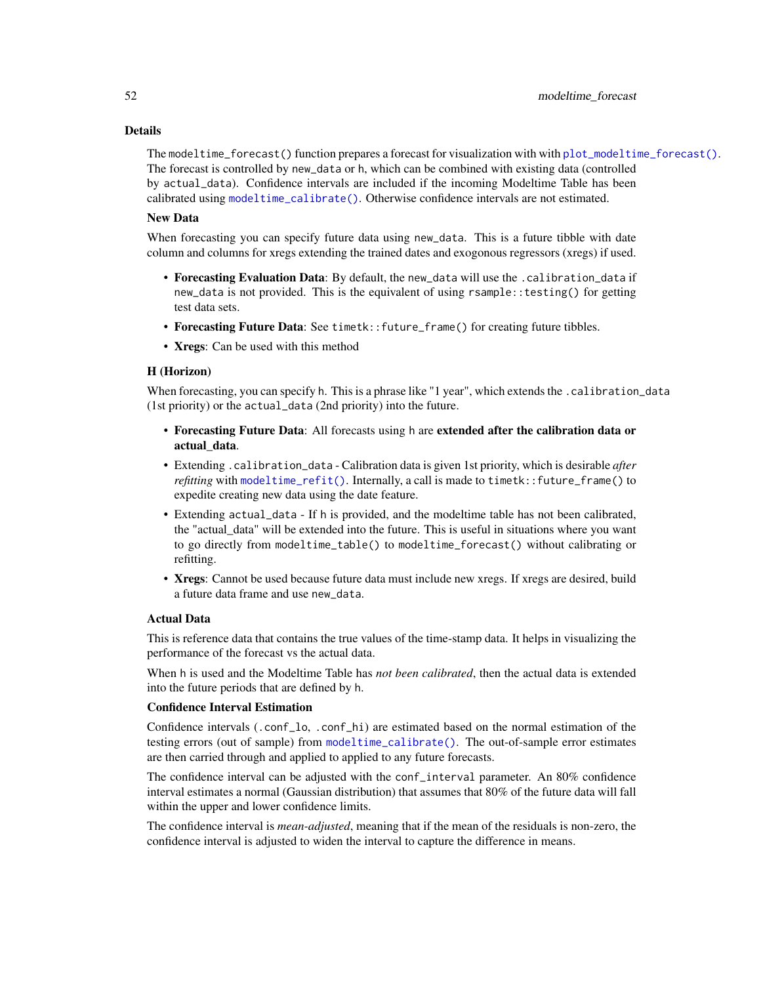# Details

The modeltime\_forecast() function prepares a forecast for visualization with with [plot\\_modeltime\\_forecast\(\)](#page-76-0). The forecast is controlled by new\_data or h, which can be combined with existing data (controlled by actual\_data). Confidence intervals are included if the incoming Modeltime Table has been calibrated using [modeltime\\_calibrate\(\)](#page-46-0). Otherwise confidence intervals are not estimated.

# New Data

When forecasting you can specify future data using new\_data. This is a future tibble with date column and columns for xregs extending the trained dates and exogonous regressors (xregs) if used.

- Forecasting Evaluation Data: By default, the new\_data will use the .calibration\_data if new\_data is not provided. This is the equivalent of using rsample::testing() for getting test data sets.
- Forecasting Future Data: See timetk::future\_frame() for creating future tibbles.
- Xregs: Can be used with this method

## H (Horizon)

When forecasting, you can specify h. This is a phrase like "1 year", which extends the .calibration\_data (1st priority) or the actual\_data (2nd priority) into the future.

- Forecasting Future Data: All forecasts using h are extended after the calibration data or actual\_data.
- Extending .calibration\_data Calibration data is given 1st priority, which is desirable *after refitting* with [modeltime\\_refit\(\)](#page-58-0). Internally, a call is made to timetk::future\_frame() to expedite creating new data using the date feature.
- Extending actual\_data If h is provided, and the modeltime table has not been calibrated, the "actual\_data" will be extended into the future. This is useful in situations where you want to go directly from modeltime\_table() to modeltime\_forecast() without calibrating or refitting.
- Xregs: Cannot be used because future data must include new xregs. If xregs are desired, build a future data frame and use new\_data.

# Actual Data

This is reference data that contains the true values of the time-stamp data. It helps in visualizing the performance of the forecast vs the actual data.

When h is used and the Modeltime Table has *not been calibrated*, then the actual data is extended into the future periods that are defined by h.

#### Confidence Interval Estimation

Confidence intervals (.conf\_lo, .conf\_hi) are estimated based on the normal estimation of the testing errors (out of sample) from [modeltime\\_calibrate\(\)](#page-46-0). The out-of-sample error estimates are then carried through and applied to applied to any future forecasts.

The confidence interval can be adjusted with the conf\_interval parameter. An 80% confidence interval estimates a normal (Gaussian distribution) that assumes that 80% of the future data will fall within the upper and lower confidence limits.

The confidence interval is *mean-adjusted*, meaning that if the mean of the residuals is non-zero, the confidence interval is adjusted to widen the interval to capture the difference in means.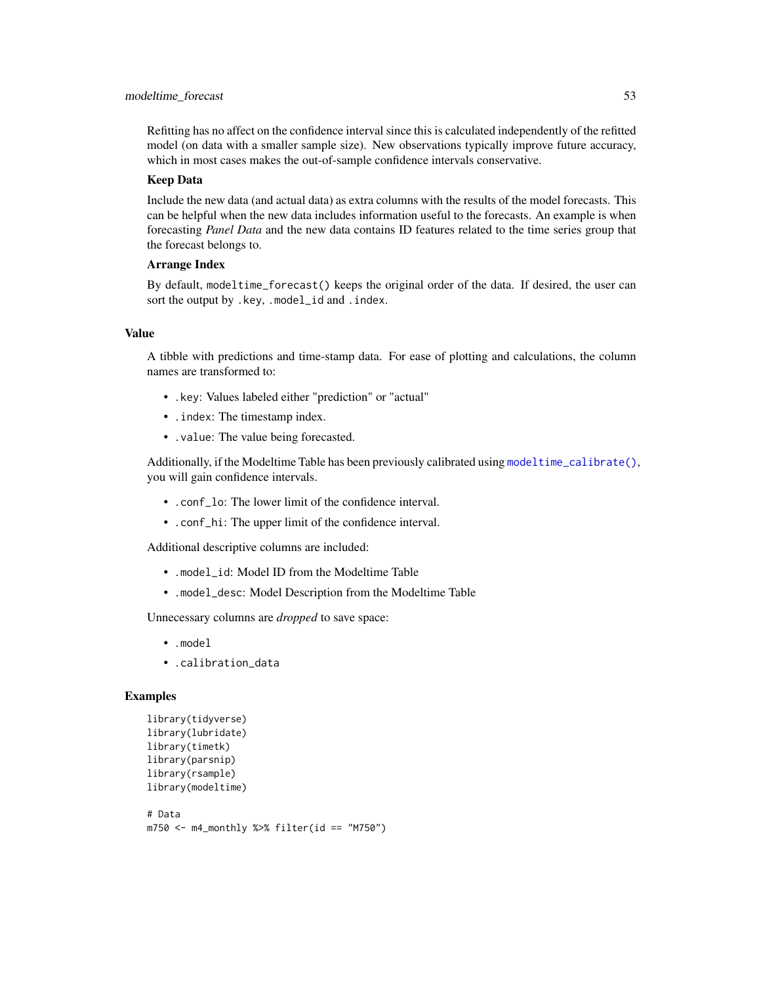#### modeltime\_forecast 53

Refitting has no affect on the confidence interval since this is calculated independently of the refitted model (on data with a smaller sample size). New observations typically improve future accuracy, which in most cases makes the out-of-sample confidence intervals conservative.

## Keep Data

Include the new data (and actual data) as extra columns with the results of the model forecasts. This can be helpful when the new data includes information useful to the forecasts. An example is when forecasting *Panel Data* and the new data contains ID features related to the time series group that the forecast belongs to.

## Arrange Index

By default, modeltime\_forecast() keeps the original order of the data. If desired, the user can sort the output by .key, .model\_id and .index.

#### Value

A tibble with predictions and time-stamp data. For ease of plotting and calculations, the column names are transformed to:

- .key: Values labeled either "prediction" or "actual"
- .index: The timestamp index.
- .value: The value being forecasted.

Additionally, if the Modeltime Table has been previously calibrated using [modeltime\\_calibrate\(\)](#page-46-0), you will gain confidence intervals.

- .conf lo: The lower limit of the confidence interval.
- .conf\_hi: The upper limit of the confidence interval.

Additional descriptive columns are included:

- .model\_id: Model ID from the Modeltime Table
- .model\_desc: Model Description from the Modeltime Table

Unnecessary columns are *dropped* to save space:

- .model
- .calibration\_data

```
library(tidyverse)
library(lubridate)
library(timetk)
library(parsnip)
library(rsample)
library(modeltime)
```

```
# Data
m750 <- m4_monthly %>% filter(id == "M750")
```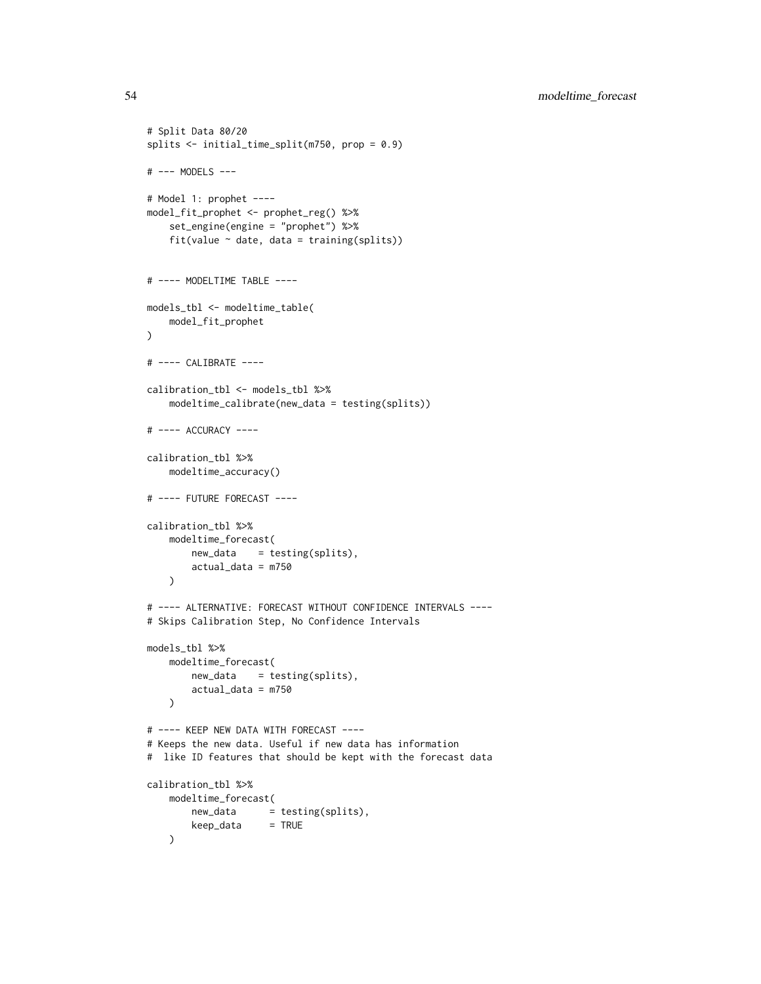```
# Split Data 80/20
splits <- initial_time_split(m750, prop = 0.9)
# --- MODELS ---
# Model 1: prophet ----
model_fit_prophet <- prophet_reg() %>%
    set_engine(engine = "prophet") %>%
   fit(value \sim date, data = training(splits))
# ---- MODELTIME TABLE ----
models_tbl <- modeltime_table(
   model_fit_prophet
\lambda# ---- CALIBRATE ----
calibration_tbl <- models_tbl %>%
   modeltime_calibrate(new_data = testing(splits))
# ---- ACCURACY ----
calibration_tbl %>%
    modeltime_accuracy()
# ---- FUTURE FORECAST ----
calibration_tbl %>%
   modeltime_forecast(
       new_data = testing(splits),
       actual_data = m750
   \lambda# ---- ALTERNATIVE: FORECAST WITHOUT CONFIDENCE INTERVALS ----
# Skips Calibration Step, No Confidence Intervals
models_tbl %>%
   modeltime_forecast(
       new_data = testing(splits),
       actual_data = m750
   )
# ---- KEEP NEW DATA WITH FORECAST ----
# Keeps the new data. Useful if new data has information
# like ID features that should be kept with the forecast data
calibration_tbl %>%
   modeltime_forecast(
       new_data = testing(splits),
       keep_data = TRUE
    \lambda
```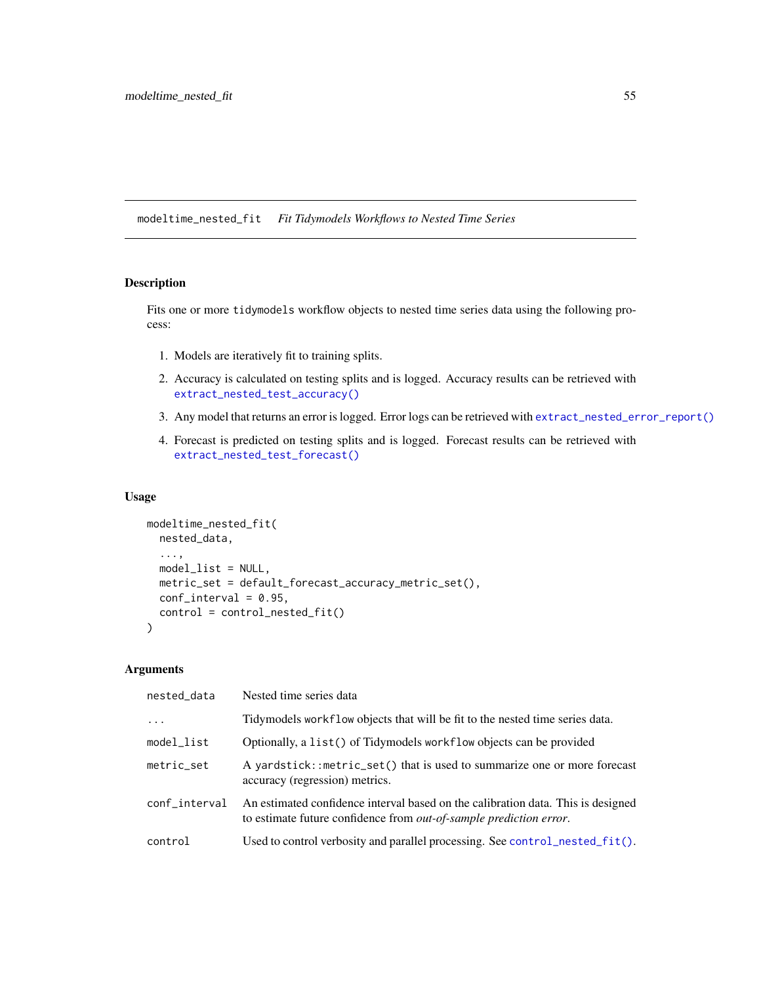modeltime\_nested\_fit *Fit Tidymodels Workflows to Nested Time Series*

# Description

Fits one or more tidymodels workflow objects to nested time series data using the following process:

- 1. Models are iteratively fit to training splits.
- 2. Accuracy is calculated on testing splits and is logged. Accuracy results can be retrieved with [extract\\_nested\\_test\\_accuracy\(\)](#page-38-0)
- 3. Any model that returns an error is logged. Error logs can be retrieved with [extract\\_nested\\_error\\_report\(\)](#page-38-0)
- 4. Forecast is predicted on testing splits and is logged. Forecast results can be retrieved with [extract\\_nested\\_test\\_forecast\(\)](#page-38-0)

## Usage

```
modeltime_nested_fit(
 nested_data,
  ...,
 model_list = NULL,
 metric_set = default_forecast_accuracy_metric_set(),
 conf_interval = 0.95,
 control = control_nested_fit()
)
```
# Arguments

| nested_data   | Nested time series data                                                                                                                                        |
|---------------|----------------------------------------------------------------------------------------------------------------------------------------------------------------|
| $\ddots$ .    | Tidymodels workflow objects that will be fit to the nested time series data.                                                                                   |
| model_list    | Optionally, a list() of Tidymodels workflow objects can be provided                                                                                            |
| metric_set    | A yardstick::metric_set() that is used to summarize one or more forecast<br>accuracy (regression) metrics.                                                     |
| conf_interval | An estimated confidence interval based on the calibration data. This is designed<br>to estimate future confidence from <i>out-of-sample prediction error</i> . |
| control       | Used to control verbosity and parallel processing. See control_nested_fit().                                                                                   |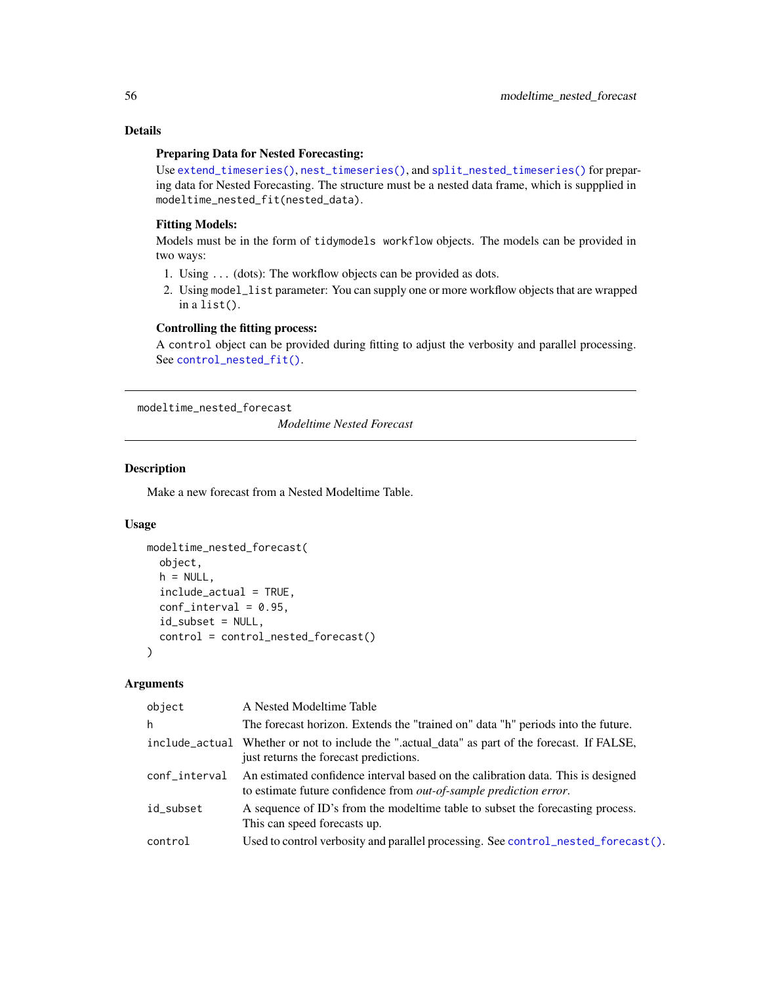# Details

## Preparing Data for Nested Forecasting:

Use [extend\\_timeseries\(\)](#page-81-0), [nest\\_timeseries\(\)](#page-81-0), and [split\\_nested\\_timeseries\(\)](#page-81-0) for preparing data for Nested Forecasting. The structure must be a nested data frame, which is suppplied in modeltime\_nested\_fit(nested\_data).

# Fitting Models:

Models must be in the form of tidymodels workflow objects. The models can be provided in two ways:

- 1. Using ... (dots): The workflow objects can be provided as dots.
- 2. Using model\_list parameter: You can supply one or more workflow objects that are wrapped in a list().

# Controlling the fitting process:

A control object can be provided during fitting to adjust the verbosity and parallel processing. See [control\\_nested\\_fit\(\)](#page-23-0).

modeltime\_nested\_forecast

*Modeltime Nested Forecast*

## Description

Make a new forecast from a Nested Modeltime Table.

#### Usage

```
modeltime_nested_forecast(
  object,
  h = NULL,
  include_actual = TRUE,
  conf_interestval = 0.95,
  id_subset = NULL,
  control = control_nested_forecast()
)
```
# Arguments

| object        | A Nested Modeltime Table                                                                                                                                       |
|---------------|----------------------------------------------------------------------------------------------------------------------------------------------------------------|
| h             | The forecast horizon. Extends the "trained on" data "h" periods into the future.                                                                               |
|               | include_actual Whether or not to include the ".actual_data" as part of the forecast. If FALSE,<br>just returns the forecast predictions.                       |
| conf_interval | An estimated confidence interval based on the calibration data. This is designed<br>to estimate future confidence from <i>out-of-sample prediction error</i> . |
| id subset     | A sequence of ID's from the model time table to subset the forecasting process.<br>This can speed forecasts up.                                                |
| control       | Used to control verbosity and parallel processing. See control_nested_forecast().                                                                              |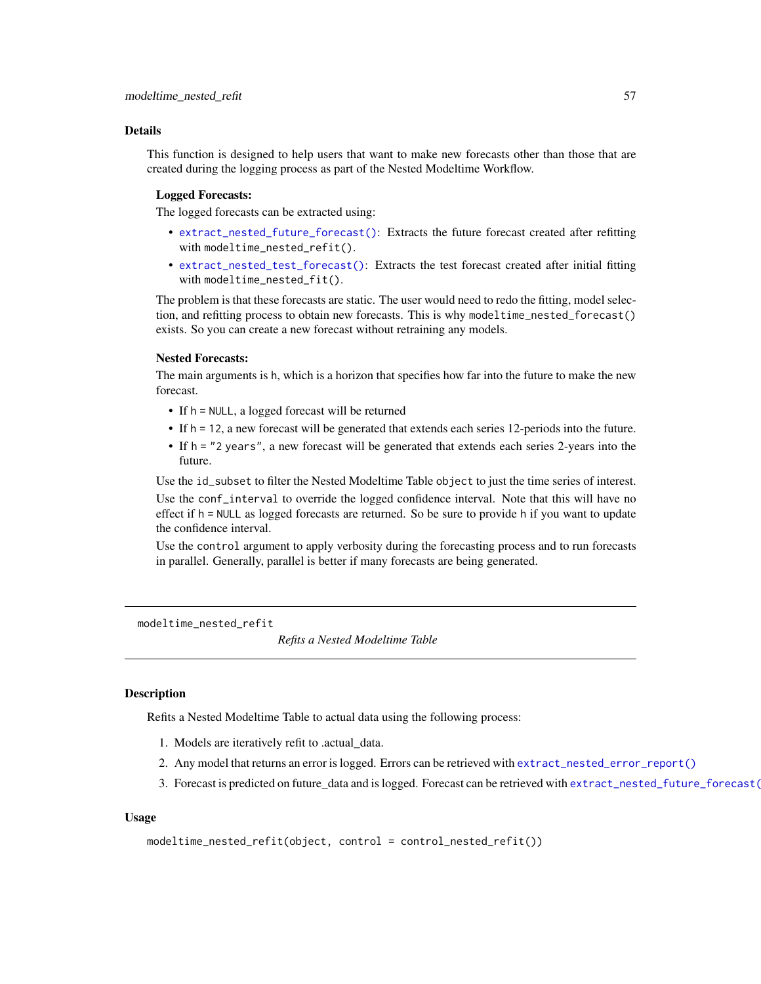#### Details

This function is designed to help users that want to make new forecasts other than those that are created during the logging process as part of the Nested Modeltime Workflow.

## Logged Forecasts:

The logged forecasts can be extracted using:

- [extract\\_nested\\_future\\_forecast\(\)](#page-38-0): Extracts the future forecast created after refitting with modeltime\_nested\_refit().
- [extract\\_nested\\_test\\_forecast\(\)](#page-38-0): Extracts the test forecast created after initial fitting with modeltime\_nested\_fit().

The problem is that these forecasts are static. The user would need to redo the fitting, model selection, and refitting process to obtain new forecasts. This is why modeltime\_nested\_forecast() exists. So you can create a new forecast without retraining any models.

## Nested Forecasts:

The main arguments is h, which is a horizon that specifies how far into the future to make the new forecast.

- If h = NULL, a logged forecast will be returned
- If h = 12, a new forecast will be generated that extends each series 12-periods into the future.
- If h = "2 years", a new forecast will be generated that extends each series 2-years into the future.

Use the id\_subset to filter the Nested Modeltime Table object to just the time series of interest. Use the conf\_interval to override the logged confidence interval. Note that this will have no effect if h = NULL as logged forecasts are returned. So be sure to provide h if you want to update the confidence interval.

Use the control argument to apply verbosity during the forecasting process and to run forecasts in parallel. Generally, parallel is better if many forecasts are being generated.

modeltime\_nested\_refit

*Refits a Nested Modeltime Table*

#### **Description**

Refits a Nested Modeltime Table to actual data using the following process:

- 1. Models are iteratively refit to .actual\_data.
- 2. Any model that returns an error is logged. Errors can be retrieved with [extract\\_nested\\_error\\_report\(\)](#page-38-0)
- 3. Forecast is predicted on future\_data and is logged. Forecast can be retrieved with [extract\\_nested\\_future\\_forecast\(\)](#page-38-0)

## Usage

```
modeltime_nested_refit(object, control = control_nested_refit())
```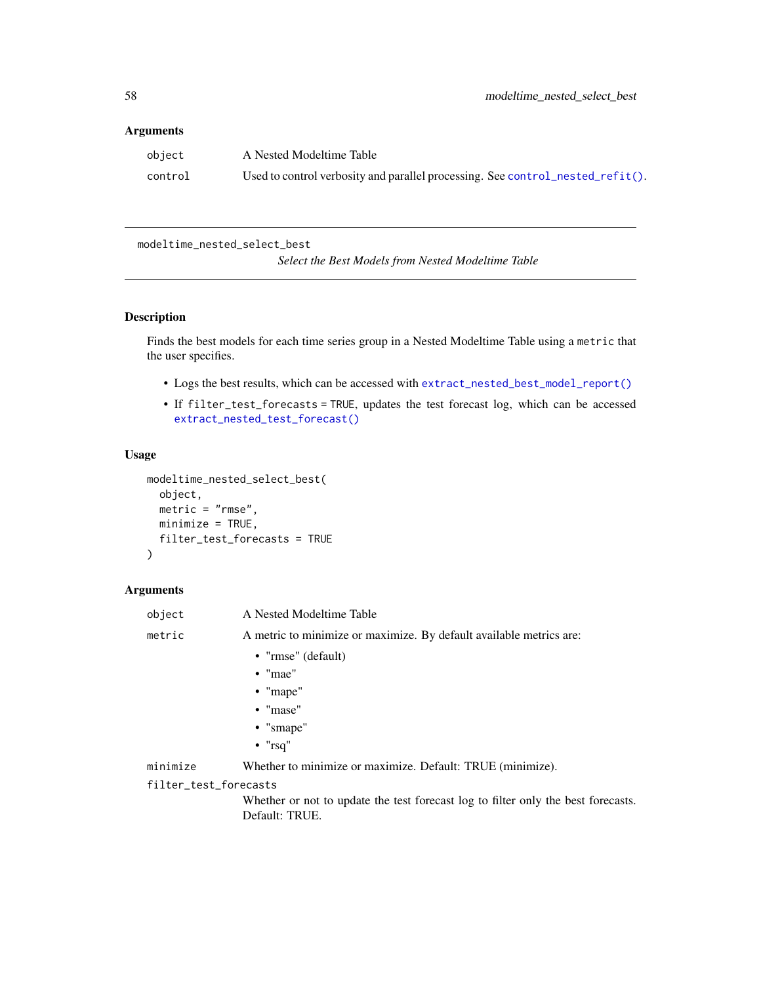## Arguments

| object  | A Nested Modeltime Table                                                       |
|---------|--------------------------------------------------------------------------------|
| control | Used to control verbosity and parallel processing. See control_nested_refit(). |

modeltime\_nested\_select\_best

*Select the Best Models from Nested Modeltime Table*

# Description

Finds the best models for each time series group in a Nested Modeltime Table using a metric that the user specifies.

- Logs the best results, which can be accessed with [extract\\_nested\\_best\\_model\\_report\(\)](#page-38-0)
- If filter\_test\_forecasts = TRUE, updates the test forecast log, which can be accessed [extract\\_nested\\_test\\_forecast\(\)](#page-38-0)

#### Usage

```
modeltime_nested_select_best(
  object,
 metric = "rmse",
 minimize = TRUE,
  filter_test_forecasts = TRUE
)
```
# Arguments

| object | A Nested Modeltime Table                                            |  |
|--------|---------------------------------------------------------------------|--|
| metric | A metric to minimize or maximize. By default available metrics are: |  |
|        | • " $rmse$ " (default)                                              |  |
|        | $\bullet$ "mae"                                                     |  |

- 
- "mape"
- "mase"
- "smape"
- "rsq"

minimize Whether to minimize or maximize. Default: TRUE (minimize).

## filter\_test\_forecasts

Whether or not to update the test forecast log to filter only the best forecasts. Default: TRUE.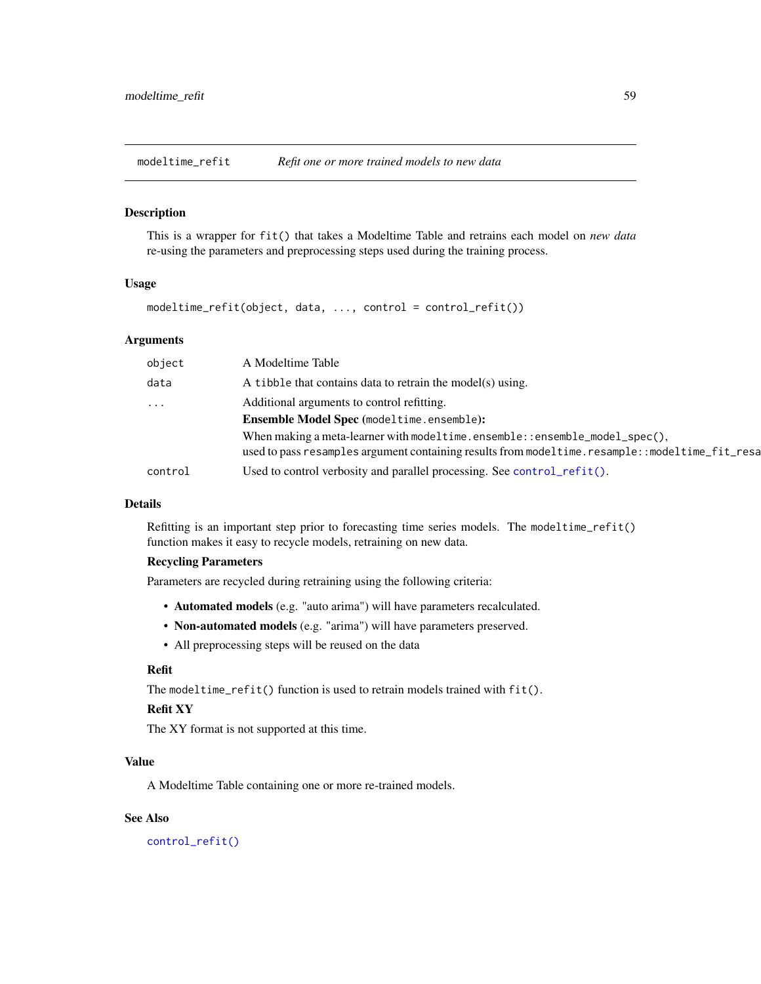<span id="page-58-0"></span>modeltime\_refit *Refit one or more trained models to new data*

#### Description

This is a wrapper for fit() that takes a Modeltime Table and retrains each model on *new data* re-using the parameters and preprocessing steps used during the training process.

#### Usage

modeltime\_refit(object, data, ..., control = control\_refit())

## Arguments

| object              | A Modeltime Table                                                                                                                                                               |
|---------------------|---------------------------------------------------------------------------------------------------------------------------------------------------------------------------------|
| data                | A tibble that contains data to retrain the model(s) using.                                                                                                                      |
| $\cdot \cdot \cdot$ | Additional arguments to control refitting.                                                                                                                                      |
|                     | <b>Ensemble Model Spec</b> (modeltime.ensemble):                                                                                                                                |
|                     | When making a meta-learner with modeltime.ensemble::ensemble_model_spec $(),$<br>used to pass resamples argument containing results from modeltime.resample::modeltime_fit_resa |
| control             | Used to control verbosity and parallel processing. See control_refit().                                                                                                         |
|                     |                                                                                                                                                                                 |

#### Details

Refitting is an important step prior to forecasting time series models. The modeltime\_refit() function makes it easy to recycle models, retraining on new data.

# Recycling Parameters

Parameters are recycled during retraining using the following criteria:

- Automated models (e.g. "auto arima") will have parameters recalculated.
- Non-automated models (e.g. "arima") will have parameters preserved.
- All preprocessing steps will be reused on the data

# Refit

The modeltime\_refit() function is used to retrain models trained with fit().

# Refit XY

The XY format is not supported at this time.

# Value

A Modeltime Table containing one or more re-trained models.

## See Also

[control\\_refit\(\)](#page-23-0)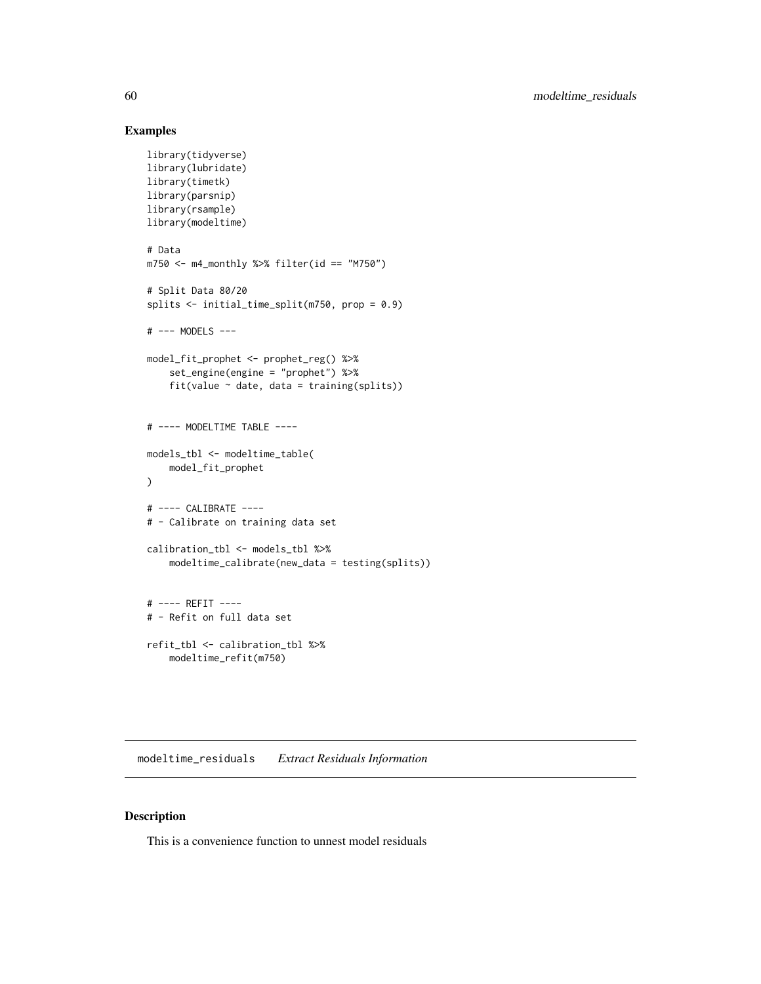# Examples

```
library(tidyverse)
library(lubridate)
library(timetk)
library(parsnip)
library(rsample)
library(modeltime)
# Data
m750 <- m4_monthly %>% filter(id == "M750")
# Split Data 80/20
splits <- initial_time_split(m750, prop = 0.9)
# --- MODELS ---
model_fit_prophet <- prophet_reg() %>%
    set_engine(engine = "prophet") %>%
    fit(value ~ date, data = training(splits))# ---- MODELTIME TABLE ----
models_tbl <- modeltime_table(
    model_fit_prophet
)
# ---- CALIBRATE ----
# - Calibrate on training data set
calibration_tbl <- models_tbl %>%
    modeltime_calibrate(new_data = testing(splits))
# ---- REFIT ----
# - Refit on full data set
refit_tbl <- calibration_tbl %>%
    modeltime_refit(m750)
```
modeltime\_residuals *Extract Residuals Information*

## Description

This is a convenience function to unnest model residuals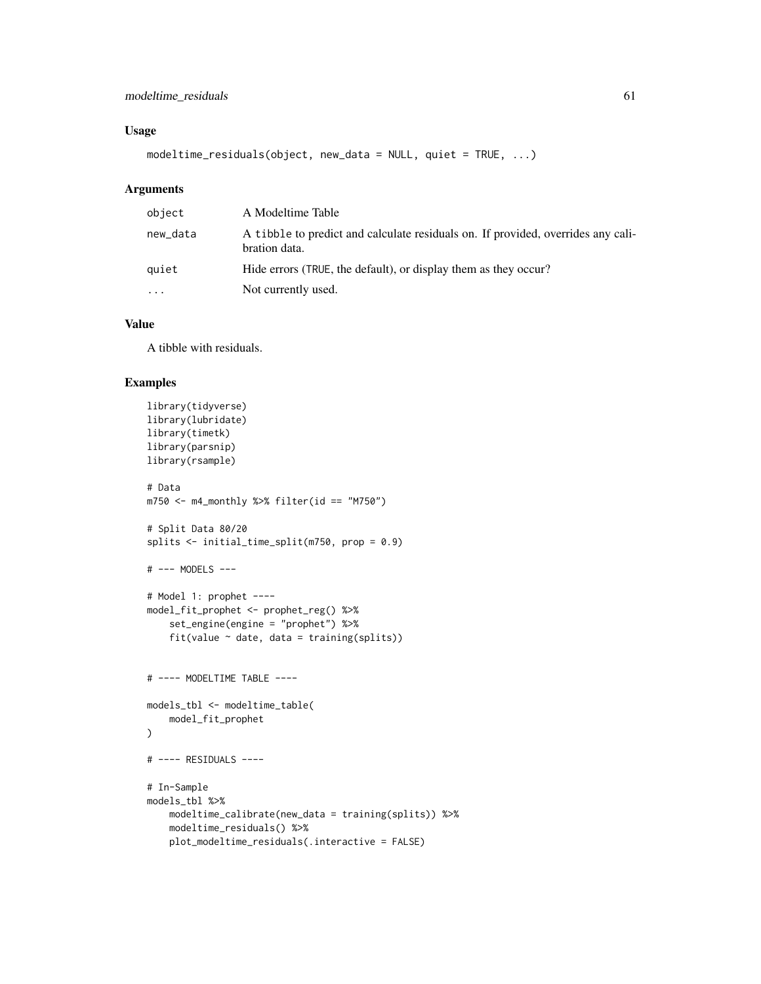# Usage

```
modeltime_residuals(object, new_data = NULL, quiet = TRUE, ...)
```
## Arguments

| object    | A Modeltime Table                                                                                 |
|-----------|---------------------------------------------------------------------------------------------------|
| new_data  | A tibble to predict and calculate residuals on. If provided, overrides any cali-<br>bration data. |
| auiet     | Hide errors (TRUE, the default), or display them as they occur?                                   |
| $\ddotsc$ | Not currently used.                                                                               |

# Value

A tibble with residuals.

```
library(tidyverse)
library(lubridate)
library(timetk)
library(parsnip)
library(rsample)
# Data
m750 \leq m4 monthly %>% filter(id == "M750")
# Split Data 80/20
splits <- initial_time_split(m750, prop = 0.9)
# --- MODELS ---
# Model 1: prophet ----
model_fit_prophet <- prophet_reg() %>%
    set_engine(engine = "prophet") %>%
    fit(value ~ date, data = training(splits))
# ---- MODELTIME TABLE ----
models_tbl <- modeltime_table(
    model_fit_prophet
)
# ---- RESIDUALS ----
# In-Sample
models_tbl %>%
    modeltime_calibrate(new_data = training(splits)) %>%
    modeltime_residuals() %>%
    plot_modeltime_residuals(.interactive = FALSE)
```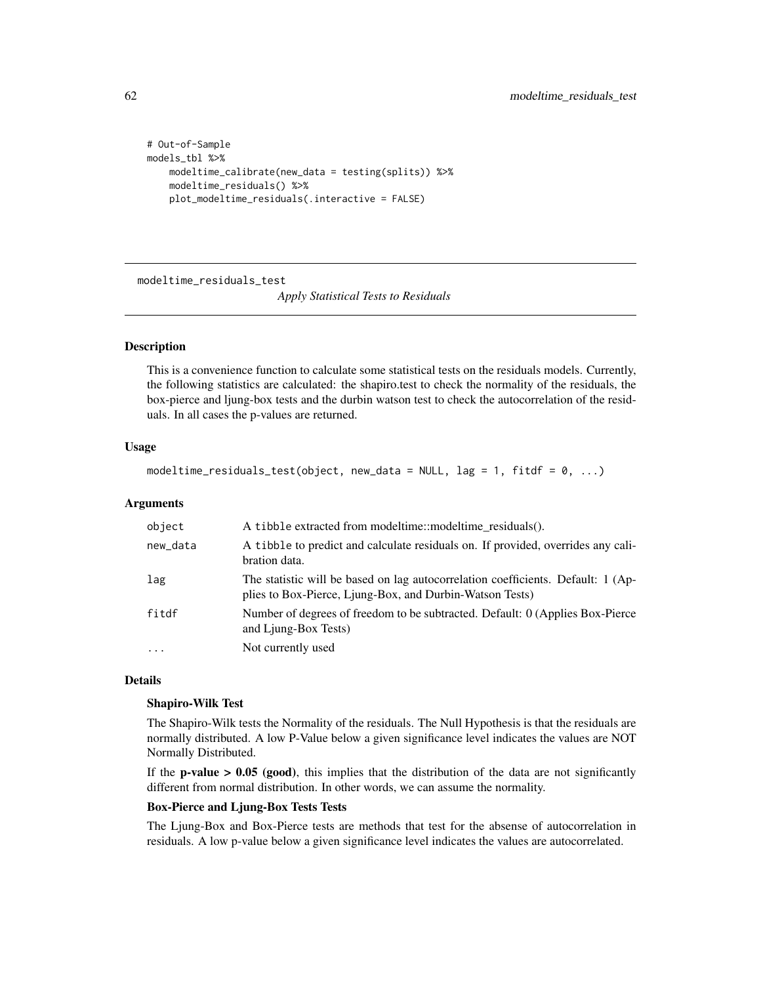```
# Out-of-Sample
models_tbl %>%
   modeltime_calibrate(new_data = testing(splits)) %>%
   modeltime_residuals() %>%
   plot_modeltime_residuals(.interactive = FALSE)
```
modeltime\_residuals\_test

*Apply Statistical Tests to Residuals*

## Description

This is a convenience function to calculate some statistical tests on the residuals models. Currently, the following statistics are calculated: the shapiro.test to check the normality of the residuals, the box-pierce and ljung-box tests and the durbin watson test to check the autocorrelation of the residuals. In all cases the p-values are returned.

## Usage

```
modeltime_residuals_test(object, new_data = NULL, lag = 1, fitdf = 0, ...)
```
## **Arguments**

| object    | A tibble extracted from model time::model time residuals().                                                                                  |
|-----------|----------------------------------------------------------------------------------------------------------------------------------------------|
| new_data  | A tibble to predict and calculate residuals on. If provided, overrides any cali-<br>bration data.                                            |
| lag       | The statistic will be based on lag autocorrelation coefficients. Default: 1 (Ap-<br>plies to Box-Pierce, Ljung-Box, and Durbin-Watson Tests) |
| fitdf     | Number of degrees of freedom to be subtracted. Default: 0 (Applies Box-Pierce)<br>and Ljung-Box Tests)                                       |
| $\ddotsc$ | Not currently used                                                                                                                           |

# Details

## Shapiro-Wilk Test

The Shapiro-Wilk tests the Normality of the residuals. The Null Hypothesis is that the residuals are normally distributed. A low P-Value below a given significance level indicates the values are NOT Normally Distributed.

If the **p-value > 0.05** (good), this implies that the distribution of the data are not significantly different from normal distribution. In other words, we can assume the normality.

# Box-Pierce and Ljung-Box Tests Tests

The Ljung-Box and Box-Pierce tests are methods that test for the absense of autocorrelation in residuals. A low p-value below a given significance level indicates the values are autocorrelated.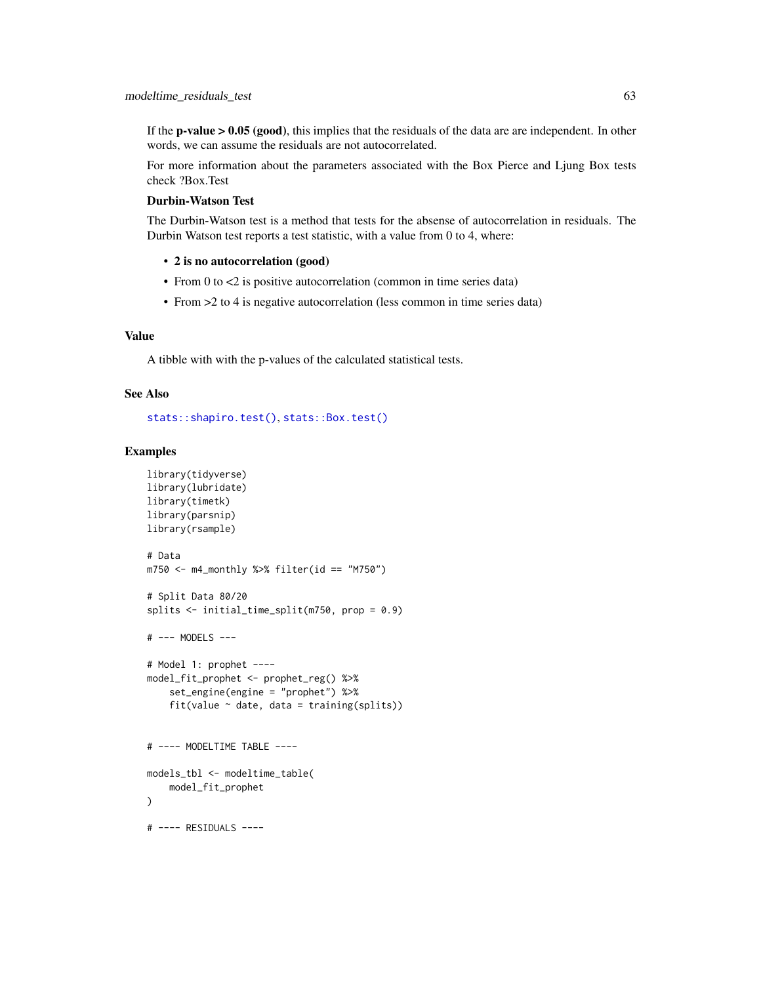If the **p-value > 0.05 (good)**, this implies that the residuals of the data are are independent. In other words, we can assume the residuals are not autocorrelated.

For more information about the parameters associated with the Box Pierce and Ljung Box tests check ?Box.Test

# Durbin-Watson Test

The Durbin-Watson test is a method that tests for the absense of autocorrelation in residuals. The Durbin Watson test reports a test statistic, with a value from 0 to 4, where:

- 2 is no autocorrelation (good)
- From 0 to <2 is positive autocorrelation (common in time series data)
- From >2 to 4 is negative autocorrelation (less common in time series data)

# Value

A tibble with with the p-values of the calculated statistical tests.

## See Also

[stats::shapiro.test\(\)](#page-0-0), [stats::Box.test\(\)](#page-0-0)

```
library(tidyverse)
library(lubridate)
library(timetk)
library(parsnip)
library(rsample)
# Data
m750 <- m4_monthly %>% filter(id == "M750")
# Split Data 80/20
splits <- initial_time_split(m750, prop = 0.9)
# --- MODELS ---
# Model 1: prophet ----
model_fit_prophet <- prophet_reg() %>%
    set_engine(engine = "prophet") %>%
    fit(value \sim date, data = training(splits))
# ---- MODELTIME TABLE ----
models_tbl <- modeltime_table(
    model_fit_prophet
)
# ---- RESIDUALS ----
```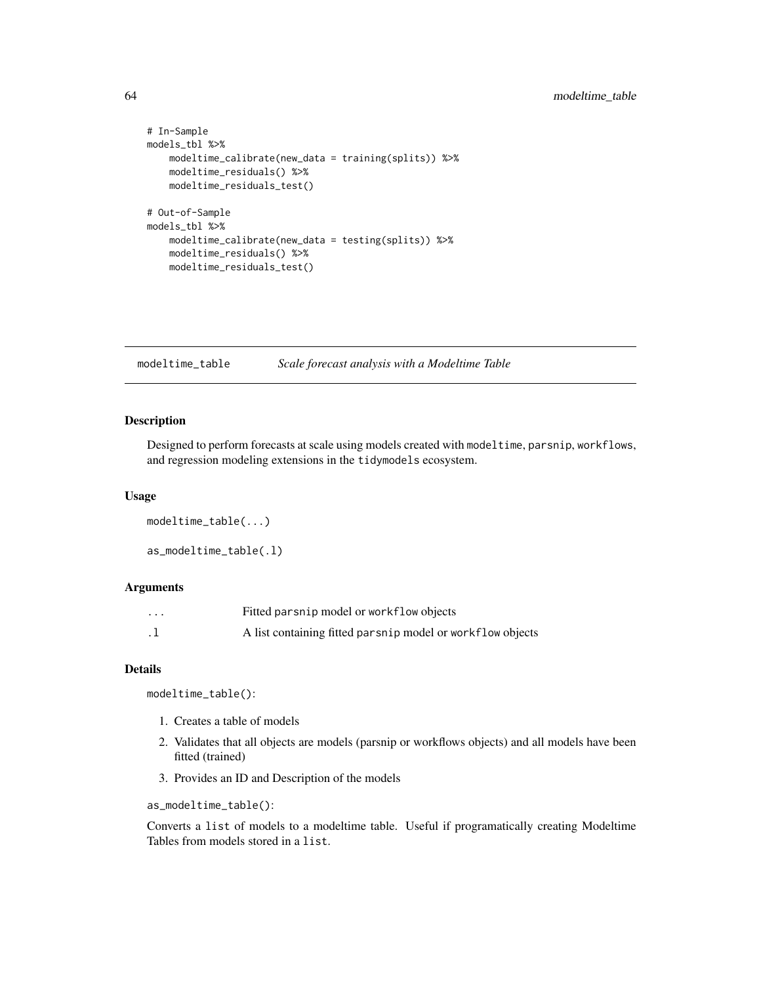```
# In-Sample
models_tbl %>%
    modeltime_calibrate(new_data = training(splits)) %>%
    modeltime_residuals() %>%
   modeltime_residuals_test()
# Out-of-Sample
models_tbl %>%
    modeltime_calibrate(new_data = testing(splits)) %>%
    modeltime_residuals() %>%
   modeltime_residuals_test()
```
<span id="page-63-0"></span>modeltime\_table *Scale forecast analysis with a Modeltime Table*

## Description

Designed to perform forecasts at scale using models created with modeltime, parsnip, workflows, and regression modeling extensions in the tidymodels ecosystem.

#### Usage

```
modeltime_table(...)
as_modeltime_table(.l)
```
## Arguments

| $\cdots$  | Fitted parsnip model or workflow objects                   |
|-----------|------------------------------------------------------------|
| $\cdot$ 1 | A list containing fitted parsnip model or workflow objects |

# Details

modeltime\_table():

- 1. Creates a table of models
- 2. Validates that all objects are models (parsnip or workflows objects) and all models have been fitted (trained)
- 3. Provides an ID and Description of the models

as\_modeltime\_table():

Converts a list of models to a modeltime table. Useful if programatically creating Modeltime Tables from models stored in a list.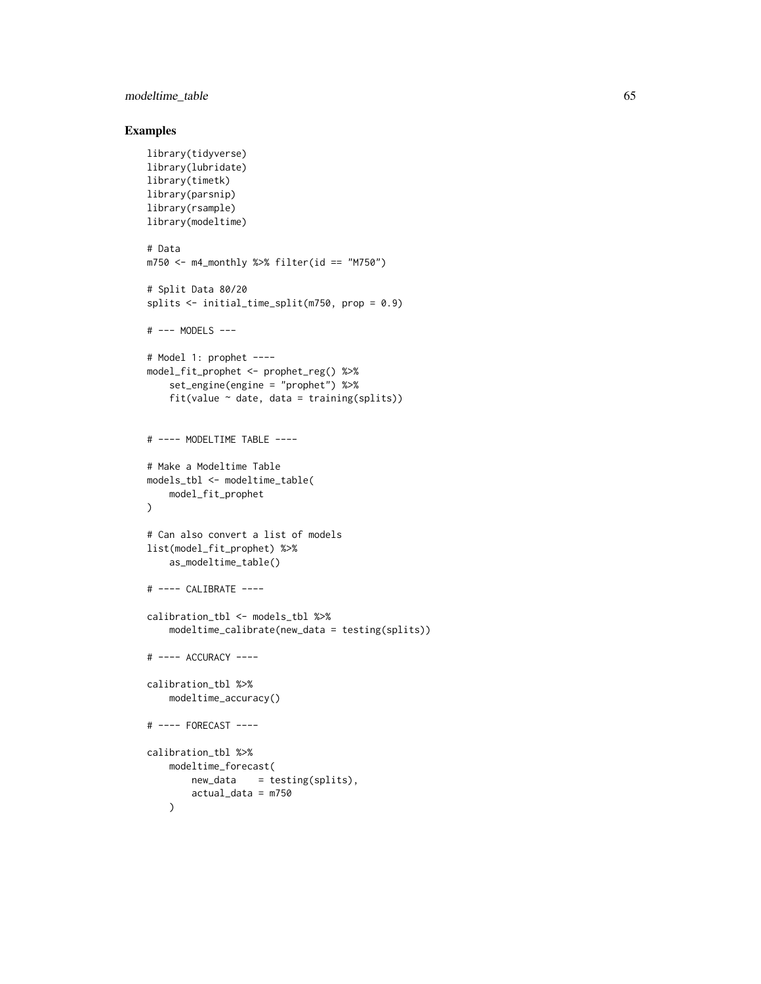# modeltime\_table 65

```
library(tidyverse)
library(lubridate)
library(timetk)
library(parsnip)
library(rsample)
library(modeltime)
# Data
m750 \leq m4 monthly %>% filter(id == "M750")
# Split Data 80/20
splits <- initial_time_split(m750, prop = 0.9)
# --- MODELS ---
# Model 1: prophet ----
model_fit_prophet <- prophet_reg() %>%
    set_engine(engine = "prophet") %>%
    fit(value \sim date, data = training(splits))
# ---- MODELTIME TABLE ----
# Make a Modeltime Table
models_tbl <- modeltime_table(
    model_fit_prophet
\lambda# Can also convert a list of models
list(model_fit_prophet) %>%
    as_modeltime_table()
# ---- CALIBRATE ----
calibration_tbl <- models_tbl %>%
    modeltime_calibrate(new_data = testing(splits))
# ---- ACCURACY ----
calibration_tbl %>%
    modeltime_accuracy()
# ---- FORECAST ----
calibration_tbl %>%
    modeltime_forecast(
        new_data = testing(splits),
        actual_data = m750
    )
```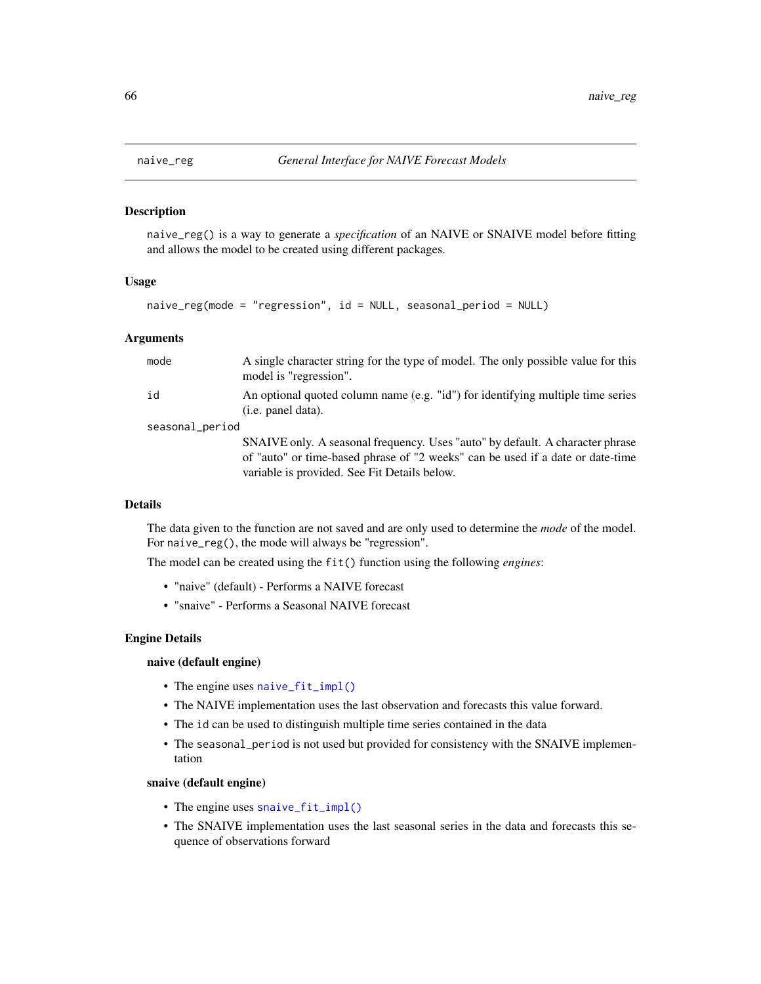## Description

naive\_reg() is a way to generate a *specification* of an NAIVE or SNAIVE model before fitting and allows the model to be created using different packages.

#### Usage

naive\_reg(mode = "regression", id = NULL, seasonal\_period = NULL)

## **Arguments**

| mode            | A single character string for the type of model. The only possible value for this<br>model is "regression".                                                                                                     |
|-----------------|-----------------------------------------------------------------------------------------------------------------------------------------------------------------------------------------------------------------|
| id              | An optional quoted column name (e.g. "id") for identifying multiple time series<br>(i.e. panel data).                                                                                                           |
| seasonal_period |                                                                                                                                                                                                                 |
|                 | SNAIVE only. A seasonal frequency. Uses "auto" by default. A character phrase<br>of "auto" or time-based phrase of "2 weeks" can be used if a date or date-time<br>variable is provided. See Fit Details below. |

# Details

The data given to the function are not saved and are only used to determine the *mode* of the model. For naive\_reg(), the mode will always be "regression".

The model can be created using the fit() function using the following *engines*:

- "naive" (default) Performs a NAIVE forecast
- "snaive" Performs a Seasonal NAIVE forecast

#### Engine Details

#### naive (default engine)

- The engine uses [naive\\_fit\\_impl\(\)](#page-0-0)
- The NAIVE implementation uses the last observation and forecasts this value forward.
- The id can be used to distinguish multiple time series contained in the data
- The seasonal\_period is not used but provided for consistency with the SNAIVE implementation

## snaive (default engine)

- The engine uses [snaive\\_fit\\_impl\(\)](#page-0-0)
- The SNAIVE implementation uses the last seasonal series in the data and forecasts this sequence of observations forward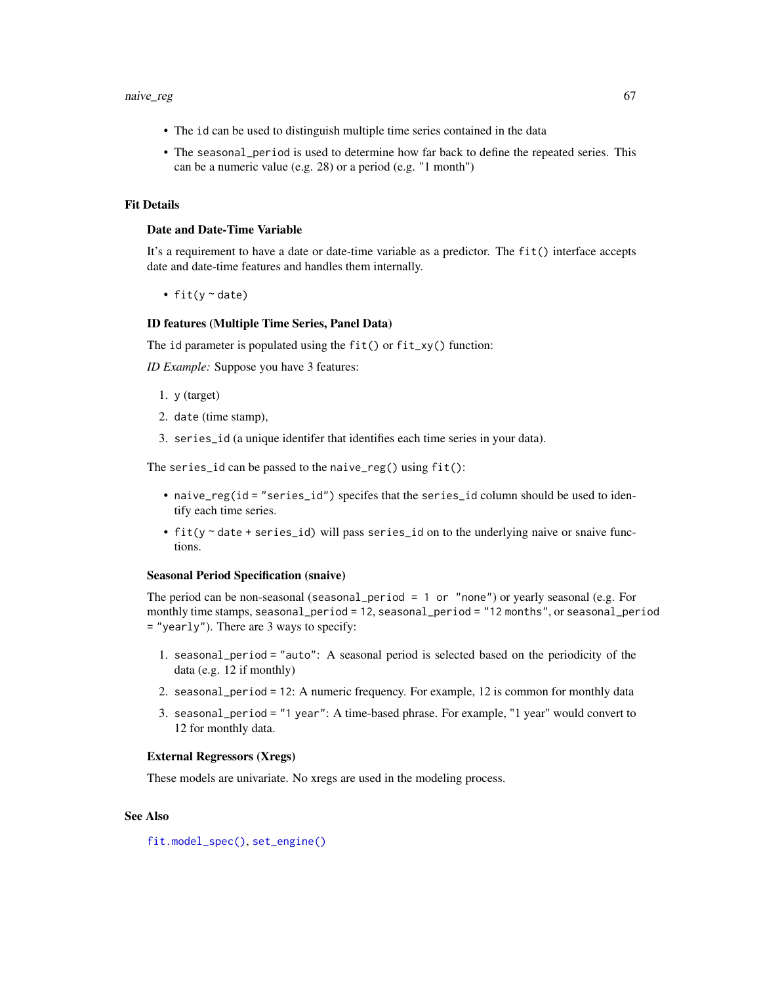- The id can be used to distinguish multiple time series contained in the data
- The seasonal\_period is used to determine how far back to define the repeated series. This can be a numeric value (e.g. 28) or a period (e.g. "1 month")

# Fit Details

## Date and Date-Time Variable

It's a requirement to have a date or date-time variable as a predictor. The fit() interface accepts date and date-time features and handles them internally.

• fit( $y \sim$  date)

#### ID features (Multiple Time Series, Panel Data)

The id parameter is populated using the fit() or fit\_xy() function:

*ID Example:* Suppose you have 3 features:

- 1. y (target)
- 2. date (time stamp),
- 3. series\_id (a unique identifer that identifies each time series in your data).

The series\_id can be passed to the naive\_reg() using fit():

- naive\_reg(id = "series\_id") specifes that the series\_id column should be used to identify each time series.
- fit(y ~ date + series\_id) will pass series\_id on to the underlying naive or snaive functions.

#### Seasonal Period Specification (snaive)

The period can be non-seasonal (seasonal\_period = 1 or "none") or yearly seasonal (e.g. For monthly time stamps, seasonal\_period = 12, seasonal\_period = "12 months", or seasonal\_period = "yearly"). There are 3 ways to specify:

- 1. seasonal\_period = "auto": A seasonal period is selected based on the periodicity of the data (e.g. 12 if monthly)
- 2. seasonal\_period = 12: A numeric frequency. For example, 12 is common for monthly data
- 3. seasonal\_period = "1 year": A time-based phrase. For example, "1 year" would convert to 12 for monthly data.

#### External Regressors (Xregs)

These models are univariate. No xregs are used in the modeling process.

## See Also

[fit.model\\_spec\(\)](#page-0-0), [set\\_engine\(\)](#page-0-0)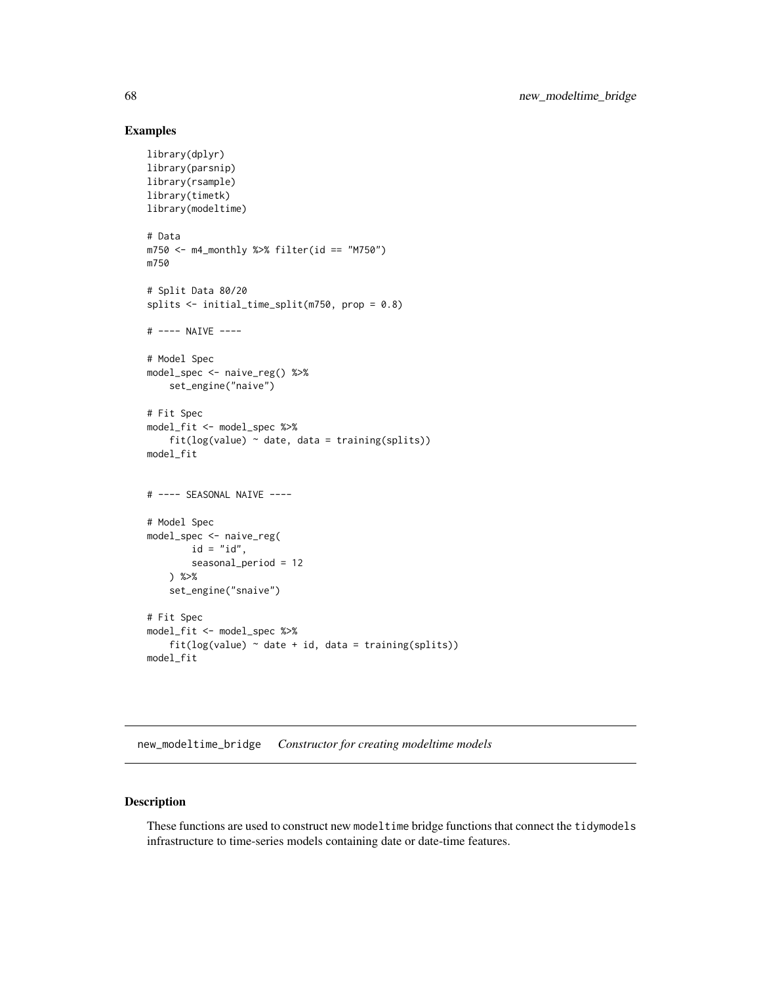## Examples

```
library(dplyr)
library(parsnip)
library(rsample)
library(timetk)
library(modeltime)
# Data
m750 <- m4_monthly %>% filter(id == "M750")
m750
# Split Data 80/20
splits <- initial_time_split(m750, prop = 0.8)
# ---- NAIVE ----
# Model Spec
model_spec <- naive_reg() %>%
    set_engine("naive")
# Fit Spec
model_fit <- model_spec %>%
    fit(log(value) ~<sub>o</sub> date, data = training(splits))model_fit
# ---- SEASONAL NAIVE ----
# Model Spec
model_spec <- naive_reg(
        id = "id",seasonal_period = 12
    ) %>%
    set_engine("snaive")
# Fit Spec
model_fit <- model_spec %>%
    fit(log(value) \sim date + id, data = training(splits))
model_fit
```
new\_modeltime\_bridge *Constructor for creating modeltime models*

# Description

These functions are used to construct new modeltime bridge functions that connect the tidymodels infrastructure to time-series models containing date or date-time features.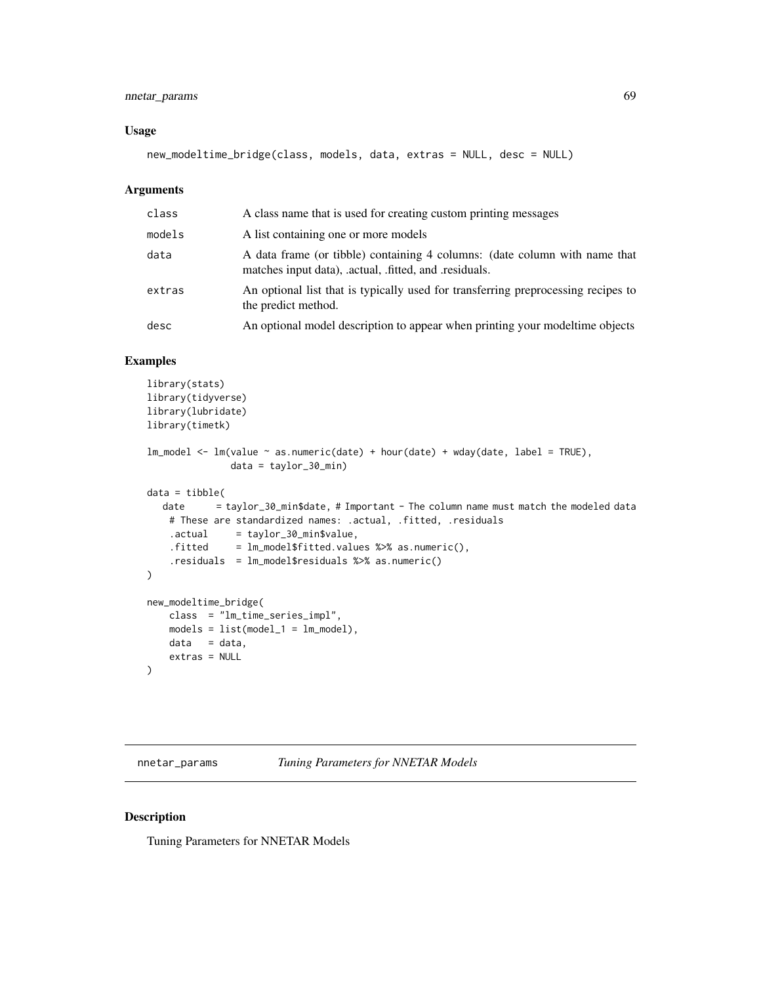# nnetar\_params 69

#### Usage

```
new_modeltime_bridge(class, models, data, extras = NULL, desc = NULL)
```
#### Arguments

| class  | A class name that is used for creating custom printing messages                                                                   |
|--------|-----------------------------------------------------------------------------------------------------------------------------------|
| models | A list containing one or more models                                                                                              |
| data   | A data frame (or tibble) containing 4 columns: (date column with name that<br>matches input data), actual, fitted, and residuals. |
| extras | An optional list that is typically used for transferring preprocessing recipes to<br>the predict method.                          |
| desc   | An optional model description to appear when printing your model time objects                                                     |

# Examples

```
library(stats)
library(tidyverse)
library(lubridate)
library(timetk)
lm\_model \leq - lm(value \sim as.numeric(data) + hour(data) + wday(data, label = TRUE),data = taylor_30_min)
data = tibble(
  date = taylor_30_min$date, # Important - The column name must match the modeled data
   # These are standardized names: .actual, .fitted, .residuals
    .actual = taylor_30_min$value,
    .fitted = lm_model$fitted.values %>% as.numeric(),
    .residuals = lm_model$residuals %>% as.numeric()
)
new_modeltime_bridge(
   class = "lm_time_series_impl",
   models = list(model_1 = lm_model),data = data,
   extras = NULL
)
```
nnetar\_params *Tuning Parameters for NNETAR Models*

#### Description

Tuning Parameters for NNETAR Models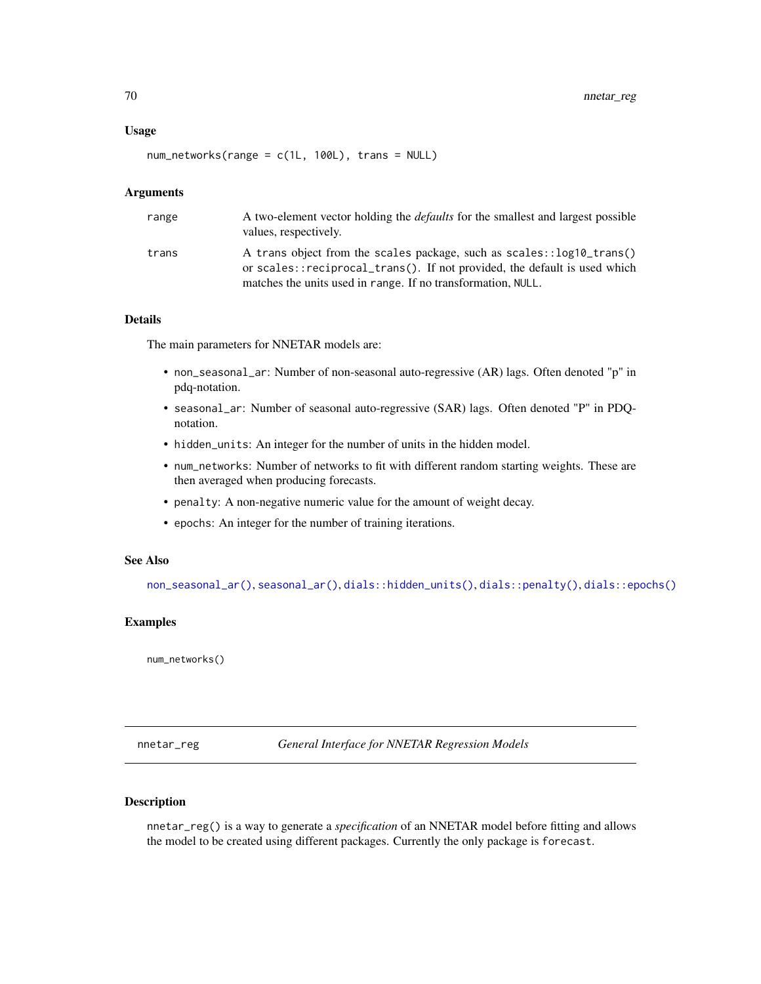#### Usage

num\_networks(range = c(1L, 100L), trans = NULL)

#### Arguments

| range | A two-element vector holding the <i>defaults</i> for the smallest and largest possible<br>values, respectively.                                                                                                    |
|-------|--------------------------------------------------------------------------------------------------------------------------------------------------------------------------------------------------------------------|
| trans | A trans object from the scales package, such as scales::log10_trans()<br>or scales::reciprocal_trans(). If not provided, the default is used which<br>matches the units used in range. If no transformation, NULL. |

# Details

The main parameters for NNETAR models are:

- non\_seasonal\_ar: Number of non-seasonal auto-regressive (AR) lags. Often denoted "p" in pdq-notation.
- seasonal\_ar: Number of seasonal auto-regressive (SAR) lags. Often denoted "P" in PDQnotation.
- hidden\_units: An integer for the number of units in the hidden model.
- num\_networks: Number of networks to fit with different random starting weights. These are then averaged when producing forecasts.
- penalty: A non-negative numeric value for the amount of weight decay.
- epochs: An integer for the number of training iterations.

# See Also

[non\\_seasonal\\_ar\(\)](#page-16-0), [seasonal\\_ar\(\)](#page-16-0), [dials::hidden\\_units\(\)](#page-0-0), [dials::penalty\(\)](#page-0-0), [dials::epochs\(\)](#page-0-0)

## Examples

num\_networks()

nnetar\_reg *General Interface for NNETAR Regression Models*

# Description

nnetar\_reg() is a way to generate a *specification* of an NNETAR model before fitting and allows the model to be created using different packages. Currently the only package is forecast.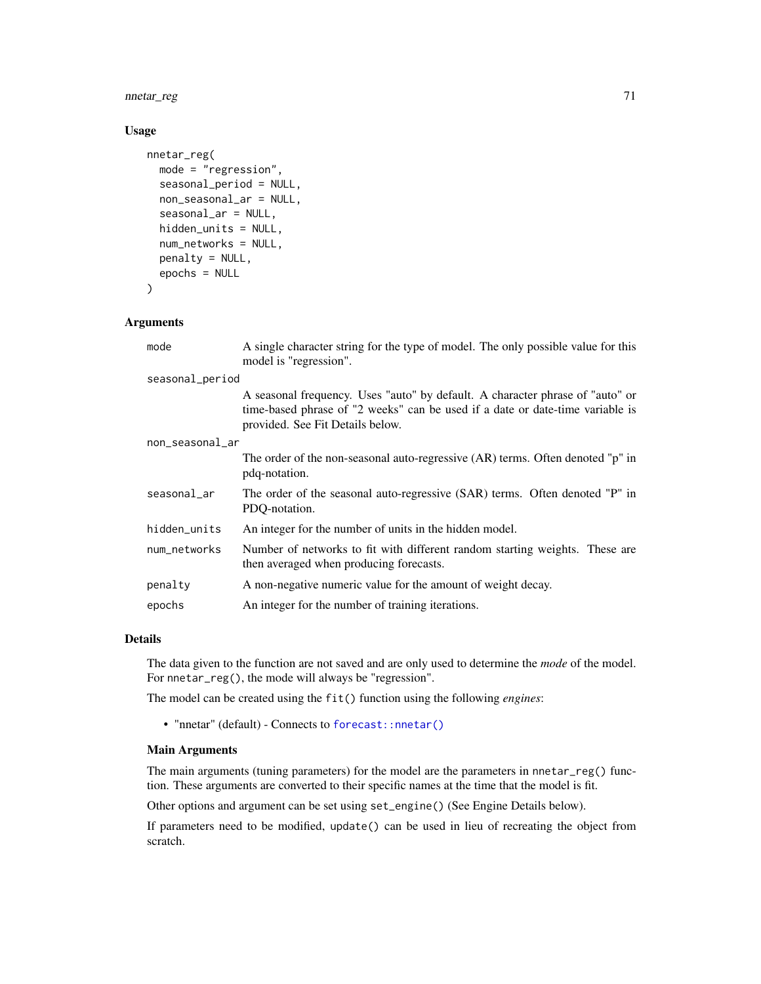nnetar\_reg 71

## Usage

```
nnetar_reg(
 mode = "regression",
  seasonal_period = NULL,
  non_seasonal_ar = NULL,
  seasonal_ar = NULL,
  hidden_units = NULL,
  num_networks = NULL,
  penalty = NULL,
  epochs = NULL
)
```
#### Arguments

| mode            | A single character string for the type of model. The only possible value for this<br>model is "regression".                                                                                        |
|-----------------|----------------------------------------------------------------------------------------------------------------------------------------------------------------------------------------------------|
| seasonal_period |                                                                                                                                                                                                    |
|                 | A seasonal frequency. Uses "auto" by default. A character phrase of "auto" or<br>time-based phrase of "2 weeks" can be used if a date or date-time variable is<br>provided. See Fit Details below. |
| non_seasonal_ar |                                                                                                                                                                                                    |
|                 | The order of the non-seasonal auto-regressive (AR) terms. Often denoted "p" in<br>pdq-notation.                                                                                                    |
| seasonal_ar     | The order of the seasonal auto-regressive (SAR) terms. Often denoted "P" in<br>PDO-notation.                                                                                                       |
| hidden_units    | An integer for the number of units in the hidden model.                                                                                                                                            |
| num_networks    | Number of networks to fit with different random starting weights. These are<br>then averaged when producing forecasts.                                                                             |
| penalty         | A non-negative numeric value for the amount of weight decay.                                                                                                                                       |
| epochs          | An integer for the number of training iterations.                                                                                                                                                  |

# Details

The data given to the function are not saved and are only used to determine the *mode* of the model. For nnetar\_reg(), the mode will always be "regression".

The model can be created using the fit() function using the following *engines*:

• "nnetar" (default) - Connects to [forecast::nnetar\(\)](#page-0-0)

#### Main Arguments

The main arguments (tuning parameters) for the model are the parameters in nnetar\_reg() function. These arguments are converted to their specific names at the time that the model is fit.

Other options and argument can be set using set\_engine() (See Engine Details below).

If parameters need to be modified, update() can be used in lieu of recreating the object from scratch.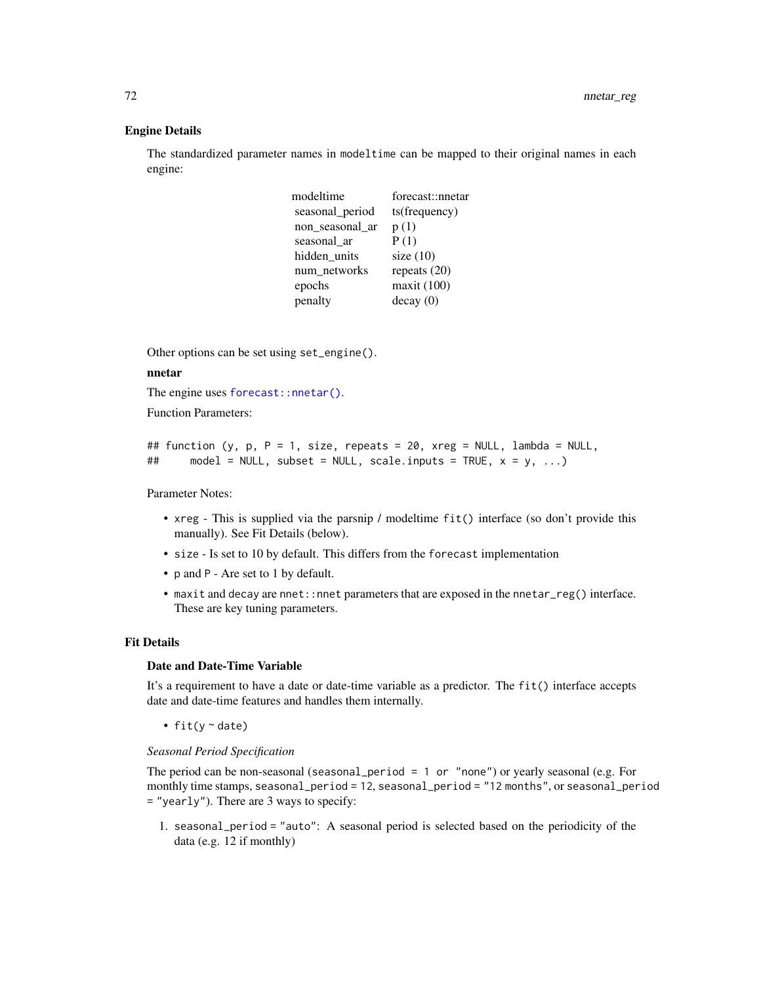#### Engine Details

The standardized parameter names in modeltime can be mapped to their original names in each engine:

| modeltime       | forecast::nnetar |
|-----------------|------------------|
| seasonal_period | ts(frequency)    |
| non_seasonal_ar | p(1)             |
| seasonal ar     | P(1)             |
| hidden_units    | size $(10)$      |
| num networks    | repeats $(20)$   |
| epochs          | maxit (100)      |
| penalty         | decay(0)         |

Other options can be set using set\_engine().

#### nnetar

The engine uses [forecast::nnetar\(\)](#page-0-0).

Function Parameters:

```
## function (y, p, P = 1, size, repeats = 20, xreg = NULL, lambda = NULL,
## model = NULL, subset = NULL, scale.inputs = TRUE, x = y, ...)
```
Parameter Notes:

- xreg This is supplied via the parsnip / modeltime fit() interface (so don't provide this manually). See Fit Details (below).
- size Is set to 10 by default. This differs from the forecast implementation
- p and P Are set to 1 by default.
- maxit and decay are nnet::nnet parameters that are exposed in the nnetar\_reg() interface. These are key tuning parameters.

## Fit Details

#### Date and Date-Time Variable

It's a requirement to have a date or date-time variable as a predictor. The fit() interface accepts date and date-time features and handles them internally.

• fit( $y \sim$  date)

## *Seasonal Period Specification*

The period can be non-seasonal (seasonal\_period = 1 or "none") or yearly seasonal (e.g. For monthly time stamps, seasonal\_period = 12, seasonal\_period = "12 months", or seasonal\_period = "yearly"). There are 3 ways to specify:

1. seasonal\_period = "auto": A seasonal period is selected based on the periodicity of the data (e.g. 12 if monthly)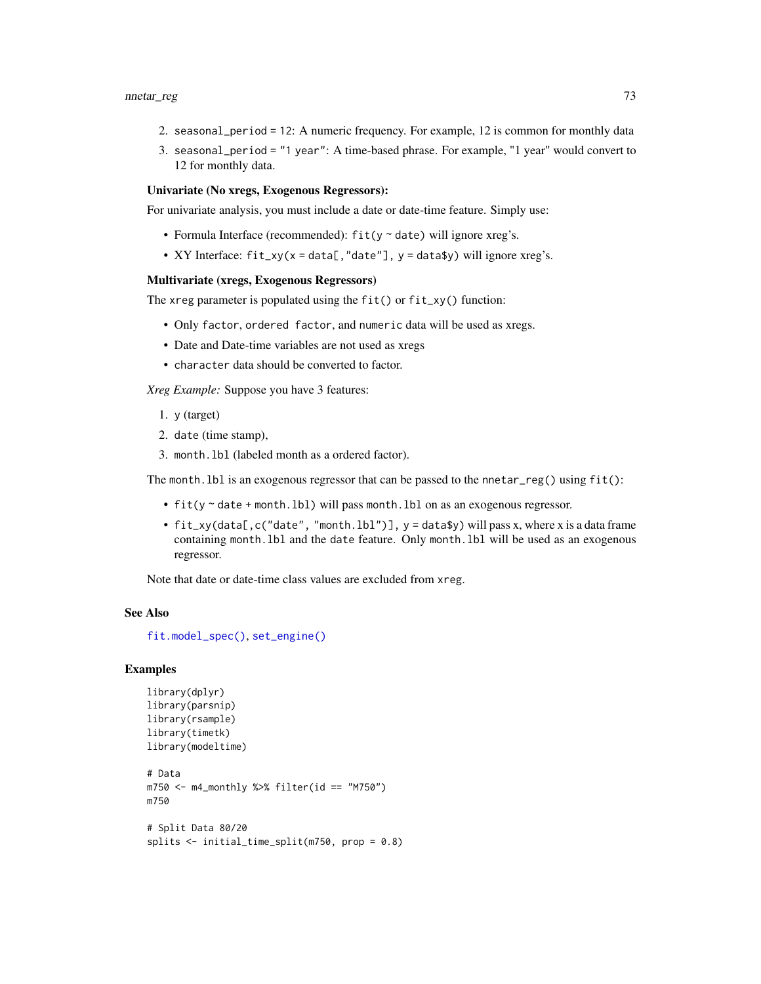- 2. seasonal\_period = 12: A numeric frequency. For example, 12 is common for monthly data
- 3. seasonal\_period = "1 year": A time-based phrase. For example, "1 year" would convert to 12 for monthly data.

### Univariate (No xregs, Exogenous Regressors):

For univariate analysis, you must include a date or date-time feature. Simply use:

- Formula Interface (recommended):  $fit(y \sim date)$  will ignore xreg's.
- XY Interface:  $fit\_xy(x = data[, "date"], y = data$y) will ignore xreg's.$

### Multivariate (xregs, Exogenous Regressors)

The xreg parameter is populated using the  $fit()$  or  $fit\_xy()$  function:

- Only factor, ordered factor, and numeric data will be used as xregs.
- Date and Date-time variables are not used as xregs
- character data should be converted to factor.

*Xreg Example:* Suppose you have 3 features:

- 1. y (target)
- 2. date (time stamp),
- 3. month.lbl (labeled month as a ordered factor).

The month.lbl is an exogenous regressor that can be passed to the nnetar\_reg() using fit():

- fit(y ~ date + month.lbl) will pass month.lbl on as an exogenous regressor.
- $fit\_xy(data[,c('date'', "month.lb1")$ ,  $y = data$y) will pass x, where x is a data frame$ containing month.lbl and the date feature. Only month.lbl will be used as an exogenous regressor.

Note that date or date-time class values are excluded from xreg.

#### See Also

[fit.model\\_spec\(\)](#page-0-0), [set\\_engine\(\)](#page-0-0)

```
library(dplyr)
library(parsnip)
library(rsample)
library(timetk)
library(modeltime)
# Data
m750 <- m4_monthly %>% filter(id == "M750")
m750
# Split Data 80/20
```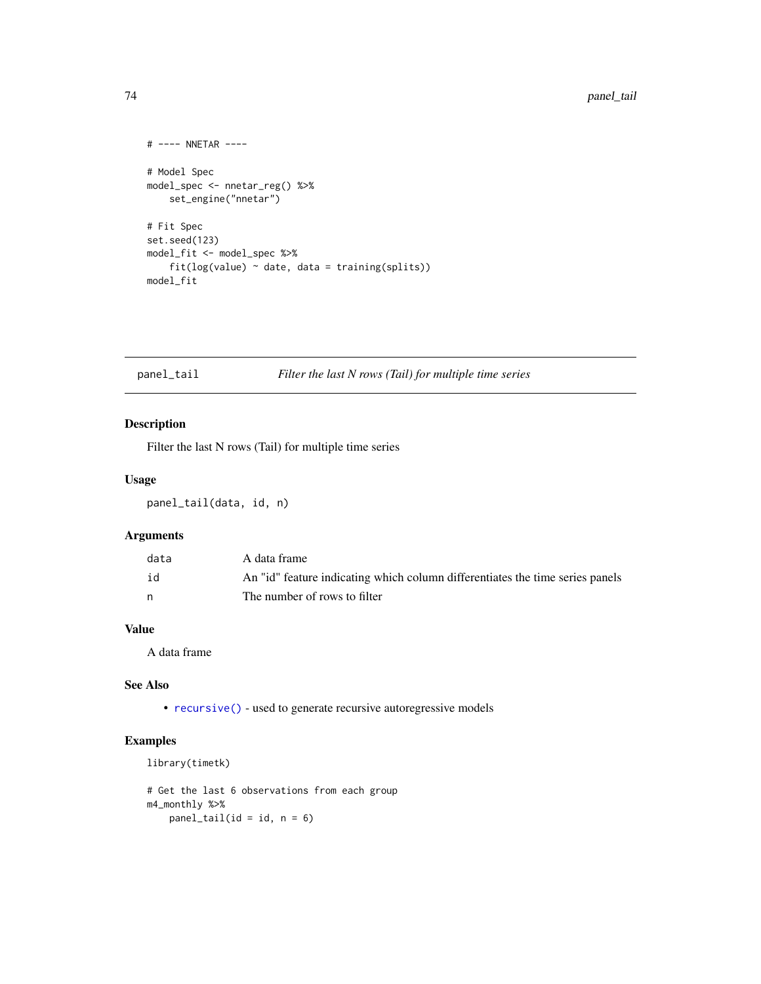```
# ---- NNETAR ----
# Model Spec
model_spec <- nnetar_reg() %>%
    set_engine("nnetar")
# Fit Spec
set.seed(123)
model_fit <- model_spec %>%
    fit(log(value) ~<sub>o</sub> date, data = training(splits))model_fit
```
### <span id="page-73-0"></span>panel\_tail *Filter the last N rows (Tail) for multiple time series*

### Description

Filter the last N rows (Tail) for multiple time series

### Usage

panel\_tail(data, id, n)

### Arguments

| data | A data frame                                                                  |
|------|-------------------------------------------------------------------------------|
| id   | An "id" feature indicating which column differentiates the time series panels |
| n    | The number of rows to filter                                                  |

### Value

A data frame

### See Also

• [recursive\(\)](#page-97-0) - used to generate recursive autoregressive models

```
library(timetk)
```

```
# Get the last 6 observations from each group
m4_monthly %>%
   panel\_tail(id = id, n = 6)
```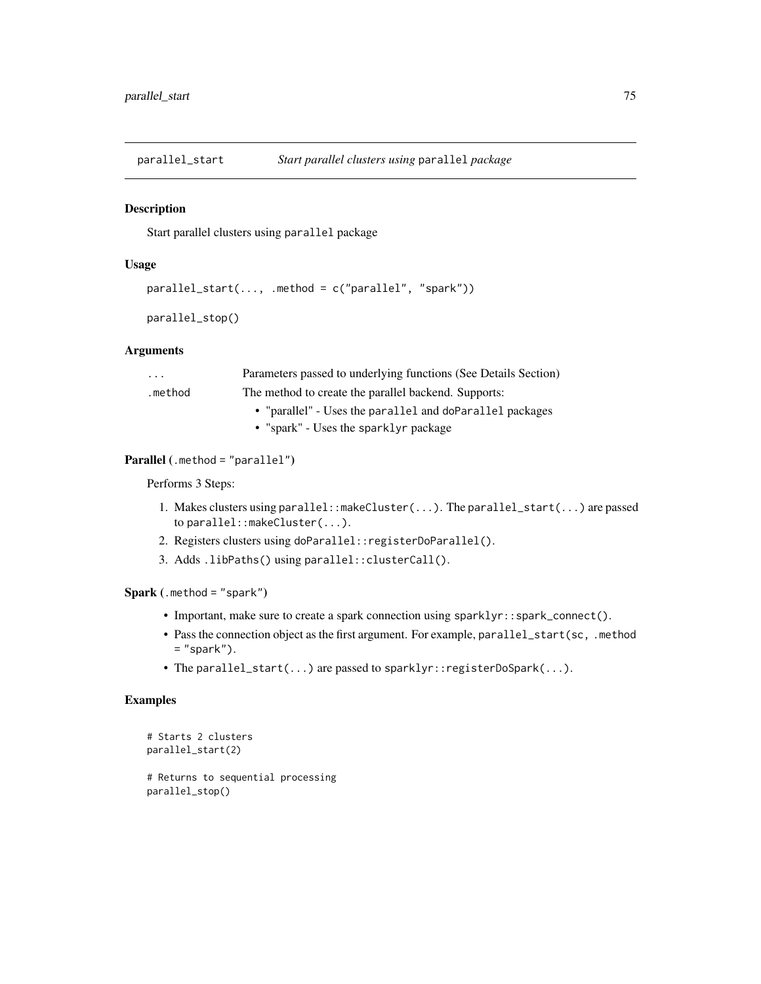parallel\_start *Start parallel clusters using* parallel *package*

### Description

Start parallel clusters using parallel package

#### Usage

```
parallel_start(..., .method = c("parallel", "spark"))
```

```
parallel_stop()
```
### Arguments

| $\cdot$ $\cdot$ $\cdot$ | Parameters passed to underlying functions (See Details Section) |  |
|-------------------------|-----------------------------------------------------------------|--|
| .method                 | The method to create the parallel backend. Supports:            |  |
|                         | • "parallel" - Uses the parallel and doParallel packages        |  |
|                         | • "spark" - Uses the sparklyr package                           |  |

### Parallel (.method = "parallel")

Performs 3 Steps:

- 1. Makes clusters using parallel::makeCluster(...). The parallel\_start(...) are passed to parallel::makeCluster(...).
- 2. Registers clusters using doParallel::registerDoParallel().
- 3. Adds .libPaths() using parallel::clusterCall().

Spark (.method = "spark")

- Important, make sure to create a spark connection using sparklyr::spark\_connect().
- Pass the connection object as the first argument. For example, parallel\_start(sc, .method  $=$  "spark").
- The parallel\_start(...) are passed to sparklyr::registerDoSpark(...).

### Examples

```
# Starts 2 clusters
parallel_start(2)
```
# Returns to sequential processing parallel\_stop()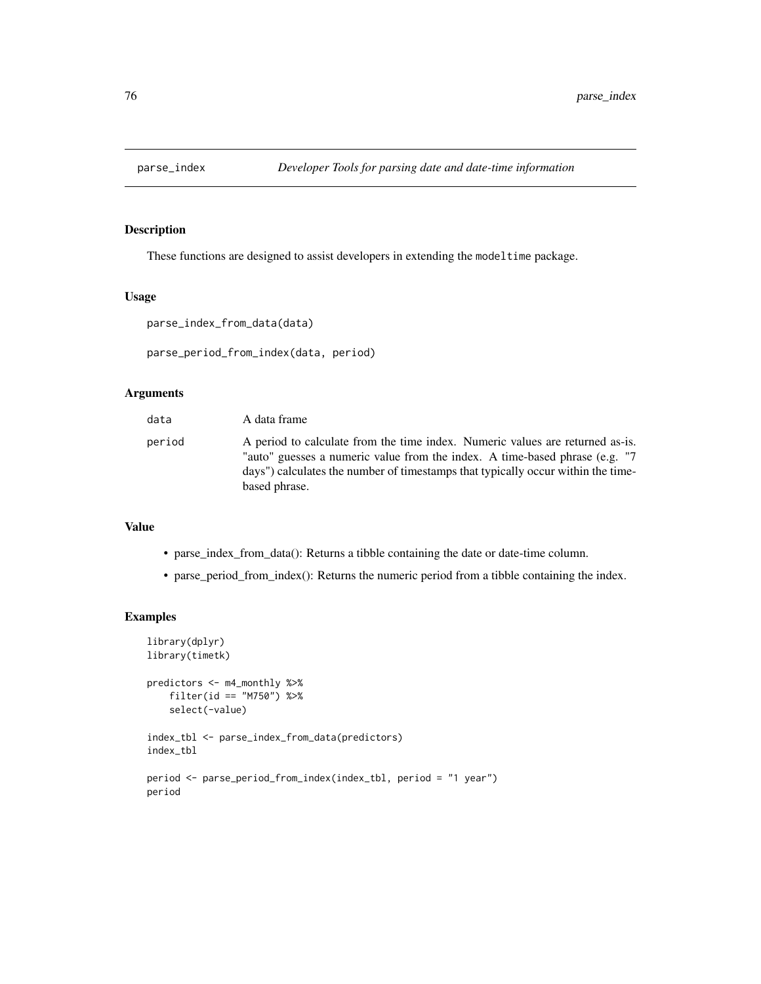# Description

These functions are designed to assist developers in extending the modeltime package.

### Usage

```
parse_index_from_data(data)
```

```
parse_period_from_index(data, period)
```
### Arguments

| data   | A data frame                                                                                                                                                                                                                                                       |
|--------|--------------------------------------------------------------------------------------------------------------------------------------------------------------------------------------------------------------------------------------------------------------------|
| period | A period to calculate from the time index. Numeric values are returned as-is.<br>"auto" guesses a numeric value from the index. A time-based phrase (e.g. "7"<br>days") calculates the number of timestamps that typically occur within the time-<br>based phrase. |

### Value

- parse\_index\_from\_data(): Returns a tibble containing the date or date-time column.
- parse\_period\_from\_index(): Returns the numeric period from a tibble containing the index.

```
library(dplyr)
library(timetk)
predictors <- m4_monthly %>%
    filter(id == "M750") %>%
   select(-value)
index_tbl <- parse_index_from_data(predictors)
index_tbl
period <- parse_period_from_index(index_tbl, period = "1 year")
period
```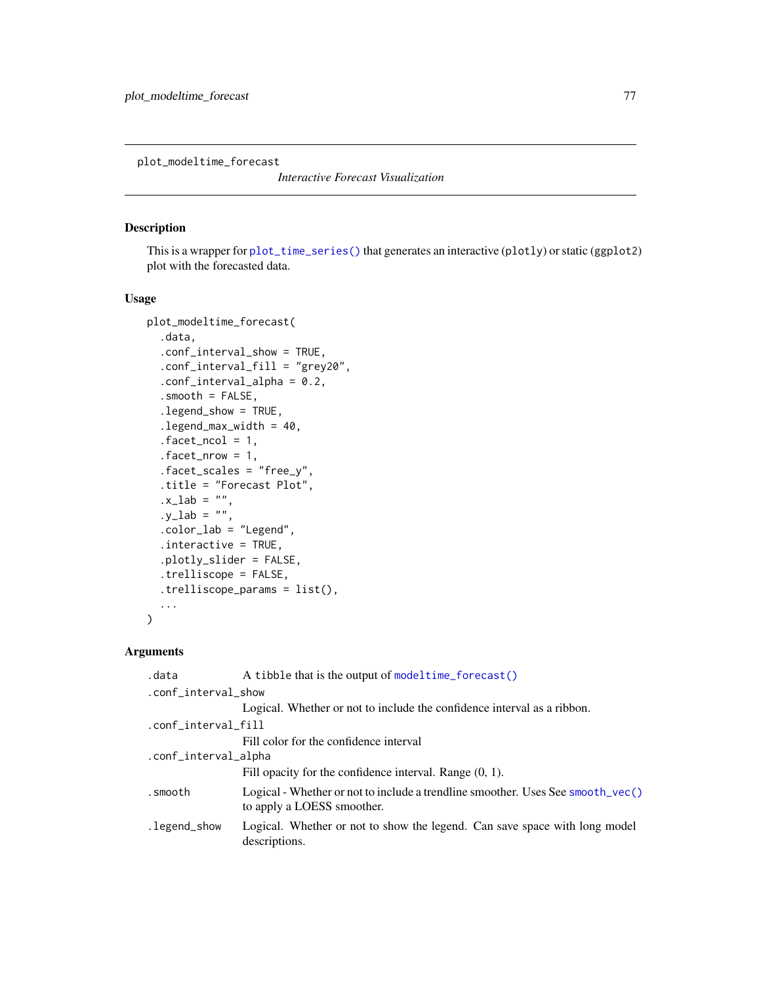plot\_modeltime\_forecast

*Interactive Forecast Visualization*

### Description

This is a wrapper for [plot\\_time\\_series\(\)](#page-0-0) that generates an interactive (plotly) or static (ggplot2) plot with the forecasted data.

#### Usage

```
plot_modeltime_forecast(
  .data,
  .conf_interval_show = TRUE,
  .conf_interval_fill = "grey20",
  .conf_interval_alpha = 0.2,
  .smooth = FALSE,
  .legend_show = TRUE,
  legend_max_width = 40,
  .facet_ncol = 1,
  facet_nrow = 1,
  .facet_scales = "free_y",
  .title = "Forecast Plot",
  .x\_lab = "",.y\_lab = ""..color_lab = "Legend",
  .interactive = TRUE,
  .plotly_slider = FALSE,
  .trelliscope = FALSE,
  .trelliscope_params = list(),
  ...
\mathcal{L}
```
#### Arguments

| .data                | A tibble that is the output of modeltime_forecast()                                                           |  |
|----------------------|---------------------------------------------------------------------------------------------------------------|--|
| .conf_interval_show  |                                                                                                               |  |
|                      | Logical. Whether or not to include the confidence interval as a ribbon.                                       |  |
| .conf_interval_fill  |                                                                                                               |  |
|                      | Fill color for the confidence interval                                                                        |  |
| .conf_interval_alpha |                                                                                                               |  |
|                      | Fill opacity for the confidence interval. Range $(0, 1)$ .                                                    |  |
| .smooth              | Logical - Whether or not to include a trendline smoother. Uses See smooth_vec()<br>to apply a LOESS smoother. |  |
| .legend_show         | Logical. Whether or not to show the legend. Can save space with long model<br>descriptions.                   |  |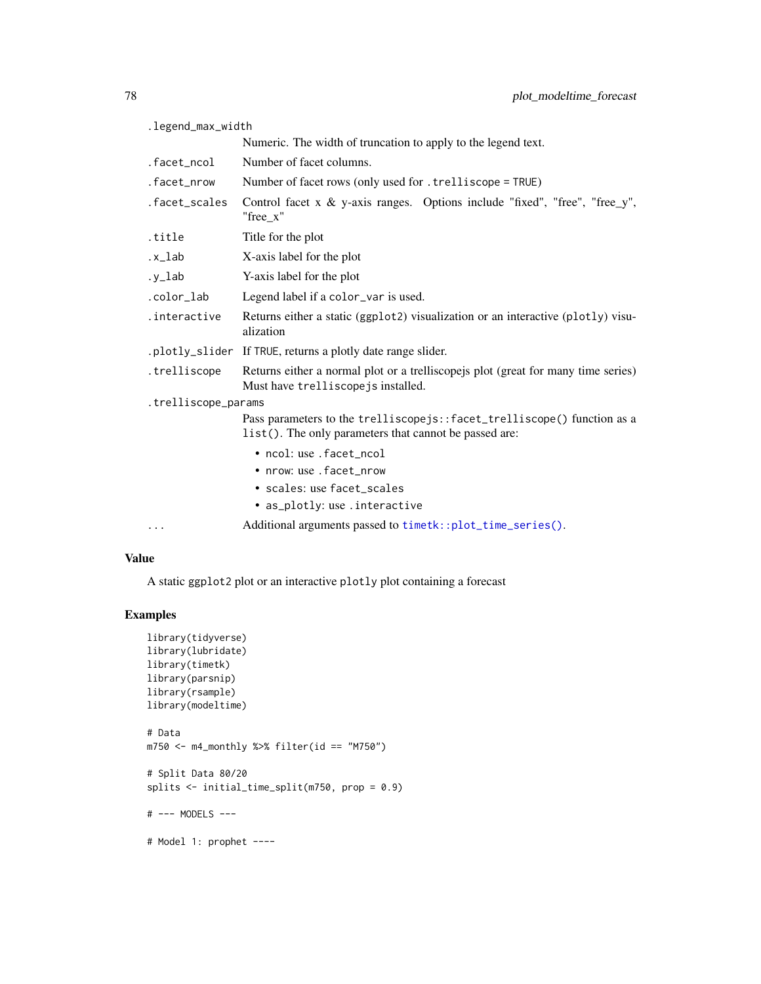| .legend_max_width                                                                                                                 |  |  |
|-----------------------------------------------------------------------------------------------------------------------------------|--|--|
| Numeric. The width of truncation to apply to the legend text.                                                                     |  |  |
| Number of facet columns.                                                                                                          |  |  |
| Number of facet rows (only used for . trelliscope = TRUE)                                                                         |  |  |
| Control facet $x \& y$ -axis ranges. Options include "fixed", "free", "free_y",<br>"free x"                                       |  |  |
| Title for the plot                                                                                                                |  |  |
| X-axis label for the plot                                                                                                         |  |  |
| Y-axis label for the plot                                                                                                         |  |  |
| Legend label if a color_var is used.                                                                                              |  |  |
| Returns either a static (ggplot2) visualization or an interactive (plotly) visu-<br>alization                                     |  |  |
| .plotly_slider If TRUE, returns a plotly date range slider.                                                                       |  |  |
| Returns either a normal plot or a trelliscopejs plot (great for many time series)<br>Must have trelliscopejs installed.           |  |  |
| .trelliscope_params                                                                                                               |  |  |
| Pass parameters to the trelliscopejs::facet_trelliscope() function as a<br>list(). The only parameters that cannot be passed are: |  |  |
| • ncol: use .facet_ncol                                                                                                           |  |  |
| • nrow: use . facet nrow                                                                                                          |  |  |
| • scales: use facet_scales                                                                                                        |  |  |
| • as_plotly: use.interactive                                                                                                      |  |  |
| Additional arguments passed to timetk::plot_time_series().                                                                        |  |  |
|                                                                                                                                   |  |  |

### Value

A static ggplot2 plot or an interactive plotly plot containing a forecast

# Examples

```
library(tidyverse)
library(lubridate)
library(timetk)
library(parsnip)
library(rsample)
library(modeltime)
# Data
m750 <- m4_monthly %>% filter(id == "M750")
# Split Data 80/20
splits <- initial_time_split(m750, prop = 0.9)
# --- MODELS ---
```
# Model 1: prophet ----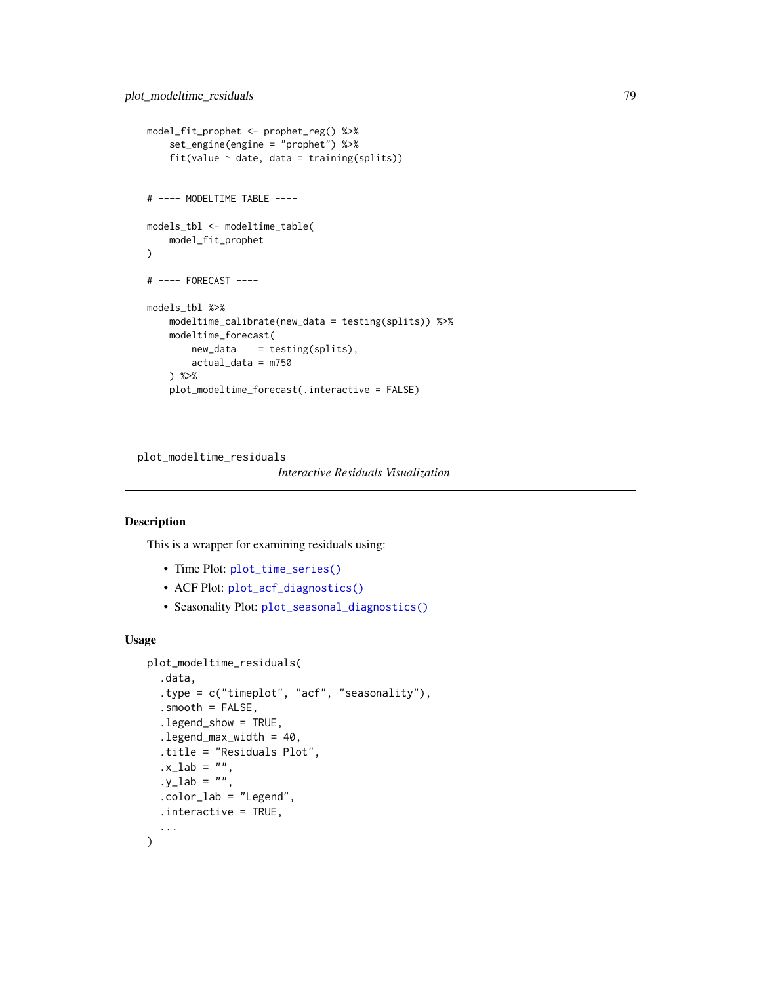```
model_fit_prophet <- prophet_reg() %>%
    set_engine(engine = "prophet") %>%
    fit(value ~ date, data = training(splits))# ---- MODELTIME TABLE ----
models_tbl <- modeltime_table(
   model_fit_prophet
\lambda# ---- FORECAST ----
models_tbl %>%
    modeltime_calibrate(new_data = testing(splits)) %>%
   modeltime_forecast(
       new_data = testing(splits),
        actual_data = m750
   ) %>%
    plot_modeltime_forecast(.interactive = FALSE)
```
plot\_modeltime\_residuals

```
Interactive Residuals Visualization
```
#### Description

This is a wrapper for examining residuals using:

- Time Plot: [plot\\_time\\_series\(\)](#page-0-0)
- ACF Plot: [plot\\_acf\\_diagnostics\(\)](#page-0-0)
- Seasonality Plot: [plot\\_seasonal\\_diagnostics\(\)](#page-0-0)

### Usage

```
plot_modeltime_residuals(
  .data,
  .type = c("timeplot", "acf", "seasonality"),
  .smooth = FALSE,
  .legend_show = TRUE,
  legend_max_width = 40,
  .title = "Residuals Plot",
  .x\_lab = ""..y\_lab = ""..color_lab = "Legend",
  .interactive = TRUE,
  ...
)
```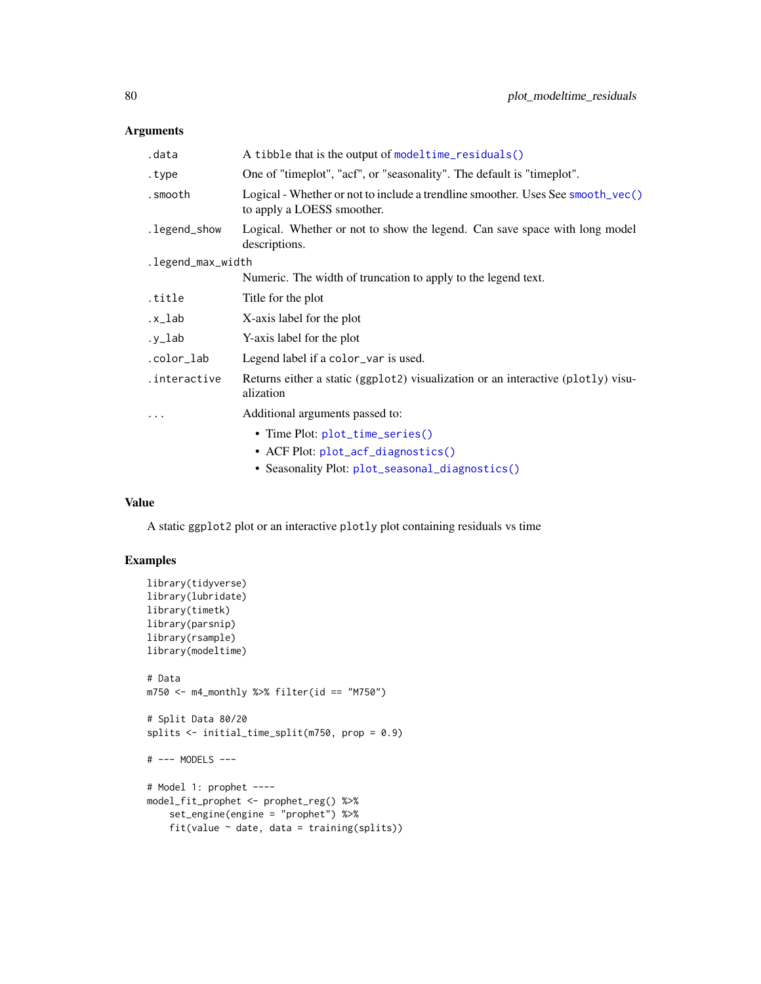### Arguments

| .data             | A tibble that is the output of modeltime_residuals()                                                          |  |
|-------------------|---------------------------------------------------------------------------------------------------------------|--|
| .type             | One of "timeplot", "acf", or "seasonality". The default is "timeplot".                                        |  |
| .smooth           | Logical - Whether or not to include a trendline smoother. Uses See smooth_vec()<br>to apply a LOESS smoother. |  |
| .legend_show      | Logical. Whether or not to show the legend. Can save space with long model<br>descriptions.                   |  |
| .legend_max_width |                                                                                                               |  |
|                   | Numeric. The width of truncation to apply to the legend text.                                                 |  |
| title.            | Title for the plot                                                                                            |  |
| .x_lab            | X-axis label for the plot                                                                                     |  |
| .y_lab            | Y-axis label for the plot                                                                                     |  |
| .color_lab        | Legend label if a color_var is used.                                                                          |  |
| .interactive      | Returns either a static (ggplot2) visualization or an interactive (plotly) visu-<br>alization                 |  |
| $\ddotsc$         | Additional arguments passed to:                                                                               |  |
|                   | • Time Plot: plot_time_series()                                                                               |  |
|                   | • ACF Plot: plot_acf_diagnostics()                                                                            |  |
|                   | • Seasonality Plot: plot_seasonal_diagnostics()                                                               |  |
|                   |                                                                                                               |  |

### Value

A static ggplot2 plot or an interactive plotly plot containing residuals vs time

```
library(tidyverse)
library(lubridate)
library(timetk)
library(parsnip)
library(rsample)
library(modeltime)
# Data
m750 \leq m4 mathly %>% filter(id == "M750")
# Split Data 80/20
splits <- initial_time_split(m750, prop = 0.9)
# --- MODELS ---
# Model 1: prophet ----
model_fit_prophet <- prophet_reg() %>%
    set_engine(engine = "prophet") %>%
    fit(value ~ date, data = training(splits))
```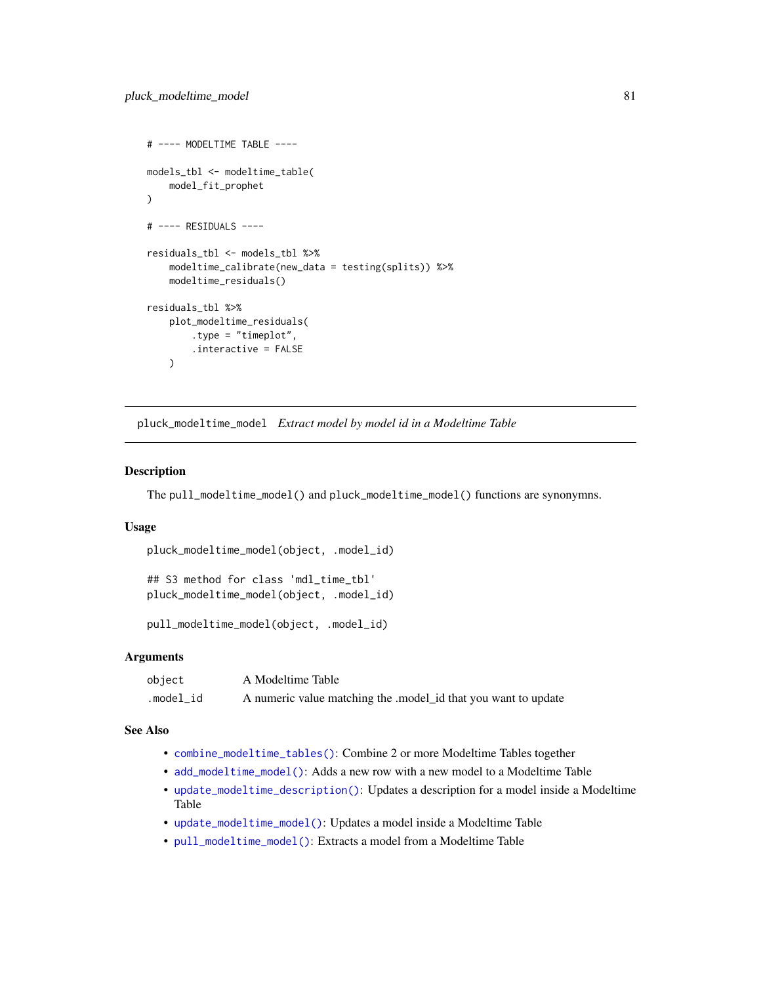```
# ---- MODELTIME TABLE ----
models_tbl <- modeltime_table(
    model_fit_prophet
\lambda# ---- RESIDUALS ----
residuals_tbl <- models_tbl %>%
    modeltime_calibrate(new_data = testing(splits)) %>%
    modeltime_residuals()
residuals_tbl %>%
    plot_modeltime_residuals(
        .type = "timeplot",
        .interactive = FALSE
    \lambda
```
pluck\_modeltime\_model *Extract model by model id in a Modeltime Table*

#### <span id="page-80-0"></span>Description

The pull\_modeltime\_model() and pluck\_modeltime\_model() functions are synonymns.

### Usage

```
pluck_modeltime_model(object, .model_id)
```

```
## S3 method for class 'mdl_time_tbl'
pluck_modeltime_model(object, .model_id)
```

```
pull_modeltime_model(object, .model_id)
```
### Arguments

| object    | A Modeltime Table                                              |
|-----------|----------------------------------------------------------------|
| .model_id | A numeric value matching the .model_id that you want to update |

#### See Also

- [combine\\_modeltime\\_tables\(\)](#page-22-0): Combine 2 or more Modeltime Tables together
- [add\\_modeltime\\_model\(\)](#page-9-0): Adds a new row with a new model to a Modeltime Table
- [update\\_modeltime\\_description\(\)](#page-113-0): Updates a description for a model inside a Modeltime Table
- [update\\_modeltime\\_model\(\)](#page-112-0): Updates a model inside a Modeltime Table
- [pull\\_modeltime\\_model\(\)](#page-80-0): Extracts a model from a Modeltime Table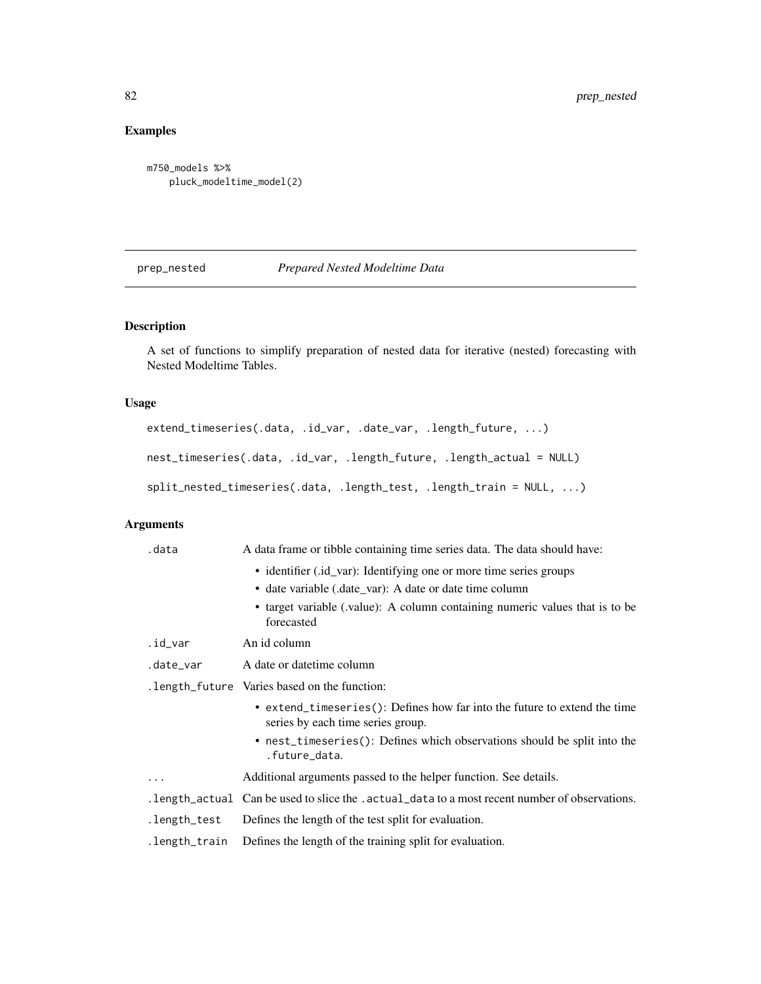# Examples

```
m750_models %>%
   pluck_modeltime_model(2)
```
# prep\_nested *Prepared Nested Modeltime Data*

### Description

A set of functions to simplify preparation of nested data for iterative (nested) forecasting with Nested Modeltime Tables.

### Usage

```
extend_timeseries(.data, .id_var, .date_var, .length_future, ...)
nest_timeseries(.data, .id_var, .length_future, .length_actual = NULL)
split_nested_timeseries(.data, .length_test, .length_train = NULL, ...)
```
# Arguments

|                                               | .data         | A data frame or tibble containing time series data. The data should have:                                      |  |
|-----------------------------------------------|---------------|----------------------------------------------------------------------------------------------------------------|--|
|                                               |               | • identifier (id_var): Identifying one or more time series groups                                              |  |
|                                               |               | • date variable (.date_var): A date or date time column                                                        |  |
|                                               |               | • target variable (value): A column containing numeric values that is to be<br>forecasted                      |  |
|                                               | .id_var       | An id column                                                                                                   |  |
|                                               | .date_var     | A date or date time column                                                                                     |  |
| . length_future Varies based on the function: |               |                                                                                                                |  |
|                                               |               | • extend_timeseries(): Defines how far into the future to extend the time<br>series by each time series group. |  |
|                                               |               | • nest_timeseries(): Defines which observations should be split into the<br>.future_data.                      |  |
|                                               | $\cdots$      | Additional arguments passed to the helper function. See details.                                               |  |
|                                               |               | . length_actual Can be used to slice the . actual_data to a most recent number of observations.                |  |
|                                               | .length_test  | Defines the length of the test split for evaluation.                                                           |  |
|                                               | .length_train | Defines the length of the training split for evaluation.                                                       |  |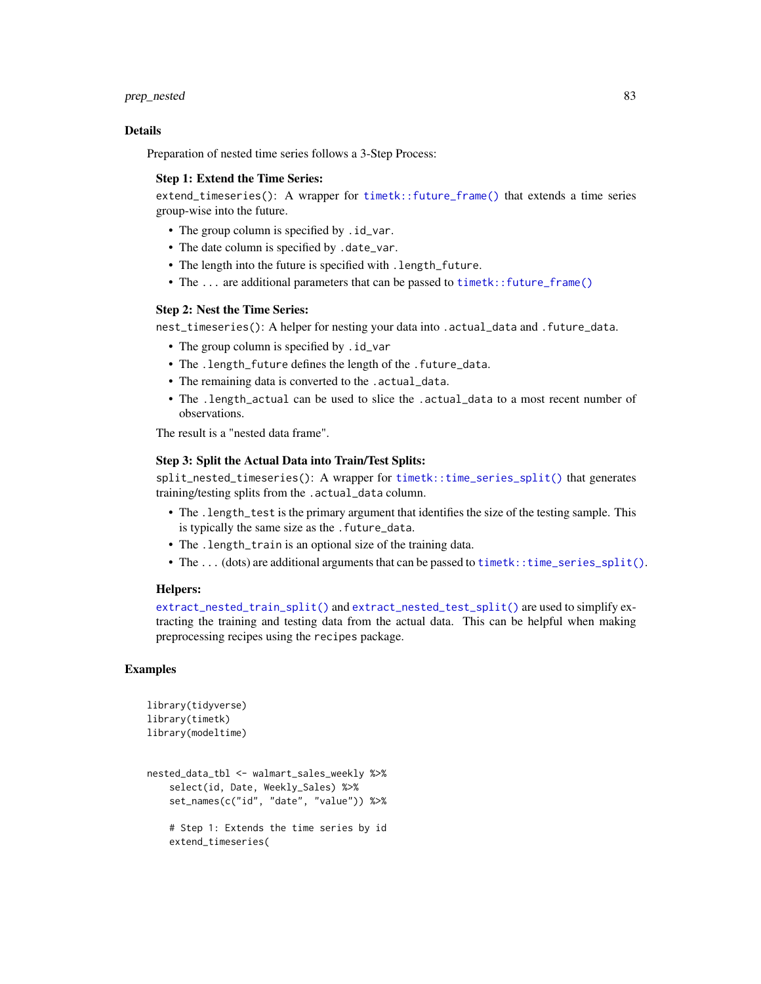#### Details

Preparation of nested time series follows a 3-Step Process:

#### Step 1: Extend the Time Series:

extend\_timeseries(): A wrapper for [timetk::future\\_frame\(\)](#page-0-0) that extends a time series group-wise into the future.

- The group column is specified by .id\_var.
- The date column is specified by .date\_var.
- The length into the future is specified with .length\_future.
- The ... are additional parameters that can be passed to [timetk::future\\_frame\(\)](#page-0-0)

### Step 2: Nest the Time Series:

nest\_timeseries(): A helper for nesting your data into .actual\_data and .future\_data.

- The group column is specified by .id\_var
- The .length\_future defines the length of the .future\_data.
- The remaining data is converted to the .actual\_data.
- The .length\_actual can be used to slice the .actual\_data to a most recent number of observations.

The result is a "nested data frame".

### Step 3: Split the Actual Data into Train/Test Splits:

split\_nested\_timeseries(): A wrapper for [timetk::time\\_series\\_split\(\)](#page-0-0) that generates training/testing splits from the .actual\_data column.

- The .length\_test is the primary argument that identifies the size of the testing sample. This is typically the same size as the . future\_data.
- The .length\_train is an optional size of the training data.
- The ... (dots) are additional arguments that can be passed to [timetk::time\\_series\\_split\(\)](#page-0-0).

#### Helpers:

[extract\\_nested\\_train\\_split\(\)](#page-38-0) and [extract\\_nested\\_test\\_split\(\)](#page-38-0) are used to simplify extracting the training and testing data from the actual data. This can be helpful when making preprocessing recipes using the recipes package.

```
library(tidyverse)
library(timetk)
library(modeltime)
nested_data_tbl <- walmart_sales_weekly %>%
    select(id, Date, Weekly_Sales) %>%
    set_names(c("id", "date", "value")) %>%
    # Step 1: Extends the time series by id
    extend_timeseries(
```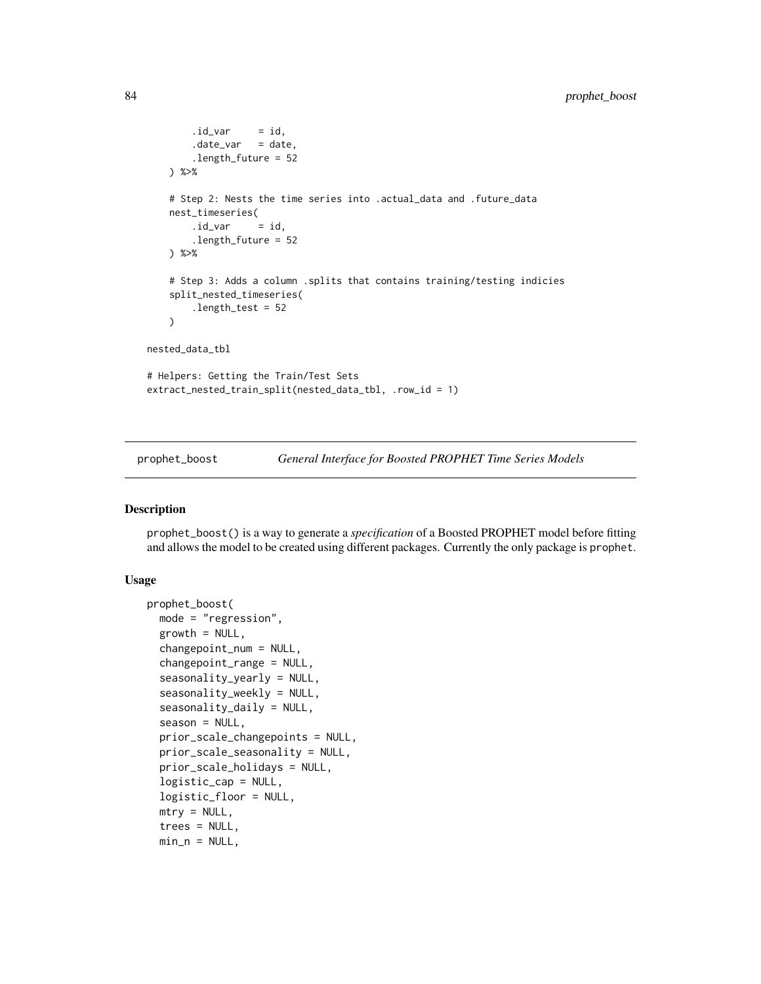```
.id\_var = id,date\_var = date,.length_future = 52
   ) %>%
   # Step 2: Nests the time series into .actual_data and .future_data
   nest_timeseries(
       .id\_var = id,.length_future = 52
   ) %>%
   # Step 3: Adds a column .splits that contains training/testing indicies
   split_nested_timeseries(
        .length_test = 52
   )
nested_data_tbl
# Helpers: Getting the Train/Test Sets
extract_nested_train_split(nested_data_tbl, .row_id = 1)
```
prophet\_boost *General Interface for Boosted PROPHET Time Series Models*

### Description

prophet\_boost() is a way to generate a *specification* of a Boosted PROPHET model before fitting and allows the model to be created using different packages. Currently the only package is prophet.

### Usage

```
prophet_boost(
 mode = "regression",
  growth = NULL,changepoint_num = NULL,
  changepoint_range = NULL,
  seasonality_yearly = NULL,
  seasonality_weekly = NULL,
  seasonality_daily = NULL,
  season = NULL,prior_scale_changepoints = NULL,
 prior_scale_seasonality = NULL,
  prior_scale_holidays = NULL,
  logistic_cap = NULL,
  logistic_floor = NULL,
 mtry = NULL,trees = NULL,
 min_n = NULL,
```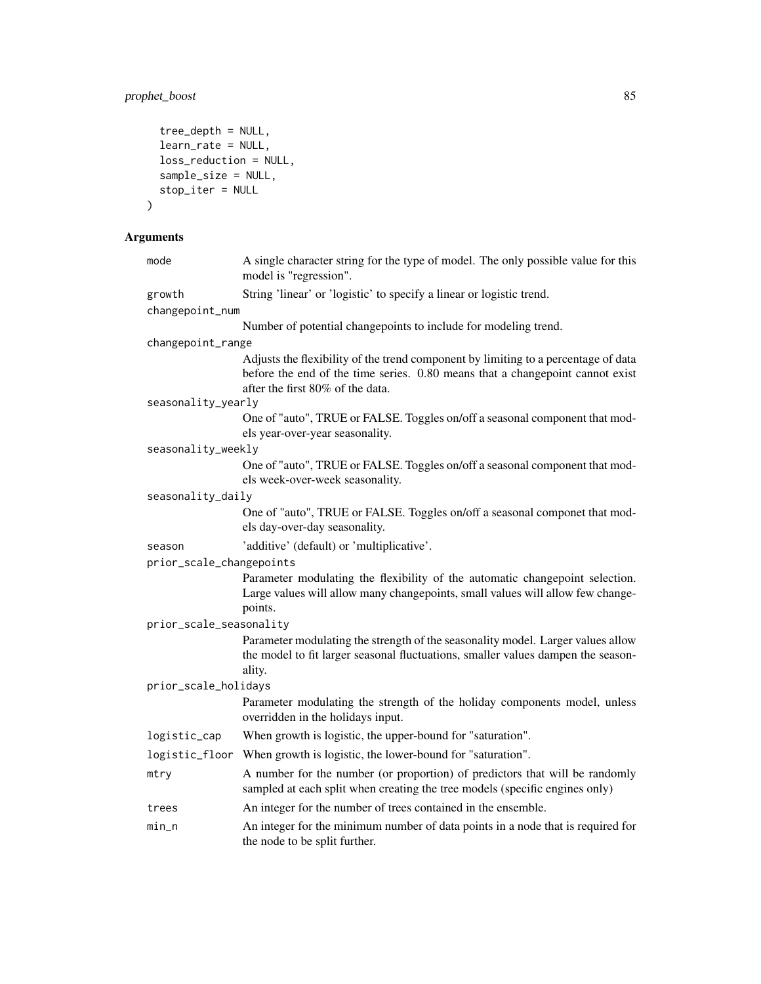# prophet\_boost 85

```
tree_depth = NULL,
 learn_rate = NULL,
 loss_reduction = NULL,
 sample_size = NULL,
 stop_iter = NULL
\mathcal{L}
```
# Arguments

| mode                     | A single character string for the type of model. The only possible value for this<br>model is "regression".                                                                                             |
|--------------------------|---------------------------------------------------------------------------------------------------------------------------------------------------------------------------------------------------------|
| growth                   | String 'linear' or 'logistic' to specify a linear or logistic trend.                                                                                                                                    |
| changepoint_num          |                                                                                                                                                                                                         |
|                          | Number of potential changepoints to include for modeling trend.                                                                                                                                         |
| changepoint_range        |                                                                                                                                                                                                         |
|                          | Adjusts the flexibility of the trend component by limiting to a percentage of data<br>before the end of the time series. 0.80 means that a changepoint cannot exist<br>after the first 80% of the data. |
| seasonality_yearly       |                                                                                                                                                                                                         |
|                          | One of "auto", TRUE or FALSE. Toggles on/off a seasonal component that mod-<br>els year-over-year seasonality.                                                                                          |
| seasonality_weekly       |                                                                                                                                                                                                         |
|                          | One of "auto", TRUE or FALSE. Toggles on/off a seasonal component that mod-<br>els week-over-week seasonality.                                                                                          |
| seasonality_daily        |                                                                                                                                                                                                         |
|                          | One of "auto", TRUE or FALSE. Toggles on/off a seasonal componet that mod-<br>els day-over-day seasonality.                                                                                             |
| season                   | 'additive' (default) or 'multiplicative'.                                                                                                                                                               |
| prior_scale_changepoints |                                                                                                                                                                                                         |
|                          | Parameter modulating the flexibility of the automatic changepoint selection.<br>Large values will allow many changepoints, small values will allow few change-<br>points.                               |
| prior_scale_seasonality  |                                                                                                                                                                                                         |
|                          | Parameter modulating the strength of the seasonality model. Larger values allow<br>the model to fit larger seasonal fluctuations, smaller values dampen the season-<br>ality.                           |
| prior_scale_holidays     |                                                                                                                                                                                                         |
|                          | Parameter modulating the strength of the holiday components model, unless<br>overridden in the holidays input.                                                                                          |
| logistic_cap             | When growth is logistic, the upper-bound for "saturation".                                                                                                                                              |
| logistic_floor           | When growth is logistic, the lower-bound for "saturation".                                                                                                                                              |
| mtry                     | A number for the number (or proportion) of predictors that will be randomly<br>sampled at each split when creating the tree models (specific engines only)                                              |
| trees                    | An integer for the number of trees contained in the ensemble.                                                                                                                                           |
| min_n                    | An integer for the minimum number of data points in a node that is required for<br>the node to be split further.                                                                                        |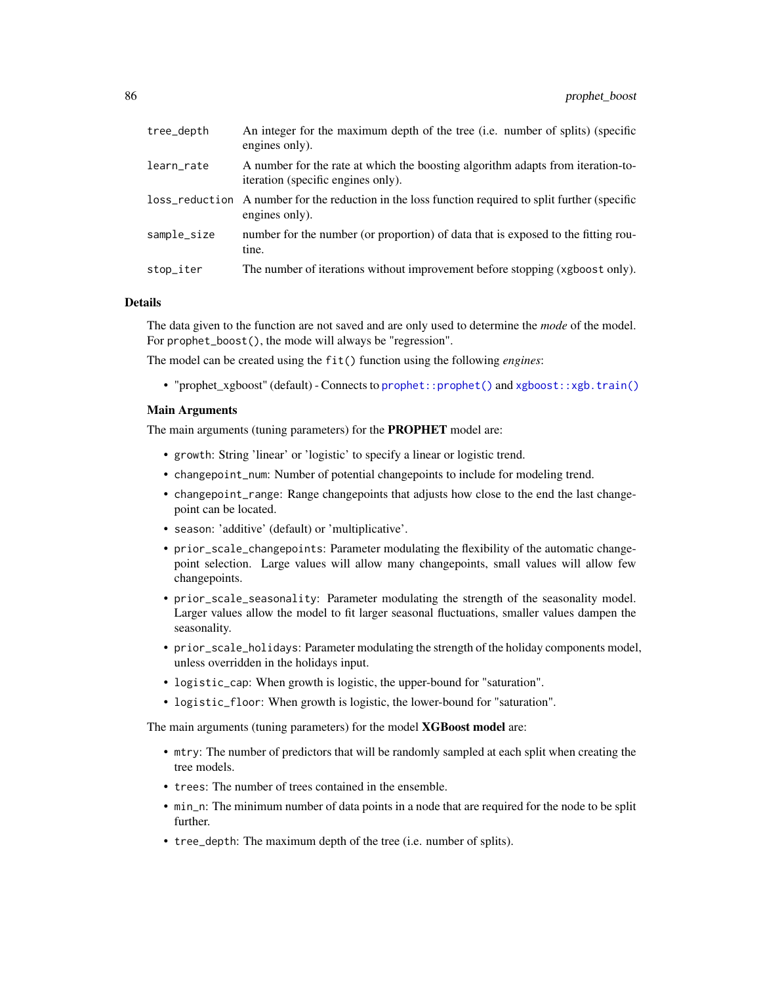| tree_depth  | An integer for the maximum depth of the tree (i.e. number of splits) (specific<br>engines only).                      |
|-------------|-----------------------------------------------------------------------------------------------------------------------|
| learn_rate  | A number for the rate at which the boosting algorithm adapts from iteration-to-<br>iteration (specific engines only). |
|             | loss_reduction A number for the reduction in the loss function required to split further (specific<br>engines only).  |
| sample_size | number for the number (or proportion) of data that is exposed to the fitting rou-<br>tine.                            |
| stop_iter   | The number of iterations without improvement before stopping (xgboost only).                                          |

### Details

The data given to the function are not saved and are only used to determine the *mode* of the model. For prophet\_boost(), the mode will always be "regression".

The model can be created using the fit() function using the following *engines*:

• "prophet\_xgboost" (default) - Connects to [prophet::prophet\(\)](#page-0-0) and [xgboost::xgb.train\(\)](#page-0-0)

### Main Arguments

The main arguments (tuning parameters) for the PROPHET model are:

- growth: String 'linear' or 'logistic' to specify a linear or logistic trend.
- changepoint\_num: Number of potential changepoints to include for modeling trend.
- changepoint\_range: Range changepoints that adjusts how close to the end the last changepoint can be located.
- season: 'additive' (default) or 'multiplicative'.
- prior\_scale\_changepoints: Parameter modulating the flexibility of the automatic changepoint selection. Large values will allow many changepoints, small values will allow few changepoints.
- prior\_scale\_seasonality: Parameter modulating the strength of the seasonality model. Larger values allow the model to fit larger seasonal fluctuations, smaller values dampen the seasonality.
- prior\_scale\_holidays: Parameter modulating the strength of the holiday components model, unless overridden in the holidays input.
- logistic\_cap: When growth is logistic, the upper-bound for "saturation".
- logistic\_floor: When growth is logistic, the lower-bound for "saturation".

The main arguments (tuning parameters) for the model **XGBoost model** are:

- mtry: The number of predictors that will be randomly sampled at each split when creating the tree models.
- trees: The number of trees contained in the ensemble.
- min\_n: The minimum number of data points in a node that are required for the node to be split further.
- tree\_depth: The maximum depth of the tree (i.e. number of splits).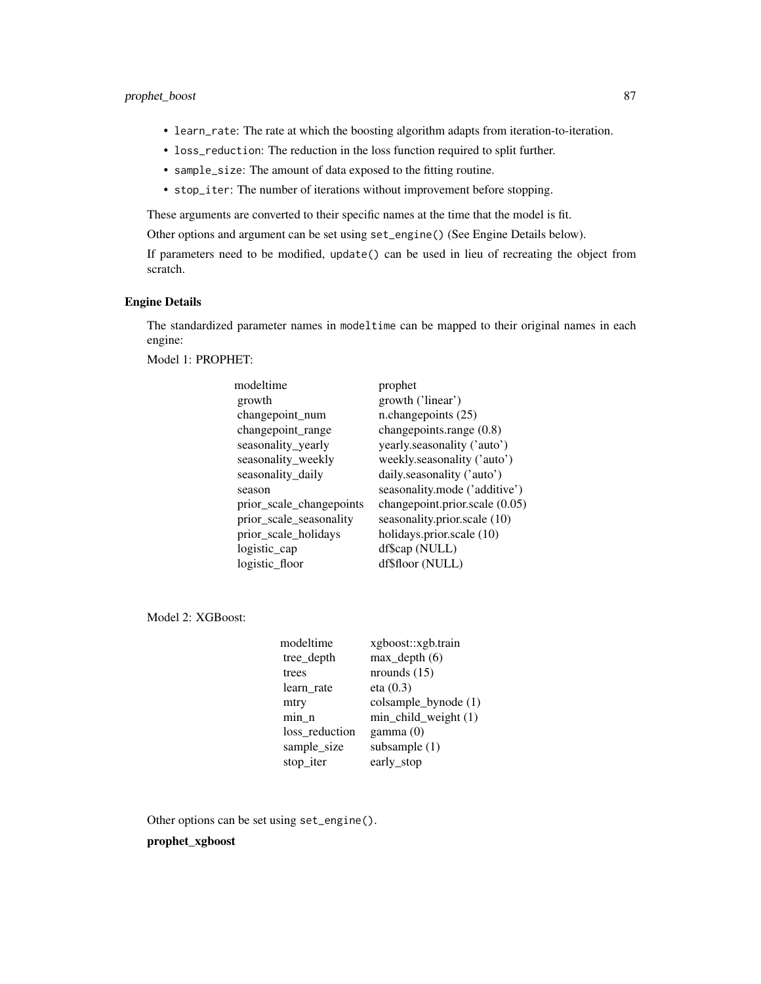### prophet\_boost 87

- learn\_rate: The rate at which the boosting algorithm adapts from iteration-to-iteration.
- loss\_reduction: The reduction in the loss function required to split further.
- sample\_size: The amount of data exposed to the fitting routine.
- stop\_iter: The number of iterations without improvement before stopping.

These arguments are converted to their specific names at the time that the model is fit.

Other options and argument can be set using set\_engine() (See Engine Details below).

If parameters need to be modified, update() can be used in lieu of recreating the object from scratch.

### Engine Details

The standardized parameter names in modeltime can be mapped to their original names in each engine:

Model 1: PROPHET:

| modeltime                | prophet                        |
|--------------------------|--------------------------------|
| growth                   | growth ('linear')              |
| changepoint_num          | n.changepoints (25)            |
| changepoint_range        | changepoints.range (0.8)       |
| seasonality_yearly       | yearly.seasonality ('auto')    |
| seasonality_weekly       | weekly.seasonality ('auto')    |
| seasonality_daily        | daily.seasonality ('auto')     |
| season                   | seasonality.mode ('additive')  |
| prior_scale_changepoints | changepoint.prior.scale (0.05) |
| prior_scale_seasonality  | seasonality.prior.scale (10)   |
| prior_scale_holidays     | holidays.prior.scale (10)      |
| logistic_cap             | df\$cap (NULL)                 |
| logistic_floor           | df\$floor (NULL)               |
|                          |                                |

Model 2: XGBoost:

| xgboost::xgb.train      |
|-------------------------|
| $max$ _depth $(6)$      |
| nrounds $(15)$          |
| eta(0.3)                |
| colsample_bynode (1)    |
| $min\_child\_weight(1)$ |
| gamma(0)                |
| subsample (1)           |
| early_stop              |
|                         |

Other options can be set using set\_engine().

prophet\_xgboost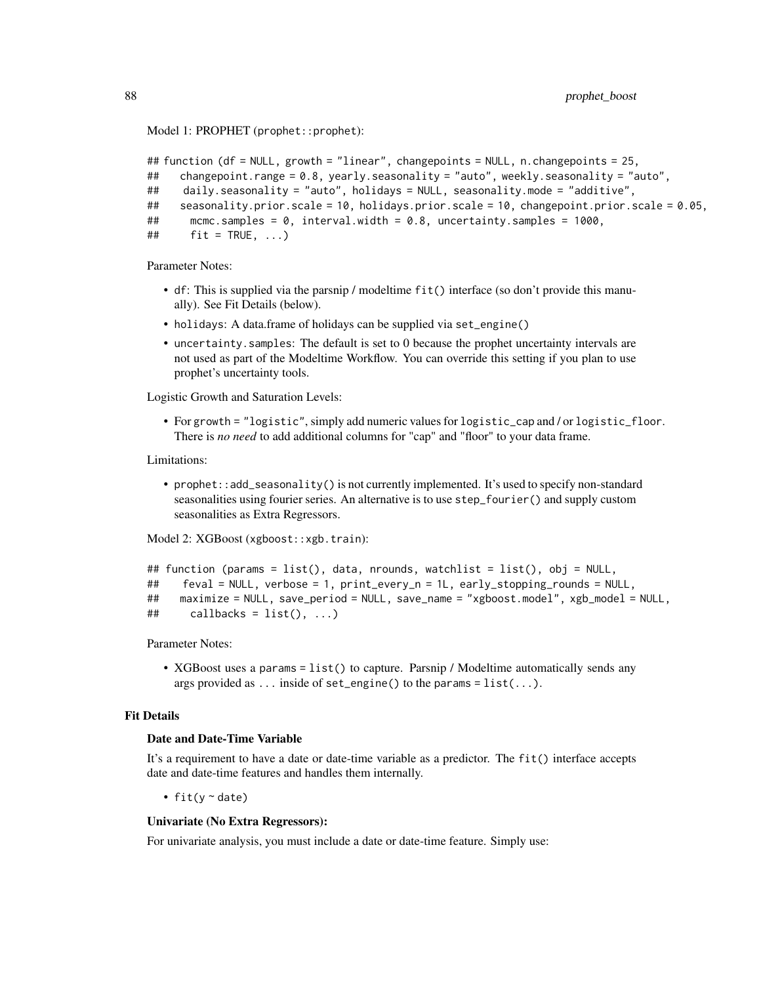Model 1: PROPHET (prophet:: prophet):

```
## function (df = NULL, growth = "linear", changepoints = NULL, n.changepoints = 25,
## changepoint.range = 0.8, yearly.seasonality = "auto", weekly.seasonality = "auto",
## daily.seasonality = "auto", holidays = NULL, seasonality.mode = "additive",
## seasonality.prior.scale = 10, holidays.prior.scale = 10, changepoint.prior.scale = 0.05,
## mcmc.samples = 0, interval.width = 0.8, uncertainty.samples = 1000,
\# fit = TRUE, ...)
```
Parameter Notes:

- df: This is supplied via the parsnip / modeltime fit() interface (so don't provide this manually). See Fit Details (below).
- holidays: A data.frame of holidays can be supplied via set\_engine()
- uncertainty.samples: The default is set to 0 because the prophet uncertainty intervals are not used as part of the Modeltime Workflow. You can override this setting if you plan to use prophet's uncertainty tools.

Logistic Growth and Saturation Levels:

• For growth = "logistic", simply add numeric values for logistic\_cap and / or logistic\_floor. There is *no need* to add additional columns for "cap" and "floor" to your data frame.

Limitations:

• prophet::add\_seasonality() is not currently implemented. It's used to specify non-standard seasonalities using fourier series. An alternative is to use step\_fourier() and supply custom seasonalities as Extra Regressors.

Model 2: XGBoost (xgboost::xgb.train):

```
## function (params = list(), data, nrounds, watchlist = list(), obj = NULL,
## feval = NULL, verbose = 1, print_every_n = 1L, early_stopping_rounds = NULL,
## maximize = NULL, save_period = NULL, save_name = "xgboost.model", xgb_model = NULL,
\# callbacks = list(), ...)
```
Parameter Notes:

• XGBoost uses a params = list() to capture. Parsnip / Modeltime automatically sends any args provided as ... inside of set\_engine() to the params =  $list(...)$ .

### Fit Details

### Date and Date-Time Variable

It's a requirement to have a date or date-time variable as a predictor. The fit() interface accepts date and date-time features and handles them internally.

• fit(y ~ date)

#### Univariate (No Extra Regressors):

For univariate analysis, you must include a date or date-time feature. Simply use: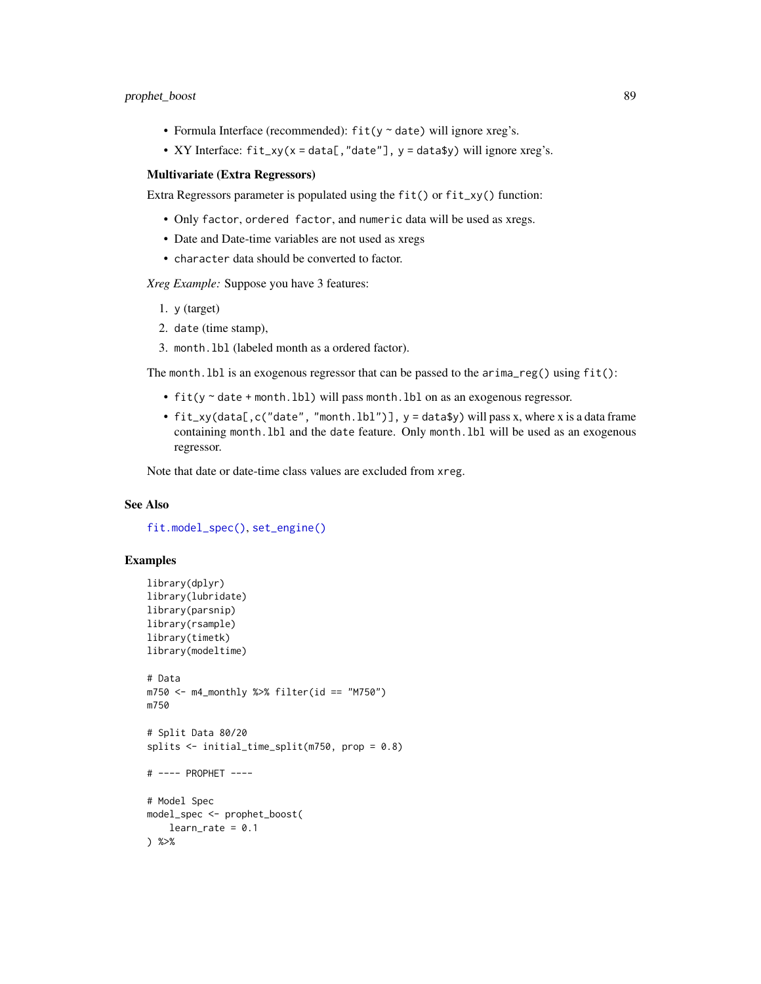- Formula Interface (recommended):  $fit(y \sim date)$  will ignore xreg's.
- XY Interface: fit\_xy(x = data[,"date"], y = data\$y) will ignore xreg's.

#### Multivariate (Extra Regressors)

Extra Regressors parameter is populated using the fit() or fit\_xy() function:

- Only factor, ordered factor, and numeric data will be used as xregs.
- Date and Date-time variables are not used as xregs
- character data should be converted to factor.

*Xreg Example:* Suppose you have 3 features:

- 1. y (target)
- 2. date (time stamp),
- 3. month.lbl (labeled month as a ordered factor).

The month. lbl is an exogenous regressor that can be passed to the  $\arrows$  arima\_reg() using  $fit()$ :

- fit(y ~ date + month.lbl) will pass month.lbl on as an exogenous regressor.
- fit\_xy(data[,c("date", "month.lbl")], y = data\$y) will pass x, where x is a data frame containing month.lbl and the date feature. Only month.lbl will be used as an exogenous regressor.

Note that date or date-time class values are excluded from xreg.

### See Also

[fit.model\\_spec\(\)](#page-0-0), [set\\_engine\(\)](#page-0-0)

```
library(dplyr)
library(lubridate)
library(parsnip)
library(rsample)
library(timetk)
library(modeltime)
# Data
m750 <- m4_monthly %>% filter(id == "M750")
m750
# Split Data 80/20
splits <- initial_time_split(m750, prop = 0.8)
# ---- PROPHET ----
# Model Spec
model_spec <- prophet_boost(
   learn_rate = 0.1) %>%
```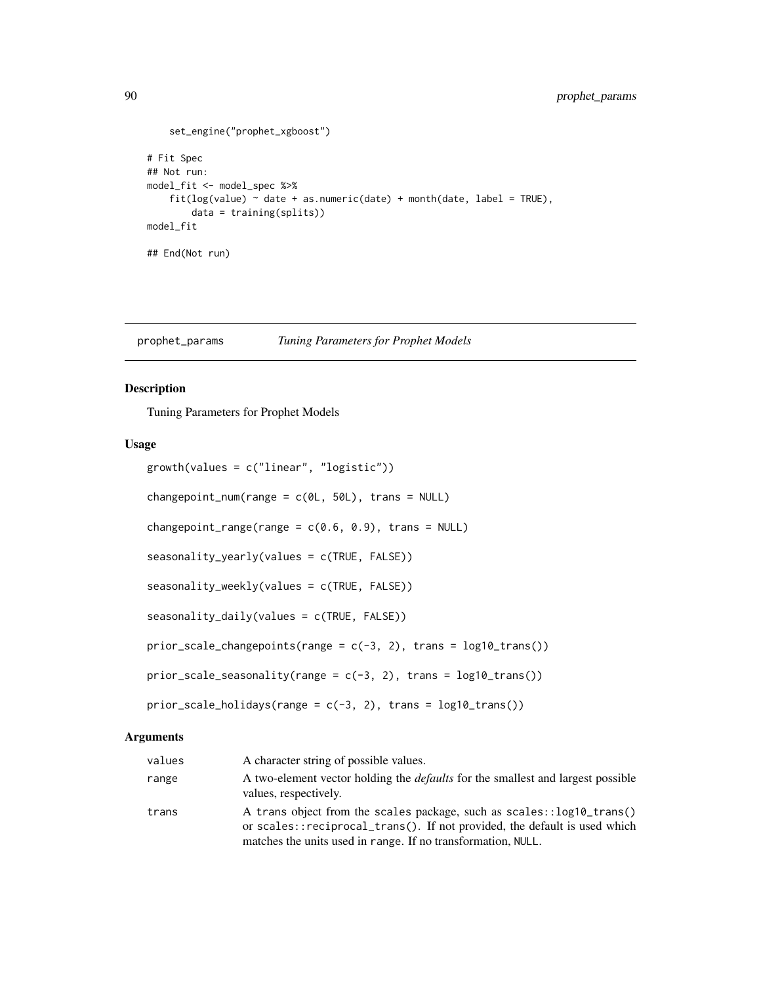```
set_engine("prophet_xgboost")
# Fit Spec
## Not run:
model_fit <- model_spec %>%
    fit(log(value) ~<sub>data</sub> + as.numeric(data) ~+ month(data, label = TRUE),data = training(splits))
model_fit
## End(Not run)
```
prophet\_params *Tuning Parameters for Prophet Models*

## Description

Tuning Parameters for Prophet Models

### Usage

```
growth(values = c("linear", "logistic"))
changepoint_number = c(0L, 50L), trans = NULL)
changepoint_range(range = c(0.6, 0.9), trans = NULL)
seasonality_yearly(values = c(TRUE, FALSE))
seasonality_weekly(values = c(TRUE, FALSE))
seasonality_daily(values = c(TRUE, FALSE))
prior_scale_changepoints(range = c(-3, 2), trans = log10_ttrans())
prior\_scale\_seasonality(range = c(-3, 2), trans = log10_train())prior_scale_holidays(range = c(-3, 2), trans = log10_ttrans())
```
### Arguments

| values | A character string of possible values.                                                                                                                                                                             |
|--------|--------------------------------------------------------------------------------------------------------------------------------------------------------------------------------------------------------------------|
| range  | A two-element vector holding the <i>defaults</i> for the smallest and largest possible<br>values, respectively.                                                                                                    |
| trans  | A trans object from the scales package, such as scales::log10_trans()<br>or scales::reciprocal_trans(). If not provided, the default is used which<br>matches the units used in range. If no transformation, NULL. |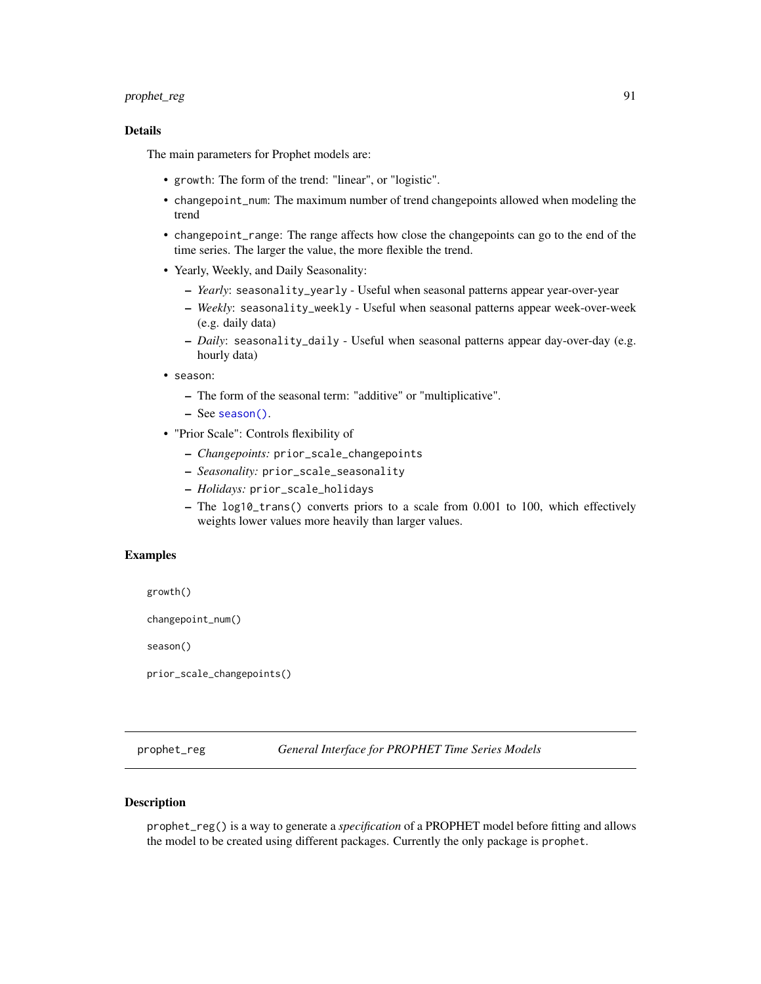### prophet\_reg 91

### Details

The main parameters for Prophet models are:

- growth: The form of the trend: "linear", or "logistic".
- changepoint\_num: The maximum number of trend changepoints allowed when modeling the trend
- changepoint\_range: The range affects how close the changepoints can go to the end of the time series. The larger the value, the more flexible the trend.
- Yearly, Weekly, and Daily Seasonality:
	- *Yearly*: seasonality\_yearly Useful when seasonal patterns appear year-over-year
	- *Weekly*: seasonality\_weekly Useful when seasonal patterns appear week-over-week (e.g. daily data)
	- *Daily*: seasonality\_daily Useful when seasonal patterns appear day-over-day (e.g. hourly data)
- season:
	- The form of the seasonal term: "additive" or "multiplicative".
	- See [season\(\)](#page-34-0).
- "Prior Scale": Controls flexibility of
	- *Changepoints:* prior\_scale\_changepoints
	- *Seasonality:* prior\_scale\_seasonality
	- *Holidays:* prior\_scale\_holidays
	- The log10\_trans() converts priors to a scale from 0.001 to 100, which effectively weights lower values more heavily than larger values.

### Examples

growth()

changepoint\_num()

season()

prior\_scale\_changepoints()

prophet\_reg *General Interface for PROPHET Time Series Models*

#### **Description**

prophet\_reg() is a way to generate a *specification* of a PROPHET model before fitting and allows the model to be created using different packages. Currently the only package is prophet.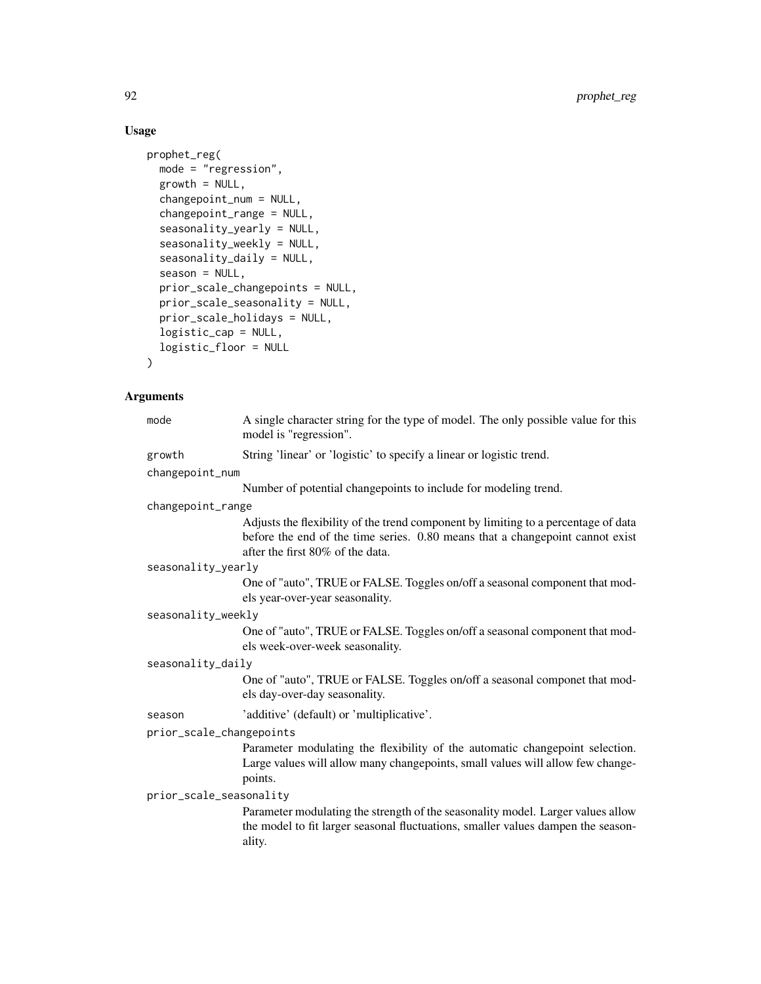# Usage

```
prophet_reg(
 mode = "regression",
 growth = NULL,
 changepoint_num = NULL,
 changepoint_range = NULL,
  seasonality_yearly = NULL,
  seasonality_weekly = NULL,
  seasonality_daily = NULL,
  season = NULL,
 prior_scale_changepoints = NULL,
 prior_scale_seasonality = NULL,
 prior_scale_holidays = NULL,
 logistic_cap = NULL,
 logistic_floor = NULL
)
```
# Arguments

| mode                     | A single character string for the type of model. The only possible value for this<br>model is "regression".                                                                                             |
|--------------------------|---------------------------------------------------------------------------------------------------------------------------------------------------------------------------------------------------------|
| growth                   | String 'linear' or 'logistic' to specify a linear or logistic trend.                                                                                                                                    |
| changepoint_num          |                                                                                                                                                                                                         |
|                          | Number of potential changepoints to include for modeling trend.                                                                                                                                         |
| changepoint_range        |                                                                                                                                                                                                         |
|                          | Adjusts the flexibility of the trend component by limiting to a percentage of data<br>before the end of the time series. 0.80 means that a changepoint cannot exist<br>after the first 80% of the data. |
| seasonality_yearly       |                                                                                                                                                                                                         |
|                          | One of "auto", TRUE or FALSE. Toggles on/off a seasonal component that mod-<br>els year-over-year seasonality.                                                                                          |
| seasonality_weekly       |                                                                                                                                                                                                         |
|                          | One of "auto", TRUE or FALSE. Toggles on/off a seasonal component that mod-<br>els week-over-week seasonality.                                                                                          |
| seasonality_daily        |                                                                                                                                                                                                         |
|                          | One of "auto", TRUE or FALSE. Toggles on/off a seasonal componet that mod-<br>els day-over-day seasonality.                                                                                             |
| season                   | 'additive' (default) or 'multiplicative'.                                                                                                                                                               |
| prior_scale_changepoints |                                                                                                                                                                                                         |
|                          | Parameter modulating the flexibility of the automatic changepoint selection.<br>Large values will allow many changepoints, small values will allow few change-<br>points.                               |
| prior_scale_seasonality  |                                                                                                                                                                                                         |
|                          | Parameter modulating the strength of the seasonality model. Larger values allow<br>the model to fit larger seasonal fluctuations, smaller values dampen the season-<br>ality.                           |
|                          |                                                                                                                                                                                                         |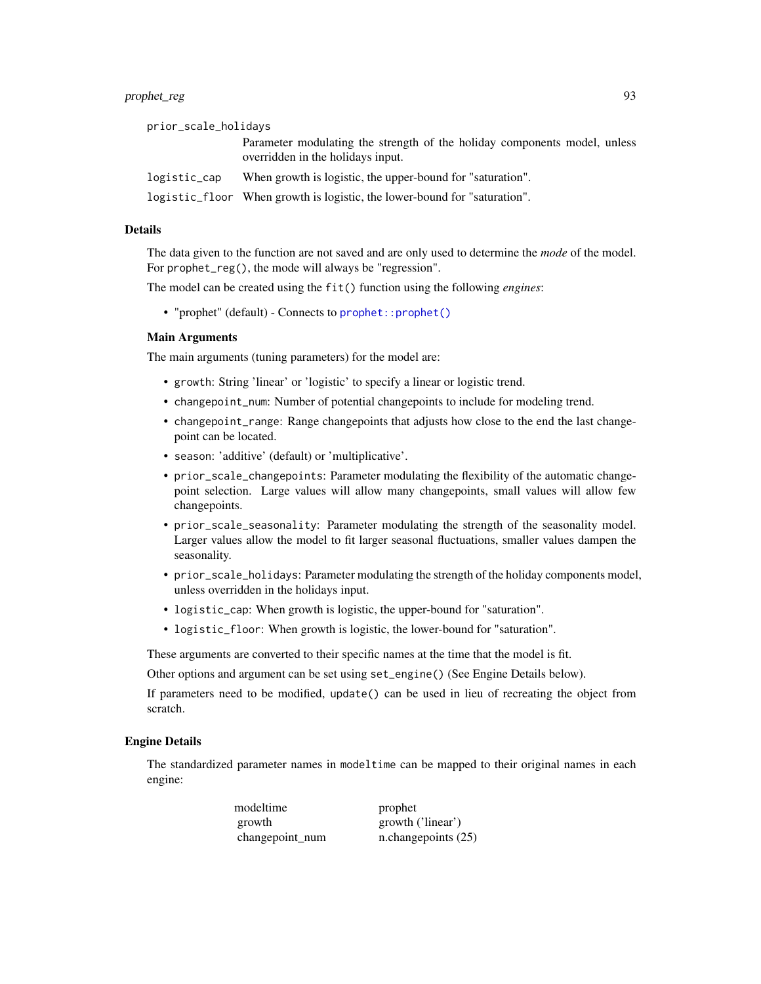| prior_scale_holidays |                                                                                                                |
|----------------------|----------------------------------------------------------------------------------------------------------------|
|                      | Parameter modulating the strength of the holiday components model, unless<br>overridden in the holidays input. |
| logistic_cap         | When growth is logistic, the upper-bound for "saturation".                                                     |
|                      | logistic_floor When growth is logistic, the lower-bound for "saturation".                                      |

#### Details

The data given to the function are not saved and are only used to determine the *mode* of the model. For prophet\_reg(), the mode will always be "regression".

The model can be created using the fit() function using the following *engines*:

• "prophet" (default) - Connects to [prophet::prophet\(\)](#page-0-0)

#### Main Arguments

The main arguments (tuning parameters) for the model are:

- growth: String 'linear' or 'logistic' to specify a linear or logistic trend.
- changepoint\_num: Number of potential changepoints to include for modeling trend.
- changepoint\_range: Range changepoints that adjusts how close to the end the last changepoint can be located.
- season: 'additive' (default) or 'multiplicative'.
- prior\_scale\_changepoints: Parameter modulating the flexibility of the automatic changepoint selection. Large values will allow many changepoints, small values will allow few changepoints.
- prior\_scale\_seasonality: Parameter modulating the strength of the seasonality model. Larger values allow the model to fit larger seasonal fluctuations, smaller values dampen the seasonality.
- prior\_scale\_holidays: Parameter modulating the strength of the holiday components model, unless overridden in the holidays input.
- logistic\_cap: When growth is logistic, the upper-bound for "saturation".
- logistic\_floor: When growth is logistic, the lower-bound for "saturation".

These arguments are converted to their specific names at the time that the model is fit.

Other options and argument can be set using set\_engine() (See Engine Details below).

If parameters need to be modified, update() can be used in lieu of recreating the object from scratch.

#### Engine Details

The standardized parameter names in modeltime can be mapped to their original names in each engine:

> modeltime prophet growth growth ('linear') changepoint\_num n.changepoints (25)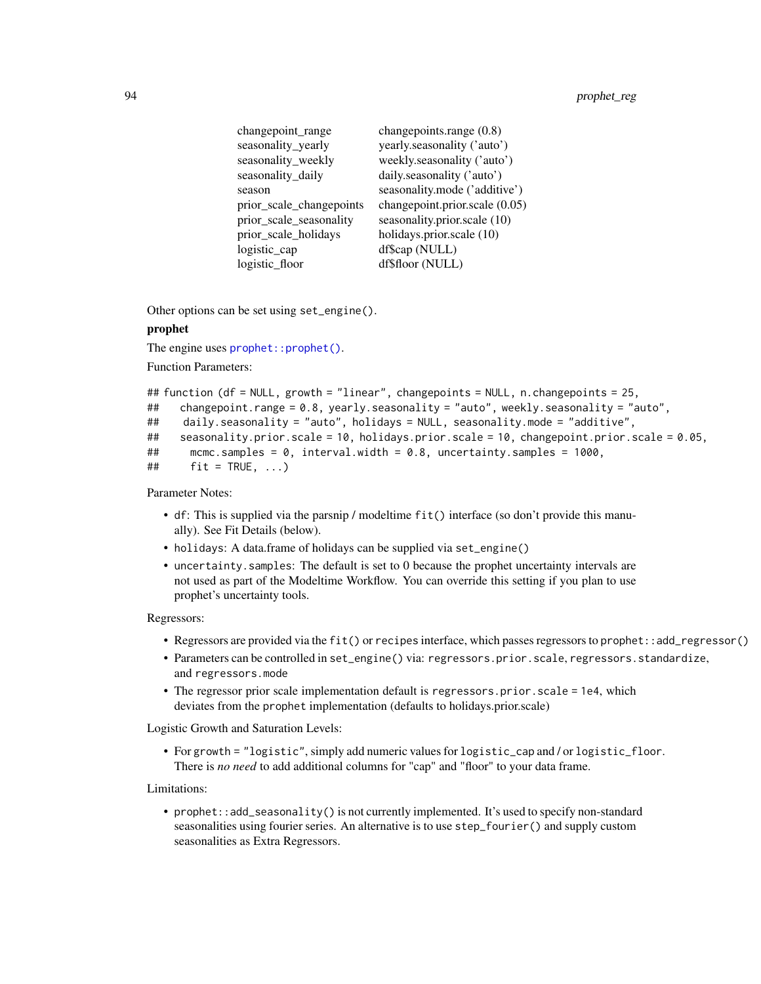| changepoint_range        | changepoints.range (0.8)         |
|--------------------------|----------------------------------|
| seasonality_yearly       | yearly.seasonality ('auto')      |
| seasonality_weekly       | weekly.seasonality ('auto')      |
| seasonality_daily        | daily.seasonality ('auto')       |
| season                   | seasonality.mode ('additive')    |
| prior_scale_changepoints | changepoint.prior.scale $(0.05)$ |
| prior_scale_seasonality  | seasonality.prior.scale (10)     |
| prior_scale_holidays     | holidays.prior.scale (10)        |
| logistic_cap             | df\$cap (NULL)                   |
| logistic_floor           | df\$floor (NULL)                 |

Other options can be set using set\_engine().

### prophet

The engine uses prophet:: prophet().

Function Parameters:

```
## function (df = NULL, growth = "linear", changepoints = NULL, n.changepoints = 25,
## changepoint.range = 0.8, yearly.seasonality = "auto", weekly.seasonality = "auto",
## daily.seasonality = "auto", holidays = NULL, seasonality.mode = "additive",
## seasonality.prior.scale = 10, holidays.prior.scale = 10, changepoint.prior.scale = 0.05,
## mcmc.samples = 0, interval.width = 0.8, uncertainty.samples = 1000,
\# fit = TRUE, ...)
```
Parameter Notes:

- df: This is supplied via the parsnip / modeltime fit() interface (so don't provide this manually). See Fit Details (below).
- holidays: A data.frame of holidays can be supplied via set\_engine()
- uncertainty.samples: The default is set to 0 because the prophet uncertainty intervals are not used as part of the Modeltime Workflow. You can override this setting if you plan to use prophet's uncertainty tools.

#### Regressors:

- Regressors are provided via the fit() or recipes interface, which passes regressors to prophet::add\_regressor()
- Parameters can be controlled in set\_engine() via: regressors.prior.scale, regressors.standardize, and regressors.mode
- The regressor prior scale implementation default is regressors.prior.scale = 1e4, which deviates from the prophet implementation (defaults to holidays.prior.scale)

Logistic Growth and Saturation Levels:

• For growth = "logistic", simply add numeric values for logistic\_cap and / or logistic\_floor. There is *no need* to add additional columns for "cap" and "floor" to your data frame.

Limitations:

• prophet::add\_seasonality() is not currently implemented. It's used to specify non-standard seasonalities using fourier series. An alternative is to use step\_fourier() and supply custom seasonalities as Extra Regressors.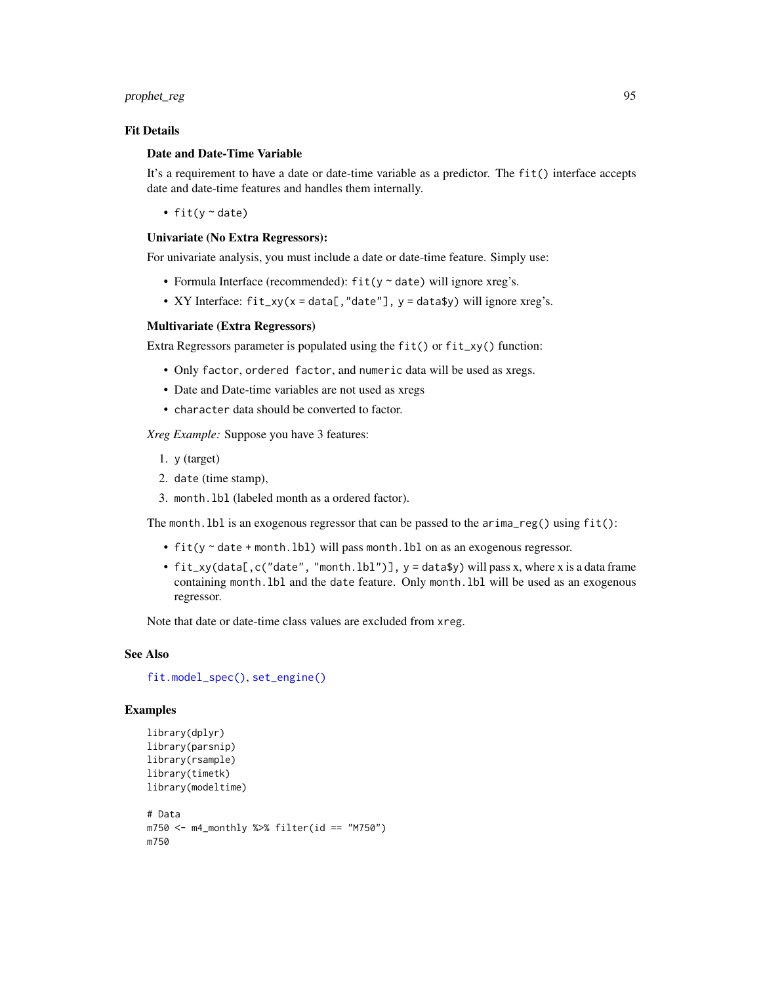### prophet\_reg 95

### Fit Details

#### Date and Date-Time Variable

It's a requirement to have a date or date-time variable as a predictor. The fit() interface accepts date and date-time features and handles them internally.

• fit( $y \sim$  date)

#### Univariate (No Extra Regressors):

For univariate analysis, you must include a date or date-time feature. Simply use:

- Formula Interface (recommended):  $fit(y \sim date)$  will ignore xreg's.
- XY Interface:  $fit\_xy(x = data[, "date"], y = data$y) will ignore xreg's.$

### Multivariate (Extra Regressors)

Extra Regressors parameter is populated using the fit() or fit\_xy() function:

- Only factor, ordered factor, and numeric data will be used as xregs.
- Date and Date-time variables are not used as xregs
- character data should be converted to factor.

*Xreg Example:* Suppose you have 3 features:

- 1. y (target)
- 2. date (time stamp),
- 3. month.lbl (labeled month as a ordered factor).

The month. lbl is an exogenous regressor that can be passed to the  $\arrows$  arima\_reg() using  $fit()$ :

- fit(y ~ date + month.lbl) will pass month.lbl on as an exogenous regressor.
- $fit\_xy$ (data[,c("date", "month.lbl")],  $y = data$ \$y) will pass x, where x is a data frame containing month.lbl and the date feature. Only month.lbl will be used as an exogenous regressor.

Note that date or date-time class values are excluded from xreg.

### See Also

[fit.model\\_spec\(\)](#page-0-0), [set\\_engine\(\)](#page-0-0)

```
library(dplyr)
library(parsnip)
library(rsample)
library(timetk)
library(modeltime)
# Data
m750 <- m4_monthly %>% filter(id == "M750")
m750
```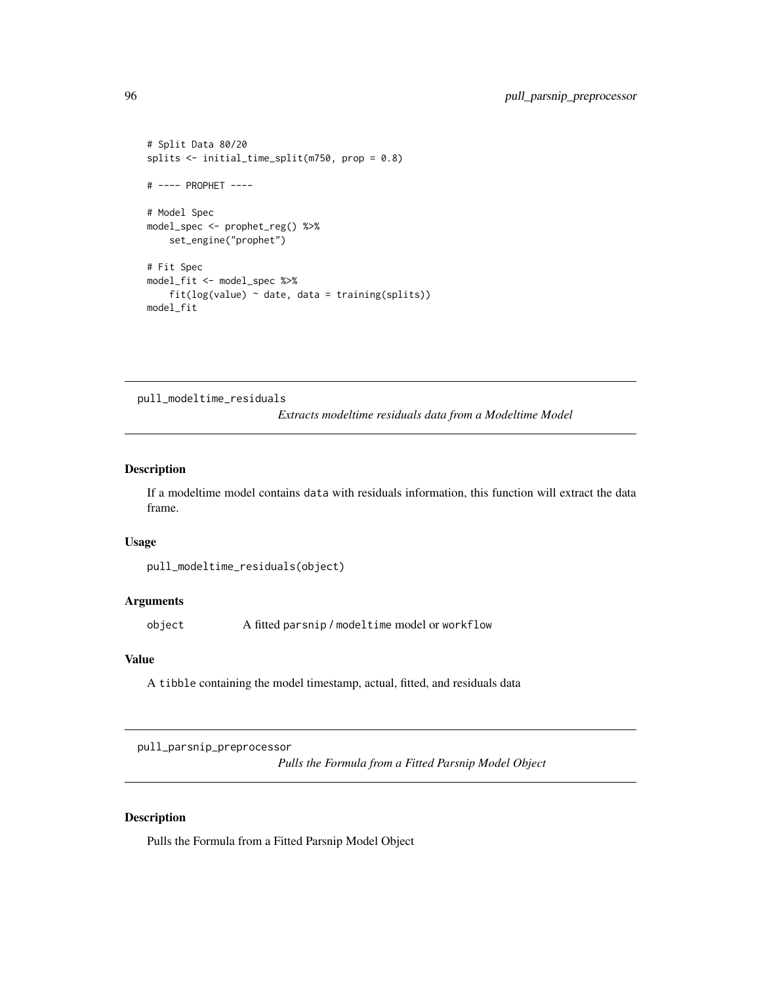```
# Split Data 80/20
splits <- initial_time_split(m750, prop = 0.8)
# ---- PROPHET ----
# Model Spec
model_spec <- prophet_reg() %>%
   set_engine("prophet")
# Fit Spec
model_fit <- model_spec %>%
    fit(log(value) ~ date, data = training(splits))
model_fit
```
pull\_modeltime\_residuals

*Extracts modeltime residuals data from a Modeltime Model*

### Description

If a modeltime model contains data with residuals information, this function will extract the data frame.

#### Usage

```
pull_modeltime_residuals(object)
```
# Arguments

object A fitted parsnip / modeltime model or workflow

#### Value

A tibble containing the model timestamp, actual, fitted, and residuals data

pull\_parsnip\_preprocessor

*Pulls the Formula from a Fitted Parsnip Model Object*

# Description

Pulls the Formula from a Fitted Parsnip Model Object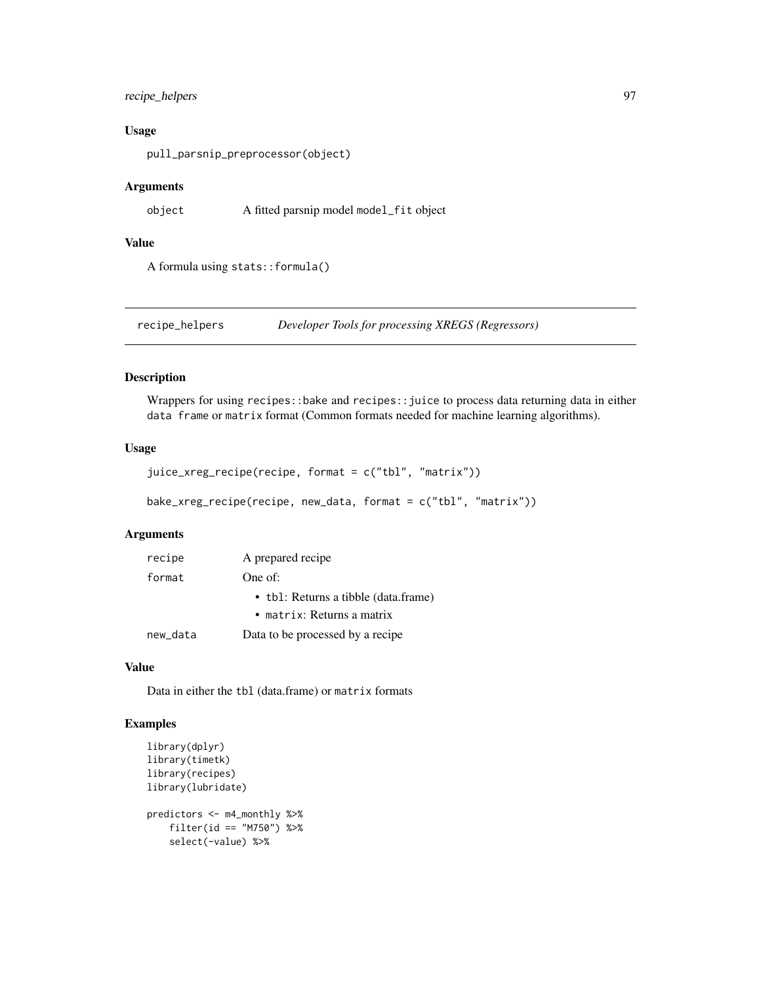### recipe\_helpers 97

### Usage

pull\_parsnip\_preprocessor(object)

### Arguments

object A fitted parsnip model model\_fit object

#### Value

A formula using stats::formula()

recipe\_helpers *Developer Tools for processing XREGS (Regressors)*

### Description

Wrappers for using recipes::bake and recipes::juice to process data returning data in either data frame or matrix format (Common formats needed for machine learning algorithms).

### Usage

```
juice_xreg_recipe(recipe, format = c("tbl", "matrix"))
```

```
bake_xreg_recipe(recipe, new_data, format = c("tbl", "matrix"))
```
### Arguments

| recipe            | A prepared recipe                    |  |
|-------------------|--------------------------------------|--|
| format<br>One of: |                                      |  |
|                   | • tbl: Returns a tibble (data.frame) |  |
|                   | $\bullet$ matrix: Returns a matrix   |  |
| new_data          | Data to be processed by a recipe     |  |

#### Value

Data in either the tbl (data.frame) or matrix formats

```
library(dplyr)
library(timetk)
library(recipes)
library(lubridate)
predictors <- m4_monthly %>%
    filter(id == "M750") %>%
   select(-value) %>%
```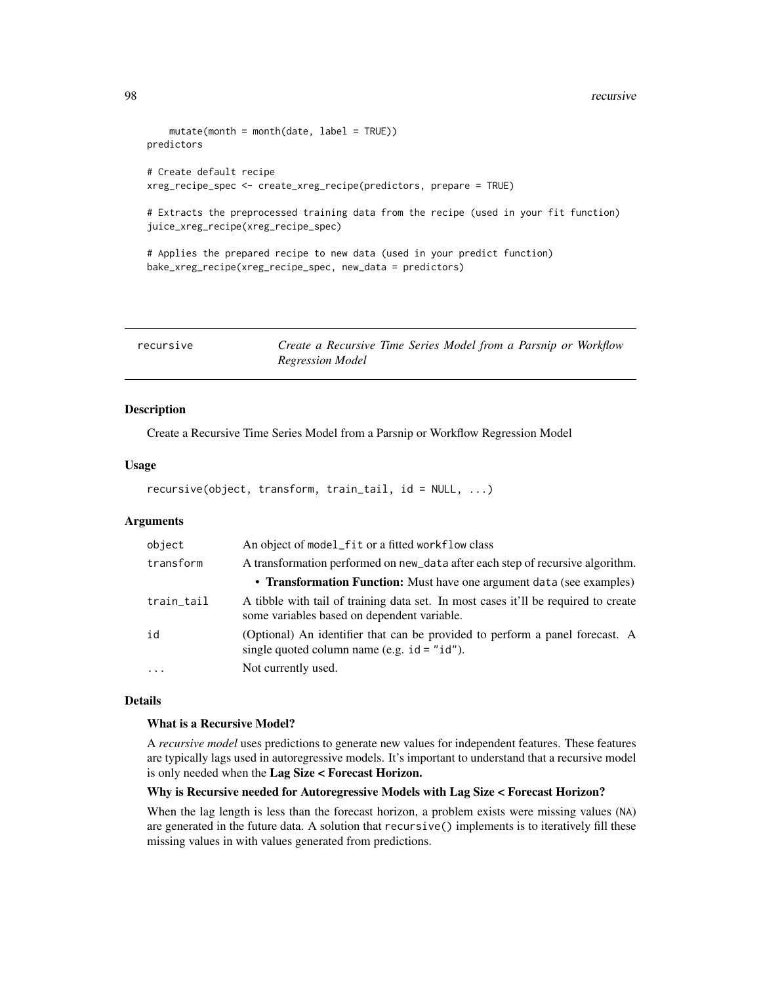```
mutate(month = month(date, label = TRUE))
predictors
# Create default recipe
xreg_recipe_spec <- create_xreg_recipe(predictors, prepare = TRUE)
# Extracts the preprocessed training data from the recipe (used in your fit function)
juice_xreg_recipe(xreg_recipe_spec)
# Applies the prepared recipe to new data (used in your predict function)
bake_xreg_recipe(xreg_recipe_spec, new_data = predictors)
```
<span id="page-97-0"></span>

| recursive | Create a Recursive Time Series Model from a Parsnip or Workflow |  |  |  |  |
|-----------|-----------------------------------------------------------------|--|--|--|--|
|           | <b>Regression Model</b>                                         |  |  |  |  |

### Description

Create a Recursive Time Series Model from a Parsnip or Workflow Regression Model

#### Usage

```
recursive(object, transform, train_tail, id = NULL, ...)
```
### Arguments

| object     | An object of model_fit or a fitted workflow class                                                                                 |
|------------|-----------------------------------------------------------------------------------------------------------------------------------|
| transform  | A transformation performed on new_data after each step of recursive algorithm.                                                    |
|            | • Transformation Function: Must have one argument data (see examples)                                                             |
| train_tail | A tibble with tail of training data set. In most cases it'll be required to create<br>some variables based on dependent variable. |
| id         | (Optional) An identifier that can be provided to perform a panel forecast. A<br>single quoted column name (e.g. $id = "id").$     |
| $\cdot$    | Not currently used.                                                                                                               |

### **Details**

### What is a Recursive Model?

A *recursive model* uses predictions to generate new values for independent features. These features are typically lags used in autoregressive models. It's important to understand that a recursive model is only needed when the Lag Size < Forecast Horizon.

#### Why is Recursive needed for Autoregressive Models with Lag Size < Forecast Horizon?

When the lag length is less than the forecast horizon, a problem exists were missing values (NA) are generated in the future data. A solution that recursive() implements is to iteratively fill these missing values in with values generated from predictions.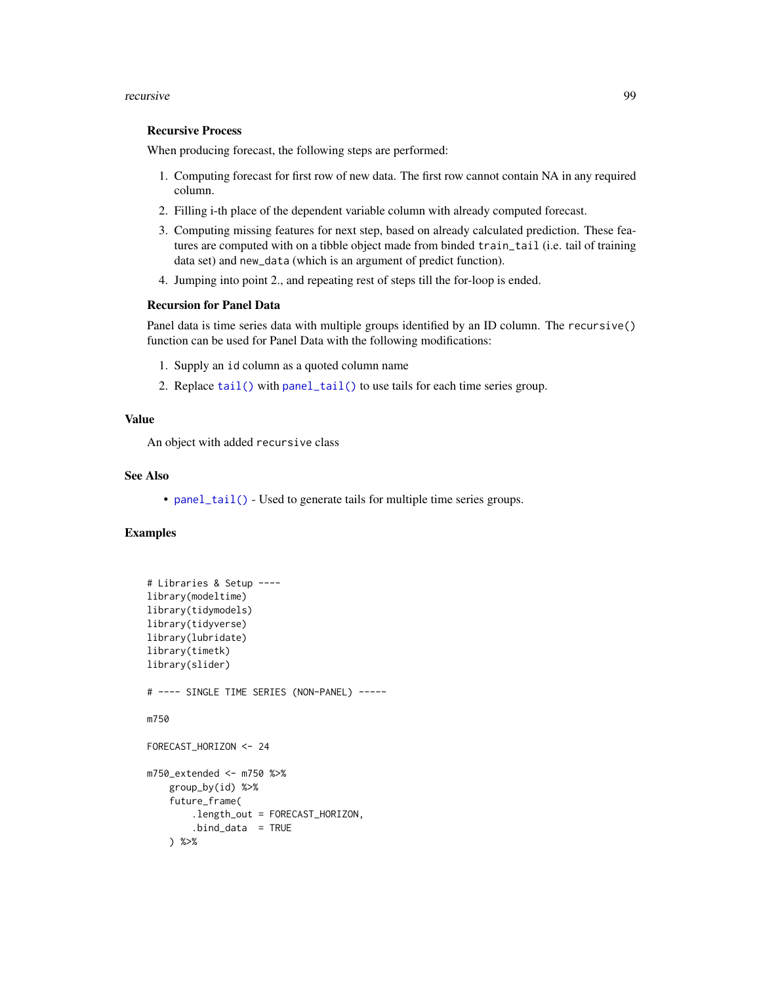#### recursive 99

### Recursive Process

When producing forecast, the following steps are performed:

- 1. Computing forecast for first row of new data. The first row cannot contain NA in any required column.
- 2. Filling i-th place of the dependent variable column with already computed forecast.
- 3. Computing missing features for next step, based on already calculated prediction. These features are computed with on a tibble object made from binded train\_tail (i.e. tail of training data set) and new\_data (which is an argument of predict function).
- 4. Jumping into point 2., and repeating rest of steps till the for-loop is ended.

## Recursion for Panel Data

Panel data is time series data with multiple groups identified by an ID column. The recursive() function can be used for Panel Data with the following modifications:

- 1. Supply an id column as a quoted column name
- 2. Replace [tail\(\)](#page-0-0) with [panel\\_tail\(\)](#page-73-0) to use tails for each time series group.

#### Value

An object with added recursive class

#### See Also

• [panel\\_tail\(\)](#page-73-0) - Used to generate tails for multiple time series groups.

```
# Libraries & Setup ----
library(modeltime)
library(tidymodels)
library(tidyverse)
library(lubridate)
library(timetk)
library(slider)
# ---- SINGLE TIME SERIES (NON-PANEL) -----
m750
FORECAST_HORIZON <- 24
m750_extended <- m750 %>%
    group_by(id) %>%
    future_frame(
        .length_out = FORECAST_HORIZON,
        .bind_data = TRUE
    ) %>%
```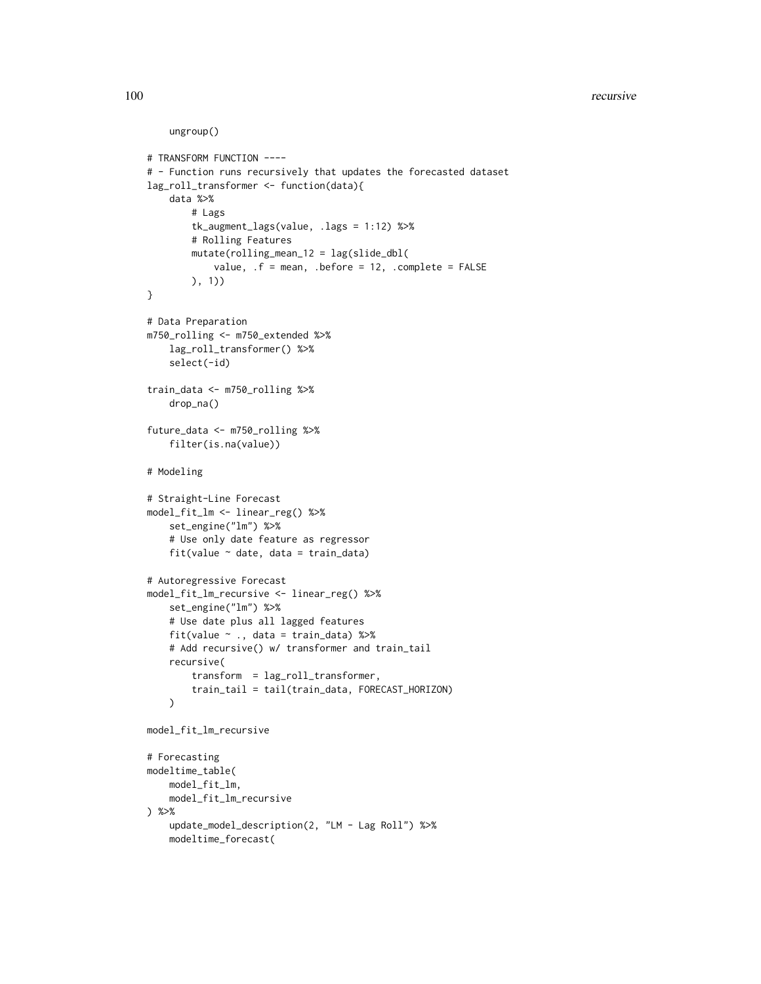#### 100 recursive recursive recursive recursive recursive recursive recursive recursive recursive recursive recursive recursive recursive recursive recursive recursive recursive recursive recursive recursive recursive recursiv

```
# TRANSFORM FUNCTION ----
```

```
# - Function runs recursively that updates the forecasted dataset
lag_roll_transformer <- function(data){
    data %>%
        # Lags
        tk_augment_lags(value, .lags = 1:12) %>%
        # Rolling Features
        mutate(rolling_mean_12 = lag(slide_dbl(
            value, .f = mean, .before = 12, .complete = FALSE
        ), 1))
}
# Data Preparation
m750_rolling <- m750_extended %>%
    lag_roll_transformer() %>%
    select(-id)
train_data <- m750_rolling %>%
    drop_na()
future_data <- m750_rolling %>%
    filter(is.na(value))
# Modeling
# Straight-Line Forecast
model_fit_lm <- linear_reg() %>%
   set_engine("lm") %>%
    # Use only date feature as regressor
    fit(value ~ date, data = train_data)
# Autoregressive Forecast
model_fit_lm_recursive <- linear_reg() %>%
    set_engine("lm") %>%
    # Use date plus all lagged features
    fit(value ~ ., data = train_data) %>%
    # Add recursive() w/ transformer and train_tail
    recursive(
        transform = lag_roll_transformer,
        train_tail = tail(train_data, FORECAST_HORIZON)
    \mathcal{L}model_fit_lm_recursive
# Forecasting
modeltime_table(
    model_fit_lm,
    model_fit_lm_recursive
) %>%
    update_model_description(2, "LM - Lag Roll") %>%
```
modeltime\_forecast(

ungroup()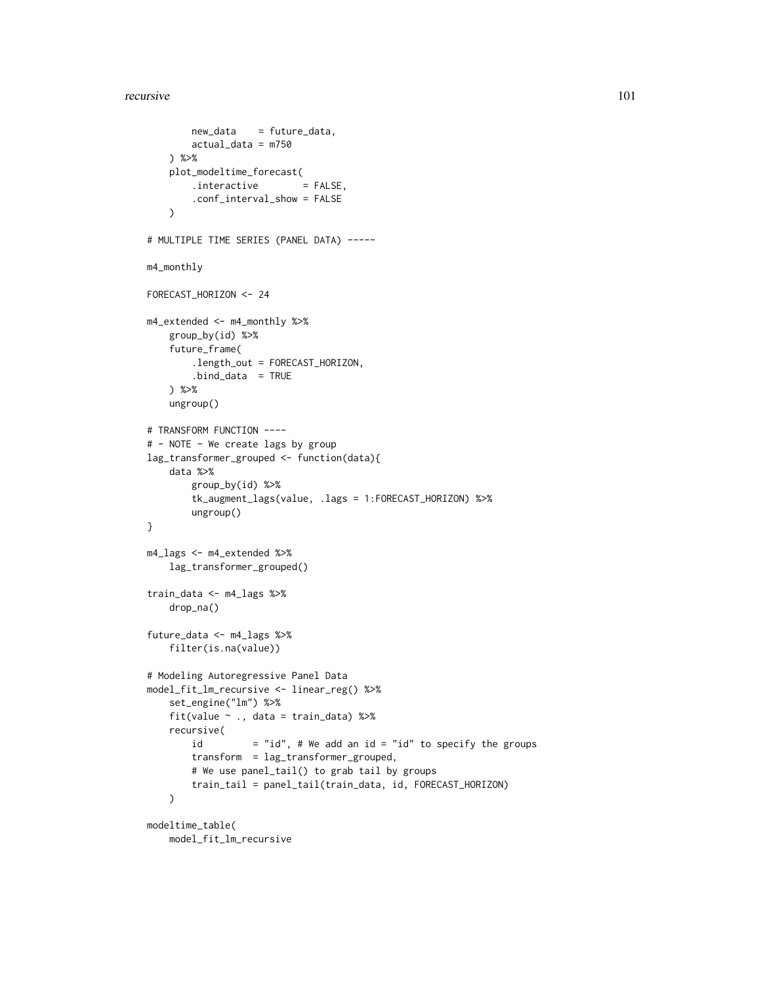#### recursive the contract of the contract of the contract of the contract of the contract of the contract of the contract of the contract of the contract of the contract of the contract of the contract of the contract of the

```
new_data = future_data,
        actual_data = m750
    ) %>%
   plot_modeltime_forecast(
        .interactive = FALSE,
        .conf_interval_show = FALSE
    )
# MULTIPLE TIME SERIES (PANEL DATA) -----
m4_monthly
FORECAST_HORIZON <- 24
m4_extended <- m4_monthly %>%
    group_by(id) %>%
    future_frame(
        .length_out = FORECAST_HORIZON,
        .bind_data = TRUE
    ) %>%
    ungroup()
# TRANSFORM FUNCTION ----
# - NOTE - We create lags by group
lag_transformer_grouped <- function(data){
    data %>%
        group_by(id) %>%
        tk_augment_lags(value, .lags = 1:FORECAST_HORIZON) %>%
        ungroup()
}
m4_lags <- m4_extended %>%
    lag_transformer_grouped()
train_data <- m4_lags %>%
    drop_na()
future_data <- m4_lags %>%
    filter(is.na(value))
# Modeling Autoregressive Panel Data
model_fit_lm_recursive <- linear_reg() %>%
    set_engine("lm") %>%
    fit(value ~ ., data = train_data) %>%
    recursive(
       id = "id", # We add an id = "id" to specify the groups
        transform = lag_transformer_grouped,
        # We use panel_tail() to grab tail by groups
        train_tail = panel_tail(train_data, id, FORECAST_HORIZON)
   \lambdamodeltime_table(
    model_fit_lm_recursive
```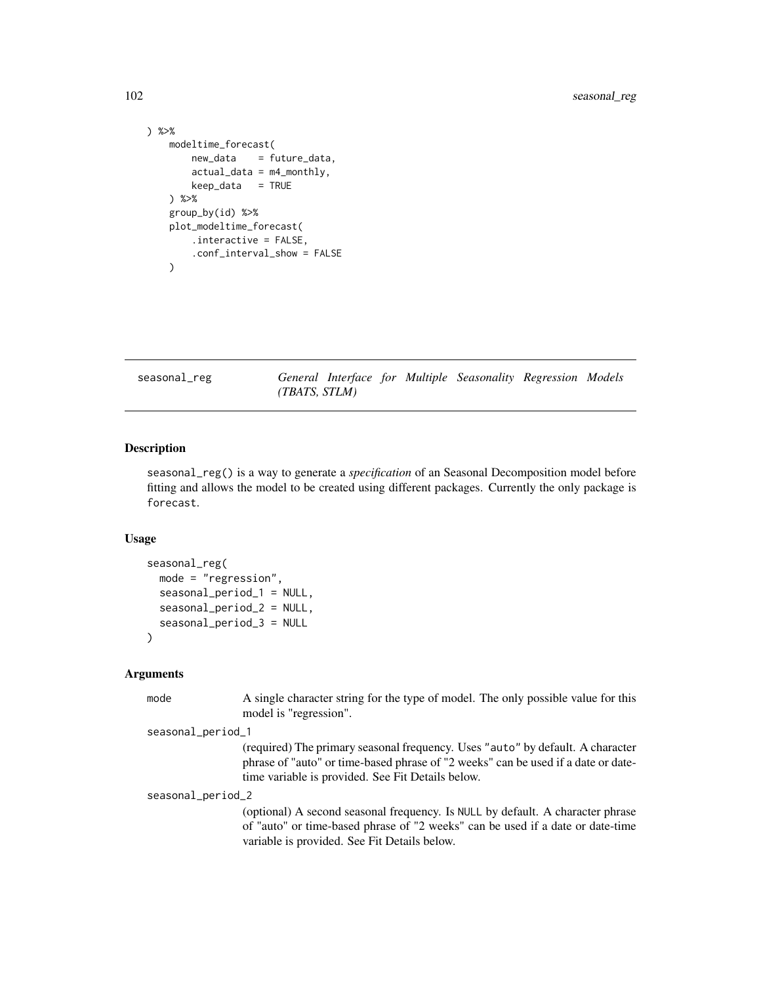```
) %>%
    modeltime_forecast(
        new_data = future_data,
        actual_data = m4_monthly,
        keep_data = TRUE
   ) %>%
   group_by(id) %>%
   plot_modeltime_forecast(
        .interactive = FALSE,
        .conf_interval_show = FALSE
   \lambda
```
seasonal\_reg *General Interface for Multiple Seasonality Regression Models (TBATS, STLM)*

### Description

seasonal\_reg() is a way to generate a *specification* of an Seasonal Decomposition model before fitting and allows the model to be created using different packages. Currently the only package is forecast.

### Usage

```
seasonal_reg(
 mode = "regression",
  seasonal_period_1 = NULL,
  seasonal_period_2 = NULL,
  seasonal_period_3 = NULL
\lambda
```
### Arguments

mode A single character string for the type of model. The only possible value for this model is "regression".

seasonal\_period\_1

(required) The primary seasonal frequency. Uses "auto" by default. A character phrase of "auto" or time-based phrase of "2 weeks" can be used if a date or datetime variable is provided. See Fit Details below.

seasonal\_period\_2

(optional) A second seasonal frequency. Is NULL by default. A character phrase of "auto" or time-based phrase of "2 weeks" can be used if a date or date-time variable is provided. See Fit Details below.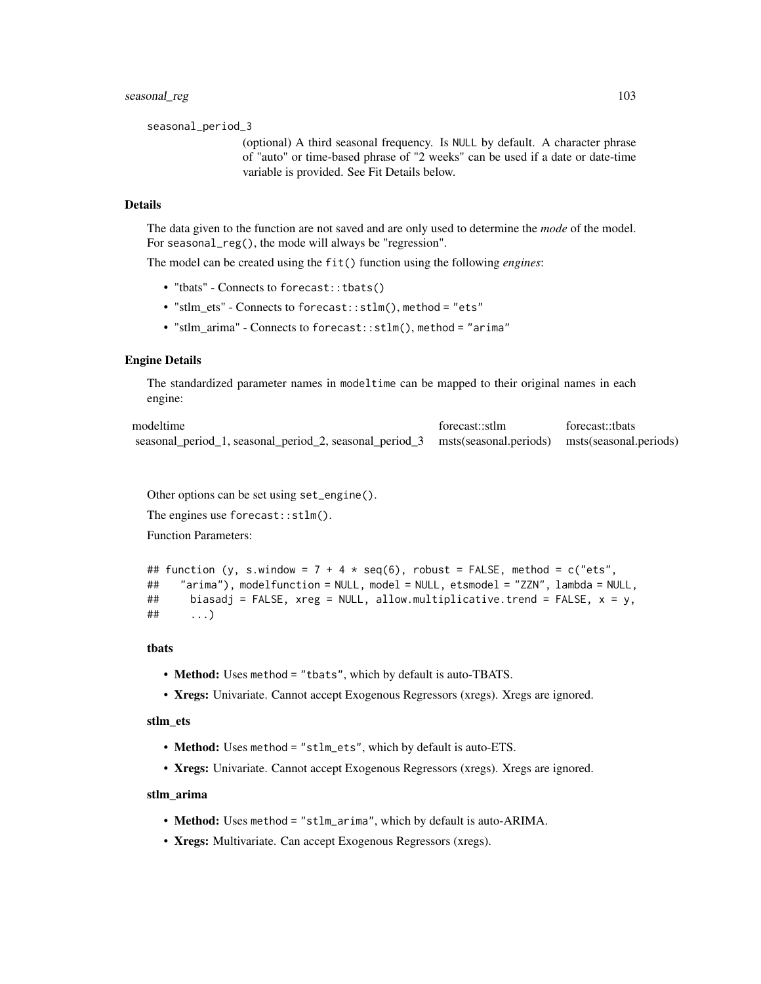seasonal\_period\_3

(optional) A third seasonal frequency. Is NULL by default. A character phrase of "auto" or time-based phrase of "2 weeks" can be used if a date or date-time variable is provided. See Fit Details below.

### Details

The data given to the function are not saved and are only used to determine the *mode* of the model. For seasonal\_reg(), the mode will always be "regression".

The model can be created using the fit() function using the following *engines*:

- "tbats" Connects to forecast::tbats()
- "stlm\_ets" Connects to forecast::stlm(), method = "ets"
- "stlm\_arima" Connects to forecast::stlm(), method = "arima"

#### Engine Details

The standardized parameter names in modeltime can be mapped to their original names in each engine:

| modeltime                                                                                             | forecast::stlm | forecast::thats |
|-------------------------------------------------------------------------------------------------------|----------------|-----------------|
| seasonal_period_1, seasonal_period_2, seasonal_period_3 msts(seasonal.periods) msts(seasonal.periods) |                |                 |

Other options can be set using set\_engine().

The engines use forecast::stlm().

Function Parameters:

```
## function (y, s.window = 7 + 4 \times \text{seq}(6), robust = FALSE, method = c("ets",
## "arima"), modelfunction = NULL, model = NULL, etsmodel = "ZZN", lambda = NULL,
## biasadj = FALSE, xreg = NULL, allow.multiplicative.trend = FALSE, x = y,
## ...)
```
#### tbats

- Method: Uses method = "tbats", which by default is auto-TBATS.
- Xregs: Univariate. Cannot accept Exogenous Regressors (xregs). Xregs are ignored.

#### stlm\_ets

- Method: Uses method = "stlm\_ets", which by default is auto-ETS.
- Xregs: Univariate. Cannot accept Exogenous Regressors (xregs). Xregs are ignored.

#### stlm\_arima

- Method: Uses method = "stlm\_arima", which by default is auto-ARIMA.
- Xregs: Multivariate. Can accept Exogenous Regressors (xregs).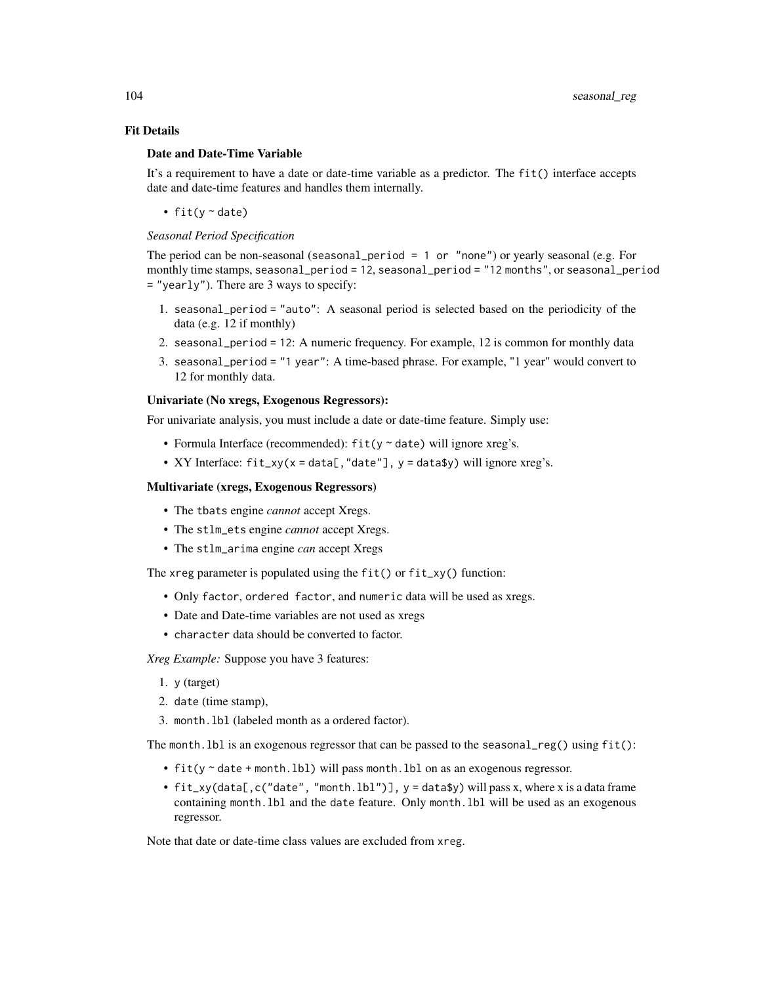### Fit Details

#### Date and Date-Time Variable

It's a requirement to have a date or date-time variable as a predictor. The fit() interface accepts date and date-time features and handles them internally.

• fit( $y \sim$  date)

### *Seasonal Period Specification*

The period can be non-seasonal (seasonal\_period = 1 or "none") or yearly seasonal (e.g. For monthly time stamps, seasonal\_period = 12, seasonal\_period = "12 months", or seasonal\_period = "yearly"). There are 3 ways to specify:

- 1. seasonal\_period = "auto": A seasonal period is selected based on the periodicity of the data (e.g. 12 if monthly)
- 2. seasonal\_period = 12: A numeric frequency. For example, 12 is common for monthly data
- 3. seasonal\_period = "1 year": A time-based phrase. For example, "1 year" would convert to 12 for monthly data.

### Univariate (No xregs, Exogenous Regressors):

For univariate analysis, you must include a date or date-time feature. Simply use:

- Formula Interface (recommended):  $fit(y \sim date)$  will ignore xreg's.
- XY Interface:  $fit\_xy(x = data[, "date"]$ ,  $y = data*y)$  will ignore xreg's.

#### Multivariate (xregs, Exogenous Regressors)

- The tbats engine *cannot* accept Xregs.
- The stlm\_ets engine *cannot* accept Xregs.
- The stlm\_arima engine *can* accept Xregs

The xreg parameter is populated using the  $fit()$  or  $fit_{xy()}$  function:

- Only factor, ordered factor, and numeric data will be used as xregs.
- Date and Date-time variables are not used as xregs
- character data should be converted to factor.

*Xreg Example:* Suppose you have 3 features:

- 1. y (target)
- 2. date (time stamp),
- 3. month.lbl (labeled month as a ordered factor).

The month. 1b1 is an exogenous regressor that can be passed to the seasonal  $\text{reg}()$  using  $\text{fit}()$ :

- fit(y ~ date + month.lbl) will pass month.lbl on as an exogenous regressor.
- fit\_xy(data[,c("date", "month.lbl")], y = data\$y) will pass x, where x is a data frame containing month.lbl and the date feature. Only month.lbl will be used as an exogenous regressor.

Note that date or date-time class values are excluded from xreg.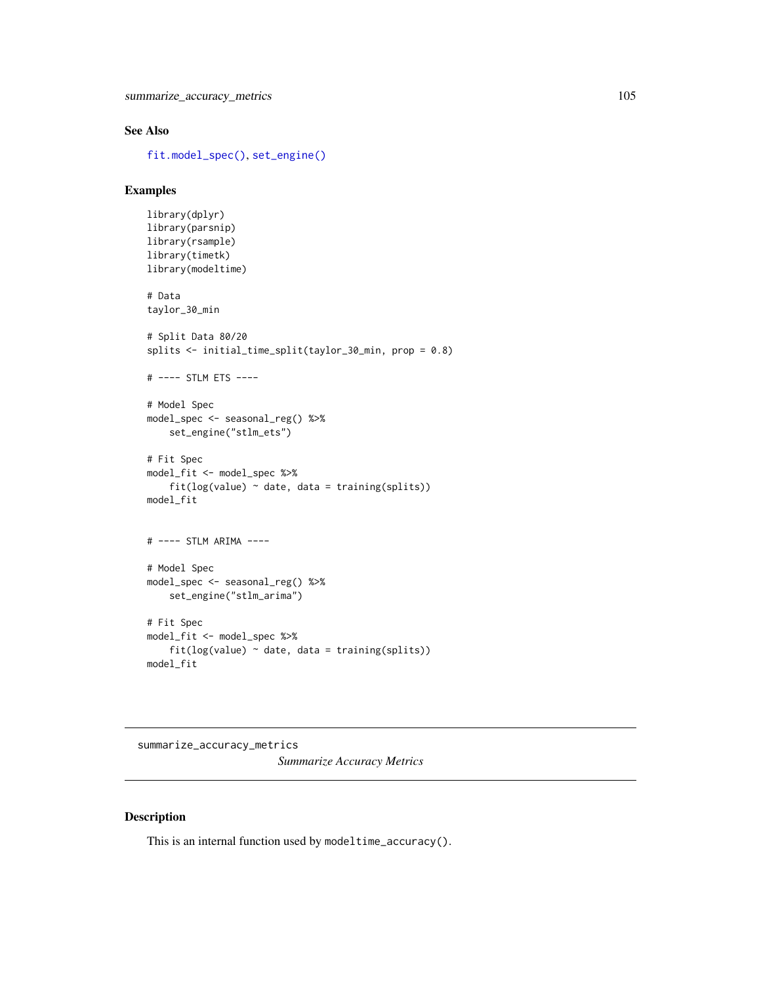### See Also

[fit.model\\_spec\(\)](#page-0-0), [set\\_engine\(\)](#page-0-0)

### Examples

```
library(dplyr)
library(parsnip)
library(rsample)
library(timetk)
library(modeltime)
# Data
taylor_30_min
# Split Data 80/20
splits <- initial_time_split(taylor_30_min, prop = 0.8)
# ---- STLM ETS ----
# Model Spec
model_spec <- seasonal_reg() %>%
    set_engine("stlm_ets")
# Fit Spec
model_fit <- model_spec %>%
    fit(log(value) ~<sub>o</sub> date, data = training(splits))model_fit
# ---- STLM ARIMA ----
# Model Spec
model_spec <- seasonal_reg() %>%
    set_engine("stlm_arima")
# Fit Spec
model_fit <- model_spec %>%
    fit(log(value) ~<sub>o</sub> date, data = training(splits))model_fit
```
summarize\_accuracy\_metrics *Summarize Accuracy Metrics*

### Description

This is an internal function used by modeltime\_accuracy().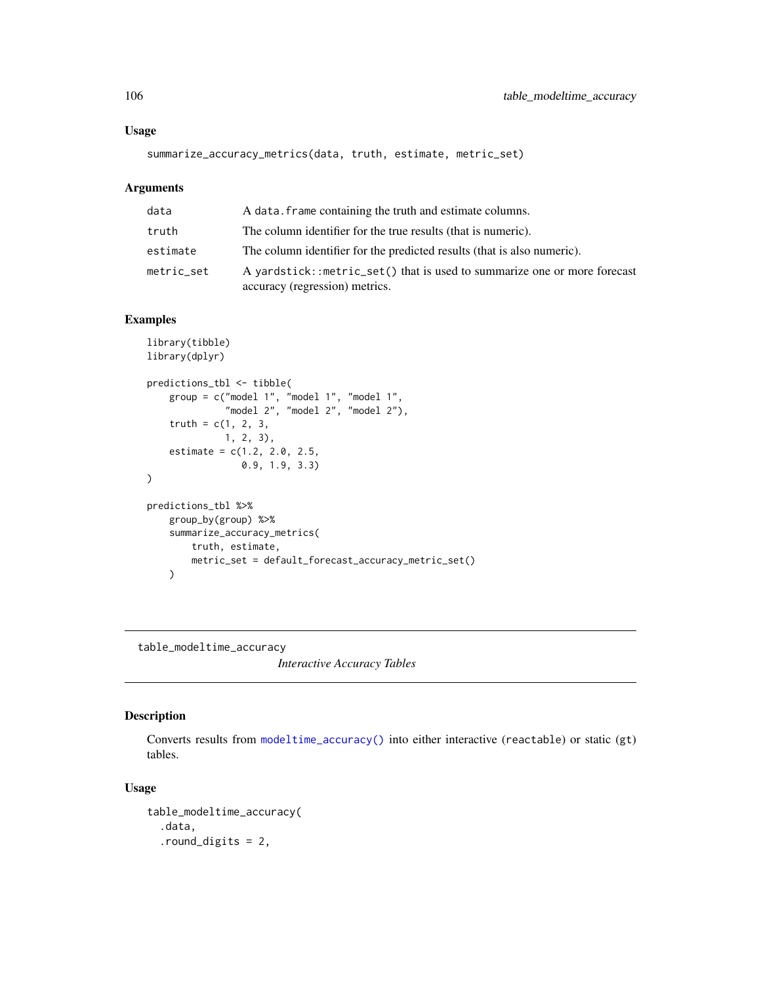### Usage

```
summarize_accuracy_metrics(data, truth, estimate, metric_set)
```
# Arguments

| data       | A data, frame containing the truth and estimate columns.                                                   |
|------------|------------------------------------------------------------------------------------------------------------|
| truth      | The column identifier for the true results (that is numeric).                                              |
| estimate   | The column identifier for the predicted results (that is also numeric).                                    |
| metric_set | A yardstick::metric_set() that is used to summarize one or more forecast<br>accuracy (regression) metrics. |

### Examples

```
library(tibble)
library(dplyr)
predictions_tbl <- tibble(
    group = c("model 1", "model 1", "model 1",
              "model 2", "model 2", "model 2"),
    truth = c(1, 2, 3,1, 2, 3),
    estimate = c(1.2, 2.0, 2.5,
                 0.9, 1.9, 3.3)
)
predictions_tbl %>%
   group_by(group) %>%
   summarize_accuracy_metrics(
       truth, estimate,
        metric_set = default_forecast_accuracy_metric_set()
   )
```
table\_modeltime\_accuracy *Interactive Accuracy Tables*

### Description

Converts results from [modeltime\\_accuracy\(\)](#page-44-0) into either interactive (reactable) or static (gt) tables.

### Usage

```
table_modeltime_accuracy(
  .data,
  .round_digits = 2,
```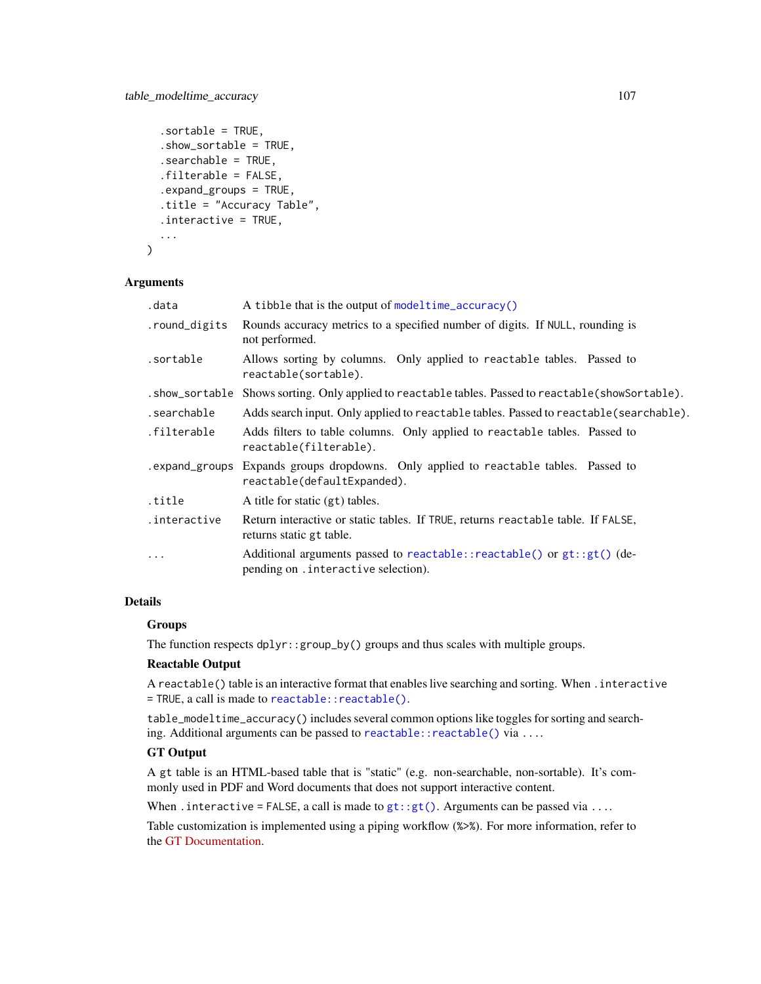```
.sortable = TRUE,
  .show_sortable = TRUE,
  .searchable = TRUE,
  .filterable = FALSE,
  .expand_groups = TRUE,
  .title = "Accuracy Table",
  .interactive = TRUE,
  ...
\lambda
```
#### Arguments

| .data         | A tibble that is the output of modeltime_accuracy()                                                                |
|---------------|--------------------------------------------------------------------------------------------------------------------|
| .round_digits | Rounds accuracy metrics to a specified number of digits. If NULL, rounding is<br>not performed.                    |
| .sortable     | Allows sorting by columns. Only applied to reactable tables. Passed to<br>reactable(sortable).                     |
|               | . show_sortable Shows sorting. Only applied to reactable tables. Passed to reactable (showSortable).               |
| .searchable   | Adds search input. Only applied to reactable tables. Passed to reactable (searchable).                             |
| .filterable   | Adds filters to table columns. Only applied to reactable tables. Passed to<br>reactable(filterable).               |
|               | expand_groups Expands groups dropdowns. Only applied to reactable tables. Passed to<br>reactable(defaultExpanded). |
| title.        | A title for static (gt) tables.                                                                                    |
| .interactive  | Return interactive or static tables. If TRUE, returns reactable table. If FALSE,<br>returns static gt table.       |
| $\cdots$      | Additional arguments passed to reactable::reactable() or $gt:gt:(de-$<br>pending on . interactive selection).      |

# Details

### Groups

The function respects dplyr::group\_by() groups and thus scales with multiple groups.

### Reactable Output

A reactable() table is an interactive format that enables live searching and sorting. When .interactive = TRUE, a call is made to [reactable::reactable\(\)](#page-0-0).

table\_modeltime\_accuracy() includes several common options like toggles for sorting and searching. Additional arguments can be passed to reactable:: reactable() via ....

# GT Output

A gt table is an HTML-based table that is "static" (e.g. non-searchable, non-sortable). It's commonly used in PDF and Word documents that does not support interactive content.

When . interactive = FALSE, a call is made to  $gt$  ::gt(). Arguments can be passed via ....

Table customization is implemented using a piping workflow (%>%). For more information, refer to the [GT Documentation.](https://gt.rstudio.com/index.html)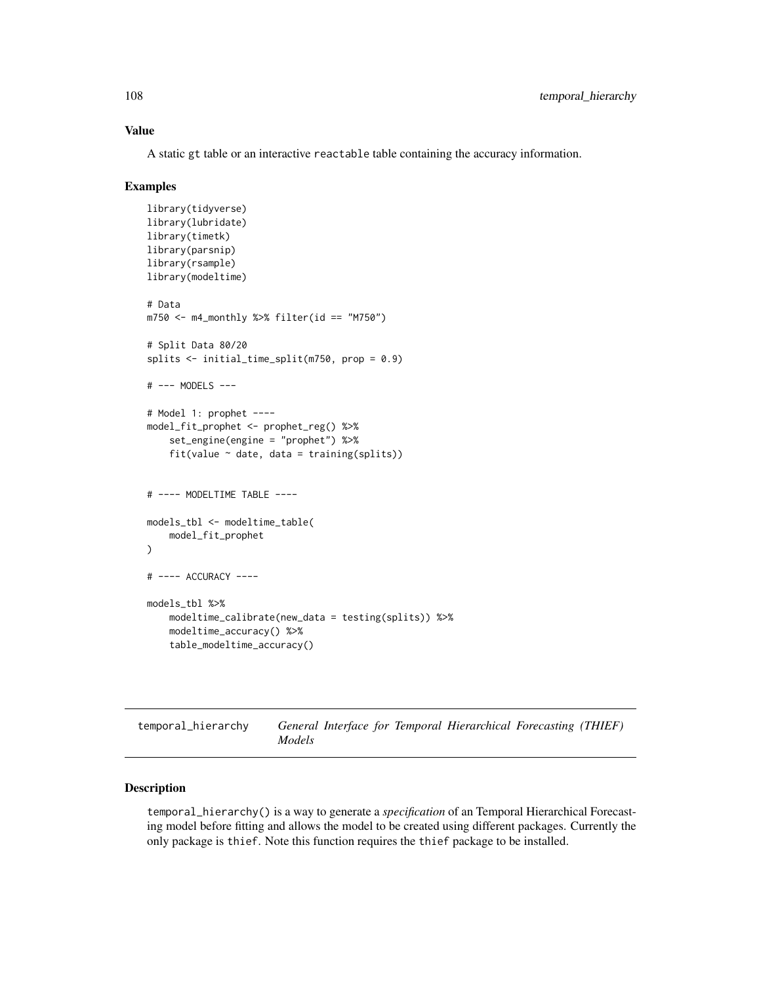### Value

A static gt table or an interactive reactable table containing the accuracy information.

#### Examples

```
library(tidyverse)
library(lubridate)
library(timetk)
library(parsnip)
library(rsample)
library(modeltime)
# Data
m750 \leq m4 monthly %>% filter(id == "M750")
# Split Data 80/20
splits <- initial_time_split(m750, prop = 0.9)
# --- MODELS ---
# Model 1: prophet ----
model_fit_prophet <- prophet_reg() %>%
    set_engine(engine = "prophet") %>%
    fit(value ~ date, data = training(splits))# ---- MODELTIME TABLE ----
models_tbl <- modeltime_table(
    model_fit_prophet
)
# ---- ACCURACY ----
models_tbl %>%
   modeltime_calibrate(new_data = testing(splits)) %>%
   modeltime_accuracy() %>%
    table_modeltime_accuracy()
```
temporal\_hierarchy *General Interface for Temporal Hierarchical Forecasting (THIEF) Models*

### Description

temporal\_hierarchy() is a way to generate a *specification* of an Temporal Hierarchical Forecasting model before fitting and allows the model to be created using different packages. Currently the only package is thief. Note this function requires the thief package to be installed.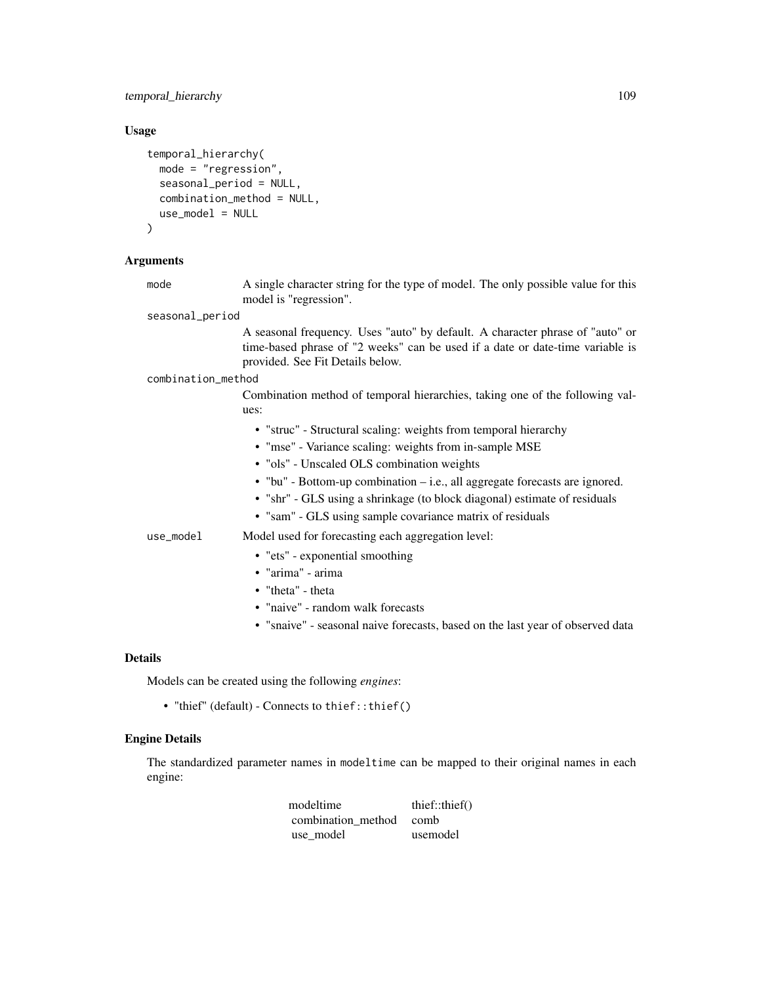# temporal\_hierarchy 109

#### Usage

```
temporal_hierarchy(
 mode = "regression",
  seasonal_period = NULL,
  combination_method = NULL,
  use_model = NULL
\lambda
```
## Arguments

mode A single character string for the type of model. The only possible value for this model is "regression".

seasonal\_period

A seasonal frequency. Uses "auto" by default. A character phrase of "auto" or time-based phrase of "2 weeks" can be used if a date or date-time variable is provided. See Fit Details below.

combination\_method

Combination method of temporal hierarchies, taking one of the following values:

- "struc" Structural scaling: weights from temporal hierarchy
- "mse" Variance scaling: weights from in-sample MSE
- "ols" Unscaled OLS combination weights
- "bu" Bottom-up combination i.e., all aggregate forecasts are ignored.
- "shr" GLS using a shrinkage (to block diagonal) estimate of residuals
- "sam" GLS using sample covariance matrix of residuals

use\_model Model used for forecasting each aggregation level:

- "ets" exponential smoothing
- "arima" arima
- "theta" theta
- "naive" random walk forecasts
- "snaive" seasonal naive forecasts, based on the last year of observed data

#### Details

Models can be created using the following *engines*:

• "thief" (default) - Connects to thief::thief()

## Engine Details

The standardized parameter names in modeltime can be mapped to their original names in each engine:

| modeltime               | thief::thief() |
|-------------------------|----------------|
| combination method comb |                |
| use model               | usemodel       |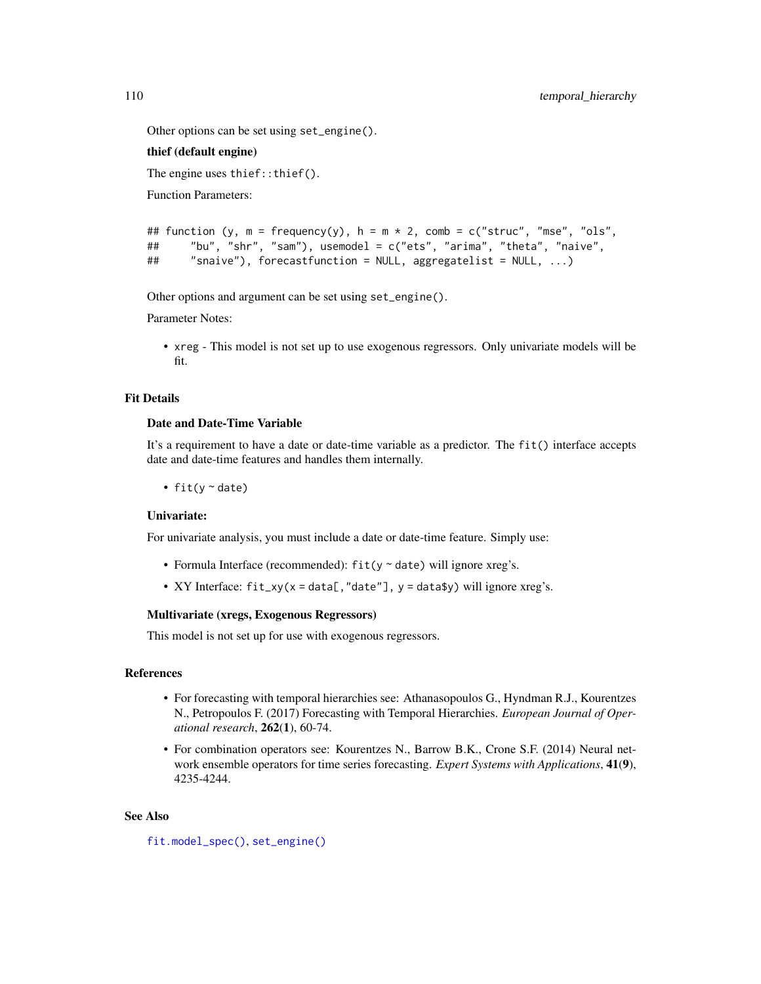Other options can be set using set\_engine().

# thief (default engine)

The engine uses thief::thief().

Function Parameters:

```
## function (y, m = frequency(y), h = m \times 2, comb = c("struc", "mse", "ols",
## "bu", "shr", "sam"), usemodel = c("ets", "arima", "theta", "naive",
## "snaive"), forecastfunction = NULL, aggregatelist = NULL, ...)
```
Other options and argument can be set using set\_engine().

Parameter Notes:

• xreg - This model is not set up to use exogenous regressors. Only univariate models will be fit.

## Fit Details

## Date and Date-Time Variable

It's a requirement to have a date or date-time variable as a predictor. The fit() interface accepts date and date-time features and handles them internally.

• fit( $y \sim$  date)

## Univariate:

For univariate analysis, you must include a date or date-time feature. Simply use:

- Formula Interface (recommended):  $fit(y \sim date)$  will ignore xreg's.
- XY Interface:  $fit\_xy(x = data[, "date"], y = data$y) will ignore xreg's.$

# Multivariate (xregs, Exogenous Regressors)

This model is not set up for use with exogenous regressors.

## References

- For forecasting with temporal hierarchies see: Athanasopoulos G., Hyndman R.J., Kourentzes N., Petropoulos F. (2017) Forecasting with Temporal Hierarchies. *European Journal of Operational research*, 262(1), 60-74.
- For combination operators see: Kourentzes N., Barrow B.K., Crone S.F. (2014) Neural network ensemble operators for time series forecasting. *Expert Systems with Applications*, 41(9), 4235-4244.

## See Also

```
fit.model_spec(), set_engine()
```
<span id="page-109-0"></span>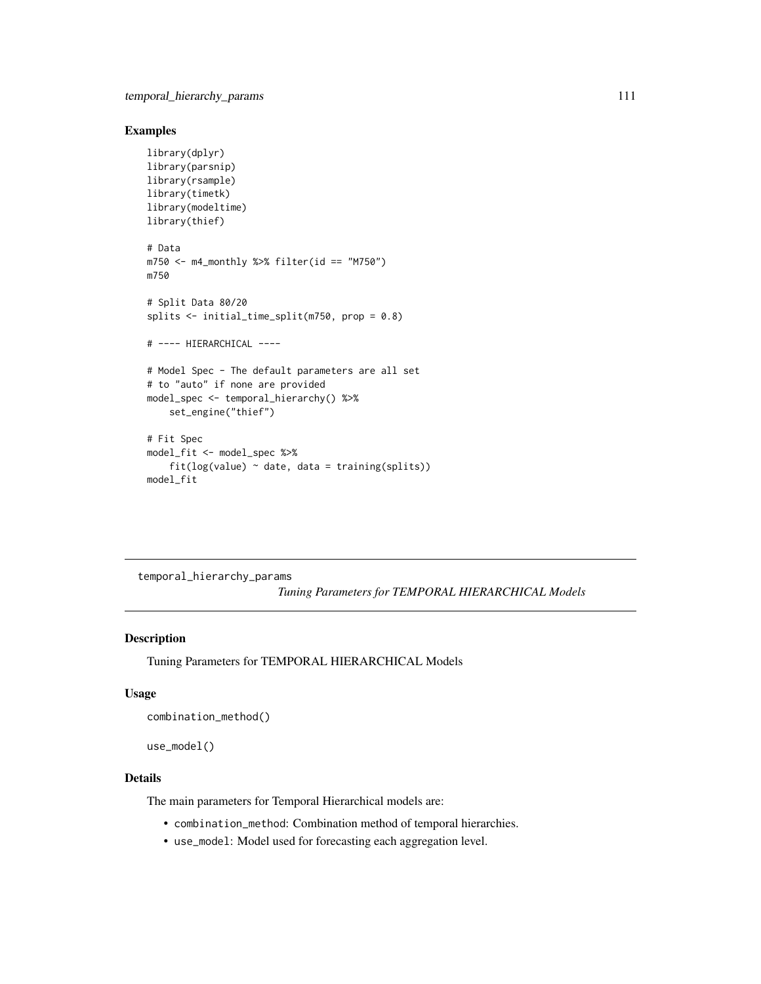# <span id="page-110-0"></span>Examples

```
library(dplyr)
library(parsnip)
library(rsample)
library(timetk)
library(modeltime)
library(thief)
# Data
m750 \leq m4 monthly %>% filter(id == "M750")
m750
# Split Data 80/20
splits <- initial_time_split(m750, prop = 0.8)
# ---- HIERARCHICAL ----
# Model Spec - The default parameters are all set
# to "auto" if none are provided
model_spec <- temporal_hierarchy() %>%
    set_engine("thief")
# Fit Spec
model_fit <- model_spec %>%
    fit(log(value) ~<i>date</i>, data = training(splits))model_fit
```
temporal\_hierarchy\_params

*Tuning Parameters for TEMPORAL HIERARCHICAL Models*

## Description

Tuning Parameters for TEMPORAL HIERARCHICAL Models

#### Usage

```
combination_method()
```

```
use_model()
```
# Details

The main parameters for Temporal Hierarchical models are:

- combination\_method: Combination method of temporal hierarchies.
- use\_model: Model used for forecasting each aggregation level.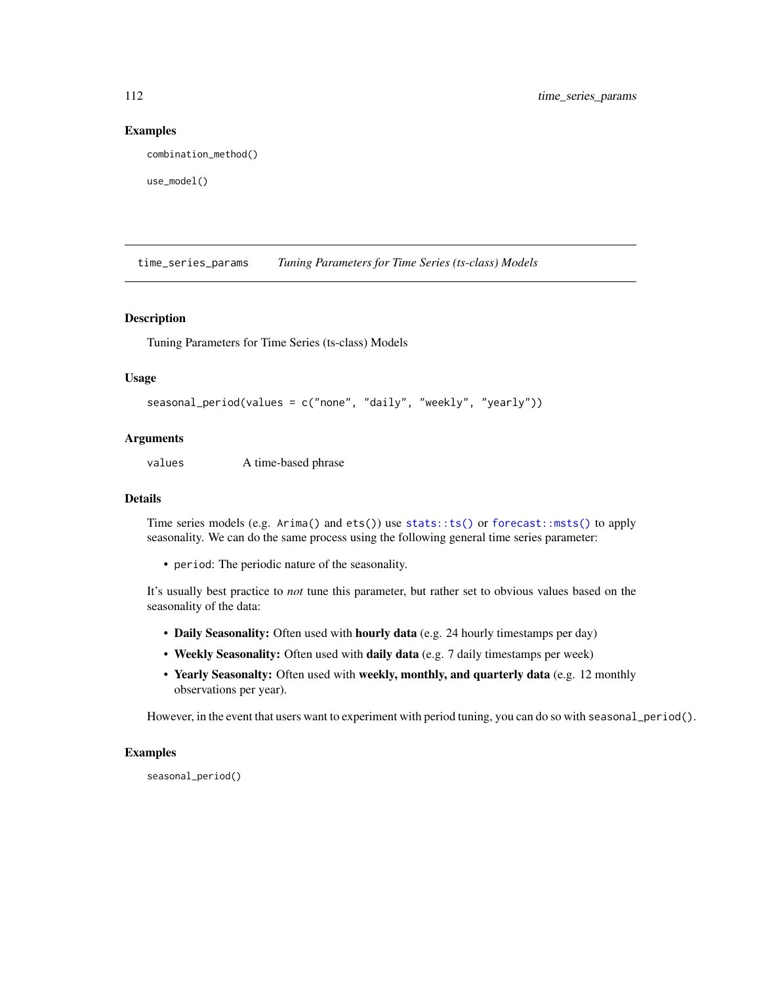### Examples

combination\_method()

```
use_model()
```
time\_series\_params *Tuning Parameters for Time Series (ts-class) Models*

### Description

Tuning Parameters for Time Series (ts-class) Models

## Usage

```
seasonal_period(values = c("none", "daily", "weekly", "yearly"))
```
## **Arguments**

values A time-based phrase

## Details

Time series models (e.g. Arima() and ets()) use [stats::ts\(\)](#page-0-0) or [forecast::msts\(\)](#page-0-0) to apply seasonality. We can do the same process using the following general time series parameter:

• period: The periodic nature of the seasonality.

It's usually best practice to *not* tune this parameter, but rather set to obvious values based on the seasonality of the data:

- Daily Seasonality: Often used with hourly data (e.g. 24 hourly timestamps per day)
- Weekly Seasonality: Often used with daily data (e.g. 7 daily timestamps per week)
- Yearly Seasonalty: Often used with weekly, monthly, and quarterly data (e.g. 12 monthly observations per year).

However, in the event that users want to experiment with period tuning, you can do so with seasonal\_period().

# Examples

seasonal\_period()

<span id="page-111-0"></span>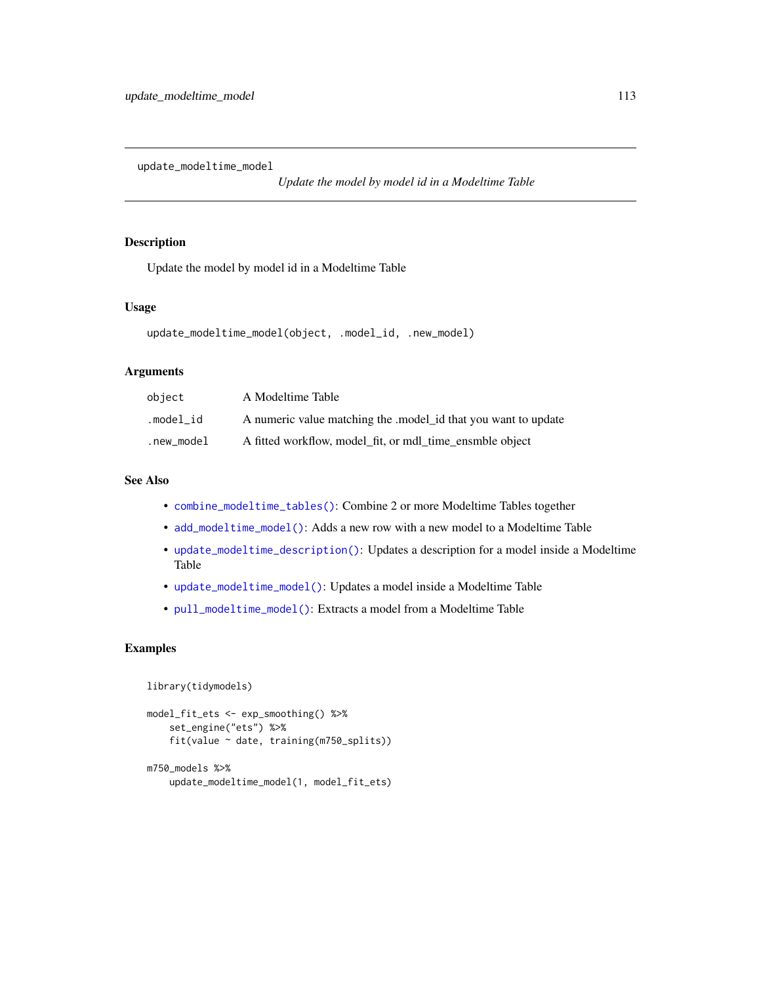<span id="page-112-1"></span><span id="page-112-0"></span>update\_modeltime\_model

*Update the model by model id in a Modeltime Table*

## Description

Update the model by model id in a Modeltime Table

# Usage

```
update_modeltime_model(object, .model_id, .new_model)
```
## Arguments

| object     | A Modeltime Table                                             |
|------------|---------------------------------------------------------------|
| .model id  | A numeric value matching the model id that you want to update |
| .new_model | A fitted workflow, model_fit, or mdl_time_ensmble object      |

# See Also

- [combine\\_modeltime\\_tables\(\)](#page-22-0): Combine 2 or more Modeltime Tables together
- [add\\_modeltime\\_model\(\)](#page-9-0): Adds a new row with a new model to a Modeltime Table
- [update\\_modeltime\\_description\(\)](#page-113-0): Updates a description for a model inside a Modeltime Table
- [update\\_modeltime\\_model\(\)](#page-112-0): Updates a model inside a Modeltime Table
- [pull\\_modeltime\\_model\(\)](#page-80-0): Extracts a model from a Modeltime Table

## Examples

```
library(tidymodels)
```

```
model_fit_ets <- exp_smoothing() %>%
    set_engine("ets") %>%
    fit(value ~ date, training(m750_splits))
m750_models %>%
    update_modeltime_model(1, model_fit_ets)
```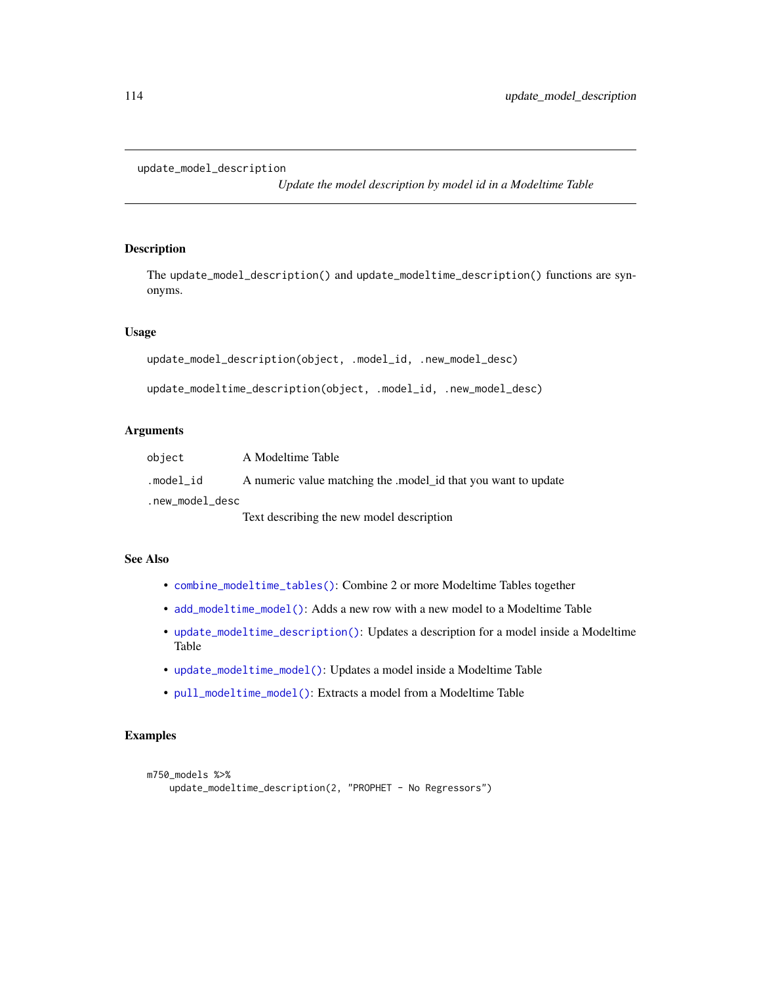```
update_model_description
```
*Update the model description by model id in a Modeltime Table*

# <span id="page-113-0"></span>Description

The update\_model\_description() and update\_modeltime\_description() functions are synonyms.

### Usage

```
update_model_description(object, .model_id, .new_model_desc)
```

```
update_modeltime_description(object, .model_id, .new_model_desc)
```
# Arguments

| object          | A Modeltime Table                                              |
|-----------------|----------------------------------------------------------------|
| .model id       | A numeric value matching the .model_id that you want to update |
| .new_model_desc |                                                                |
|                 | Text describing the new model description                      |

# See Also

- [combine\\_modeltime\\_tables\(\)](#page-22-0): Combine 2 or more Modeltime Tables together
- [add\\_modeltime\\_model\(\)](#page-9-0): Adds a new row with a new model to a Modeltime Table
- [update\\_modeltime\\_description\(\)](#page-113-0): Updates a description for a model inside a Modeltime Table
- [update\\_modeltime\\_model\(\)](#page-112-0): Updates a model inside a Modeltime Table
- [pull\\_modeltime\\_model\(\)](#page-80-0): Extracts a model from a Modeltime Table

## Examples

```
m750_models %>%
   update_modeltime_description(2, "PROPHET - No Regressors")
```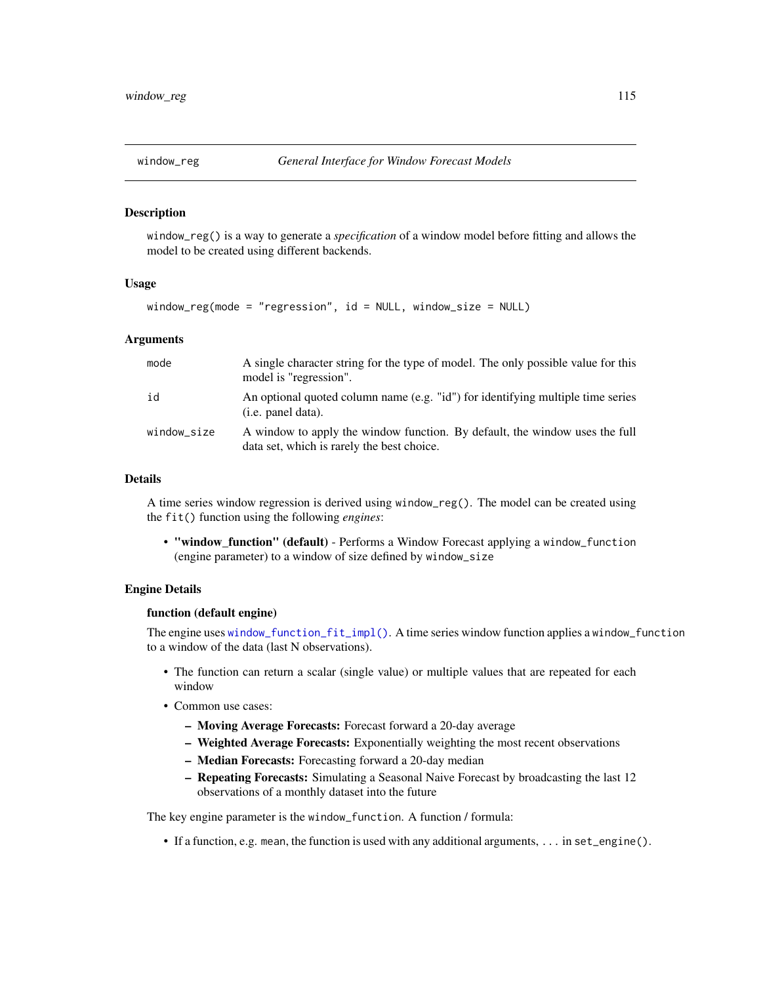<span id="page-114-0"></span>

#### Description

window\_reg() is a way to generate a *specification* of a window model before fitting and allows the model to be created using different backends.

#### Usage

window\_reg(mode = "regression", id = NULL, window\_size = NULL)

### Arguments

| mode        | A single character string for the type of model. The only possible value for this<br>model is "regression".               |
|-------------|---------------------------------------------------------------------------------------------------------------------------|
| id          | An optional quoted column name (e.g. "id") for identifying multiple time series<br>(i.e. panel data).                     |
| window_size | A window to apply the window function. By default, the window uses the full<br>data set, which is rarely the best choice. |

## Details

A time series window regression is derived using window\_reg(). The model can be created using the fit() function using the following *engines*:

• "window\_function" (default) - Performs a Window Forecast applying a window\_function (engine parameter) to a window of size defined by window\_size

#### Engine Details

#### function (default engine)

The engine uses [window\\_function\\_fit\\_impl\(\)](#page-0-0). A time series window function applies a window\_function to a window of the data (last N observations).

- The function can return a scalar (single value) or multiple values that are repeated for each window
- Common use cases:
	- Moving Average Forecasts: Forecast forward a 20-day average
	- Weighted Average Forecasts: Exponentially weighting the most recent observations
	- Median Forecasts: Forecasting forward a 20-day median
	- Repeating Forecasts: Simulating a Seasonal Naive Forecast by broadcasting the last 12 observations of a monthly dataset into the future

The key engine parameter is the window\_function. A function / formula:

• If a function, e.g. mean, the function is used with any additional arguments, ... in set\_engine().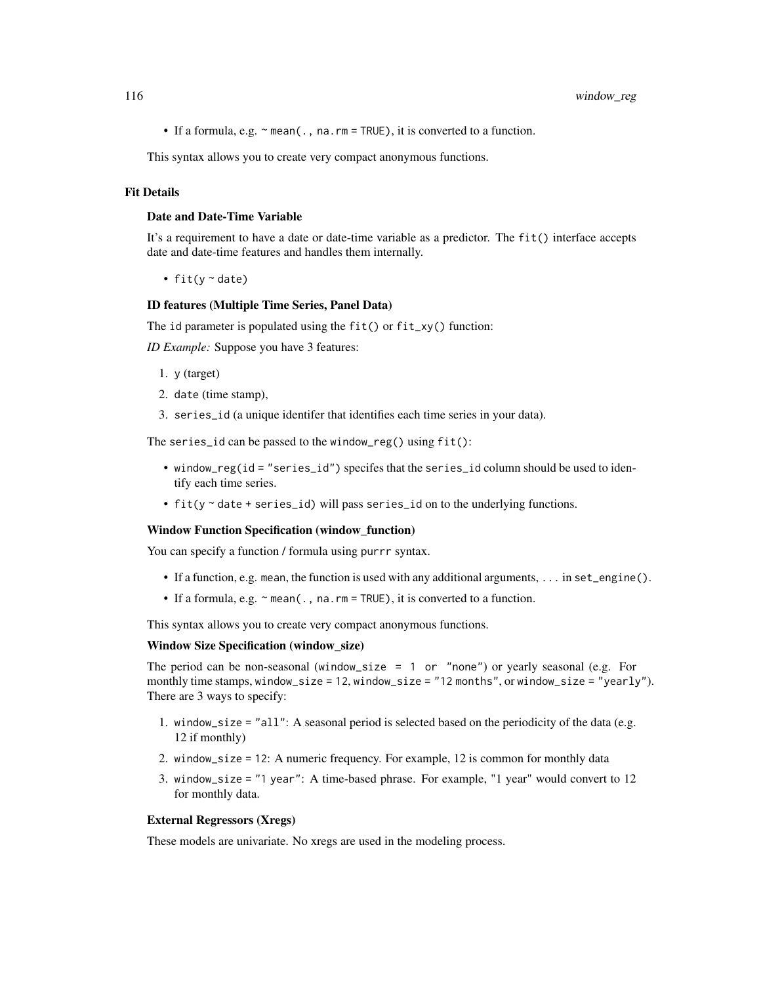• If a formula, e.g.  $\sim$  mean(., na.rm = TRUE), it is converted to a function.

This syntax allows you to create very compact anonymous functions.

## Fit Details

### Date and Date-Time Variable

It's a requirement to have a date or date-time variable as a predictor. The fit() interface accepts date and date-time features and handles them internally.

• fit( $y \sim$  date)

#### ID features (Multiple Time Series, Panel Data)

The id parameter is populated using the  $fit()$  or  $fit$ <sub>-</sub>xy() function:

*ID Example:* Suppose you have 3 features:

- 1. y (target)
- 2. date (time stamp),
- 3. series\_id (a unique identifer that identifies each time series in your data).

The series\_id can be passed to the window\_reg() using fit():

- window\_reg(id = "series\_id") specifes that the series\_id column should be used to identify each time series.
- fit(y ~ date + series\_id) will pass series\_id on to the underlying functions.

#### Window Function Specification (window\_function)

You can specify a function / formula using purrr syntax.

- If a function, e.g. mean, the function is used with any additional arguments, ... in set\_engine().
- If a formula, e.g.  $\sim$  mean(., na.rm = TRUE), it is converted to a function.

This syntax allows you to create very compact anonymous functions.

#### Window Size Specification (window\_size)

The period can be non-seasonal (window\_size = 1 or "none") or yearly seasonal (e.g. For monthly time stamps, window\_size = 12, window\_size = "12 months", or window\_size = "yearly"). There are 3 ways to specify:

- 1. window\_size = "all": A seasonal period is selected based on the periodicity of the data (e.g. 12 if monthly)
- 2. window\_size = 12: A numeric frequency. For example, 12 is common for monthly data
- 3. window\_size = "1 year": A time-based phrase. For example, "1 year" would convert to 12 for monthly data.

#### External Regressors (Xregs)

These models are univariate. No xregs are used in the modeling process.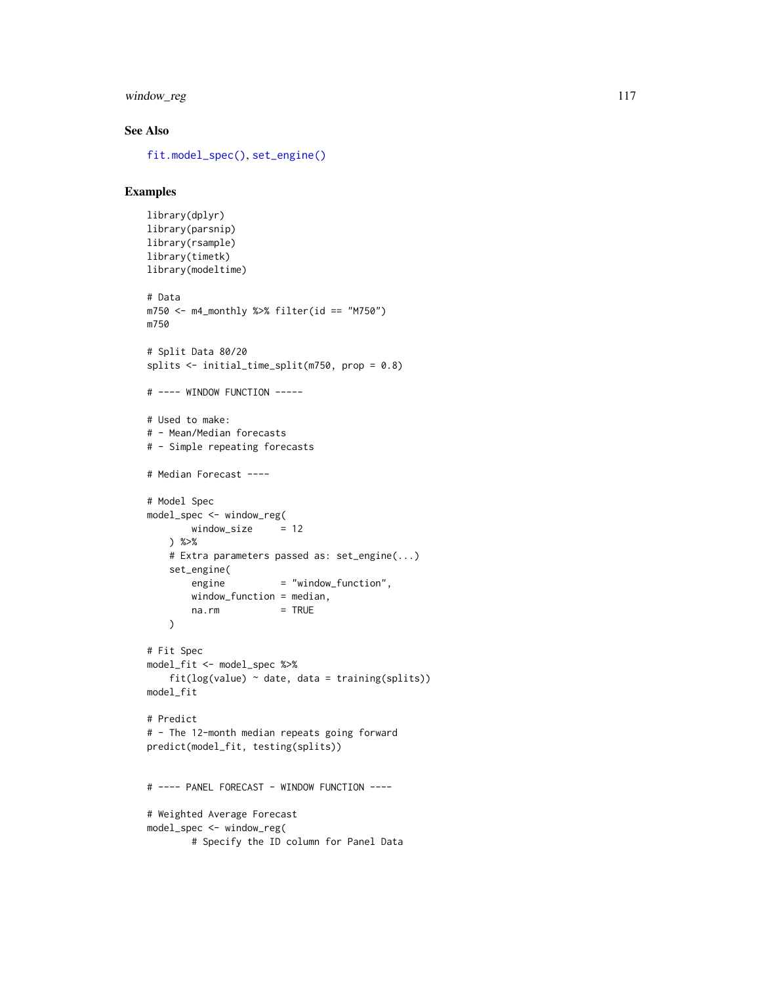# <span id="page-116-0"></span>window\_reg 117

# See Also

[fit.model\\_spec\(\)](#page-0-0), [set\\_engine\(\)](#page-0-0)

# Examples

```
library(dplyr)
library(parsnip)
library(rsample)
library(timetk)
library(modeltime)
# Data
m750 <- m4_monthly %>% filter(id == "M750")
m750
# Split Data 80/20
splits <- initial_time_split(m750, prop = 0.8)
# ---- WINDOW FUNCTION -----
# Used to make:
# - Mean/Median forecasts
# - Simple repeating forecasts
# Median Forecast ----
# Model Spec
model_spec <- window_reg(
       window\_size = 12
   ) %>%
   # Extra parameters passed as: set_engine(...)
    set_engine(
       engine = "window_function",
       window_function = median,
       na.rm = TRUE\lambda# Fit Spec
model_fit <- model_spec %>%
    fit(log(value) \sim date, data = training(splits))
model_fit
# Predict
# - The 12-month median repeats going forward
predict(model_fit, testing(splits))
# ---- PANEL FORECAST - WINDOW FUNCTION ----
# Weighted Average Forecast
model_spec <- window_reg(
        # Specify the ID column for Panel Data
```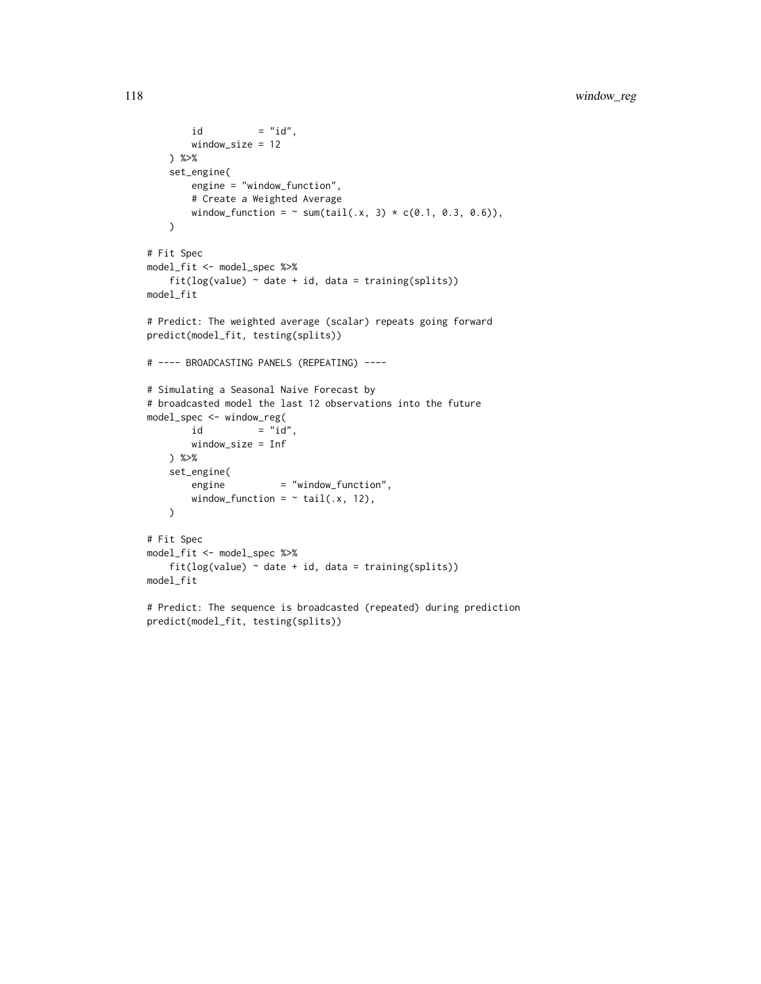```
id = "id",window_size = 12
   ) %>%
   set_engine(
       engine = "window_function",
       # Create a Weighted Average
       window_function = \sim sum(tail(.x, 3) * c(0.1, 0.3, 0.6)),
   \lambda# Fit Spec
model_fit <- model_spec %>%
   fit(log(value) ~<i>date + id, data = training(splits))model_fit
# Predict: The weighted average (scalar) repeats going forward
predict(model_fit, testing(splits))
# ---- BROADCASTING PANELS (REPEATING) ----
# Simulating a Seasonal Naive Forecast by
# broadcasted model the last 12 observations into the future
model_spec <- window_reg(
       id = "id",window_size = Inf
   ) %>%
   set_engine(
       engine = "window_function",
       window_function = \sim tail(.x, 12),
   )# Fit Spec
model_fit <- model_spec %>%
   fit(log(value) \sim date + id, data = training(splits))
model_fit
# Predict: The sequence is broadcasted (repeated) during prediction
predict(model_fit, testing(splits))
```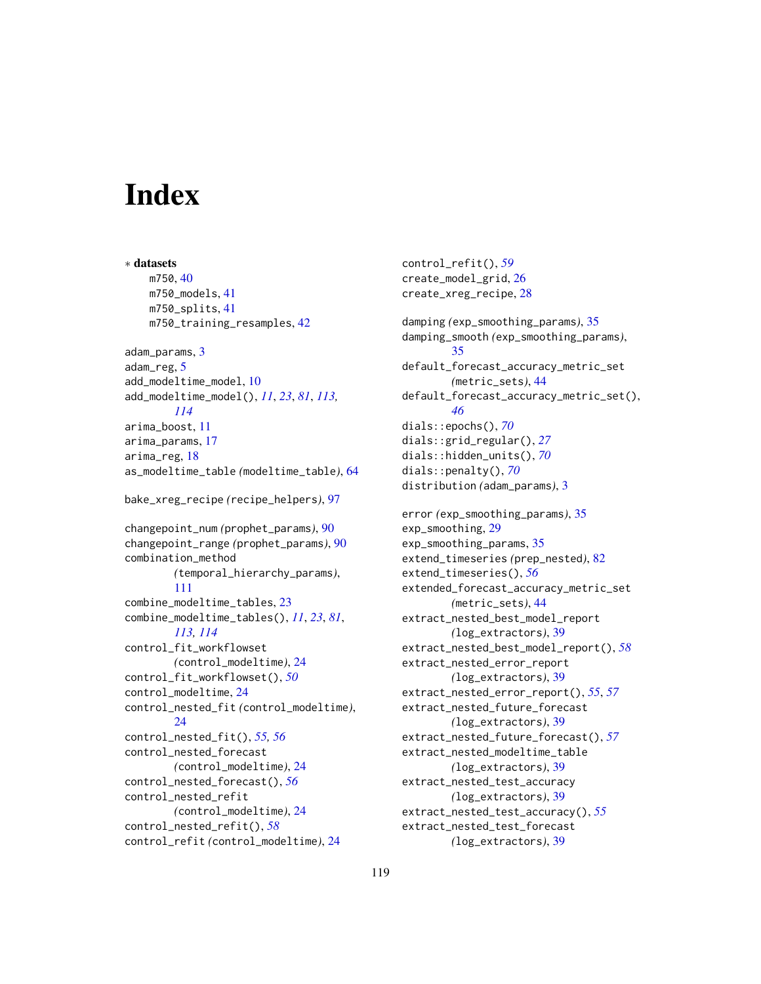# **Index**

∗ datasets m750, [40](#page-39-0) m750\_models, [41](#page-40-0) m750\_splits, [41](#page-40-0) m750\_training\_resamples, [42](#page-41-0) adam\_params, [3](#page-2-0) adam\_reg, [5](#page-4-0) add\_modeltime\_model, [10](#page-9-1) add\_modeltime\_model(), *[11](#page-10-0)*, *[23](#page-22-1)*, *[81](#page-80-1)*, *[113,](#page-112-1) [114](#page-113-1)* arima\_boost, [11](#page-10-0) arima\_params, [17](#page-16-0) arima\_reg, [18](#page-17-0) as\_modeltime\_table *(*modeltime\_table*)*, [64](#page-63-0) bake\_xreg\_recipe *(*recipe\_helpers*)*, [97](#page-96-0) changepoint\_num *(*prophet\_params*)*, [90](#page-89-0) changepoint\_range *(*prophet\_params*)*, [90](#page-89-0) combination\_method *(*temporal\_hierarchy\_params*)*, [111](#page-110-0) combine\_modeltime\_tables, [23](#page-22-1) combine\_modeltime\_tables(), *[11](#page-10-0)*, *[23](#page-22-1)*, *[81](#page-80-1)*, *[113,](#page-112-1) [114](#page-113-1)* control\_fit\_workflowset *(*control\_modeltime*)*, [24](#page-23-0) control\_fit\_workflowset(), *[50](#page-49-0)* control\_modeltime, [24](#page-23-0) control\_nested\_fit *(*control\_modeltime*)*, [24](#page-23-0) control\_nested\_fit(), *[55,](#page-54-0) [56](#page-55-0)* control\_nested\_forecast *(*control\_modeltime*)*, [24](#page-23-0) control\_nested\_forecast(), *[56](#page-55-0)* control\_nested\_refit *(*control\_modeltime*)*, [24](#page-23-0) control\_nested\_refit(), *[58](#page-57-0)* control\_refit *(*control\_modeltime*)*, [24](#page-23-0)

control\_refit(), *[59](#page-58-0)* create\_model\_grid, [26](#page-25-0) create\_xreg\_recipe, [28](#page-27-0) damping *(*exp\_smoothing\_params*)*, [35](#page-34-0) damping\_smooth *(*exp\_smoothing\_params*)*, [35](#page-34-0) default\_forecast\_accuracy\_metric\_set *(*metric\_sets*)*, [44](#page-43-0) default\_forecast\_accuracy\_metric\_set(), *[46](#page-45-0)* dials::epochs(), *[70](#page-69-0)* dials::grid\_regular(), *[27](#page-26-0)* dials::hidden\_units(), *[70](#page-69-0)* dials::penalty(), *[70](#page-69-0)* distribution *(*adam\_params*)*, [3](#page-2-0) error *(*exp\_smoothing\_params*)*, [35](#page-34-0) exp\_smoothing, [29](#page-28-0) exp\_smoothing\_params, [35](#page-34-0) extend\_timeseries *(*prep\_nested*)*, [82](#page-81-0) extend\_timeseries(), *[56](#page-55-0)* extended\_forecast\_accuracy\_metric\_set *(*metric\_sets*)*, [44](#page-43-0) extract\_nested\_best\_model\_report *(*log\_extractors*)*, [39](#page-38-0) extract\_nested\_best\_model\_report(), *[58](#page-57-0)* extract\_nested\_error\_report *(*log\_extractors*)*, [39](#page-38-0) extract\_nested\_error\_report(), *[55](#page-54-0)*, *[57](#page-56-0)* extract\_nested\_future\_forecast *(*log\_extractors*)*, [39](#page-38-0) extract\_nested\_future\_forecast(), *[57](#page-56-0)* extract\_nested\_modeltime\_table *(*log\_extractors*)*, [39](#page-38-0) extract\_nested\_test\_accuracy *(*log\_extractors*)*, [39](#page-38-0) extract\_nested\_test\_accuracy(), *[55](#page-54-0)* extract\_nested\_test\_forecast *(*log\_extractors*)*, [39](#page-38-0)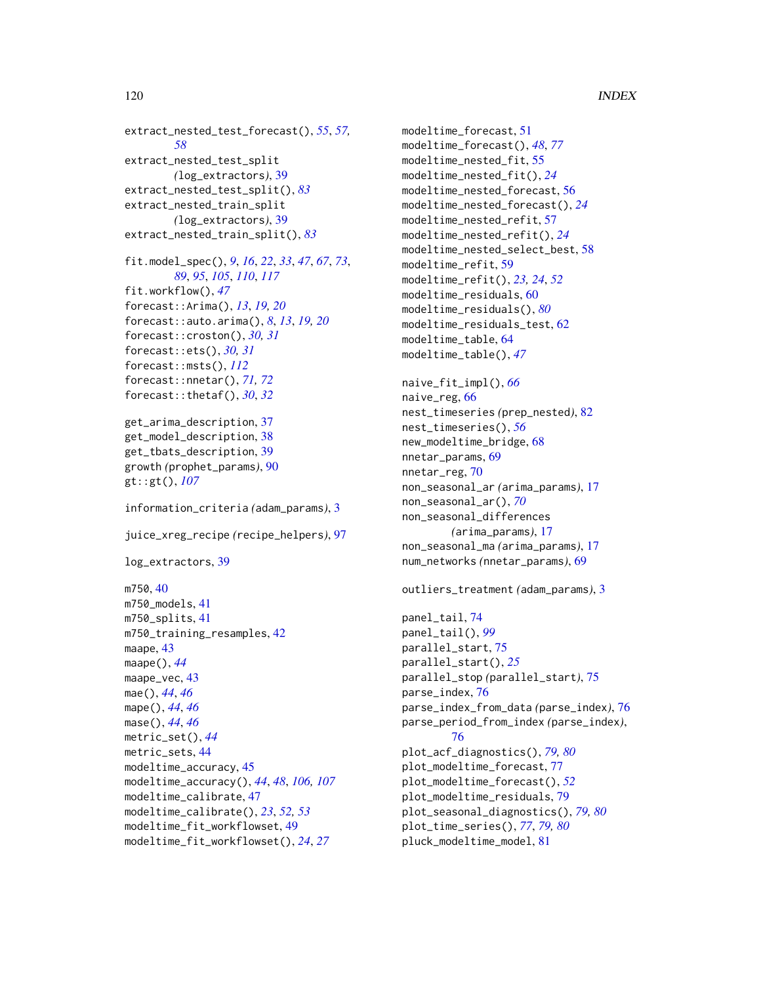```
extract_nested_test_forecast(), 55, 57,
        58
extract_nested_test_split
        (log_extractors), 39
extract_nested_test_split(), 83
extract_nested_train_split
        (log_extractors), 39
extract_nested_train_split(), 83
fit.model_spec(), 9, 16, 22, 33, 47, 67, 73,
        89, 95, 105, 110, 117
fit.workflow(), 47
forecast::Arima(), 13, 19, 20
forecast::auto.arima(), 8, 13, 19, 20
forecast::croston(), 30, 31
forecast::ets(), 30, 31
forecast::msts(), 112
forecast::nnetar(), 71, 72
forecast::thetaf(), 30, 32
get_arima_description, 37
get_model_description, 38
get_tbats_description, 39
growth (prophet_params), 90
gt::gt(), 107
information_criteria (adam_params), 3
juice_xreg_recipe (recipe_helpers), 97
log_extractors, 39
m750, 40
m750_models, 41
m750_splits, 41
m750_training_resamples, 42
maape, 43
maape(), 44
maape_vec, 43
mae(), 44, 46
mape(), 44, 46
mase(), 44, 46
metric_set(), 44
metric_sets, 44
modeltime_accuracy, 45
modeltime_accuracy(), 44, 48, 106, 107
modeltime_calibrate, 47
modeltime_calibrate(), 23, 52, 53
```

```
modeltime_fit_workflowset, 49
```
modeltime\_fit\_workflowset(), *[24](#page-23-0)*, *[27](#page-26-0)*

modeltime\_forecast, [51](#page-50-0) modeltime\_forecast(), *[48](#page-47-0)*, *[77](#page-76-0)* modeltime\_nested\_fit, [55](#page-54-0) modeltime\_nested\_fit(), *[24](#page-23-0)* modeltime\_nested\_forecast, [56](#page-55-0) modeltime\_nested\_forecast(), *[24](#page-23-0)* modeltime\_nested\_refit, [57](#page-56-0) modeltime\_nested\_refit(), *[24](#page-23-0)* modeltime\_nested\_select\_best, [58](#page-57-0) modeltime\_refit, [59](#page-58-0) modeltime\_refit(), *[23,](#page-22-1) [24](#page-23-0)*, *[52](#page-51-0)* modeltime\_residuals, [60](#page-59-0) modeltime\_residuals(), *[80](#page-79-0)* modeltime\_residuals\_test, [62](#page-61-0) modeltime\_table, [64](#page-63-0) modeltime\_table(), *[47](#page-46-0)* naive\_fit\_impl(), *[66](#page-65-0)* naive\_reg, [66](#page-65-0) nest\_timeseries *(*prep\_nested*)*, [82](#page-81-0) nest\_timeseries(), *[56](#page-55-0)* new\_modeltime\_bridge, [68](#page-67-0) nnetar\_params, [69](#page-68-0) nnetar\_reg, [70](#page-69-0) non\_seasonal\_ar *(*arima\_params*)*, [17](#page-16-0) non\_seasonal\_ar(), *[70](#page-69-0)* non\_seasonal\_differences *(*arima\_params*)*, [17](#page-16-0) non\_seasonal\_ma *(*arima\_params*)*, [17](#page-16-0) num\_networks *(*nnetar\_params*)*, [69](#page-68-0) outliers\_treatment *(*adam\_params*)*, [3](#page-2-0) panel\_tail, [74](#page-73-0) panel\_tail(), *[99](#page-98-0)* parallel\_start, [75](#page-74-0) parallel\_start(), *[25](#page-24-0)* parallel\_stop *(*parallel\_start*)*, [75](#page-74-0) parse\_index, [76](#page-75-0) parse\_index\_from\_data *(*parse\_index*)*, [76](#page-75-0) parse\_period\_from\_index *(*parse\_index*)*, [76](#page-75-0) plot\_acf\_diagnostics(), *[79,](#page-78-0) [80](#page-79-0)* plot\_modeltime\_forecast, [77](#page-76-0) plot\_modeltime\_forecast(), *[52](#page-51-0)* plot\_modeltime\_residuals, [79](#page-78-0) plot\_seasonal\_diagnostics(), *[79,](#page-78-0) [80](#page-79-0)* plot\_time\_series(), *[77](#page-76-0)*, *[79,](#page-78-0) [80](#page-79-0)*

pluck\_modeltime\_model, [81](#page-80-1)